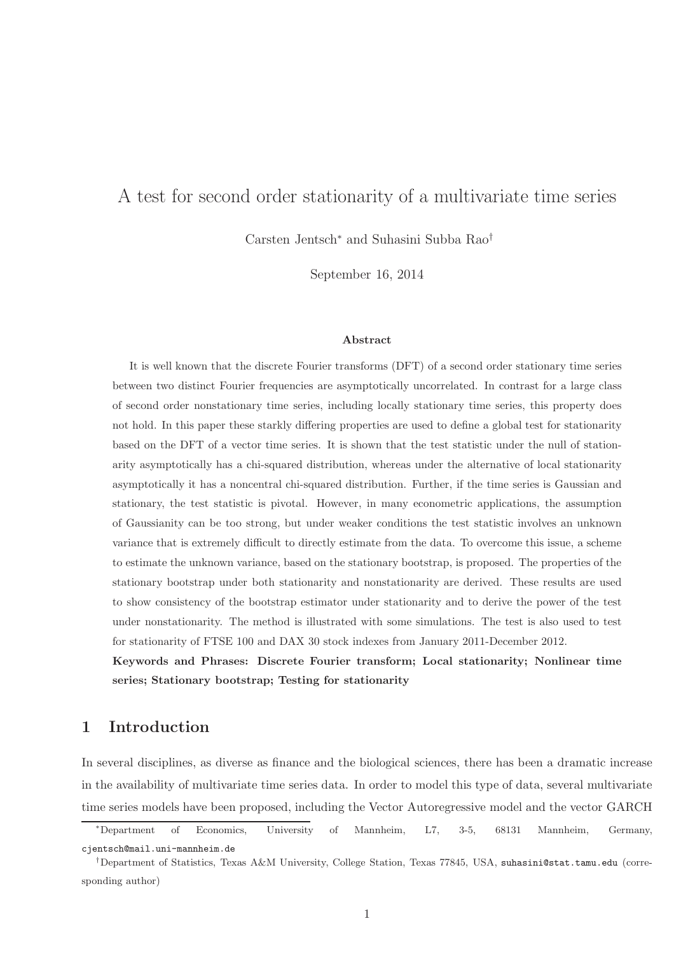## A test for second order stationarity of a multivariate time series

Carsten Jentsch<sup>∗</sup> and Suhasini Subba Rao†

September 16, 2014

## Abstract

It is well known that the discrete Fourier transforms (DFT) of a second order stationary time series between two distinct Fourier frequencies are asymptotically uncorrelated. In contrast for a large class of second order nonstationary time series, including locally stationary time series, this property does not hold. In this paper these starkly differing properties are used to define a global test for stationarity based on the DFT of a vector time series. It is shown that the test statistic under the null of stationarity asymptotically has a chi-squared distribution, whereas under the alternative of local stationarity asymptotically it has a noncentral chi-squared distribution. Further, if the time series is Gaussian and stationary, the test statistic is pivotal. However, in many econometric applications, the assumption of Gaussianity can be too strong, but under weaker conditions the test statistic involves an unknown variance that is extremely difficult to directly estimate from the data. To overcome this issue, a scheme to estimate the unknown variance, based on the stationary bootstrap, is proposed. The properties of the stationary bootstrap under both stationarity and nonstationarity are derived. These results are used to show consistency of the bootstrap estimator under stationarity and to derive the power of the test under nonstationarity. The method is illustrated with some simulations. The test is also used to test for stationarity of FTSE 100 and DAX 30 stock indexes from January 2011-December 2012.

Keywords and Phrases: Discrete Fourier transform; Local stationarity; Nonlinear time series; Stationary bootstrap; Testing for stationarity

## 1 Introduction

In several disciplines, as diverse as finance and the biological sciences, there has been a dramatic increase in the availability of multivariate time series data. In order to model this type of data, several multivariate time series models have been proposed, including the Vector Autoregressive model and the vector GARCH

<sup>∗</sup>Department of Economics, University of Mannheim, L7, 3-5, 68131 Mannheim, Germany, cjentsch@mail.uni-mannheim.de

<sup>†</sup>Department of Statistics, Texas A&M University, College Station, Texas 77845, USA, suhasini@stat.tamu.edu (corresponding author)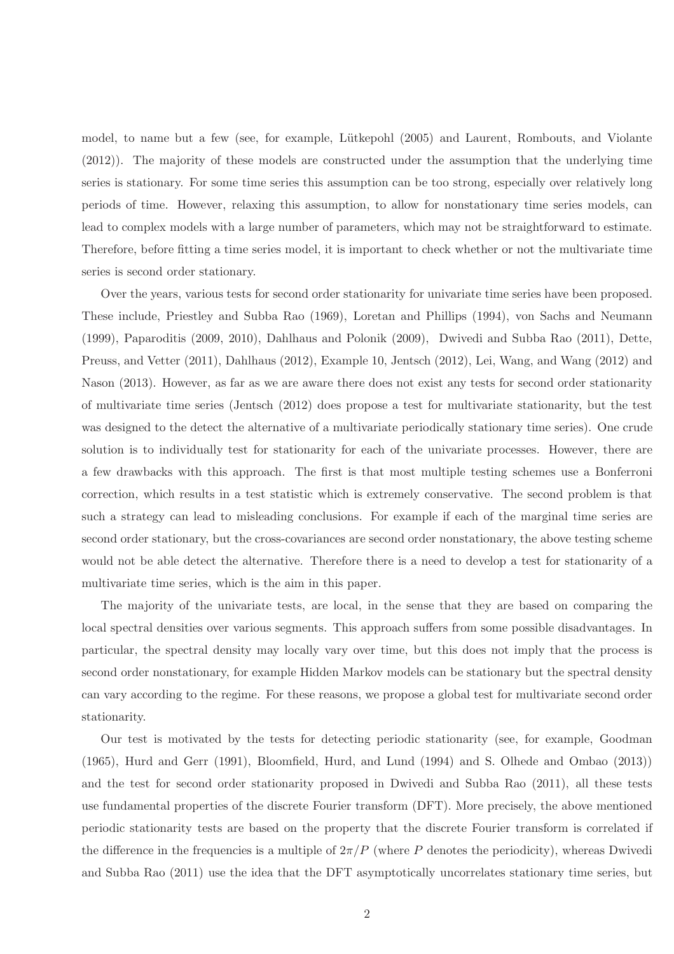model, to name but a few (see, for example, Lütkepohl (2005) and Laurent, Rombouts, and Violante (2012)). The majority of these models are constructed under the assumption that the underlying time series is stationary. For some time series this assumption can be too strong, especially over relatively long periods of time. However, relaxing this assumption, to allow for nonstationary time series models, can lead to complex models with a large number of parameters, which may not be straightforward to estimate. Therefore, before fitting a time series model, it is important to check whether or not the multivariate time series is second order stationary.

Over the years, various tests for second order stationarity for univariate time series have been proposed. These include, Priestley and Subba Rao (1969), Loretan and Phillips (1994), von Sachs and Neumann (1999), Paparoditis (2009, 2010), Dahlhaus and Polonik (2009), Dwivedi and Subba Rao (2011), Dette, Preuss, and Vetter (2011), Dahlhaus (2012), Example 10, Jentsch (2012), Lei, Wang, and Wang (2012) and Nason (2013). However, as far as we are aware there does not exist any tests for second order stationarity of multivariate time series (Jentsch (2012) does propose a test for multivariate stationarity, but the test was designed to the detect the alternative of a multivariate periodically stationary time series). One crude solution is to individually test for stationarity for each of the univariate processes. However, there are a few drawbacks with this approach. The first is that most multiple testing schemes use a Bonferroni correction, which results in a test statistic which is extremely conservative. The second problem is that such a strategy can lead to misleading conclusions. For example if each of the marginal time series are second order stationary, but the cross-covariances are second order nonstationary, the above testing scheme would not be able detect the alternative. Therefore there is a need to develop a test for stationarity of a multivariate time series, which is the aim in this paper.

The majority of the univariate tests, are local, in the sense that they are based on comparing the local spectral densities over various segments. This approach suffers from some possible disadvantages. In particular, the spectral density may locally vary over time, but this does not imply that the process is second order nonstationary, for example Hidden Markov models can be stationary but the spectral density can vary according to the regime. For these reasons, we propose a global test for multivariate second order stationarity.

Our test is motivated by the tests for detecting periodic stationarity (see, for example, Goodman (1965), Hurd and Gerr (1991), Bloomfield, Hurd, and Lund (1994) and S. Olhede and Ombao (2013)) and the test for second order stationarity proposed in Dwivedi and Subba Rao (2011), all these tests use fundamental properties of the discrete Fourier transform (DFT). More precisely, the above mentioned periodic stationarity tests are based on the property that the discrete Fourier transform is correlated if the difference in the frequencies is a multiple of  $2\pi/P$  (where P denotes the periodicity), whereas Dwivedi and Subba Rao (2011) use the idea that the DFT asymptotically uncorrelates stationary time series, but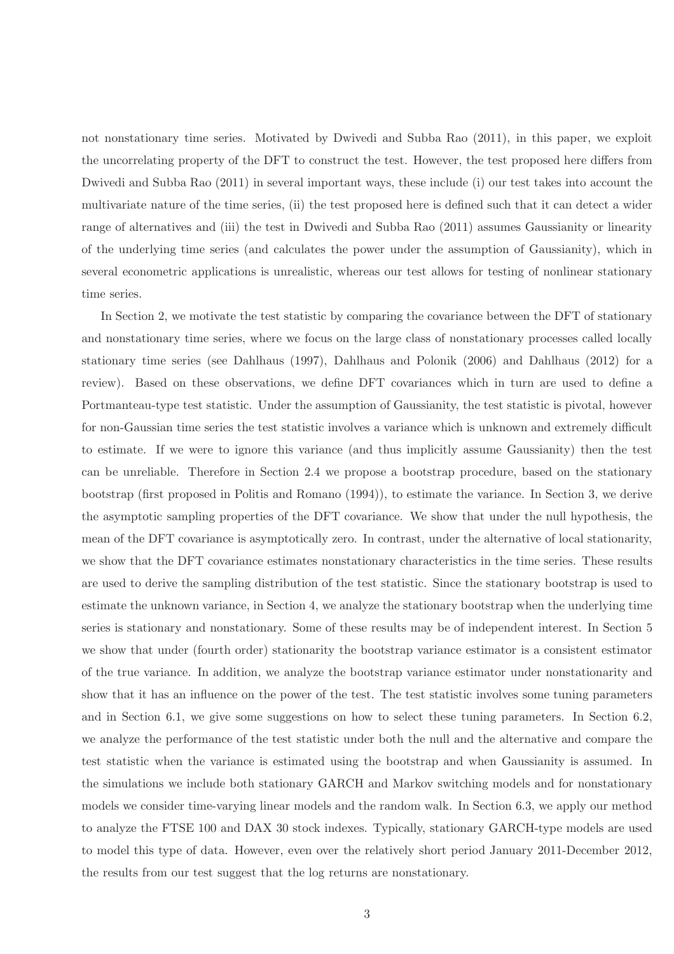not nonstationary time series. Motivated by Dwivedi and Subba Rao (2011), in this paper, we exploit the uncorrelating property of the DFT to construct the test. However, the test proposed here differs from Dwivedi and Subba Rao (2011) in several important ways, these include (i) our test takes into account the multivariate nature of the time series, (ii) the test proposed here is defined such that it can detect a wider range of alternatives and (iii) the test in Dwivedi and Subba Rao (2011) assumes Gaussianity or linearity of the underlying time series (and calculates the power under the assumption of Gaussianity), which in several econometric applications is unrealistic, whereas our test allows for testing of nonlinear stationary time series.

In Section 2, we motivate the test statistic by comparing the covariance between the DFT of stationary and nonstationary time series, where we focus on the large class of nonstationary processes called locally stationary time series (see Dahlhaus (1997), Dahlhaus and Polonik (2006) and Dahlhaus (2012) for a review). Based on these observations, we define DFT covariances which in turn are used to define a Portmanteau-type test statistic. Under the assumption of Gaussianity, the test statistic is pivotal, however for non-Gaussian time series the test statistic involves a variance which is unknown and extremely difficult to estimate. If we were to ignore this variance (and thus implicitly assume Gaussianity) then the test can be unreliable. Therefore in Section 2.4 we propose a bootstrap procedure, based on the stationary bootstrap (first proposed in Politis and Romano (1994)), to estimate the variance. In Section 3, we derive the asymptotic sampling properties of the DFT covariance. We show that under the null hypothesis, the mean of the DFT covariance is asymptotically zero. In contrast, under the alternative of local stationarity, we show that the DFT covariance estimates nonstationary characteristics in the time series. These results are used to derive the sampling distribution of the test statistic. Since the stationary bootstrap is used to estimate the unknown variance, in Section 4, we analyze the stationary bootstrap when the underlying time series is stationary and nonstationary. Some of these results may be of independent interest. In Section 5 we show that under (fourth order) stationarity the bootstrap variance estimator is a consistent estimator of the true variance. In addition, we analyze the bootstrap variance estimator under nonstationarity and show that it has an influence on the power of the test. The test statistic involves some tuning parameters and in Section 6.1, we give some suggestions on how to select these tuning parameters. In Section 6.2, we analyze the performance of the test statistic under both the null and the alternative and compare the test statistic when the variance is estimated using the bootstrap and when Gaussianity is assumed. In the simulations we include both stationary GARCH and Markov switching models and for nonstationary models we consider time-varying linear models and the random walk. In Section 6.3, we apply our method to analyze the FTSE 100 and DAX 30 stock indexes. Typically, stationary GARCH-type models are used to model this type of data. However, even over the relatively short period January 2011-December 2012, the results from our test suggest that the log returns are nonstationary.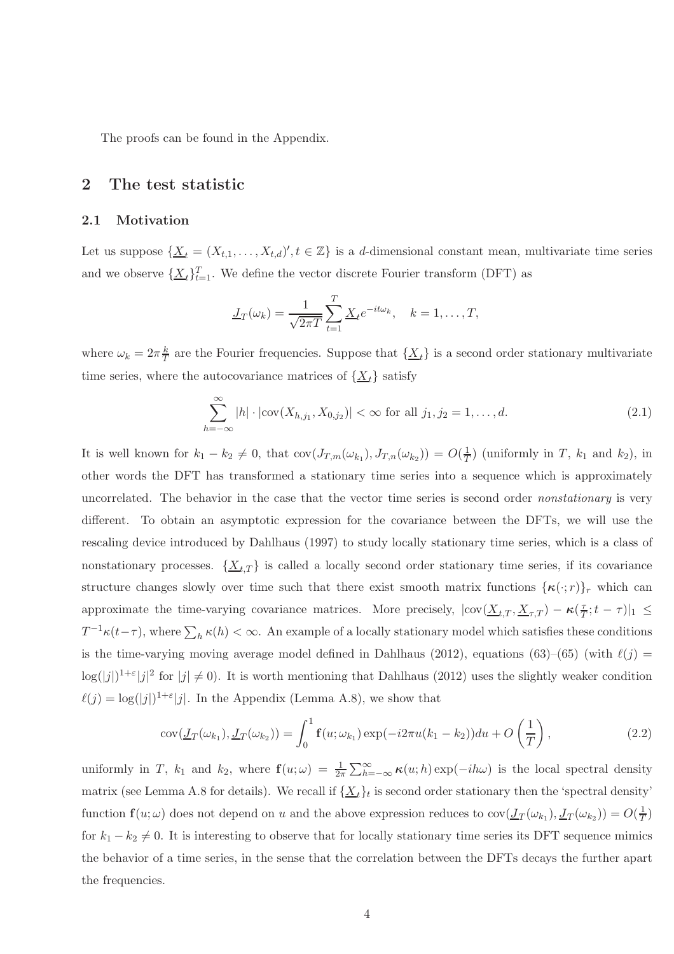The proofs can be found in the Appendix.

## 2 The test statistic

## 2.1 Motivation

Let us suppose  $\{\underline{X}_t = (X_{t,1}, \ldots, X_{t,d})', t \in \mathbb{Z}\}\$  is a d-dimensional constant mean, multivariate time series and we observe  ${\{\underline{X}_t\}}_{t=1}^T$ . We define the vector discrete Fourier transform (DFT) as

$$
\underline{J}_T(\omega_k) = \frac{1}{\sqrt{2\pi T}} \sum_{t=1}^T \underline{X}_t e^{-it\omega_k}, \quad k = 1, \dots, T,
$$

where  $\omega_k = 2\pi \frac{k}{T}$  $\frac{k}{T}$  are the Fourier frequencies. Suppose that  $\{\underline{X}_t\}$  is a second order stationary multivariate time series, where the autocovariance matrices of  $\{X_t\}$  satisfy

$$
\sum_{h=-\infty}^{\infty} |h| \cdot |\text{cov}(X_{h,j_1}, X_{0,j_2})| < \infty \text{ for all } j_1, j_2 = 1, \dots, d.
$$
 (2.1)

It is well known for  $k_1 - k_2 \neq 0$ , that  $\text{cov}(J_{T,m}(\omega_{k_1}), J_{T,n}(\omega_{k_2})) = O(\frac{1}{T})$  $(\frac{1}{T})$  (uniformly in T,  $k_1$  and  $k_2$ ), in other words the DFT has transformed a stationary time series into a sequence which is approximately uncorrelated. The behavior in the case that the vector time series is second order *nonstationary* is very different. To obtain an asymptotic expression for the covariance between the DFTs, we will use the rescaling device introduced by Dahlhaus (1997) to study locally stationary time series, which is a class of nonstationary processes.  $\{\underline{X}_{t,T}\}\$ is called a locally second order stationary time series, if its covariance structure changes slowly over time such that there exist smooth matrix functions  $\{\kappa(\cdot;r)\}_r$  which can approximate the time-varying covariance matrices. More precisely,  $|\text{cov}(\underline{X}_{t,T}, \underline{X}_{\tau,T}) - \kappa(\frac{\tau}{T})|$  $\frac{\tau}{T}$ ;  $t-\tau$ )|1  $\leq$  $T^{-1}\kappa(t-\tau)$ , where  $\sum_h \kappa(h) < \infty$ . An example of a locally stationary model which satisfies these conditions is the time-varying moving average model defined in Dahlhaus (2012), equations (63)–(65) (with  $\ell(j)$  =  $\log(|j|)^{1+\varepsilon}|j|^2$  for  $|j|\neq 0$ ). It is worth mentioning that Dahlhaus (2012) uses the slightly weaker condition  $\ell(j) = \log(|j|)^{1+\epsilon}|j|$ . In the Appendix (Lemma A.8), we show that

$$
cov(\underline{J}_T(\omega_{k_1}), \underline{J}_T(\omega_{k_2})) = \int_0^1 \mathbf{f}(u; \omega_{k_1}) \exp(-i2\pi u(k_1 - k_2)) du + O\left(\frac{1}{T}\right), \tag{2.2}
$$

uniformly in T,  $k_1$  and  $k_2$ , where  $\mathbf{f}(u; \omega) = \frac{1}{2\pi} \sum_{h=-\infty}^{\infty} \kappa(u; h) \exp(-ih\omega)$  is the local spectral density matrix (see Lemma A.8 for details). We recall if  $\{\underline{X}_t\}_t$  is second order stationary then the 'spectral density' function  $\mathbf{f}(u; \omega)$  does not depend on u and the above expression reduces to  $\text{cov}(\underline{J}_T(\omega_{k_1}), \underline{J}_T(\omega_{k_2})) = O(\frac{1}{T})$  $\frac{1}{T})$ for  $k_1 - k_2 \neq 0$ . It is interesting to observe that for locally stationary time series its DFT sequence mimics the behavior of a time series, in the sense that the correlation between the DFTs decays the further apart the frequencies.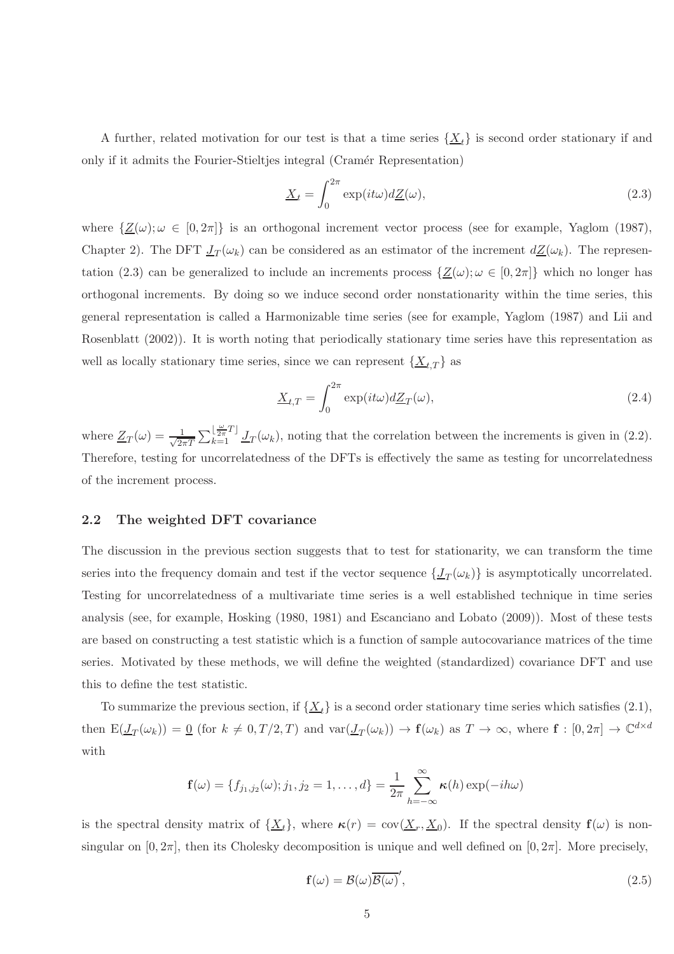A further, related motivation for our test is that a time series  $\{\underline{X}_t\}$  is second order stationary if and only if it admits the Fourier-Stieltjes integral (Cramér Representation)

$$
\underline{X}_t = \int_0^{2\pi} \exp(it\omega) d\underline{Z}(\omega),\tag{2.3}
$$

where  $\{\underline{Z}(\omega); \omega \in [0, 2\pi]\}\$  is an orthogonal increment vector process (see for example, Yaglom (1987), Chapter 2). The DFT  $\mathcal{J}_T(\omega_k)$  can be considered as an estimator of the increment  $d\underline{Z}(\omega_k)$ . The representation (2.3) can be generalized to include an increments process  $\{\underline{Z}(\omega); \omega \in [0, 2\pi]\}\$  which no longer has orthogonal increments. By doing so we induce second order nonstationarity within the time series, this general representation is called a Harmonizable time series (see for example, Yaglom (1987) and Lii and Rosenblatt (2002)). It is worth noting that periodically stationary time series have this representation as well as locally stationary time series, since we can represent  $\{\underline{X}_{t,T}\}$  as

$$
\underline{X}_{t,T} = \int_0^{2\pi} \exp(it\omega) d\underline{Z}_T(\omega),\tag{2.4}
$$

where  $Z_T(\omega) = \frac{1}{\sqrt{2\pi}}$  $\frac{1}{2\pi T}\sum_{k=1}^{\lfloor \frac{\omega}{2\pi}T \rfloor} \underline{J}_T(\omega_k)$ , noting that the correlation between the increments is given in (2.2). Therefore, testing for uncorrelatedness of the DFTs is effectively the same as testing for uncorrelatedness of the increment process.

## 2.2 The weighted DFT covariance

The discussion in the previous section suggests that to test for stationarity, we can transform the time series into the frequency domain and test if the vector sequence  $\{\underline{J}_T(\omega_k)\}\$ is asymptotically uncorrelated. Testing for uncorrelatedness of a multivariate time series is a well established technique in time series analysis (see, for example, Hosking (1980, 1981) and Escanciano and Lobato (2009)). Most of these tests are based on constructing a test statistic which is a function of sample autocovariance matrices of the time series. Motivated by these methods, we will define the weighted (standardized) covariance DFT and use this to define the test statistic.

To summarize the previous section, if  $\{\underline{X}_t\}$  is a second order stationary time series which satisfies (2.1), then  $E(\underline{J}_T(\omega_k)) = 0$  (for  $k \neq 0, T/2, T$ ) and  $var(\underline{J}_T(\omega_k)) \to \mathbf{f}(\omega_k)$  as  $T \to \infty$ , where  $\mathbf{f} : [0, 2\pi] \to \mathbb{C}^{d \times d}$ with

$$
\mathbf{f}(\omega) = \{f_{j_1,j_2}(\omega); j_1, j_2 = 1, \ldots, d\} = \frac{1}{2\pi} \sum_{h=-\infty}^{\infty} \kappa(h) \exp(-ih\omega)
$$

is the spectral density matrix of  $\{\underline{X}_t\}$ , where  $\kappa(r) = \text{cov}(\underline{X}_r, \underline{X}_0)$ . If the spectral density  $f(\omega)$  is nonsingular on  $[0, 2\pi]$ , then its Cholesky decomposition is unique and well defined on  $[0, 2\pi]$ . More precisely,

$$
\mathbf{f}(\omega) = \mathcal{B}(\omega)\overline{\mathcal{B}(\omega)}',\tag{2.5}
$$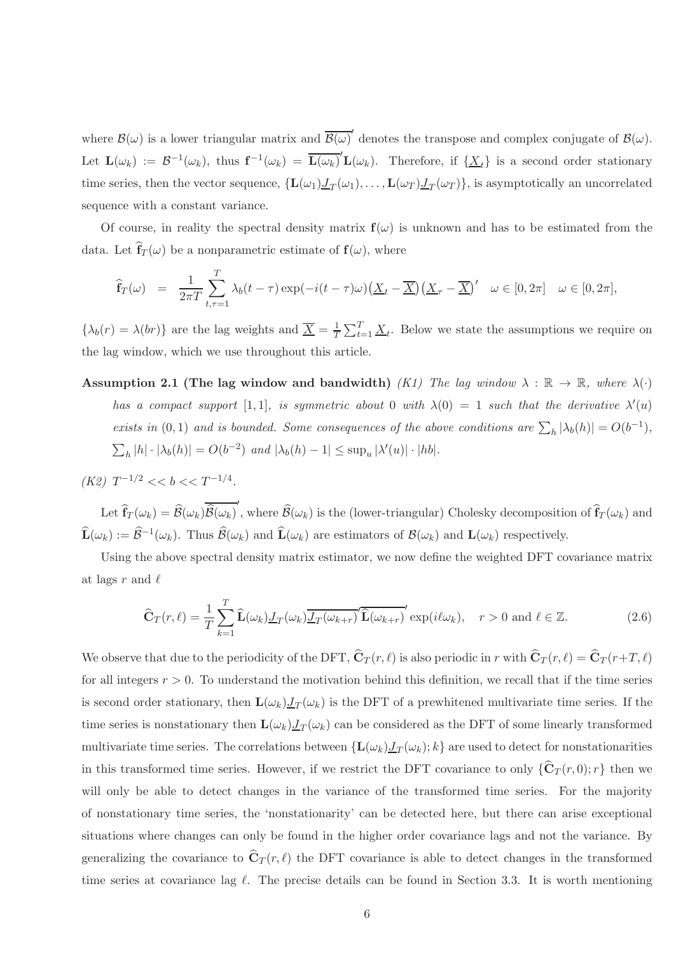where  $\mathcal{B}(\omega)$  is a lower triangular matrix and  $\overline{\mathcal{B}(\omega)}$  denotes the transpose and complex conjugate of  $\mathcal{B}(\omega)$ . Let  $\mathbf{L}(\omega_k) := \mathcal{B}^{-1}(\omega_k)$ , thus  $\mathbf{f}^{-1}(\omega_k) = \overline{\mathbf{L}(\omega_k)}' \mathbf{L}(\omega_k)$ . Therefore, if  $\{\underline{X}_t\}$  is a second order stationary time series, then the vector sequence,  $\{L(\omega_1)I_T(\omega_1), \dots, L(\omega_T)I_T(\omega_T)\}$ , is asymptotically an uncorrelated sequence with a constant variance.

Of course, in reality the spectral density matrix  $f(\omega)$  is unknown and has to be estimated from the data. Let  $\mathbf{f}_T(\omega)$  be a nonparametric estimate of  $\mathbf{f}(\omega)$ , where

$$
\widehat{\mathbf{f}}_T(\omega) = \frac{1}{2\pi T} \sum_{t,\tau=1}^T \lambda_b(t-\tau) \exp(-i(t-\tau)\omega) \left(\underline{X}_t - \overline{\underline{X}}\right) \left(\underline{X}_\tau - \overline{\underline{X}}\right)' \quad \omega \in [0, 2\pi] \quad \omega \in [0, 2\pi],
$$

 $\{\lambda_b(r) = \lambda(br)\}\$ are the lag weights and  $\overline{X} = \frac{1}{T}$  $\frac{1}{T} \sum_{t=1}^{T} \underline{X}_{t}$ . Below we state the assumptions we require on the lag window, which we use throughout this article.

- Assumption 2.1 (The lag window and bandwidth) (K1) The lag window  $\lambda : \mathbb{R} \to \mathbb{R}$ , where  $\lambda(\cdot)$ has a compact support [1,1], is symmetric about 0 with  $\lambda(0) = 1$  such that the derivative  $\lambda'(u)$ exists in (0, 1) and is bounded. Some consequences of the above conditions are  $\sum_h |\lambda_b(h)| = O(b^{-1}),$  $\sum_h |h| \cdot |\lambda_b(h)| = O(b^{-2})$  and  $|\lambda_b(h) - 1| \le \sup_u |\lambda'(u)| \cdot |hb|.$
- $(K2)$   $T^{-1/2}$  <<  $b$  <<  $T^{-1/4}$ .

Let  $\hat{\mathbf{f}}_T(\omega_k) = \hat{\mathcal{B}}(\omega_k) \overline{\hat{\mathcal{B}}(\omega_k)}$ , where  $\hat{\mathcal{B}}(\omega_k)$  is the (lower-triangular) Cholesky decomposition of  $\hat{\mathbf{f}}_T(\omega_k)$  and  $\widehat{\mathbf{L}}(\omega_k) := \widehat{\mathcal{B}}^{-1}(\omega_k)$ . Thus  $\widehat{\mathcal{B}}(\omega_k)$  and  $\widehat{\mathbf{L}}(\omega_k)$  are estimators of  $\mathcal{B}(\omega_k)$  and  $\mathbf{L}(\omega_k)$  respectively.

Using the above spectral density matrix estimator, we now define the weighted DFT covariance matrix at lags r and  $\ell$ 

$$
\widehat{\mathbf{C}}_T(r,\ell) = \frac{1}{T} \sum_{k=1}^T \widehat{\mathbf{L}}(\omega_k) \underline{J}_T(\omega_k) \overline{\underline{J}_T(\omega_{k+r})'} \widehat{\mathbf{L}}(\omega_{k+r})' \exp(i\ell\omega_k), \quad r > 0 \text{ and } \ell \in \mathbb{Z}.
$$
 (2.6)

We observe that due to the periodicity of the DFT,  $\hat{C}_T(r, \ell)$  is also periodic in r with  $\hat{C}_T(r, \ell) = \hat{C}_T (r+T, \ell)$ for all integers  $r > 0$ . To understand the motivation behind this definition, we recall that if the time series is second order stationary, then  $\mathbf{L}(\omega_k) \underline{J}_T(\omega_k)$  is the DFT of a prewhitened multivariate time series. If the time series is nonstationary then  $\mathbf{L}(\omega_k) \underline{J}_T(\omega_k)$  can be considered as the DFT of some linearly transformed multivariate time series. The correlations between  $\{L(\omega_k)L_T(\omega_k);k\}$  are used to detect for nonstationarities in this transformed time series. However, if we restrict the DFT covariance to only  $\{\hat{\mathbf{C}}_T (r, 0); r\}$  then we will only be able to detect changes in the variance of the transformed time series. For the majority of nonstationary time series, the 'nonstationarity' can be detected here, but there can arise exceptional situations where changes can only be found in the higher order covariance lags and not the variance. By generalizing the covariance to  $\hat{\mathbf{C}}_T (r, \ell)$  the DFT covariance is able to detect changes in the transformed time series at covariance lag  $\ell$ . The precise details can be found in Section 3.3. It is worth mentioning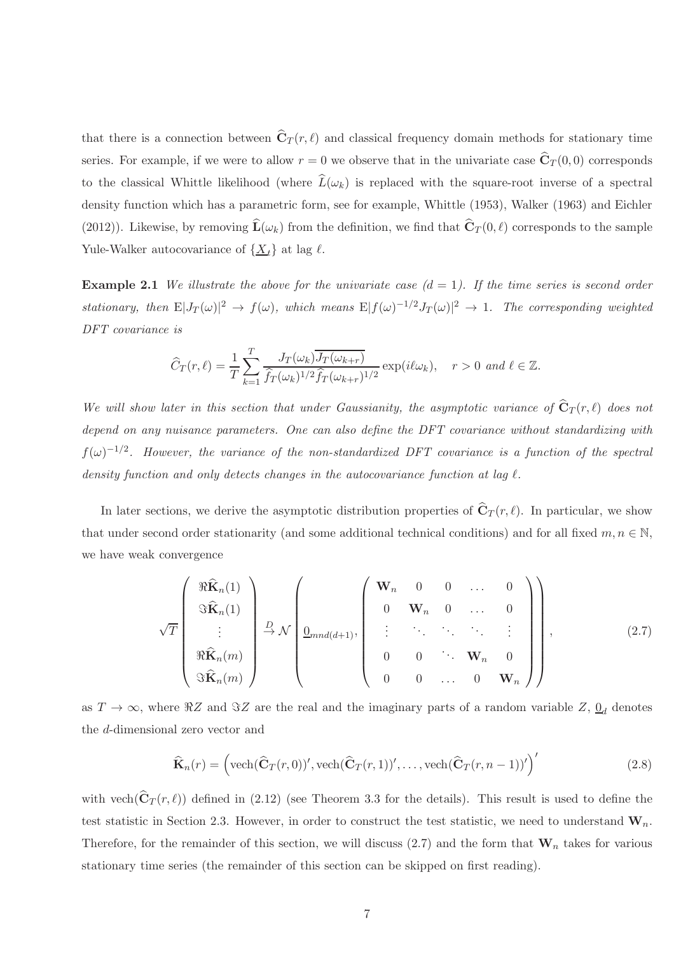that there is a connection between  $\hat{\mathbf{C}}_T (r, \ell)$  and classical frequency domain methods for stationary time series. For example, if we were to allow  $r = 0$  we observe that in the univariate case  $\hat{\mathbf{C}}_T (0, 0)$  corresponds to the classical Whittle likelihood (where  $\widehat{L}(\omega_k)$  is replaced with the square-root inverse of a spectral density function which has a parametric form, see for example, Whittle (1953), Walker (1963) and Eichler (2012)). Likewise, by removing  $\mathbf{L}(\omega_k)$  from the definition, we find that  $\mathbf{C}_T (0, \ell)$  corresponds to the sample Yule-Walker autocovariance of  $\{\underline{X}_t\}$  at lag  $\ell$ .

**Example 2.1** We illustrate the above for the univariate case  $(d = 1)$ . If the time series is second order stationary, then  $E|J_T(\omega)|^2 \to f(\omega)$ , which means  $E|f(\omega)^{-1/2}J_T(\omega)|^2 \to 1$ . The corresponding weighted DFT covariance is

$$
\widehat{C}_T(r,\ell) = \frac{1}{T} \sum_{k=1}^T \frac{J_T(\omega_k) \overline{J_T(\omega_{k+r})}}{\widehat{f}_T(\omega_k)^{1/2} \widehat{f}_T(\omega_{k+r})^{1/2}} \exp(i\ell \omega_k), \quad r > 0 \text{ and } \ell \in \mathbb{Z}.
$$

We will show later in this section that under Gaussianity, the asymptotic variance of  $\hat{\mathbf{C}}_T (r, \ell)$  does not depend on any nuisance parameters. One can also define the DFT covariance without standardizing with  $f(\omega)^{-1/2}$ . However, the variance of the non-standardized DFT covariance is a function of the spectral density function and only detects changes in the autocovariance function at lag  $\ell$ .

In later sections, we derive the asymptotic distribution properties of  $\mathbf{C}_T (r, \ell)$ . In particular, we show that under second order stationarity (and some additional technical conditions) and for all fixed  $m, n \in \mathbb{N}$ , we have weak convergence

$$
\sqrt{T}\begin{pmatrix}\Re\widehat{\mathbf{K}}_n(1) \\
\Im\widehat{\mathbf{K}}_n(1) \\
\vdots \\
\Re\widehat{\mathbf{K}}_n(m) \\
\Im\widehat{\mathbf{K}}_n(m)\n\end{pmatrix} \n\begin{pmatrix}\n\mathbf{W}_n & 0 & 0 & \dots & 0 \\
0 & \mathbf{W}_n & 0 & \dots & 0 \\
\vdots & \ddots & \ddots & \ddots & \vdots \\
0 & 0 & \ddots & \mathbf{W}_n & 0 \\
0 & 0 & \dots & 0 & \mathbf{W}_n\n\end{pmatrix},
$$
\n(2.7)

as  $T \to \infty$ , where  $\Re Z$  and  $\Im Z$  are the real and the imaginary parts of a random variable  $Z$ ,  $\underline{0}_d$  denotes the d-dimensional zero vector and

$$
\widehat{\mathbf{K}}_n(r) = \left(\text{vech}(\widehat{\mathbf{C}}_T(r,0))', \text{vech}(\widehat{\mathbf{C}}_T(r,1))', \dots, \text{vech}(\widehat{\mathbf{C}}_T(r,n-1))'\right)'
$$
(2.8)

with vech( $\widehat{\mathbf{C}}_T(r,\ell)$ ) defined in (2.12) (see Theorem 3.3 for the details). This result is used to define the test statistic in Section 2.3. However, in order to construct the test statistic, we need to understand  $\mathbf{W}_n$ . Therefore, for the remainder of this section, we will discuss  $(2.7)$  and the form that  $\mathbf{W}_n$  takes for various stationary time series (the remainder of this section can be skipped on first reading).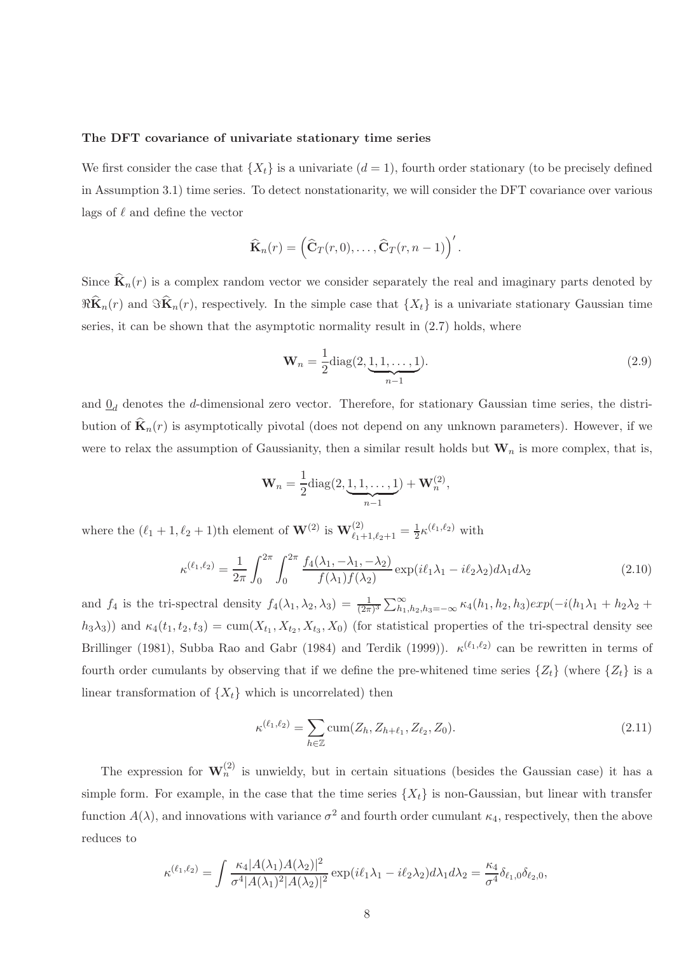#### The DFT covariance of univariate stationary time series

We first consider the case that  $\{X_t\}$  is a univariate  $(d = 1)$ , fourth order stationary (to be precisely defined in Assumption 3.1) time series. To detect nonstationarity, we will consider the DFT covariance over various lags of  $\ell$  and define the vector

$$
\widehat{\mathbf{K}}_n(r) = \left( \widehat{\mathbf{C}}_T(r,0), \ldots, \widehat{\mathbf{C}}_T(r,n-1) \right)'.
$$

Since  $\hat{\mathbf{K}}_n(r)$  is a complex random vector we consider separately the real and imaginary parts denoted by  $\Re\widehat{\mathbf{K}}_n(r)$  and  $\Im\widehat{\mathbf{K}}_n(r)$ , respectively. In the simple case that  $\{X_t\}$  is a univariate stationary Gaussian time series, it can be shown that the asymptotic normality result in (2.7) holds, where

$$
\mathbf{W}_n = \frac{1}{2} \text{diag}(2, \underbrace{1, 1, \dots, 1}_{n-1}).
$$
\n(2.9)

and  $\underline{0}_d$  denotes the d-dimensional zero vector. Therefore, for stationary Gaussian time series, the distribution of  $\mathbf{K}_n(r)$  is asymptotically pivotal (does not depend on any unknown parameters). However, if we were to relax the assumption of Gaussianity, then a similar result holds but  $W_n$  is more complex, that is,

$$
\mathbf{W}_n = \frac{1}{2} \text{diag}(2, \underbrace{1, 1, \dots, 1}_{n-1}) + \mathbf{W}_n^{(2)},
$$

where the  $(\ell_1 + 1, \ell_2 + 1)$ th element of  $\mathbf{W}^{(2)}$  is  $\mathbf{W}^{(2)}_{\ell_1+1,\ell_2+1} = \frac{1}{2}$  $\frac{1}{2} \kappa^{(\ell_1,\ell_2)}$  with

$$
\kappa^{(\ell_1,\ell_2)} = \frac{1}{2\pi} \int_0^{2\pi} \int_0^{2\pi} \frac{f_4(\lambda_1, -\lambda_1, -\lambda_2)}{f(\lambda_1)f(\lambda_2)} \exp(i\ell_1\lambda_1 - i\ell_2\lambda_2) d\lambda_1 d\lambda_2
$$
\n(2.10)

and  $f_4$  is the tri-spectral density  $f_4(\lambda_1, \lambda_2, \lambda_3) = \frac{1}{(2\pi)^3} \sum_{h_1, h_2, h_3 = -\infty}^{\infty} \kappa_4(h_1, h_2, h_3) exp(-i(h_1\lambda_1 + h_2\lambda_2 + h_3\lambda_3))$  $(h_3\lambda_3)$  and  $\kappa_4(t_1,t_2,t_3) = \text{cum}(X_{t_1}, X_{t_2}, X_{t_3}, X_0)$  (for statistical properties of the tri-spectral density see Brillinger (1981), Subba Rao and Gabr (1984) and Terdik (1999)).  $\kappa^{(\ell_1,\ell_2)}$  can be rewritten in terms of fourth order cumulants by observing that if we define the pre-whitened time series  $\{Z_t\}$  (where  $\{Z_t\}$ ) is a linear transformation of  $\{X_t\}$  which is uncorrelated) then

$$
\kappa^{(\ell_1,\ell_2)} = \sum_{h \in \mathbb{Z}} \operatorname{cum}(Z_h, Z_{h+\ell_1}, Z_{\ell_2}, Z_0). \tag{2.11}
$$

The expression for  $\mathbf{W}_n^{(2)}$  is unwieldy, but in certain situations (besides the Gaussian case) it has a simple form. For example, in the case that the time series  $\{X_t\}$  is non-Gaussian, but linear with transfer function  $A(\lambda)$ , and innovations with variance  $\sigma^2$  and fourth order cumulant  $\kappa_4$ , respectively, then the above reduces to

$$
\kappa^{(\ell_1,\ell_2)} = \int \frac{\kappa_4 |A(\lambda_1)A(\lambda_2)|^2}{\sigma^4 |A(\lambda_1)^2 |A(\lambda_2)|^2} \exp(i\ell_1\lambda_1 - i\ell_2\lambda_2) d\lambda_1 d\lambda_2 = \frac{\kappa_4}{\sigma^4} \delta_{\ell_1,0} \delta_{\ell_2,0},
$$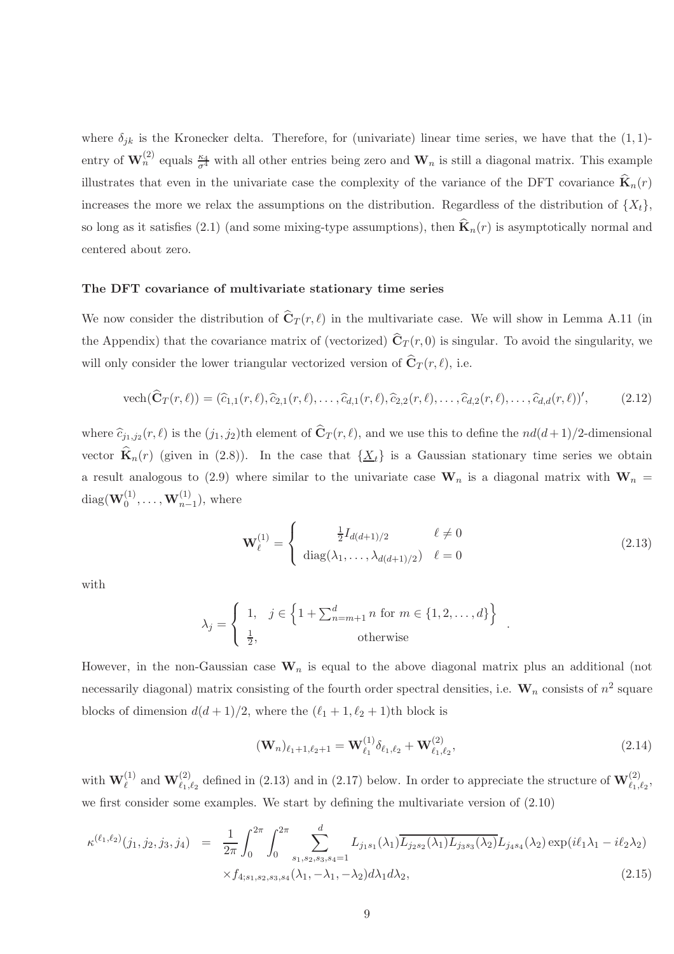where  $\delta_{jk}$  is the Kronecker delta. Therefore, for (univariate) linear time series, we have that the  $(1, 1)$ entry of  $\mathbf{W}_n^{(2)}$  equals  $\frac{\kappa_4}{\sigma^4}$  with all other entries being zero and  $\mathbf{W}_n$  is still a diagonal matrix. This example illustrates that even in the univariate case the complexity of the variance of the DFT covariance  $\hat{\mathbf{K}}_n(r)$ increases the more we relax the assumptions on the distribution. Regardless of the distribution of  $\{X_t\}$ , so long as it satisfies (2.1) (and some mixing-type assumptions), then  $\hat{\mathbf{K}}_n(r)$  is asymptotically normal and centered about zero.

## The DFT covariance of multivariate stationary time series

We now consider the distribution of  $\hat{\mathbf{C}}_T (r, \ell)$  in the multivariate case. We will show in Lemma A.11 (in the Appendix) that the covariance matrix of (vectorized)  $\hat{\mathbf{C}}_T (r, 0)$  is singular. To avoid the singularity, we will only consider the lower triangular vectorized version of  $\mathbf{C}_T(r,\ell)$ , i.e.

$$
\text{vech}(\hat{\mathbf{C}}_T(r,\ell)) = (\hat{c}_{1,1}(r,\ell), \hat{c}_{2,1}(r,\ell), \dots, \hat{c}_{d,1}(r,\ell), \hat{c}_{2,2}(r,\ell), \dots, \hat{c}_{d,2}(r,\ell), \dots, \hat{c}_{d,d}(r,\ell))',\tag{2.12}
$$

where  $\widehat{c}_{j_1,j_2}(r,\ell)$  is the  $(j_1,j_2)$ th element of  $\mathbf{C}_T(r,\ell)$ , and we use this to define the  $nd(d+1)/2$ -dimensional vector  $\mathbf{K}_n(r)$  (given in (2.8)). In the case that  $\{\underline{X}_t\}$  is a Gaussian stationary time series we obtain a result analogous to (2.9) where similar to the univariate case  $W_n$  is a diagonal matrix with  $W_n =$  $diag(\mathbf{W}_0^{(1)}, \dots, \mathbf{W}_{n-1}^{(1)}),$  where

$$
\mathbf{W}_{\ell}^{(1)} = \begin{cases} \frac{1}{2} I_{d(d+1)/2} & \ell \neq 0\\ \text{diag}(\lambda_1, \dots, \lambda_{d(d+1)/2}) & \ell = 0 \end{cases}
$$
(2.13)

with

$$
\lambda_j = \begin{cases} 1, & j \in \left\{1 + \sum_{n=m+1}^d n \text{ for } m \in \{1, 2, \dots, d\}\right\} \\ \frac{1}{2}, & \text{otherwise} \end{cases}.
$$

However, in the non-Gaussian case  $\mathbf{W}_n$  is equal to the above diagonal matrix plus an additional (not necessarily diagonal) matrix consisting of the fourth order spectral densities, i.e.  $\mathbf{W}_n$  consists of  $n^2$  square blocks of dimension  $d(d+1)/2$ , where the  $(\ell_1+1, \ell_2+1)$ th block is

$$
(\mathbf{W}_n)_{\ell_1+1,\ell_2+1} = \mathbf{W}_{\ell_1}^{(1)} \delta_{\ell_1,\ell_2} + \mathbf{W}_{\ell_1,\ell_2}^{(2)},
$$
\n(2.14)

with  $\mathbf{W}_{\ell}^{(1)}$  and  $\mathbf{W}_{\ell_1,\ell_2}^{(2)}$  defined in (2.13) and in (2.17) below. In order to appreciate the structure of  $\mathbf{W}_{\ell_1,\ell_2}^{(2)}$ , we first consider some examples. We start by defining the multivariate version of (2.10)

$$
\kappa^{(\ell_1,\ell_2)}(j_1,j_2,j_3,j_4) = \frac{1}{2\pi} \int_0^{2\pi} \int_0^{2\pi} \sum_{s_1,s_2,s_3,s_4=1}^d L_{j_1s_1}(\lambda_1) \overline{L_{j_2s_2}(\lambda_1) L_{j_3s_3}(\lambda_2)} L_{j_4s_4}(\lambda_2) \exp(i\ell_1\lambda_1 - i\ell_2\lambda_2) \times f_{4;s_1,s_2,s_3,s_4}(\lambda_1, -\lambda_1, -\lambda_2) d\lambda_1 d\lambda_2,
$$
\n(2.15)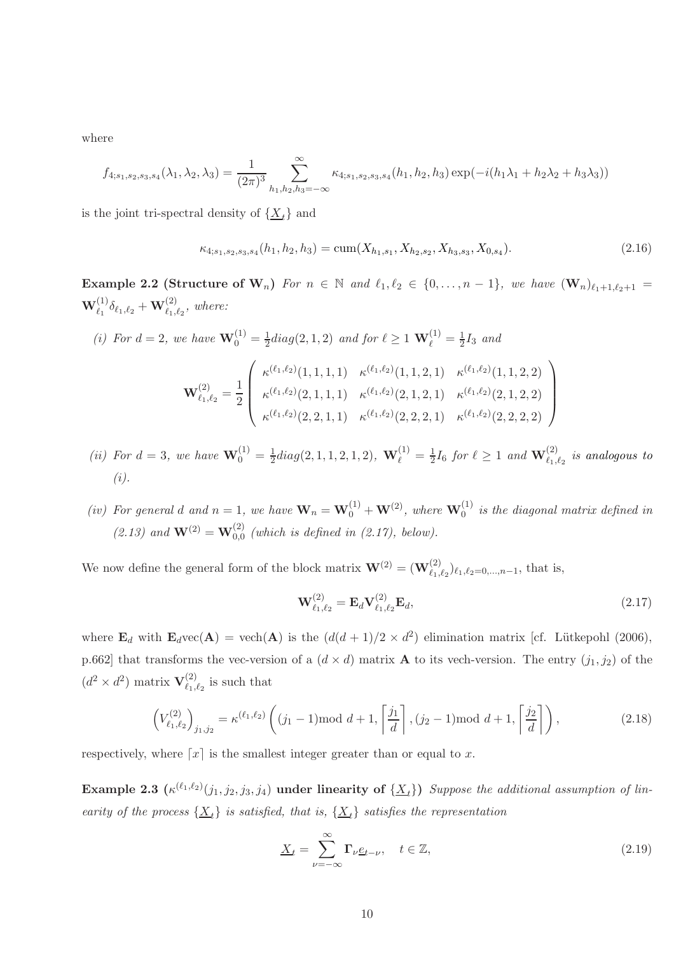where

$$
f_{4,s_1,s_2,s_3,s_4}(\lambda_1,\lambda_2,\lambda_3) = \frac{1}{(2\pi)^3} \sum_{h_1,h_2,h_3=-\infty}^{\infty} \kappa_{4,s_1,s_2,s_3,s_4}(h_1,h_2,h_3) \exp(-i(h_1\lambda_1+h_2\lambda_2+h_3\lambda_3))
$$

is the joint tri-spectral density of  $\{\underline{X}_t\}$  and

$$
\kappa_{4;s_1,s_2,s_3,s_4}(h_1,h_2,h_3) = \text{cum}(X_{h_1,s_1}, X_{h_2,s_2}, X_{h_3,s_3}, X_{0,s_4}).\tag{2.16}
$$

Example 2.2 (Structure of W<sub>n</sub>) For  $n \in \mathbb{N}$  and  $\ell_1, \ell_2 \in \{0, \ldots, n-1\}$ , we have  $(\mathbf{W}_n)_{\ell_1+1,\ell_2+1}$  $\mathbf{W}_{\ell_1}^{(1)}\delta_{\ell_1,\ell_2}+\mathbf{W}_{\ell_1,\ell_2}^{(2)},\textit{where:}$ 

(i) For 
$$
d = 2
$$
, we have  $\mathbf{W}_0^{(1)} = \frac{1}{2} diag(2, 1, 2)$  and for  $\ell \ge 1$   $\mathbf{W}_{\ell}^{(1)} = \frac{1}{2} I_3$  and

$$
\mathbf{W}^{(2)}_{\ell_1,\ell_2} = \frac{1}{2} \left( \begin{array}{cc} \kappa^{(\ell_1,\ell_2)}(1,1,1,1) & \kappa^{(\ell_1,\ell_2)}(1,1,2,1) & \kappa^{(\ell_1,\ell_2)}(1,1,2,2) \\ \kappa^{(\ell_1,\ell_2)}(2,1,1,1) & \kappa^{(\ell_1,\ell_2)}(2,1,2,1) & \kappa^{(\ell_1,\ell_2)}(2,1,2,2) \\ \kappa^{(\ell_1,\ell_2)}(2,2,1,1) & \kappa^{(\ell_1,\ell_2)}(2,2,2,1) & \kappa^{(\ell_1,\ell_2)}(2,2,2,2) \end{array} \right)
$$

- (*ii*) For  $d = 3$ , we have  $\mathbf{W}_0^{(1)} = \frac{1}{2}$  $\frac{1}{2}diag(2,1,1,2,1,2), \ \mathbf{W}_{\ell}^{(1)}=\frac{1}{2}$  $\frac{1}{2}I_6$  for  $\ell \geq 1$  and  $\mathbf{W}^{(2)}_{\ell_1,\ell_2}$  is analogous to (i).
- (iv) For general d and  $n = 1$ , we have  $\mathbf{W}_n = \mathbf{W}_0^{(1)} + \mathbf{W}^{(2)}$ , where  $\mathbf{W}_0^{(1)}$  is the diagonal matrix defined in (2.13) and  $\mathbf{W}^{(2)} = \mathbf{W}_{0,0}^{(2)}$  (which is defined in (2.17), below).

We now define the general form of the block matrix  $\mathbf{W}^{(2)} = (\mathbf{W}_{\ell_1,\ell_2}^{(2)})_{\ell_1,\ell_2=0,\ldots,n-1}$ , that is,

$$
\mathbf{W}_{\ell_1,\ell_2}^{(2)} = \mathbf{E}_d \mathbf{V}_{\ell_1,\ell_2}^{(2)} \mathbf{E}_d, \tag{2.17}
$$

where  $\mathbf{E}_d$  with  $\mathbf{E}_d$ vec(A) = vech(A) is the  $(d(d+1)/2 \times d^2)$  elimination matrix [cf. Lütkepohl (2006), p.662] that transforms the vec-version of a  $(d \times d)$  matrix **A** to its vech-version. The entry  $(j_1, j_2)$  of the  $(d^2 \times d^2)$  matrix  $\mathbf{V}_{\ell_1,\ell}^{(2)}$  $\binom{2}{\ell_1,\ell_2}$  is such that

$$
\left(V_{\ell_1,\ell_2}^{(2)}\right)_{j_1,j_2} = \kappa^{(\ell_1,\ell_2)}\left((j_1-1)\text{mod }d+1,\left\lceil\frac{j_1}{d}\right\rceil,(j_2-1)\text{mod }d+1,\left\lceil\frac{j_2}{d}\right\rceil\right),\tag{2.18}
$$

respectively, where  $[x]$  is the smallest integer greater than or equal to x.

Example 2.3  $(\kappa^{(\ell_1,\ell_2)}(j_1,j_2,j_3,j_4)$  under linearity of  $\{\underline{X}_t\}$ ) Suppose the additional assumption of linearity of the process  $\{\underline{X}_t\}$  is satisfied, that is,  $\{\underline{X}_t\}$  satisfies the representation

$$
\underline{X}_t = \sum_{\nu = -\infty}^{\infty} \Gamma_{\nu} \underline{e}_{t-\nu}, \quad t \in \mathbb{Z}, \tag{2.19}
$$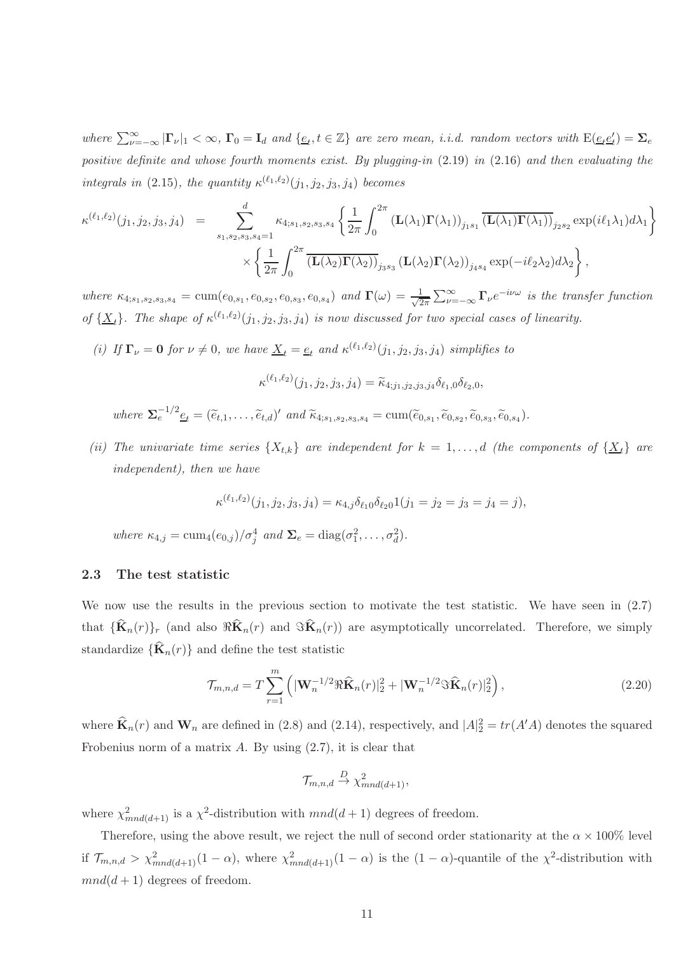where  $\sum_{\nu=-\infty}^{\infty} |\mathbf{\Gamma}_{\nu}|_1 < \infty$ ,  $\mathbf{\Gamma}_0 = \mathbf{I}_d$  and  $\{\underline{e}_t, t \in \mathbb{Z}\}$  are zero mean, i.i.d. random vectors with  $\mathrm{E}(\underline{e}_t \underline{e}'_t) = \Sigma_e$ positive definite and whose fourth moments exist. By plugging-in (2.19) in (2.16) and then evaluating the integrals in (2.15), the quantity  $\kappa^{(\ell_1,\ell_2)}(j_1,j_2,j_3,j_4)$  becomes

$$
\kappa^{(\ell_1,\ell_2)}(j_1,j_2,j_3,j_4) = \sum_{s_1,s_2,s_3,s_4=1}^d \kappa_{4;s_1,s_2,s_3,s_4} \left\{ \frac{1}{2\pi} \int_0^{2\pi} (\mathbf{L}(\lambda_1) \mathbf{\Gamma}(\lambda_1))_{j_1s_1} \overline{(\mathbf{L}(\lambda_1) \mathbf{\Gamma}(\lambda_1))}_{j_2s_2} \exp(i\ell_1\lambda_1) d\lambda_1 \right\}
$$

$$
\times \left\{ \frac{1}{2\pi} \int_0^{2\pi} \overline{(\mathbf{L}(\lambda_2) \mathbf{\Gamma}(\lambda_2))}_{j_3s_3} (\mathbf{L}(\lambda_2) \mathbf{\Gamma}(\lambda_2))_{j_4s_4} \exp(-i\ell_2\lambda_2) d\lambda_2 \right\},
$$

where  $\kappa_{4;s_1,s_2,s_3,s_4} = \text{cum}(e_{0,s_1},e_{0,s_2},e_{0,s_3},e_{0,s_4})$  and  $\Gamma(\omega) = \frac{1}{\sqrt{2}}$  $\frac{1}{2\pi} \sum_{\nu=-\infty}^{\infty} \Gamma_{\nu} e^{-i\nu\omega}$  is the transfer function of  $\{\underline{X}_t\}$ . The shape of  $\kappa^{(\ell_1,\ell_2)}(j_1,j_2,j_3,j_4)$  is now discussed for two special cases of linearity.

(i) If  $\Gamma_{\nu} = 0$  for  $\nu \neq 0$ , we have  $\underline{X}_t = \underline{e}_t$  and  $\kappa^{(\ell_1, \ell_2)}(j_1, j_2, j_3, j_4)$  simplifies to

$$
\kappa^{(\ell_1,\ell_2)}(j_1,j_2,j_3,j_4)=\widetilde{\kappa}_{4;j_1,j_2,j_3,j_4}\delta_{\ell_1,0}\delta_{\ell_2,0},
$$

where 
$$
\Sigma_e^{-1/2} \underline{e}_t = (\tilde{e}_{t,1}, \ldots, \tilde{e}_{t,d})'
$$
 and  $\tilde{\kappa}_{4;s_1,s_2,s_3,s_4} = \text{cum}(\tilde{e}_{0,s_1}, \tilde{e}_{0,s_2}, \tilde{e}_{0,s_3}, \tilde{e}_{0,s_4}).$ 

(ii) The univariate time series  $\{X_{t,k}\}\$ are independent for  $k = 1, \ldots, d$  (the components of  $\{\underline{X}_t\}\$ are independent), then we have

$$
\kappa^{(\ell_1,\ell_2)}(j_1,j_2,j_3,j_4)=\kappa_{4,j}\delta_{\ell_10}\delta_{\ell_20}1(j_1=j_2=j_3=j_4=j),
$$

where  $\kappa_{4,j} = \text{cum}_4(e_{0,j})/\sigma_j^4$  and  $\Sigma_e = \text{diag}(\sigma_1^2, \dots, \sigma_d^2)$ .

## 2.3 The test statistic

We now use the results in the previous section to motivate the test statistic. We have seen in  $(2.7)$ that  ${\{\hat{\mathbf{K}}_n(r)\}_r}$  (and also  $\Re{\hat{\mathbf{K}}_n(r)}$  and  $\Im{\hat{\mathbf{K}}_n(r)}$ ) are asymptotically uncorrelated. Therefore, we simply standardize  $\{\hat{\mathbf{K}}_n(r)\}\$  and define the test statistic

$$
\mathcal{T}_{m,n,d} = T \sum_{r=1}^{m} \left( |\mathbf{W}_n^{-1/2} \Re \widehat{\mathbf{K}}_n(r)|_2^2 + |\mathbf{W}_n^{-1/2} \Im \widehat{\mathbf{K}}_n(r)|_2^2 \right),\tag{2.20}
$$

where  $\hat{\mathbf{K}}_n(r)$  and  $\mathbf{W}_n$  are defined in (2.8) and (2.14), respectively, and  $|A|_2^2 = tr(A'A)$  denotes the squared Frobenius norm of a matrix  $A$ . By using  $(2.7)$ , it is clear that

$$
\mathcal{T}_{m,n,d}\xrightarrow{D}\chi^2_{mnd(d+1)},
$$

where  $\chi^2_{mnd(d+1)}$  is a  $\chi^2$ -distribution with  $mnd(d+1)$  degrees of freedom.

Therefore, using the above result, we reject the null of second order stationarity at the  $\alpha \times 100\%$  level if  $\mathcal{T}_{m,n,d} > \chi^2_{mnd(d+1)}(1-\alpha)$ , where  $\chi^2_{mnd(d+1)}(1-\alpha)$  is the  $(1-\alpha)$ -quantile of the  $\chi^2$ -distribution with  $mnd(d+1)$  degrees of freedom.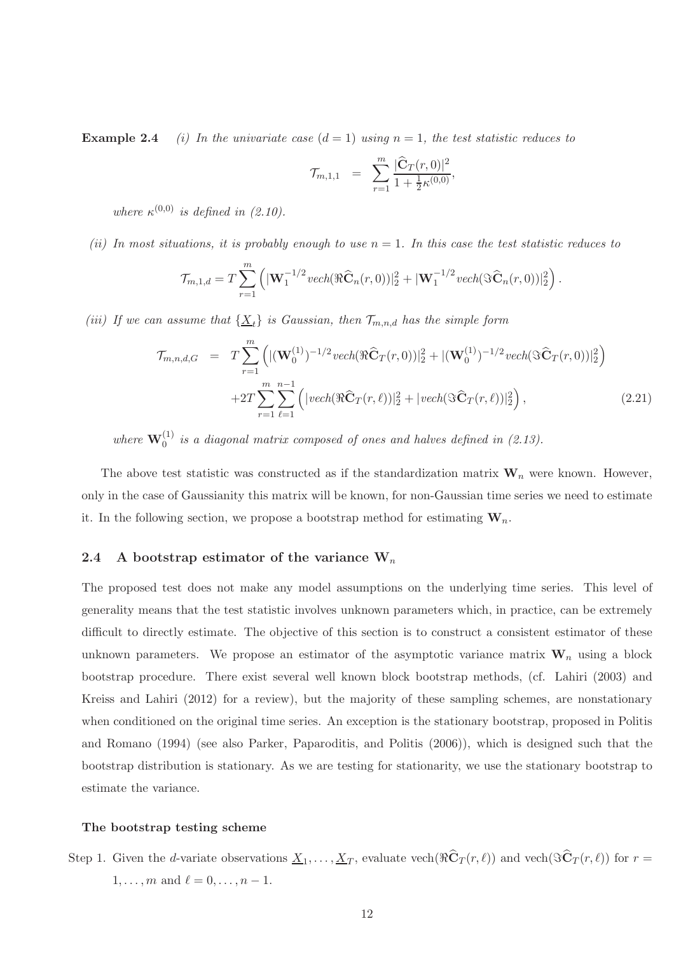**Example 2.4** (i) In the univariate case  $(d = 1)$  using  $n = 1$ , the test statistic reduces to

$$
\mathcal{T}_{m,1,1} = \sum_{r=1}^{m} \frac{|\widehat{\mathbf{C}}_T(r,0)|^2}{1 + \frac{1}{2}\kappa^{(0,0)}},
$$

where  $\kappa^{(0,0)}$  is defined in (2.10).

(ii) In most situations, it is probably enough to use  $n = 1$ . In this case the test statistic reduces to

$$
\mathcal{T}_{m,1,d} = T \sum_{r=1}^m \left( |\mathbf{W}_1^{-1/2} \text{vech}(\Re \widehat{\mathbf{C}}_n(r,0))|_2^2 + |\mathbf{W}_1^{-1/2} \text{vech}(\Im \widehat{\mathbf{C}}_n(r,0))|_2^2 \right).
$$

(iii) If we can assume that  $\{\underline{X}_t\}$  is Gaussian, then  $\mathcal{T}_{m,n,d}$  has the simple form

$$
\mathcal{T}_{m,n,d,G} = T \sum_{r=1}^{m} \left( |(\mathbf{W}_0^{(1)})^{-1/2} \text{vech}(\Re \hat{\mathbf{C}}_T(r,0))|_2^2 + |(\mathbf{W}_0^{(1)})^{-1/2} \text{vech}(\Im \hat{\mathbf{C}}_T(r,0))|_2^2 \right) \n+ 2T \sum_{r=1}^{m} \sum_{\ell=1}^{n-1} \left( |\text{vech}(\Re \hat{\mathbf{C}}_T(r,\ell))|_2^2 + |\text{vech}(\Im \hat{\mathbf{C}}_T(r,\ell))|_2^2 \right),
$$
\n(2.21)

where  $\mathbf{W}_0^{(1)}$  is a diagonal matrix composed of ones and halves defined in (2.13).

The above test statistic was constructed as if the standardization matrix  $\mathbf{W}_n$  were known. However, only in the case of Gaussianity this matrix will be known, for non-Gaussian time series we need to estimate it. In the following section, we propose a bootstrap method for estimating  $\mathbf{W}_n$ .

## 2.4 A bootstrap estimator of the variance  $W_n$

The proposed test does not make any model assumptions on the underlying time series. This level of generality means that the test statistic involves unknown parameters which, in practice, can be extremely difficult to directly estimate. The objective of this section is to construct a consistent estimator of these unknown parameters. We propose an estimator of the asymptotic variance matrix  $\mathbf{W}_n$  using a block bootstrap procedure. There exist several well known block bootstrap methods, (cf. Lahiri (2003) and Kreiss and Lahiri (2012) for a review), but the majority of these sampling schemes, are nonstationary when conditioned on the original time series. An exception is the stationary bootstrap, proposed in Politis and Romano (1994) (see also Parker, Paparoditis, and Politis (2006)), which is designed such that the bootstrap distribution is stationary. As we are testing for stationarity, we use the stationary bootstrap to estimate the variance.

## The bootstrap testing scheme

Step 1. Given the *d*-variate observations  $\underline{X}_1, \ldots, \underline{X}_T$ , evaluate vech( $\Re C_T(r, \ell)$ ) and vech( $\Im C_T(r, \ell)$ ) for  $r =$  $1, \ldots, m$  and  $\ell = 0, \ldots, n - 1$ .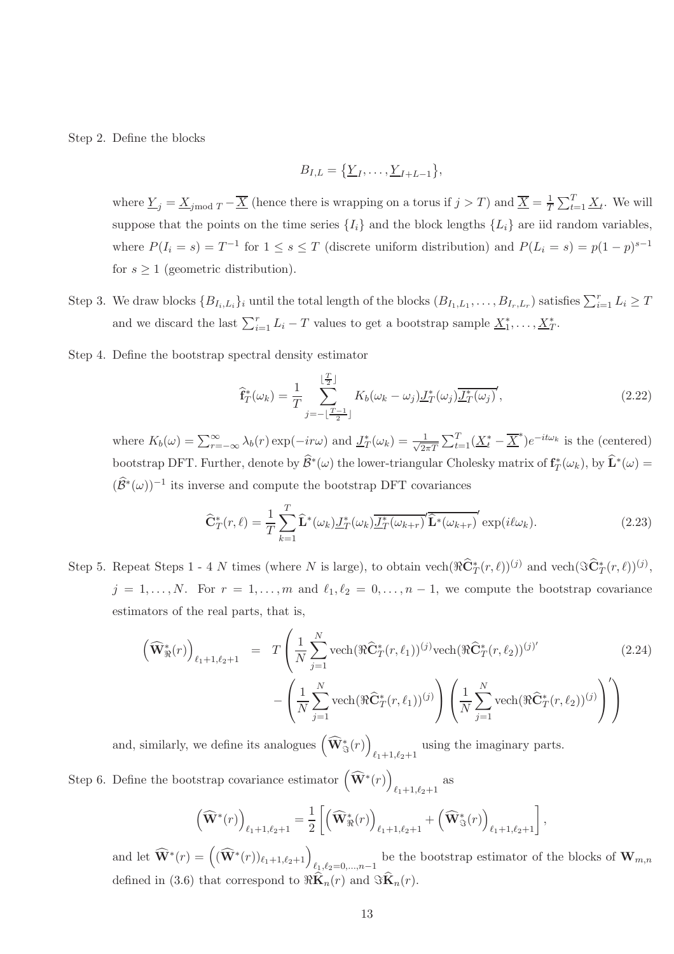Step 2. Define the blocks

$$
B_{I,L} = {\underline{Y_I}, \ldots, \underline{Y_{I+L-1}}},
$$

where  $\underline{Y}_j = \underline{X}_{j \text{mod } T} - \overline{\underline{X}}$  (hence there is wrapping on a torus if  $j > T$ ) and  $\overline{\underline{X}} = \frac{1}{T}$  $\frac{1}{T} \sum_{t=1}^{T} \underline{X}_t$ . We will suppose that the points on the time series  $\{I_i\}$  and the block lengths  $\{L_i\}$  are iid random variables, where  $P(I_i = s) = T^{-1}$  for  $1 \le s \le T$  (discrete uniform distribution) and  $P(L_i = s) = p(1-p)^{s-1}$ for  $s \geq 1$  (geometric distribution).

- Step 3. We draw blocks  $\{B_{I_i,L_i}\}\$ i until the total length of the blocks  $(B_{I_1,L_1},\ldots,B_{I_r,L_r})$  satisfies  $\sum_{i=1}^r L_i \geq T$ and we discard the last  $\sum_{i=1}^{r} L_i - T$  values to get a bootstrap sample  $\underline{X}_1^*, \ldots, \underline{X}_T^*$ .
- Step 4. Define the bootstrap spectral density estimator

$$
\widehat{\mathbf{f}}_T^*(\omega_k) = \frac{1}{T} \sum_{j=-\lfloor \frac{T-1}{2} \rfloor}^{\lfloor \frac{T}{2} \rfloor} K_b(\omega_k - \omega_j) \underline{J}_T^*(\omega_j) \overline{\underline{J}_T^*(\omega_j)},
$$
\n(2.22)

where  $K_b(\omega) = \sum_{r=-\infty}^{\infty} \lambda_b(r) \exp(-ir\omega)$  and  $\underline{J}_T^*(\omega_k) = \frac{1}{\sqrt{2i}}$  $\frac{1}{2\pi T} \sum_{t=1}^{T} (\underline{X}_t^* - \overline{\underline{X}}^*) e^{-it\omega_k}$  is the (centered) bootstrap DFT. Further, denote by  $\mathcal{B}^*(\omega)$  the lower-triangular Cholesky matrix of  $\mathbf{f}_T^*(\omega_k)$ , by  $\mathbf{L}^*(\omega) =$  $(\widehat{\mathcal{B}}^*(\omega))^{-1}$  its inverse and compute the bootstrap DFT covariances

$$
\widehat{\mathbf{C}}_T^*(r,\ell) = \frac{1}{T} \sum_{k=1}^T \widehat{\mathbf{L}}^*(\omega_k) \underline{J_T^*(\omega_k)} \overline{\underline{J_T^*(\omega_{k+r})}}' \widehat{\mathbf{L}}^*(\omega_{k+r})' \exp(i\ell\omega_k).
$$
\n(2.23)

Step 5. Repeat Steps 1 - 4 N times (where N is large), to obtain vech $(\Re \widehat{\mathbf{C}}_T^*(r,\ell))^{(j)}$  and vech $(\Im \widehat{\mathbf{C}}_T^*(r,\ell))^{(j)}$ ,  $j = 1, \ldots, N$ . For  $r = 1, \ldots, m$  and  $\ell_1, \ell_2 = 0, \ldots, n-1$ , we compute the bootstrap covariance estimators of the real parts, that is,

$$
\left(\widehat{\mathbf{W}}_{\mathcal{R}}^{*}(r)\right)_{\ell_{1}+1,\ell_{2}+1} = T\left(\frac{1}{N}\sum_{j=1}^{N}\text{vech}(\Re\widehat{\mathbf{C}}_{T}^{*}(r,\ell_{1}))^{(j)}\text{vech}(\Re\widehat{\mathbf{C}}_{T}^{*}(r,\ell_{2}))^{(j)'}\right) \left(\frac{1}{N}\sum_{j=1}^{N}\text{vech}(\Re\widehat{\mathbf{C}}_{T}^{*}(r,\ell_{2}))^{(j)}\right)\right)
$$
\n
$$
-\left(\frac{1}{N}\sum_{j=1}^{N}\text{vech}(\Re\widehat{\mathbf{C}}_{T}^{*}(r,\ell_{1}))^{(j)}\right)\left(\frac{1}{N}\sum_{j=1}^{N}\text{vech}(\Re\widehat{\mathbf{C}}_{T}^{*}(r,\ell_{2}))^{(j)}\right)^{'}\right)
$$
\n(2.24)

and, similarly, we define its analogues  $(\widehat{\mathbf{W}}_{\Im}^*(r))$ using the imaginary parts.<br> $\ell_1+1,\ell_2+1$ 

Step 6. Define the bootstrap covariance estimator  $(\widehat{\mathbf{W}}^{*}(r))$  $\ell_1+1,\ell_2+1$  as

$$
\left(\widehat{\mathbf{W}}^{*}(r)\right)_{\ell_{1}+1,\ell_{2}+1}=\frac{1}{2}\left[\left(\widehat{\mathbf{W}}^{*}_{\Re}(r)\right)_{\ell_{1}+1,\ell_{2}+1}+\left(\widehat{\mathbf{W}}^{*}_{\Im}(r)\right)_{\ell_{1}+1,\ell_{2}+1}\right],
$$

and let  $\widehat{\mathbf{W}}^{*}(r) = ((\widehat{\mathbf{W}}^{*}(r))_{\ell_1+1,\ell_2+1})_{\ell_1,\ell_2=0,\ldots,n-1}$ be the bootstrap estimator of the blocks of  $\mathbf{W}_{m,n}$ defined in (3.6) that correspond to  $\Re{\bf K}_n(r)$  and  $\Im{\bf K}_n(r)$ .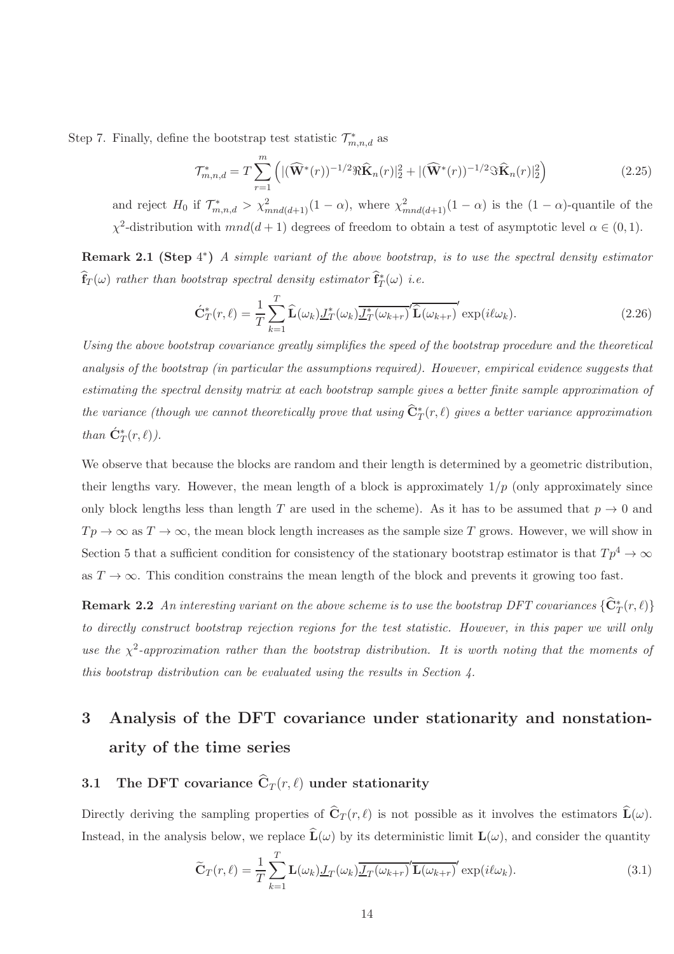Step 7. Finally, define the bootstrap test statistic  $\mathcal{T}_{m,n,d}^*$  as

$$
\mathcal{T}_{m,n,d}^* = T \sum_{r=1}^m \left( |(\widehat{\mathbf{W}}^*(r))^{-1/2} \Re \widehat{\mathbf{K}}_n(r)|_2^2 + |(\widehat{\mathbf{W}}^*(r))^{-1/2} \Im \widehat{\mathbf{K}}_n(r)|_2^2 \right) \tag{2.25}
$$

and reject  $H_0$  if  $\mathcal{T}_{m,n,d}^* > \chi^2_{mnd(d+1)}(1-\alpha)$ , where  $\chi^2_{mnd(d+1)}(1-\alpha)$  is the  $(1-\alpha)$ -quantile of the  $\chi^2$ -distribution with  $mnd(d+1)$  degrees of freedom to obtain a test of asymptotic level  $\alpha \in (0,1)$ .

**Remark 2.1 (Step**  $4^*$ ) A simple variant of the above bootstrap, is to use the spectral density estimator  $\mathbf{f}_T(\omega)$  rather than bootstrap spectral density estimator  $\mathbf{f}_T^*(\omega)$  i.e.

$$
\dot{\mathbf{C}}_T^*(r,\ell) = \frac{1}{T} \sum_{k=1}^T \widehat{\mathbf{L}}(\omega_k) \underline{J_T^*}(\omega_k) \overline{\underline{J_T^*}(\omega_{k+r})'} \widehat{\mathbf{L}}(\omega_{k+r})' \exp(i\ell\omega_k).
$$
\n(2.26)

Using the above bootstrap covariance greatly simplifies the speed of the bootstrap procedure and the theoretical analysis of the bootstrap (in particular the assumptions required). However, empirical evidence suggests that estimating the spectral density matrix at each bootstrap sample gives a better finite sample approximation of the variance (though we cannot theoretically prove that using  $\mathbf{C}^*_T(r,\ell)$  gives a better variance approximation than  $\acute{\mathbf{C}}^*_{T}(r,\ell)$ ).

We observe that because the blocks are random and their length is determined by a geometric distribution, their lengths vary. However, the mean length of a block is approximately  $1/p$  (only approximately since only block lengths less than length T are used in the scheme). As it has to be assumed that  $p \to 0$  and  $Tp \to \infty$  as  $T \to \infty$ , the mean block length increases as the sample size T grows. However, we will show in Section 5 that a sufficient condition for consistency of the stationary bootstrap estimator is that  $T p^4 \to \infty$ as  $T \to \infty$ . This condition constrains the mean length of the block and prevents it growing too fast.

 ${\bf Remark~2.2}$  An interesting variant on the above scheme is to use the bootstrap DFT covariances  $\{{\bf C}^*_T(r,\ell)\}$ to directly construct bootstrap rejection regions for the test statistic. However, in this paper we will only use the  $\chi^2$ -approximation rather than the bootstrap distribution. It is worth noting that the moments of this bootstrap distribution can be evaluated using the results in Section 4.

# 3 Analysis of the DFT covariance under stationarity and nonstationarity of the time series

## 3.1 The DFT covariance  $\widehat{\mathbf{C}}_T (r, \ell)$  under stationarity

Directly deriving the sampling properties of  $\hat{\mathbf{C}}_T (r, \ell)$  is not possible as it involves the estimators  $\hat{\mathbf{L}}(\omega)$ . Instead, in the analysis below, we replace  $\widehat{\mathbf{L}}(\omega)$  by its deterministic limit  $\mathbf{L}(\omega)$ , and consider the quantity

$$
\widetilde{\mathbf{C}}_T(r,\ell) = \frac{1}{T} \sum_{k=1}^T \mathbf{L}(\omega_k) \underline{J}_T(\omega_k) \overline{\underline{J}_T(\omega_{k+r})'} \mathbf{L}(\omega_{k+r})' \exp(i\ell\omega_k).
$$
\n(3.1)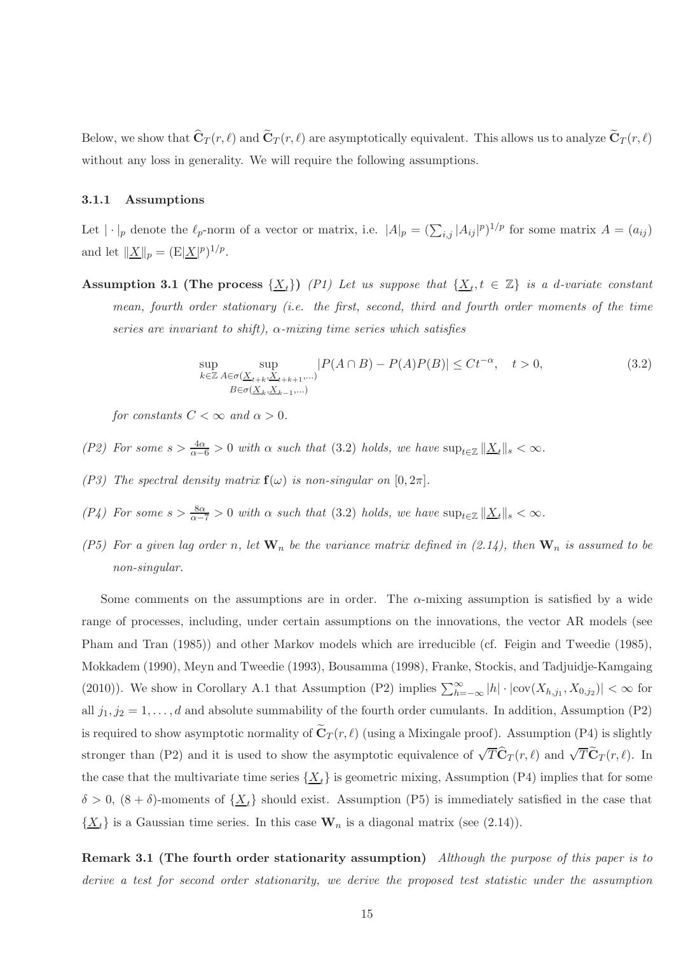Below, we show that  $\hat{\mathbf{C}}_T (r, \ell)$  and  $\tilde{\mathbf{C}}_T (r, \ell)$  are asymptotically equivalent. This allows us to analyze  $\tilde{\mathbf{C}}_T (r, \ell)$ without any loss in generality. We will require the following assumptions.

## 3.1.1 Assumptions

Let  $|\cdot|_p$  denote the  $\ell_p$ -norm of a vector or matrix, i.e.  $|A|_p = (\sum_{i,j} |A_{ij}|^p)^{1/p}$  for some matrix  $A = (a_{ij})$ and let  $||X||_p = (E|X|^p)^{1/p}$ .

Assumption 3.1 (The process  $\{\underline{X}_t\}$ ) (P1) Let us suppose that  $\{\underline{X}_t, t \in \mathbb{Z}\}$  is a d-variate constant mean, fourth order stationary (i.e. the first, second, third and fourth order moments of the time series are invariant to shift),  $\alpha$ -mixing time series which satisfies

$$
\sup_{k \in \mathbb{Z}} \sup_{\substack{A \in \sigma(\underline{X}_{t+k}, \underline{X}_{t+k+1}, \dots) \\ B \in \sigma(\underline{X}_k, \underline{X}_{k-1}, \dots)}} |P(A \cap B) - P(A)P(B)| \leq Ct^{-\alpha}, \quad t > 0,
$$
\n
$$
(3.2)
$$

for constants  $C < \infty$  and  $\alpha > 0$ .

- (P2) For some  $s > \frac{4\alpha}{\alpha 6} > 0$  with  $\alpha$  such that (3.2) holds, we have  $\sup_{t \in \mathbb{Z}} ||\underline{X}_t||_s < \infty$ .
- (P3) The spectral density matrix  $\mathbf{f}(\omega)$  is non-singular on  $[0, 2\pi]$ .
- (P4) For some  $s > \frac{8\alpha}{\alpha 7} > 0$  with  $\alpha$  such that (3.2) holds, we have  $\sup_{t \in \mathbb{Z}} ||\underline{X}_t||_s < \infty$ .
- (P5) For a given lag order n, let  $\mathbf{W}_n$  be the variance matrix defined in (2.14), then  $\mathbf{W}_n$  is assumed to be non-singular.

Some comments on the assumptions are in order. The  $\alpha$ -mixing assumption is satisfied by a wide range of processes, including, under certain assumptions on the innovations, the vector AR models (see Pham and Tran (1985)) and other Markov models which are irreducible (cf. Feigin and Tweedie (1985), Mokkadem (1990), Meyn and Tweedie (1993), Bousamma (1998), Franke, Stockis, and Tadjuidje-Kamgaing (2010)). We show in Corollary A.1 that Assumption (P2) implies  $\sum_{h=-\infty}^{\infty} |h| \cdot |\text{cov}(X_{h,j_1}, X_{0,j_2})| < \infty$  for all  $j_1, j_2 = 1, \ldots, d$  and absolute summability of the fourth order cumulants. In addition, Assumption (P2) is required to show asymptotic normality of  ${\bf C}_T(r,\ell)$  (using a Mixingale proof). Assumption (P4) is slightly stronger than (P2) and it is used to show the asymptotic equivalence of  $\sqrt{T}\widehat{\mathbf{C}}_T(r,\ell)$  and  $\sqrt{T}\widetilde{\mathbf{C}}_T(r,\ell)$ . In the case that the multivariate time series  $\{\underline{X}_t\}$  is geometric mixing, Assumption (P4) implies that for some  $\delta > 0$ ,  $(8 + \delta)$ -moments of  $\{\underline{X}_t\}$  should exist. Assumption (P5) is immediately satisfied in the case that  $\{\underline{X}_t\}$  is a Gaussian time series. In this case  $\mathbf{W}_n$  is a diagonal matrix (see (2.14)).

Remark 3.1 (The fourth order stationarity assumption) Although the purpose of this paper is to derive a test for second order stationarity, we derive the proposed test statistic under the assumption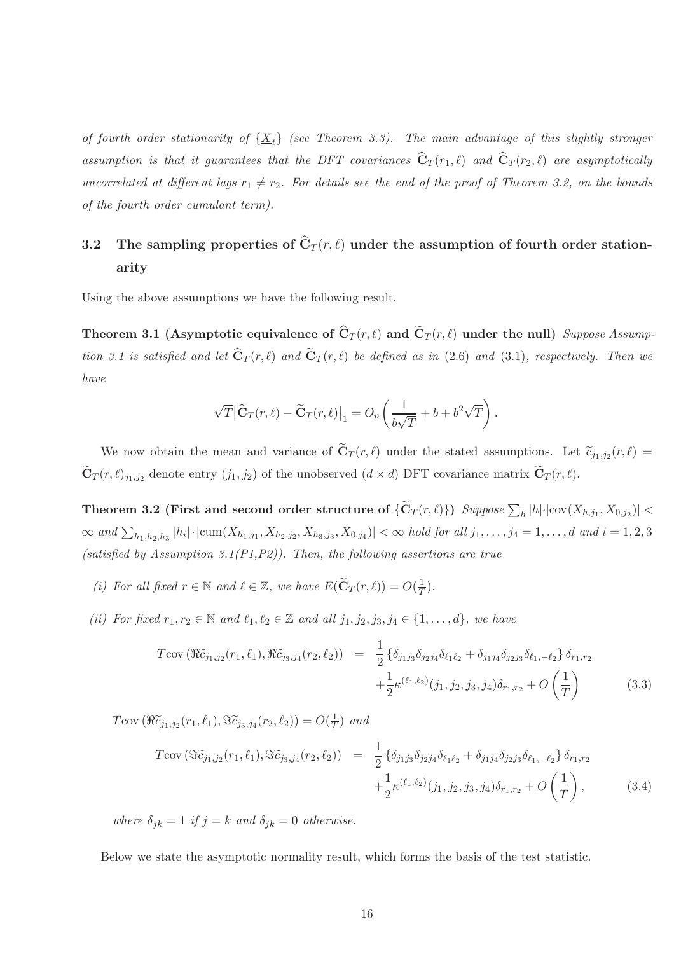of fourth order stationarity of  $\{\underline{X}_t\}$  (see Theorem 3.3). The main advantage of this slightly stronger assumption is that it guarantees that the DFT covariances  $\hat{\mathbf{C}}_T (r_1, \ell)$  and  $\hat{\mathbf{C}}_T (r_2, \ell)$  are asymptotically uncorrelated at different lags  $r_1 \neq r_2$ . For details see the end of the proof of Theorem 3.2, on the bounds of the fourth order cumulant term).

## 3.2 The sampling properties of  $\hat{C}_T (r, \ell)$  under the assumption of fourth order stationarity

Using the above assumptions we have the following result.

Theorem 3.1 (Asymptotic equivalence of  $\mathbf{C}_T (r, \ell)$  and  $\mathbf{C}_T (r, \ell)$  under the null) Suppose Assumption 3.1 is satisfied and let  $\hat{\mathbf{C}}_T (r, \ell)$  and  $\tilde{\mathbf{C}}_T (r, \ell)$  be defined as in (2.6) and (3.1), respectively. Then we have

$$
\sqrt{T} \left| \widehat{\mathbf{C}}_T(r,\ell) - \widetilde{\mathbf{C}}_T(r,\ell) \right|_1 = O_p\left(\frac{1}{b\sqrt{T}} + b + b^2\sqrt{T}\right).
$$

We now obtain the mean and variance of  $\mathbf{C}_T(r,\ell)$  under the stated assumptions. Let  $\tilde{c}_{j_1,j_2}(r,\ell)$  $\widetilde{\mathbf{C}}_T(r,\ell)_{j_1,j_2}$  denote entry  $(j_1,j_2)$  of the unobserved  $(d \times d)$  DFT covariance matrix  $\widetilde{\mathbf{C}}_T(r,\ell)$ .

Theorem 3.2 (First and second order structure of  $\{\widetilde{\mathbf{C}}_T(r,\ell)\})$   $\textit{Suppose} \sum_h |h| \cdot |\text{cov}(X_{h,j_1}, X_{0,j_2})| < \infty$  $\infty$  and  $\sum_{h_1,h_2,h_3} |h_i| \cdot |\text{cum}(X_{h_1,j_1}, X_{h_2,j_2}, X_{h_3,j_3}, X_{0,j_4})| < \infty$  hold for all  $j_1,\ldots,j_4 = 1,\ldots,d$  and  $i = 1,2,3$ (satisfied by Assumption 3.1(P1, P2)). Then, the following assertions are true

- (i) For all fixed  $r \in \mathbb{N}$  and  $\ell \in \mathbb{Z}$ , we have  $E(\widetilde{\mathbf{C}}_T(r,\ell)) = O(\frac{1}{T})$  $\frac{1}{T}$ ).
- (ii) For fixed  $r_1, r_2 \in \mathbb{N}$  and  $\ell_1, \ell_2 \in \mathbb{Z}$  and all  $j_1, j_2, j_3, j_4 \in \{1, \ldots, d\}$ , we have

$$
T\text{cov}\left(\Re\tilde{c}_{j_1,j_2}(r_1,\ell_1),\Re\tilde{c}_{j_3,j_4}(r_2,\ell_2)\right) = \frac{1}{2}\left\{\delta_{j_1j_3}\delta_{j_2j_4}\delta_{\ell_1\ell_2} + \delta_{j_1j_4}\delta_{j_2j_3}\delta_{\ell_1,-\ell_2}\right\}\delta_{r_1,r_2} + \frac{1}{2}\kappa^{(\ell_1,\ell_2)}(j_1,j_2,j_3,j_4)\delta_{r_1,r_2} + O\left(\frac{1}{T}\right)
$$
(3.3)

Tcov  $(\Re \tilde{c}_{j_1,j_2}(r_1,\ell_1), \Im \tilde{c}_{j_3,j_4}(r_2,\ell_2)) = O(\frac{1}{T})$  $(\frac{1}{T})$  and

$$
T\text{cov}\left(\Im\widetilde{c}_{j_1,j_2}(r_1,\ell_1),\Im\widetilde{c}_{j_3,j_4}(r_2,\ell_2)\right) = \frac{1}{2}\left\{\delta_{j_1j_3}\delta_{j_2j_4}\delta_{\ell_1\ell_2} + \delta_{j_1j_4}\delta_{j_2j_3}\delta_{\ell_1,-\ell_2}\right\}\delta_{r_1,r_2} + \frac{1}{2}\kappa^{(\ell_1,\ell_2)}(j_1,j_2,j_3,j_4)\delta_{r_1,r_2} + O\left(\frac{1}{T}\right),\tag{3.4}
$$

where  $\delta_{jk} = 1$  if  $j = k$  and  $\delta_{jk} = 0$  otherwise.

Below we state the asymptotic normality result, which forms the basis of the test statistic.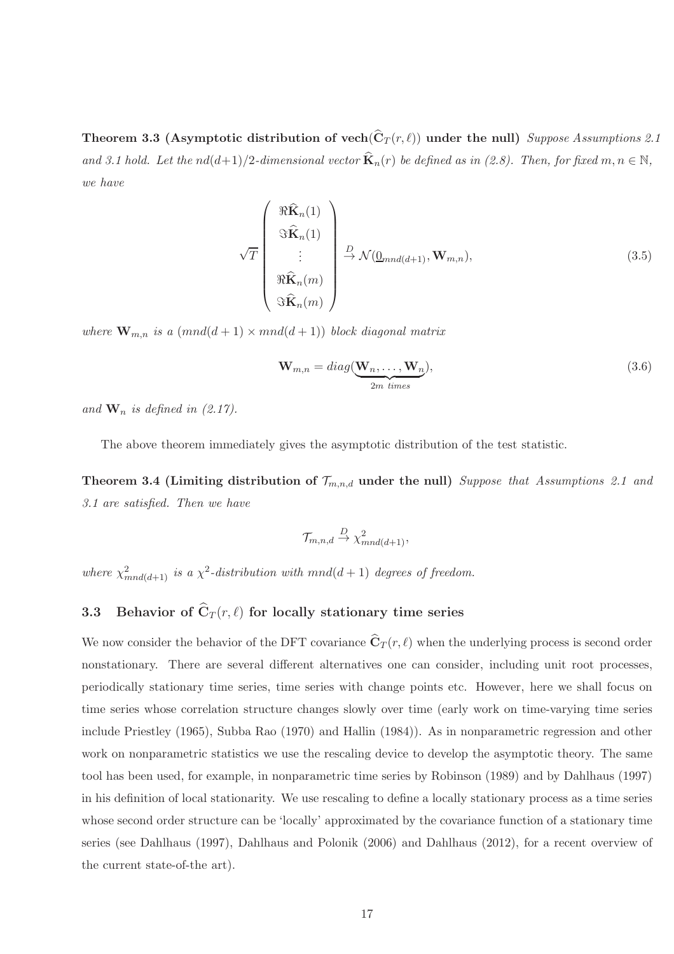Theorem 3.3 (Asymptotic distribution of vech $(\widehat{\mathbf{C}}_T (r, \ell))$  under the null) Suppose Assumptions 2.1 and 3.1 hold. Let the nd(d+1)/2-dimensional vector  $\widehat{\mathbf{K}}_n(r)$  be defined as in (2.8). Then, for fixed  $m, n \in \mathbb{N}$ , we have

$$
\sqrt{T} \begin{pmatrix} \Re \widehat{\mathbf{K}}_n(1) \\ \Im \widehat{\mathbf{K}}_n(1) \\ \vdots \\ \Re \widehat{\mathbf{K}}_n(m) \\ \Im \widehat{\mathbf{K}}_n(m) \end{pmatrix} \xrightarrow{D} \mathcal{N}(\underline{0}_{mnd(d+1)}, \mathbf{W}_{m,n}),
$$
(3.5)

where  $\mathbf{W}_{m,n}$  is a  $(mnd(d+1) \times mnd(d+1))$  block diagonal matrix

$$
\mathbf{W}_{m,n} = diag(\underbrace{\mathbf{W}_n, \dots, \mathbf{W}_n}_{2m \ times}),
$$
\n(3.6)

and  $\mathbf{W}_n$  is defined in (2.17).

The above theorem immediately gives the asymptotic distribution of the test statistic.

Theorem 3.4 (Limiting distribution of  $\mathcal{T}_{m,n,d}$  under the null) Suppose that Assumptions 2.1 and 3.1 are satisfied. Then we have

$$
\mathcal{T}_{m,n,d} \xrightarrow{D} \chi^2_{mnd(d+1)},
$$

where  $\chi^2_{mnd(d+1)}$  is a  $\chi^2$ -distribution with  $mnd(d+1)$  degrees of freedom.

## 3.3 Behavior of  $\hat{\mathbf{C}}_T (r, \ell)$  for locally stationary time series

We now consider the behavior of the DFT covariance  $\hat{\mathbf{C}}_T (r, \ell)$  when the underlying process is second order nonstationary. There are several different alternatives one can consider, including unit root processes, periodically stationary time series, time series with change points etc. However, here we shall focus on time series whose correlation structure changes slowly over time (early work on time-varying time series include Priestley (1965), Subba Rao (1970) and Hallin (1984)). As in nonparametric regression and other work on nonparametric statistics we use the rescaling device to develop the asymptotic theory. The same tool has been used, for example, in nonparametric time series by Robinson (1989) and by Dahlhaus (1997) in his definition of local stationarity. We use rescaling to define a locally stationary process as a time series whose second order structure can be 'locally' approximated by the covariance function of a stationary time series (see Dahlhaus (1997), Dahlhaus and Polonik (2006) and Dahlhaus (2012), for a recent overview of the current state-of-the art).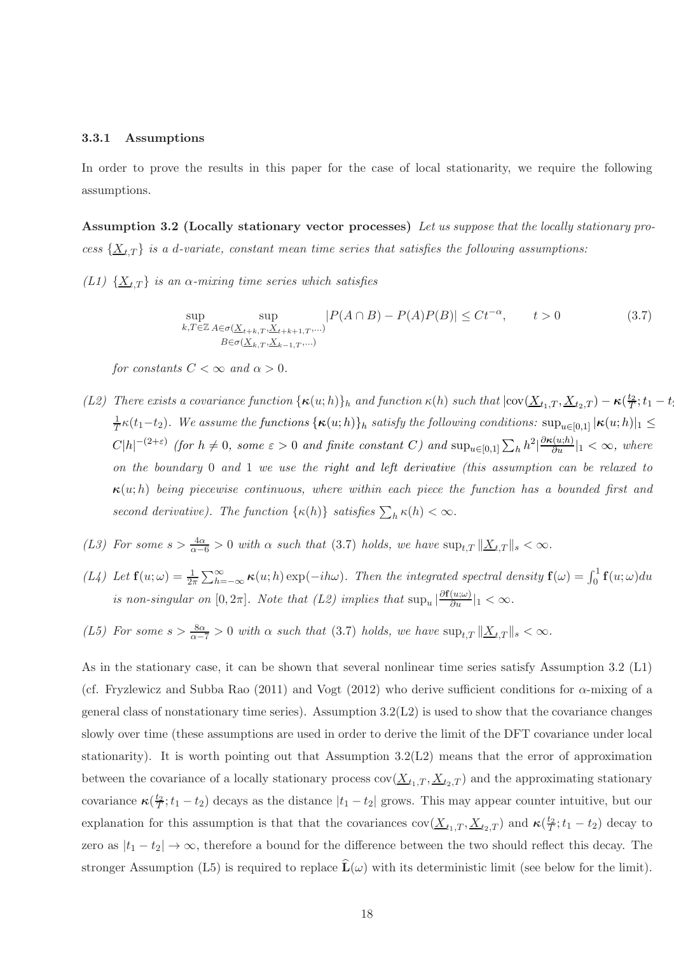#### 3.3.1 Assumptions

In order to prove the results in this paper for the case of local stationarity, we require the following assumptions.

Assumption 3.2 (Locally stationary vector processes) Let us suppose that the locally stationary process  $\{\underline{X}_{t,T}\}\$  is a d-variate, constant mean time series that satisfies the following assumptions:

(L1)  $\{X_{t,T}\}\$ is an  $\alpha$ -mixing time series which satisfies

$$
\sup_{k,T \in \mathbb{Z}} \sup_{A \in \sigma(\underline{X}_{t+k,T}, \underline{X}_{t+k+1,T}, \dots)} |P(A \cap B) - P(A)P(B)| \le Ct^{-\alpha}, \qquad t > 0
$$
\n
$$
\sup_{B \in \sigma(\underline{X}_{k,T}, \underline{X}_{k-1,T}, \dots)} |P(A \cap B) - P(A)P(B)| \le Ct^{-\alpha}, \qquad t > 0
$$
\n
$$
(3.7)
$$

for constants  $C < \infty$  and  $\alpha > 0$ .

- (L2) There exists a covariance function  $\{\kappa(u;h)\}_h$  and function  $\kappa(h)$  such that  $|\text{cov}(\underline{X}_{t_1,T}, \underline{X}_{t_2,T}) \kappa(\frac{t_2}{T}; t_1 t_2)$ 1  $\frac{1}{T}\kappa(t_1-t_2)$ . We assume the functions  $\{\kappa(u;h)\}_h$  satisfy the following conditions:  $\sup_{u\in[0,1]}|\kappa(u;h)|_1\leq$  $C|h|^{-(2+\epsilon)}$  (for  $h \neq 0$ , some  $\varepsilon > 0$  and finite constant C) and  $\sup_{u \in [0,1]} \sum_h h^2|$  $\frac{\partial \kappa(u;h)}{\partial u}|_1 < \infty$ , where on the boundary 0 and 1 we use the right and left derivative (this assumption can be relaxed to  $\kappa(u; h)$  being piecewise continuous, where within each piece the function has a bounded first and second derivative). The function  $\{\kappa(h)\}\$  satisfies  $\sum_h \kappa(h) < \infty$ .
- (L3) For some  $s > \frac{4\alpha}{\alpha 6} > 0$  with  $\alpha$  such that (3.7) holds, we have  $\sup_{t,T} ||\underline{X}_{t,T}||_s < \infty$ .
- (L4) Let  $\mathbf{f}(u; \omega) = \frac{1}{2\pi} \sum_{h=-\infty}^{\infty} \kappa(u; h) \exp(-ih\omega)$ . Then the integrated spectral density  $\mathbf{f}(\omega) = \int_0^1 \mathbf{f}(u; \omega) du$ is non-singular on  $[0, 2\pi]$ . Note that  $(L2)$  implies that  $\sup_u |$  $\frac{\partial \mathbf{f}(u; \omega)}{\partial u}|_1 < \infty.$
- (L5) For some  $s > \frac{8\alpha}{\alpha 7} > 0$  with  $\alpha$  such that (3.7) holds, we have  $\sup_{t,T} ||\underline{X}_{t,T}||_s < \infty$ .

As in the stationary case, it can be shown that several nonlinear time series satisfy Assumption 3.2 (L1) (cf. Fryzlewicz and Subba Rao (2011) and Vogt (2012) who derive sufficient conditions for  $\alpha$ -mixing of a general class of nonstationary time series). Assumption  $3.2(L2)$  is used to show that the covariance changes slowly over time (these assumptions are used in order to derive the limit of the DFT covariance under local stationarity). It is worth pointing out that Assumption 3.2(L2) means that the error of approximation between the covariance of a locally stationary process  $cov(\underline{X}_{t_1,T}, \underline{X}_{t_2,T})$  and the approximating stationary covariance  $\kappa(\frac{t_2}{T};t_1-t_2)$  decays as the distance  $|t_1-t_2|$  grows. This may appear counter intuitive, but our explanation for this assumption is that that the covariances  $cov(\underline{X}_{t_1,T}, \underline{X}_{t_2,T})$  and  $\kappa(\frac{t_2}{T}; t_1 - t_2)$  decay to zero as  $|t_1 - t_2| \to \infty$ , therefore a bound for the difference between the two should reflect this decay. The stronger Assumption (L5) is required to replace  $\widehat{\mathbf{L}}(\omega)$  with its deterministic limit (see below for the limit).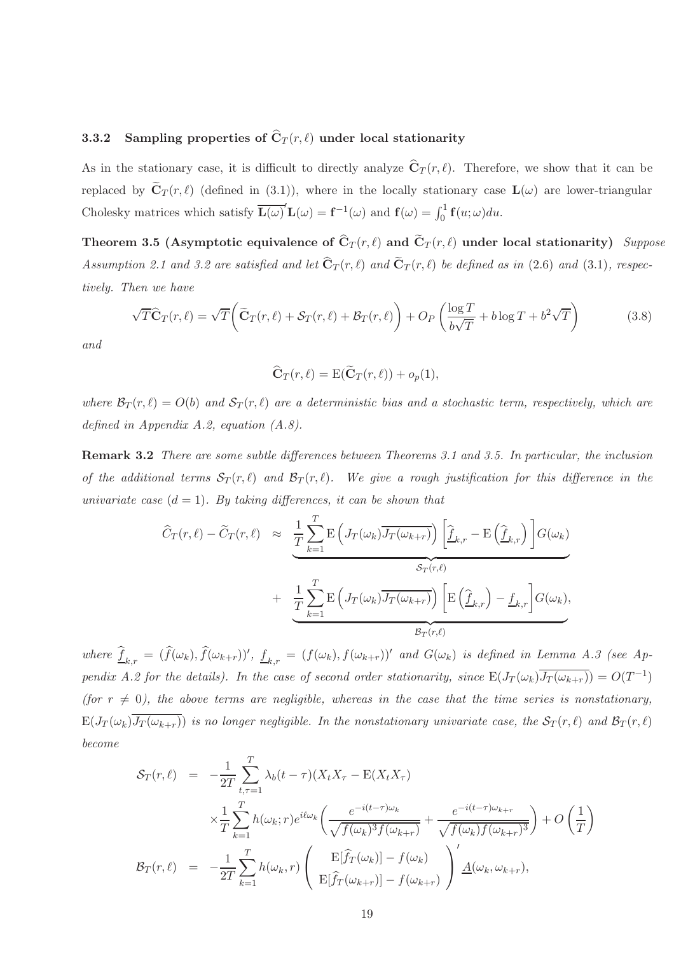## 3.3.2 Sampling properties of  $\hat{\mathbf{C}}_T (r, \ell)$  under local stationarity

As in the stationary case, it is difficult to directly analyze  $\hat{C}_T(r, \ell)$ . Therefore, we show that it can be replaced by  $\tilde{\mathbf{C}}_T(r,\ell)$  (defined in (3.1)), where in the locally stationary case  $\mathbf{L}(\omega)$  are lower-triangular Cholesky matrices which satisfy  $\overline{\mathbf{L}(\omega)}' \mathbf{L}(\omega) = \mathbf{f}^{-1}(\omega)$  and  $\mathbf{f}(\omega) = \int_0^1 \mathbf{f}(u; \omega) du$ .

Theorem 3.5 (Asymptotic equivalence of  $\hat{C}_T (r, \ell)$  and  $\tilde{C}_T (r, \ell)$  under local stationarity) Suppose Assumption 2.1 and 3.2 are satisfied and let  $\hat{\mathbf{C}}_T (r, \ell)$  and  $\tilde{\mathbf{C}}_T (r, \ell)$  be defined as in (2.6) and (3.1), respectively. Then we have

$$
\sqrt{T}\widehat{\mathbf{C}}_T(r,\ell) = \sqrt{T}\bigg(\widetilde{\mathbf{C}}_T(r,\ell) + \mathcal{S}_T(r,\ell) + \mathcal{B}_T(r,\ell)\bigg) + O_P\left(\frac{\log T}{b\sqrt{T}} + b\log T + b^2\sqrt{T}\right) \tag{3.8}
$$

and

$$
\widehat{\mathbf{C}}_T(r,\ell) = \mathrm{E}(\widetilde{\mathbf{C}}_T(r,\ell)) + o_p(1),
$$

where  $\mathcal{B}_T(r,\ell) = O(b)$  and  $\mathcal{S}_T(r,\ell)$  are a deterministic bias and a stochastic term, respectively, which are defined in Appendix A.2, equation (A.8).

Remark 3.2 There are some subtle differences between Theorems 3.1 and 3.5. In particular, the inclusion of the additional terms  $S_T(r,\ell)$  and  $\mathcal{B}_T(r,\ell)$ . We give a rough justification for this difference in the univariate case  $(d = 1)$ . By taking differences, it can be shown that

$$
\hat{C}_T(r,\ell) - \tilde{C}_T(r,\ell) \approx \underbrace{\frac{1}{T} \sum_{k=1}^T \mathbb{E} \left( J_T(\omega_k) \overline{J_T(\omega_{k+r})} \right) \left[ \hat{f}_{k,r} - \mathbb{E} \left( \hat{f}_{k,r} \right) \right] G(\omega_k)}_{S_T(r,\ell)} + \underbrace{\frac{1}{T} \sum_{k=1}^T \mathbb{E} \left( J_T(\omega_k) \overline{J_T(\omega_{k+r})} \right) \left[ \mathbb{E} \left( \hat{f}_{k,r} \right) - \underline{f}_{k,r} \right] G(\omega_k)}_{B_T(r,\ell)},
$$

where  $\underline{f}_{k,r} = (f(\omega_k), f(\omega_{k+r}))'$ ,  $\underline{f}_{k,r} = (f(\omega_k), f(\omega_{k+r}))'$  and  $G(\omega_k)$  is defined in Lemma A.3 (see Appendix A.2 for the details). In the case of second order stationarity, since  $E(J_T(\omega_k) \overline{J_T(\omega_{k+r})}) = O(T^{-1})$ (for  $r \neq 0$ ), the above terms are negligible, whereas in the case that the time series is nonstationary,  $E(J_T(\omega_k)\overline{J_T(\omega_{k+r})})$  is no longer negligible. In the nonstationary univariate case, the  $S_T(r,\ell)$  and  $\mathcal{B}_T(r,\ell)$ become

$$
\mathcal{S}_{T}(r,\ell) = -\frac{1}{2T} \sum_{t,\tau=1}^{T} \lambda_{b}(t-\tau)(X_{t}X_{\tau} - \mathcal{E}(X_{t}X_{\tau}))
$$
  

$$
\times \frac{1}{T} \sum_{k=1}^{T} h(\omega_{k};r)e^{i\ell\omega_{k}} \left(\frac{e^{-i(t-\tau)\omega_{k}}}{\sqrt{f(\omega_{k})^{3}f(\omega_{k+r})}} + \frac{e^{-i(t-\tau)\omega_{k+r}}}{\sqrt{f(\omega_{k})f(\omega_{k+r})^{3}}}\right) + O\left(\frac{1}{T}\right)
$$
  

$$
\mathcal{B}_{T}(r,\ell) = -\frac{1}{2T} \sum_{k=1}^{T} h(\omega_{k},r) \left(\frac{\mathcal{E}[\hat{f}_{T}(\omega_{k})] - f(\omega_{k})}{\mathcal{E}[\hat{f}_{T}(\omega_{k+r})] - f(\omega_{k+r})}\right)^{\prime} \underline{A}(\omega_{k},\omega_{k+r}),
$$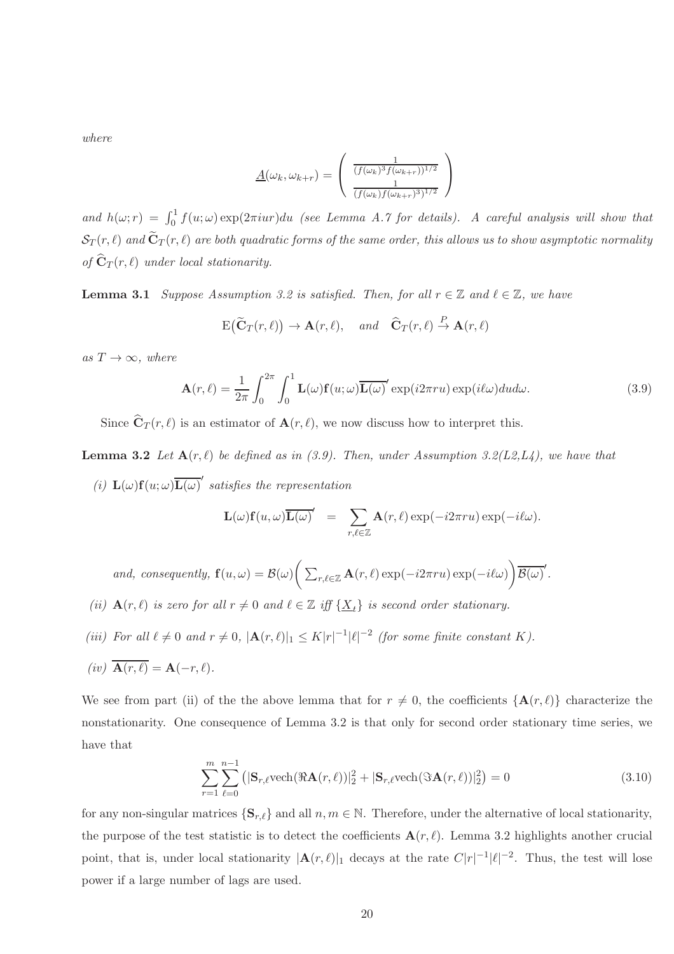where

$$
\underline{A}(\omega_k, \omega_{k+r}) = \begin{pmatrix} \frac{1}{(f(\omega_k)^3 f(\omega_{k+r}))^{1/2}} \\ \frac{1}{(f(\omega_k) f(\omega_{k+r})^{3})^{1/2}} \end{pmatrix}
$$

and  $h(\omega; r) = \int_0^1 f(u; \omega) \exp(2\pi i u r) du$  (see Lemma A.7 for details). A careful analysis will show that  $\mathcal{S}_T(r,\ell)$  and  $\widetilde{\mathbf{C}}_T(r,\ell)$  are both quadratic forms of the same order, this allows us to show asymptotic normality of  $\widehat{\mathbf{C}}_T (r, \ell)$  under local stationarity.

**Lemma 3.1** Suppose Assumption 3.2 is satisfied. Then, for all  $r \in \mathbb{Z}$  and  $\ell \in \mathbb{Z}$ , we have

$$
\mathbf{E}\big(\widetilde{\mathbf{C}}_T(r,\ell)\big) \to \mathbf{A}(r,\ell), \quad \text{and} \quad \widehat{\mathbf{C}}_T(r,\ell) \stackrel{P}{\to} \mathbf{A}(r,\ell)
$$

as  $T \to \infty$ , where

$$
\mathbf{A}(r,\ell) = \frac{1}{2\pi} \int_0^{2\pi} \int_0^1 \mathbf{L}(\omega) \mathbf{f}(u;\omega) \overline{\mathbf{L}(\omega)}' \exp(i2\pi ru) \exp(i\ell\omega) du d\omega.
$$
 (3.9)

Since  $\hat{\mathbf{C}}_T (r, \ell)$  is an estimator of  $\mathbf{A}(r, \ell)$ , we now discuss how to interpret this.

**Lemma 3.2** Let  $A(r, \ell)$  be defined as in (3.9). Then, under Assumption 3.2(L2, L4), we have that

(i)  $\mathbf{L}(\omega)\mathbf{f}(u;\omega)\overline{\mathbf{L}(\omega)}'$  satisfies the representation

$$
\mathbf{L}(\omega)\mathbf{f}(u,\omega)\overline{\mathbf{L}(\omega)}' = \sum_{r,\ell \in \mathbb{Z}} \mathbf{A}(r,\ell) \exp(-i2\pi ru) \exp(-i\ell\omega).
$$

and, consequently, 
$$
\mathbf{f}(u,\omega) = \mathcal{B}(\omega) \bigg( \sum_{r,\ell \in \mathbb{Z}} \mathbf{A}(r,\ell) \exp(-i2\pi ru) \exp(-i\ell\omega) \bigg) \overline{\mathcal{B}(\omega)}'.
$$

- (ii)  $\mathbf{A}(r,\ell)$  is zero for all  $r \neq 0$  and  $\ell \in \mathbb{Z}$  iff  $\{\underline{X}_t\}$  is second order stationary.
- (iii) For all  $\ell \neq 0$  and  $r \neq 0$ ,  $|\mathbf{A}(r,\ell)|_1 \leq K|r|^{-1}|\ell|^{-2}$  (for some finite constant K).

$$
(iv) \ \overline{\mathbf{A}(r,\ell)} = \mathbf{A}(-r,\ell).
$$

We see from part (ii) of the the above lemma that for  $r \neq 0$ , the coefficients  ${A(r, \ell)}$  characterize the nonstationarity. One consequence of Lemma 3.2 is that only for second order stationary time series, we have that

$$
\sum_{r=1}^{m} \sum_{\ell=0}^{n-1} \left( |\mathbf{S}_{r,\ell} \text{vech}(\Re \mathbf{A}(r,\ell))|_{2}^{2} + |\mathbf{S}_{r,\ell} \text{vech}(\Re \mathbf{A}(r,\ell))|_{2}^{2} \right) = 0 \tag{3.10}
$$

for any non-singular matrices  $\{S_{r,\ell}\}\$  and all  $n, m \in \mathbb{N}$ . Therefore, under the alternative of local stationarity, the purpose of the test statistic is to detect the coefficients  $A(r, \ell)$ . Lemma 3.2 highlights another crucial point, that is, under local stationarity  $|\mathbf{A}(r,\ell)|_1$  decays at the rate  $C|r|^{-1}|\ell|^{-2}$ . Thus, the test will lose power if a large number of lags are used.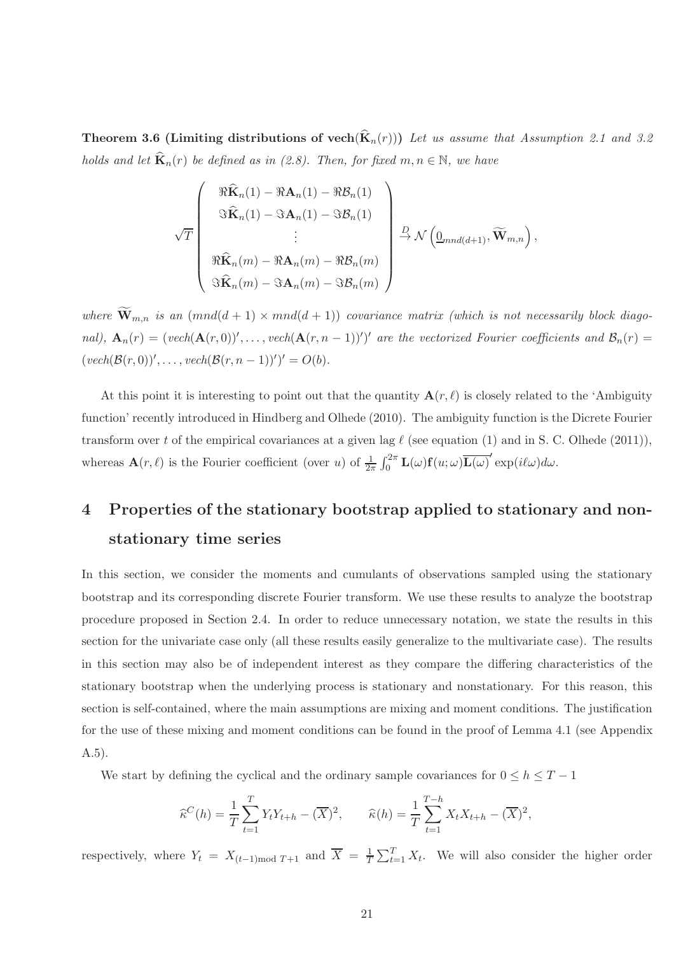**Theorem 3.6 (Limiting distributions of vech** $(\widehat{\mathbf{K}}_n(r))$ ) Let us assume that Assumption 2.1 and 3.2 holds and let  $\widehat{\mathbf{K}}_n(r)$  be defined as in (2.8). Then, for fixed  $m, n \in \mathbb{N}$ , we have

$$
\sqrt{T}\begin{pmatrix}\Re\widehat{\mathbf{K}}_n(1) - \Re\mathbf{A}_n(1) - \Re\mathcal{B}_n(1) \\
\Im\widehat{\mathbf{K}}_n(1) - \Im\mathbf{A}_n(1) - \Im\mathcal{B}_n(1) \\
\vdots \\
\Re\widehat{\mathbf{K}}_n(m) - \Re\mathbf{A}_n(m) - \Re\mathcal{B}_n(m) \\
\Im\widehat{\mathbf{K}}_n(m) - \Im\mathbf{A}_n(m) - \Im\mathcal{B}_n(m)\n\end{pmatrix} \xrightarrow{D} \mathcal{N}\left(\underline{0}_{mnd(d+1)}, \widetilde{\mathbf{W}}_{m,n}\right),
$$

where  $\overline{\mathbf{W}}_{m,n}$  is an  $(mnd(d+1) \times mnd(d+1))$  covariance matrix (which is not necessarily block diagonal),  $\mathbf{A}_n(r) = (vech(\mathbf{A}(r, 0))', \dots, vch(\mathbf{A}(r, n-1)))')'$  are the vectorized Fourier coefficients and  $\mathcal{B}_n(r) =$  $(\text{vech}(\mathcal{B}(r, 0))', \ldots, \text{vech}(\mathcal{B}(r, n-1))')' = O(b).$ 

At this point it is interesting to point out that the quantity  $\mathbf{A}(r,\ell)$  is closely related to the 'Ambiguity function' recently introduced in Hindberg and Olhede (2010). The ambiguity function is the Dicrete Fourier transform over t of the empirical covariances at a given lag  $\ell$  (see equation (1) and in S. C. Olhede (2011)), whereas  $\mathbf{A}(r,\ell)$  is the Fourier coefficient (over u) of  $\frac{1}{2\pi} \int_0^{2\pi} \mathbf{L}(\omega) \mathbf{f}(u;\omega) \overline{\mathbf{L}(\omega)}' \exp(i\ell\omega) d\omega$ .

# 4 Properties of the stationary bootstrap applied to stationary and nonstationary time series

In this section, we consider the moments and cumulants of observations sampled using the stationary bootstrap and its corresponding discrete Fourier transform. We use these results to analyze the bootstrap procedure proposed in Section 2.4. In order to reduce unnecessary notation, we state the results in this section for the univariate case only (all these results easily generalize to the multivariate case). The results in this section may also be of independent interest as they compare the differing characteristics of the stationary bootstrap when the underlying process is stationary and nonstationary. For this reason, this section is self-contained, where the main assumptions are mixing and moment conditions. The justification for the use of these mixing and moment conditions can be found in the proof of Lemma 4.1 (see Appendix A.5).

We start by defining the cyclical and the ordinary sample covariances for  $0 \le h \le T - 1$ 

$$
\widehat{\kappa}^{C}(h) = \frac{1}{T} \sum_{t=1}^{T} Y_{t} Y_{t+h} - (\overline{X})^{2}, \qquad \widehat{\kappa}(h) = \frac{1}{T} \sum_{t=1}^{T-h} X_{t} X_{t+h} - (\overline{X})^{2},
$$

respectively, where  $Y_t = X_{(t-1) \text{mod } T+1}$  and  $\overline{X} = \frac{1}{T}$  $\frac{1}{T} \sum_{t=1}^{T} X_t$ . We will also consider the higher order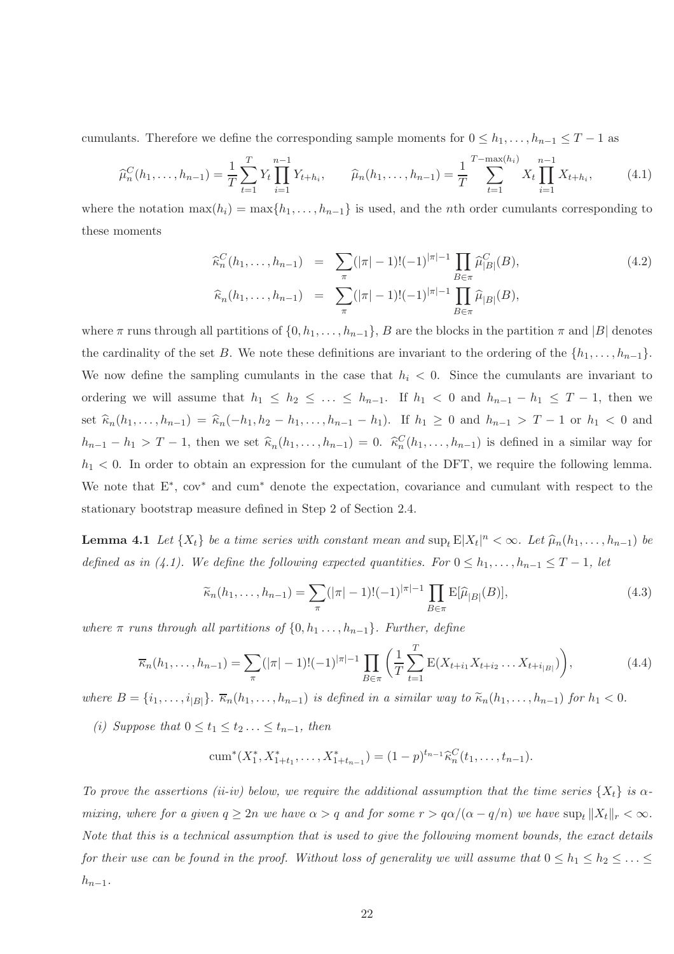cumulants. Therefore we define the corresponding sample moments for  $0 \leq h_1, \ldots, h_{n-1} \leq T-1$  as

$$
\widehat{\mu}_n^C(h_1,\ldots,h_{n-1}) = \frac{1}{T} \sum_{t=1}^T Y_t \prod_{i=1}^{n-1} Y_{t+h_i}, \qquad \widehat{\mu}_n(h_1,\ldots,h_{n-1}) = \frac{1}{T} \sum_{t=1}^{T-\max(h_i)} X_t \prod_{i=1}^{n-1} X_{t+h_i},
$$
\n(4.1)

where the notation  $\max(h_i) = \max\{h_1, \ldots, h_{n-1}\}\$ is used, and the *n*th order cumulants corresponding to these moments

$$
\widehat{\kappa}_n^C(h_1, \dots, h_{n-1}) = \sum_{\pi} (|\pi| - 1)! (-1)^{|\pi| - 1} \prod_{B \in \pi} \widehat{\mu}_{|B|}^C(B),
$$
\n
$$
\widehat{\kappa}_n(h_1, \dots, h_{n-1}) = \sum_{\pi} (|\pi| - 1)! (-1)^{|\pi| - 1} \prod_{B \in \pi} \widehat{\mu}_{|B|}(B),
$$
\n(4.2)

where  $\pi$  runs through all partitions of  $\{0, h_1, \ldots, h_{n-1}\}, B$  are the blocks in the partition  $\pi$  and  $|B|$  denotes the cardinality of the set B. We note these definitions are invariant to the ordering of the  $\{h_1, \ldots, h_{n-1}\}.$ We now define the sampling cumulants in the case that  $h_i < 0$ . Since the cumulants are invariant to ordering we will assume that  $h_1 \leq h_2 \leq \ldots \leq h_{n-1}$ . If  $h_1 < 0$  and  $h_{n-1} - h_1 \leq T - 1$ , then we set  $\hat{\kappa}_n(h_1,\ldots,h_{n-1}) = \hat{\kappa}_n(-h_1,h_2-h_1,\ldots,h_{n-1}-h_1)$ . If  $h_1 \geq 0$  and  $h_{n-1} > T-1$  or  $h_1 < 0$  and  $h_{n-1} - h_1 > T - 1$ , then we set  $\widehat{\kappa}_n(h_1, \ldots, h_{n-1}) = 0$ .  $\widehat{\kappa}_n^C(h_1, \ldots, h_{n-1})$  is defined in a similar way for  $h_1 < 0$ . In order to obtain an expression for the cumulant of the DFT, we require the following lemma. We note that E∗ , cov∗ and cum∗ denote the expectation, covariance and cumulant with respect to the stationary bootstrap measure defined in Step 2 of Section 2.4.

**Lemma 4.1** Let  $\{X_t\}$  be a time series with constant mean and  $\sup_t E|X_t|^n < \infty$ . Let  $\widehat{\mu}_n(h_1,\ldots,h_{n-1})$  be defined as in (4.1). We define the following expected quantities. For  $0 \leq h_1, \ldots, h_{n-1} \leq T-1$ , let

$$
\widetilde{\kappa}_n(h_1,\ldots,h_{n-1}) = \sum_{\pi} (|\pi| - 1)! (-1)^{|\pi|-1} \prod_{B \in \pi} \mathbb{E}[\widehat{\mu}_{|B|}(B)],\tag{4.3}
$$

where  $\pi$  runs through all partitions of  $\{0, h_1, \ldots, h_{n-1}\}$ . Further, define

$$
\overline{\kappa}_n(h_1,\ldots,h_{n-1}) = \sum_{\pi} (|\pi|-1)!(-1)^{|\pi|-1} \prod_{B \in \pi} \left(\frac{1}{T} \sum_{t=1}^T \mathbb{E}(X_{t+i_1} X_{t+i_2} \ldots X_{t+i_{|B|}})\right),\tag{4.4}
$$

where  $B = \{i_1, \ldots, i_{|B|}\}\$ .  $\overline{\kappa}_n(h_1, \ldots, h_{n-1})$  is defined in a similar way to  $\widetilde{\kappa}_n(h_1, \ldots, h_{n-1})$  for  $h_1 < 0$ .

(i) Suppose that  $0 \le t_1 \le t_2 \ldots \le t_{n-1}$ , then

cum<sup>\*</sup>
$$
(X_1^*, X_{1+t_1}^*, \ldots, X_{1+t_{n-1}}^*) = (1-p)^{t_{n-1}} \widehat{\kappa}_n^C(t_1, \ldots, t_{n-1}).
$$

To prove the assertions (ii-iv) below, we require the additional assumption that the time series  $\{X_t\}$  is  $\alpha$ mixing, where for a given  $q \ge 2n$  we have  $\alpha > q$  and for some  $r > q\alpha/(\alpha - q/n)$  we have  $\sup_t ||X_t||_r < \infty$ . Note that this is a technical assumption that is used to give the following moment bounds, the exact details for their use can be found in the proof. Without loss of generality we will assume that  $0 \le h_1 \le h_2 \le \ldots \le h_n$  $h_{n-1}$ .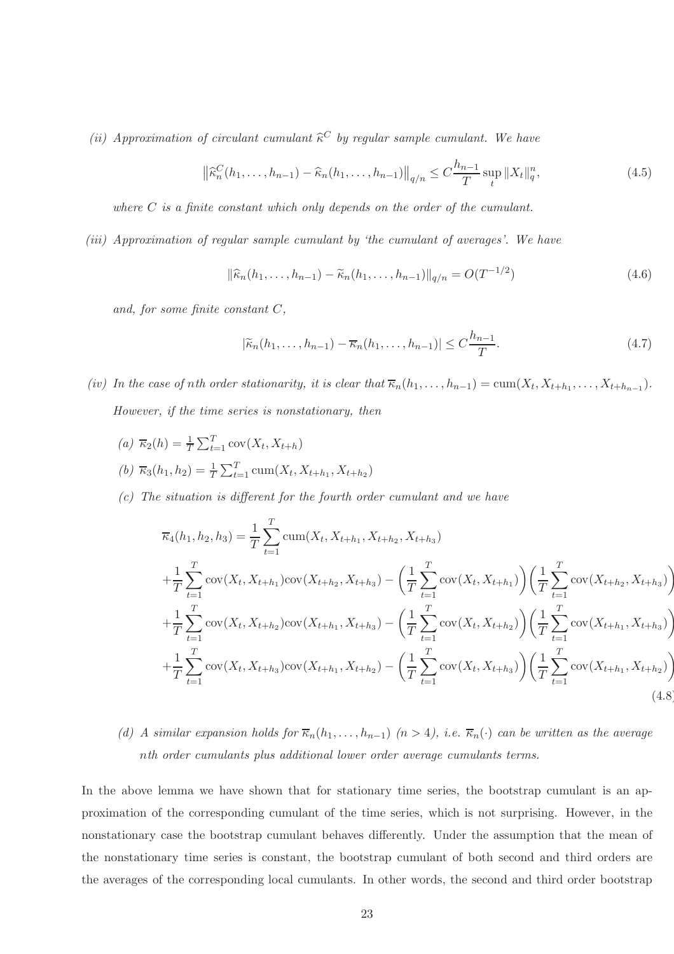(ii) Approximation of circulant cumulant  $\hat{\kappa}^C$  by regular sample cumulant. We have

$$
\left\| \widehat{\kappa}_n^C(h_1, \dots, h_{n-1}) - \widehat{\kappa}_n(h_1, \dots, h_{n-1}) \right\|_{q/n} \le C \frac{h_{n-1}}{T} \sup_t \left\| X_t \right\|_q^n, \tag{4.5}
$$

where  $C$  is a finite constant which only depends on the order of the cumulant.

(iii) Approximation of regular sample cumulant by 'the cumulant of averages'. We have

$$
\|\widehat{\kappa}_n(h_1,\ldots,h_{n-1}) - \widetilde{\kappa}_n(h_1,\ldots,h_{n-1})\|_{q/n} = O(T^{-1/2})
$$
\n(4.6)

and, for some finite constant C,

$$
|\widetilde{\kappa}_n(h_1,\ldots,h_{n-1}) - \overline{\kappa}_n(h_1,\ldots,h_{n-1})| \le C\frac{h_{n-1}}{T}.\tag{4.7}
$$

- (iv) In the case of nth order stationarity, it is clear that  $\overline{\kappa}_n(h_1,\ldots,h_{n-1}) = \text{cum}(X_t,X_{t+h_1},\ldots,X_{t+h_{n-1}}).$ However, if the time series is nonstationary, then
	- (a)  $\overline{\kappa}_2(h) = \frac{1}{T} \sum_{t=1}^T \text{cov}(X_t, X_{t+h})$ (b)  $\overline{\kappa}_3(h_1, h_2) = \frac{1}{T} \sum_{t=1}^T \text{cum}(X_t, X_{t+h_1}, X_{t+h_2})$
	- (c) The situation is different for the fourth order cumulant and we have

$$
\overline{\kappa}_{4}(h_{1}, h_{2}, h_{3}) = \frac{1}{T} \sum_{t=1}^{T} \text{cum}(X_{t}, X_{t+h_{1}}, X_{t+h_{2}}, X_{t+h_{3}})
$$
\n
$$
+ \frac{1}{T} \sum_{t=1}^{T} \text{cov}(X_{t}, X_{t+h_{1}}) \text{cov}(X_{t+h_{2}}, X_{t+h_{3}}) - \left(\frac{1}{T} \sum_{t=1}^{T} \text{cov}(X_{t}, X_{t+h_{1}})\right) \left(\frac{1}{T} \sum_{t=1}^{T} \text{cov}(X_{t+h_{2}}, X_{t+h_{3}})\right)
$$
\n
$$
+ \frac{1}{T} \sum_{t=1}^{T} \text{cov}(X_{t}, X_{t+h_{2}}) \text{cov}(X_{t+h_{1}}, X_{t+h_{3}}) - \left(\frac{1}{T} \sum_{t=1}^{T} \text{cov}(X_{t}, X_{t+h_{2}})\right) \left(\frac{1}{T} \sum_{t=1}^{T} \text{cov}(X_{t+h_{1}}, X_{t+h_{3}})\right)
$$
\n
$$
+ \frac{1}{T} \sum_{t=1}^{T} \text{cov}(X_{t}, X_{t+h_{3}}) \text{cov}(X_{t+h_{1}}, X_{t+h_{2}}) - \left(\frac{1}{T} \sum_{t=1}^{T} \text{cov}(X_{t}, X_{t+h_{3}})\right) \left(\frac{1}{T} \sum_{t=1}^{T} \text{cov}(X_{t+h_{1}}, X_{t+h_{2}})\right)
$$
\n
$$
(4.8)
$$

(d) A similar expansion holds for  $\overline{\kappa}_n(h_1,\ldots,h_{n-1})$   $(n>4)$ , i.e.  $\overline{\kappa}_n(\cdot)$  can be written as the average nth order cumulants plus additional lower order average cumulants terms.

In the above lemma we have shown that for stationary time series, the bootstrap cumulant is an approximation of the corresponding cumulant of the time series, which is not surprising. However, in the nonstationary case the bootstrap cumulant behaves differently. Under the assumption that the mean of the nonstationary time series is constant, the bootstrap cumulant of both second and third orders are the averages of the corresponding local cumulants. In other words, the second and third order bootstrap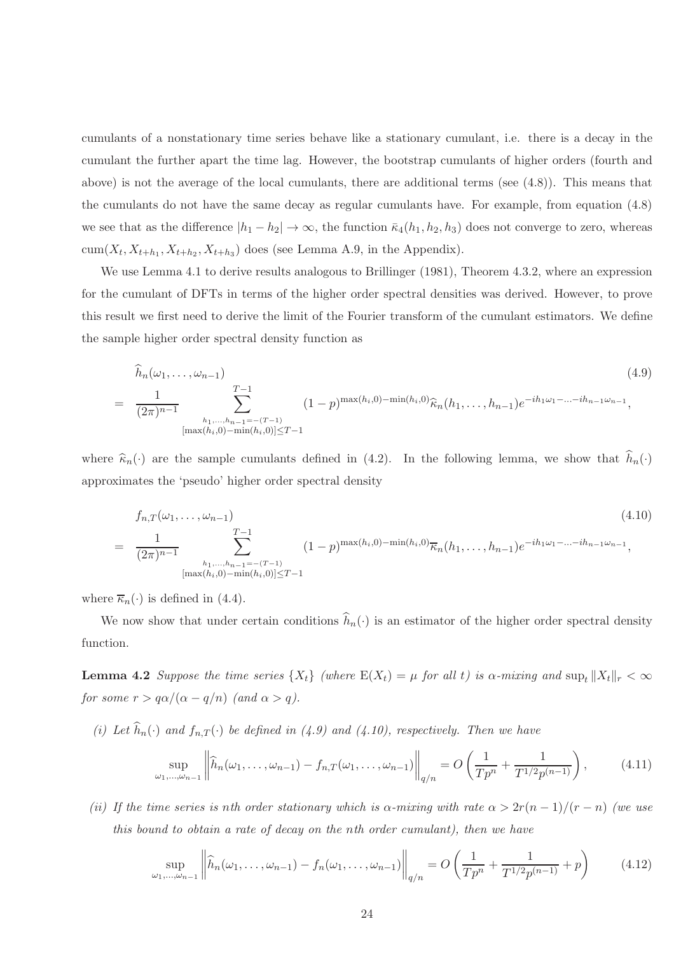cumulants of a nonstationary time series behave like a stationary cumulant, i.e. there is a decay in the cumulant the further apart the time lag. However, the bootstrap cumulants of higher orders (fourth and above) is not the average of the local cumulants, there are additional terms (see (4.8)). This means that the cumulants do not have the same decay as regular cumulants have. For example, from equation (4.8) we see that as the difference  $|h_1 - h_2| \to \infty$ , the function  $\bar{\kappa}_4(h_1, h_2, h_3)$  does not converge to zero, whereas  $cum(X_t, X_{t+h_1}, X_{t+h_2}, X_{t+h_3})$  does (see Lemma A.9, in the Appendix).

We use Lemma 4.1 to derive results analogous to Brillinger (1981), Theorem 4.3.2, where an expression for the cumulant of DFTs in terms of the higher order spectral densities was derived. However, to prove this result we first need to derive the limit of the Fourier transform of the cumulant estimators. We define the sample higher order spectral density function as

$$
\hat{h}_n(\omega_1, \dots, \omega_{n-1})
$$
\n
$$
= \frac{1}{(2\pi)^{n-1}} \sum_{\substack{h_1, \dots, h_{n-1} = -(T-1) \\ [\max(h_i, 0) - \min(h_i, 0)] \le T-1}} (1-p)^{\max(h_i, 0) - \min(h_i, 0)} \hat{\kappa}_n(h_1, \dots, h_{n-1}) e^{-ih_1 \omega_1 - \dots - ih_{n-1} \omega_{n-1}},
$$
\n(4.9)

where  $\hat{\kappa}_n(\cdot)$  are the sample cumulants defined in (4.2). In the following lemma, we show that  $\hat{h}_n(\cdot)$ approximates the 'pseudo' higher order spectral density

$$
f_{n,T}(\omega_1, \dots, \omega_{n-1})
$$
\n
$$
= \frac{1}{(2\pi)^{n-1}} \sum_{\substack{h_1, \dots, h_{n-1} = -(T-1) \\ [\max(h_i, 0) - \min(h_i, 0)] \le T-1}} (1-p)^{\max(h_i, 0) - \min(h_i, 0)} \overline{\kappa}_n(h_1, \dots, h_{n-1}) e^{-ih_1 \omega_1 - \dots - ih_{n-1} \omega_{n-1}},
$$
\n(4.10)

where  $\overline{\kappa}_n(\cdot)$  is defined in (4.4).

We now show that under certain conditions  $\widehat{h}_n(\cdot)$  is an estimator of the higher order spectral density function.

**Lemma 4.2** Suppose the time series  $\{X_t\}$  (where  $E(X_t) = \mu$  for all t) is  $\alpha$ -mixing and  $\sup_t ||X_t||_r < \infty$ for some  $r > q\alpha/(\alpha - q/n)$  (and  $\alpha > q$ ).

(i) Let  $\widehat{h}_n(\cdot)$  and  $f_{n,T}(\cdot)$  be defined in (4.9) and (4.10), respectively. Then we have

$$
\sup_{\omega_1,\dots,\omega_{n-1}} \left\| \widehat{h}_n(\omega_1,\dots,\omega_{n-1}) - f_{n,T}(\omega_1,\dots,\omega_{n-1}) \right\|_{q/n} = O\left(\frac{1}{Tp^n} + \frac{1}{T^{1/2}p^{(n-1)}}\right),\tag{4.11}
$$

(ii) If the time series is nth order stationary which is  $\alpha$ -mixing with rate  $\alpha > 2r(n-1)/(r-n)$  (we use this bound to obtain a rate of decay on the nth order cumulant), then we have

$$
\sup_{\omega_1,\dots,\omega_{n-1}} \left\| \widehat{h}_n(\omega_1,\dots,\omega_{n-1}) - f_n(\omega_1,\dots,\omega_{n-1}) \right\|_{q/n} = O\left(\frac{1}{Tp^n} + \frac{1}{T^{1/2}p^{(n-1)}} + p\right) \tag{4.12}
$$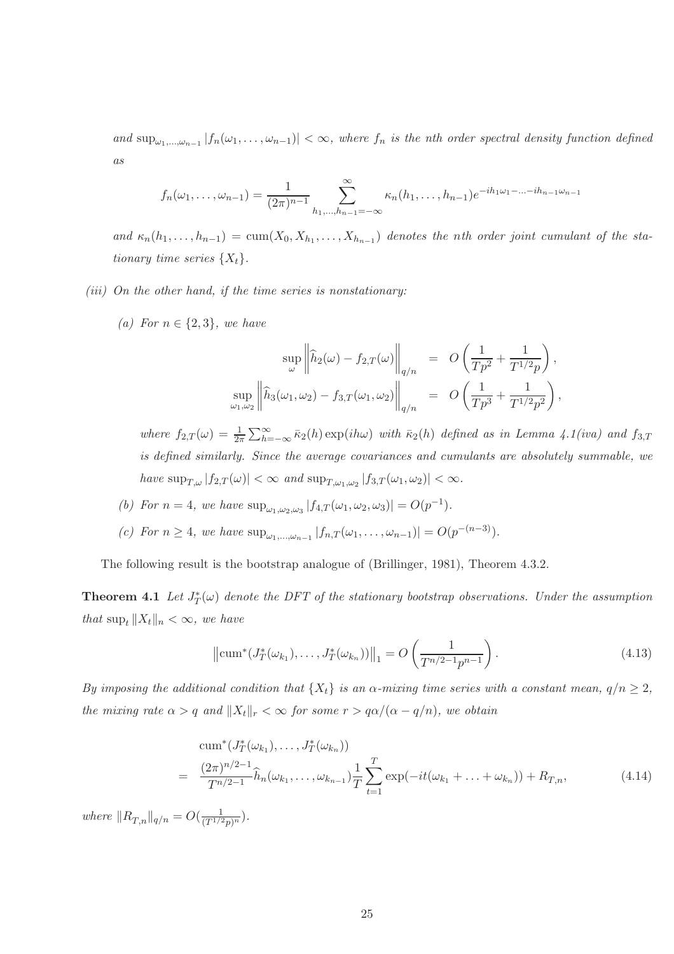and  $\sup_{\omega_1,\dots,\omega_{n-1}}|f_n(\omega_1,\dots,\omega_{n-1})| < \infty$ , where  $f_n$  is the nth order spectral density function defined as

$$
f_n(\omega_1, \ldots, \omega_{n-1}) = \frac{1}{(2\pi)^{n-1}} \sum_{h_1, \ldots, h_{n-1} = -\infty}^{\infty} \kappa_n(h_1, \ldots, h_{n-1}) e^{-ih_1 \omega_1 - \ldots - ih_{n-1} \omega_{n-1}}
$$

and  $\kappa_n(h_1,\ldots,h_{n-1}) = \text{cum}(X_0,X_{h_1},\ldots,X_{h_{n-1}})$  denotes the nth order joint cumulant of the stationary time series  $\{X_t\}.$ 

- (iii) On the other hand, if the time series is nonstationary:
	- (a) For  $n \in \{2,3\}$ , we have

$$
\sup_{\omega} \left\| \widehat{h}_2(\omega) - f_{2,T}(\omega) \right\|_{q/n} = O\left(\frac{1}{Tp^2} + \frac{1}{T^{1/2}p}\right),
$$
  

$$
\sup_{\omega_1, \omega_2} \left\| \widehat{h}_3(\omega_1, \omega_2) - f_{3,T}(\omega_1, \omega_2) \right\|_{q/n} = O\left(\frac{1}{Tp^3} + \frac{1}{T^{1/2}p^2}\right),
$$

where  $f_{2,T}(\omega) = \frac{1}{2\pi} \sum_{h=-\infty}^{\infty} \bar{\kappa}_2(h) \exp(i h \omega)$  with  $\bar{\kappa}_2(h)$  defined as in Lemma 4.1(iva) and  $f_{3,T}$ is defined similarly. Since the average covariances and cumulants are absolutely summable, we have  $\sup_{T,\omega} |f_{2,T}(\omega)| < \infty$  and  $\sup_{T,\omega_1,\omega_2} |f_{3,T}(\omega_1,\omega_2)| < \infty$ .

- (b) For  $n = 4$ , we have  $\sup_{\omega_1, \omega_2, \omega_3} |f_{4,T}(\omega_1, \omega_2, \omega_3)| = O(p^{-1})$ .
- (c) For  $n \ge 4$ , we have  $\sup_{\omega_1, ..., \omega_{n-1}} |f_{n,T}(\omega_1, ..., \omega_{n-1})| = O(p^{-(n-3)})$ .

The following result is the bootstrap analogue of (Brillinger, 1981), Theorem 4.3.2.

**Theorem 4.1** Let  $J_T^*(\omega)$  denote the DFT of the stationary bootstrap observations. Under the assumption that  $\sup_t ||X_t||_n < \infty$ , we have

$$
\left\| \operatorname{cum}^*(J_T^*(\omega_{k_1}), \dots, J_T^*(\omega_{k_n})) \right\|_1 = O\left(\frac{1}{T^{n/2 - 1}p^{n-1}}\right).
$$
\n(4.13)

By imposing the additional condition that  $\{X_t\}$  is an  $\alpha$ -mixing time series with a constant mean,  $q/n \geq 2$ , the mixing rate  $\alpha > q$  and  $||X_t||_r < \infty$  for some  $r > q\alpha/(\alpha - q/n)$ , we obtain

$$
\begin{split}\n&\text{cum}^*(J_T^*(\omega_{k_1}),\ldots,J_T^*(\omega_{k_n})) \\
&= \frac{(2\pi)^{n/2-1}}{T^{n/2-1}}\widehat{h}_n(\omega_{k_1},\ldots,\omega_{k_{n-1}}) \frac{1}{T} \sum_{t=1}^T \exp(-it(\omega_{k_1}+\ldots+\omega_{k_n})) + R_{T,n},\n\end{split} \tag{4.14}
$$

where  $||R_{T,n}||_{q/n} = O(\frac{1}{(T^{1/2})^2})$  $\frac{1}{(T^{1/2}p)^n}$ .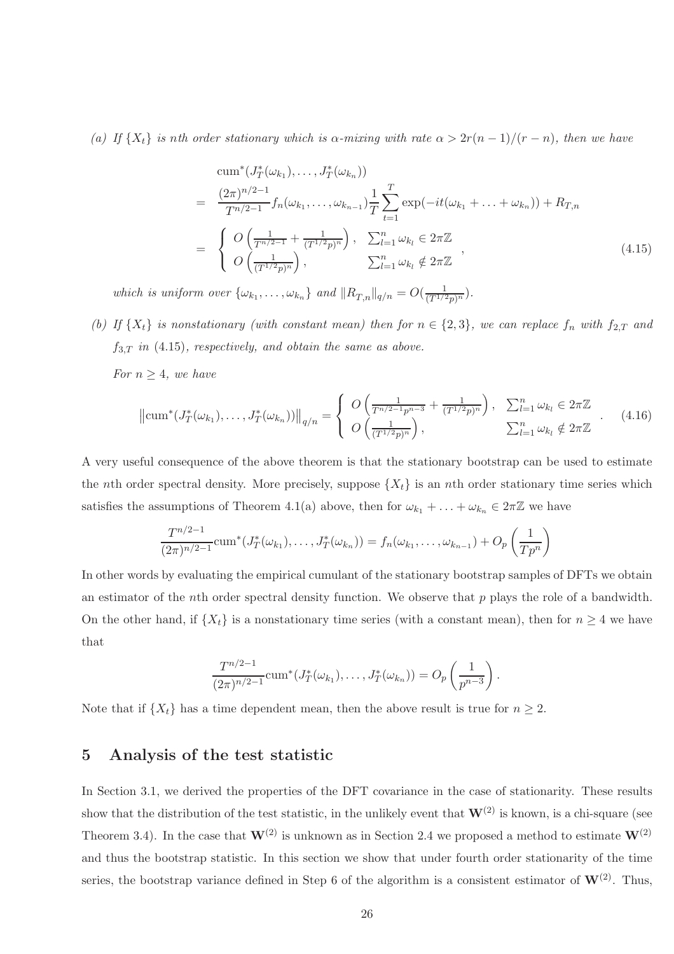(a) If  $\{X_t\}$  is nth order stationary which is  $\alpha$ -mixing with rate  $\alpha > 2r(n-1)/(r-n)$ , then we have

$$
\begin{split}\n&\text{cum}^*(J_T^*(\omega_{k_1}),\ldots,J_T^*(\omega_{k_n})) \\
&= \frac{(2\pi)^{n/2-1}}{T^{n/2-1}}f_n(\omega_{k_1},\ldots,\omega_{k_{n-1}})\frac{1}{T}\sum_{t=1}^T\exp(-it(\omega_{k_1}+\ldots+\omega_{k_n}))+R_{T,n} \\
&= \begin{cases}\nO\left(\frac{1}{T^{n/2-1}}+\frac{1}{(T^{1/2}p)^n}\right), & \sum_{l=1}^n\omega_{k_l}\in 2\pi\mathbb{Z} \\
O\left(\frac{1}{(T^{1/2}p)^n}\right), & \sum_{l=1}^n\omega_{k_l}\notin 2\pi\mathbb{Z}\n\end{cases}\n\end{split} \tag{4.15}
$$

which is uniform over  $\{\omega_{k_1}, \ldots, \omega_{k_n}\}\$  and  $\|R_{T,n}\|_{q/n} = O(\frac{1}{(T^{1/2})^n})$  $\frac{1}{(T^{1/2}p)^n}$ .

(b) If  $\{X_t\}$  is nonstationary (with constant mean) then for  $n \in \{2,3\}$ , we can replace  $f_n$  with  $f_{2,T}$  and  $f_{3,T}$  in (4.15), respectively, and obtain the same as above.

For  $n \geq 4$ , we have

$$
\left\| \text{cum}^*(J_T^*(\omega_{k_1}), \dots, J_T^*(\omega_{k_n})) \right\|_{q/n} = \begin{cases} O\left(\frac{1}{T^{n/2-1}p^{n-3}} + \frac{1}{(T^{1/2}p)^n}\right), & \sum_{l=1}^n \omega_{k_l} \in 2\pi \mathbb{Z} \\ O\left(\frac{1}{(T^{1/2}p)^n}\right), & \sum_{l=1}^n \omega_{k_l} \notin 2\pi \mathbb{Z} \end{cases} . \tag{4.16}
$$

A very useful consequence of the above theorem is that the stationary bootstrap can be used to estimate the nth order spectral density. More precisely, suppose  $\{X_t\}$  is an nth order stationary time series which satisfies the assumptions of Theorem 4.1(a) above, then for  $\omega_{k_1} + \ldots + \omega_{k_n} \in 2\pi\mathbb{Z}$  we have

$$
\frac{T^{n/2-1}}{(2\pi)^{n/2-1}} \text{cum}^*(J_T^*(\omega_{k_1}),\ldots,J_T^*(\omega_{k_n})) = f_n(\omega_{k_1},\ldots,\omega_{k_{n-1}}) + O_p\left(\frac{1}{Tp^n}\right)
$$

In other words by evaluating the empirical cumulant of the stationary bootstrap samples of DFTs we obtain an estimator of the nth order spectral density function. We observe that  $p$  plays the role of a bandwidth. On the other hand, if  $\{X_t\}$  is a nonstationary time series (with a constant mean), then for  $n \geq 4$  we have that

$$
\frac{T^{n/2-1}}{(2\pi)^{n/2-1}} \text{cum}^*(J_T^*(\omega_{k_1}),\ldots,J_T^*(\omega_{k_n})) = O_p\left(\frac{1}{p^{n-3}}\right).
$$

Note that if  $\{X_t\}$  has a time dependent mean, then the above result is true for  $n \geq 2$ .

## 5 Analysis of the test statistic

In Section 3.1, we derived the properties of the DFT covariance in the case of stationarity. These results show that the distribution of the test statistic, in the unlikely event that  $\mathbf{W}^{(2)}$  is known, is a chi-square (see Theorem 3.4). In the case that  $\mathbf{W}^{(2)}$  is unknown as in Section 2.4 we proposed a method to estimate  $\mathbf{W}^{(2)}$ and thus the bootstrap statistic. In this section we show that under fourth order stationarity of the time series, the bootstrap variance defined in Step 6 of the algorithm is a consistent estimator of  $W^{(2)}$ . Thus,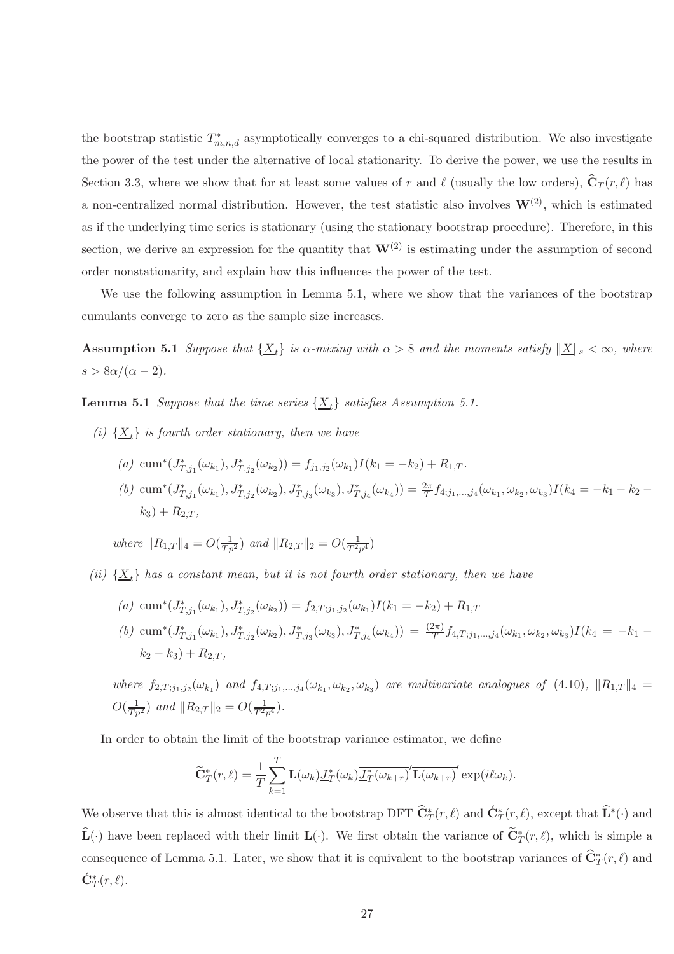the bootstrap statistic  $T_{m,n,d}^*$  asymptotically converges to a chi-squared distribution. We also investigate the power of the test under the alternative of local stationarity. To derive the power, we use the results in Section 3.3, where we show that for at least some values of r and  $\ell$  (usually the low orders),  $\hat{\mathbf{C}}_T(r,\ell)$  has a non-centralized normal distribution. However, the test statistic also involves  $\mathbf{W}^{(2)}$ , which is estimated as if the underlying time series is stationary (using the stationary bootstrap procedure). Therefore, in this section, we derive an expression for the quantity that  $W^{(2)}$  is estimating under the assumption of second order nonstationarity, and explain how this influences the power of the test.

We use the following assumption in Lemma 5.1, where we show that the variances of the bootstrap cumulants converge to zero as the sample size increases.

**Assumption 5.1** Suppose that  $\{\underline{X}_t\}$  is  $\alpha$ -mixing with  $\alpha > 8$  and the moments satisfy  $\|\underline{X}\|_s < \infty$ , where  $s > 8\alpha/(\alpha - 2).$ 

**Lemma 5.1** Suppose that the time series  $\{\underline{X}_t\}$  satisfies Assumption 5.1.

(i)  $\{\underline{X}_t\}$  is fourth order stationary, then we have

(a) 
$$
\operatorname{cum}^*(J_{T,j_1}^*(\omega_{k_1}), J_{T,j_2}^*(\omega_{k_2})) = f_{j_1,j_2}(\omega_{k_1})I(k_1 = -k_2) + R_{1,T}.
$$

(b) cum<sup>\*</sup>( $J_{T,j_1}^*(\omega_{k_1}), J_{T,j_2}^*(\omega_{k_2}), J_{T,j_3}^*(\omega_{k_3}), J_{T,j_4}^*(\omega_{k_4})) = \frac{2\pi}{T} f_{4;j_1,\dots,j_4}(\omega_{k_1}, \omega_{k_2}, \omega_{k_3}) I(k_4 = -k_1 - k_2 - k_3 - k_4)$  $(k_3) + R_{2,T}$ 

where  $||R_{1,T}||_4 = O(\frac{1}{Tp^2})$  and  $||R_{2,T}||_2 = O(\frac{1}{T^2p^4})$ 

- (ii)  $\{\underline{X}_t\}$  has a constant mean, but it is not fourth order stationary, then we have
	- (a)  $\operatorname{cum}^*(J^*_{T,j_1}(\omega_{k_1}), J^*_{T,j_2}(\omega_{k_2})) = f_{2,T;j_1,j_2}(\omega_{k_1})I(k_1 = -k_2) + R_{1,T}$
	- (b) cum<sup>\*</sup>( $J_{T,j_1}^*(\omega_{k_1}), J_{T,j_2}^*(\omega_{k_2}), J_{T,j_3}^*(\omega_{k_3}), J_{T,j_4}^*(\omega_{k_4})) = \frac{(2\pi)}{T} f_{4,T;j_1,\dots,j_4}(\omega_{k_1}, \omega_{k_2}, \omega_{k_3}) I(k_4 = -k_1 k_2)$  $(k_2 - k_3) + R_{2T}$

where  $f_{2,T;j_1,j_2}(\omega_{k_1})$  and  $f_{4,T;j_1,\dots,j_4}(\omega_{k_1},\omega_{k_2},\omega_{k_3})$  are multivariate analogues of  $(4.10)$ ,  $||R_{1,T}||_4 =$  $O(\frac{1}{Tp^2})$  and  $||R_{2,T}||_2 = O(\frac{1}{T^2p^4}).$ 

In order to obtain the limit of the bootstrap variance estimator, we define

$$
\widetilde{\mathbf{C}}_T^*(r,\ell) = \frac{1}{T} \sum_{k=1}^T \mathbf{L}(\omega_k) \underline{J}_T^*(\omega_k) \overline{\underline{J}_T^*(\omega_{k+r})'} \mathbf{L}(\omega_{k+r})' \exp(i\ell\omega_k).
$$

We observe that this is almost identical to the bootstrap DFT  $\widehat{\mathbf{C}}_T^*(r,\ell)$  and  $\widehat{\mathbf{C}}_T^*(r,\ell)$ , except that  $\widehat{\mathbf{L}}^*(\cdot)$  and  $\mathbf{L}(\cdot)$  have been replaced with their limit  $\mathbf{L}(\cdot)$ . We first obtain the variance of  $\mathbf{C}_T^*(r,\ell)$ , which is simple a consequence of Lemma 5.1. Later, we show that it is equivalent to the bootstrap variances of  $\mathbf{C}^*_T(r,\ell)$  and  $\acute{\mathbf{C}}^*_T(r,\ell).$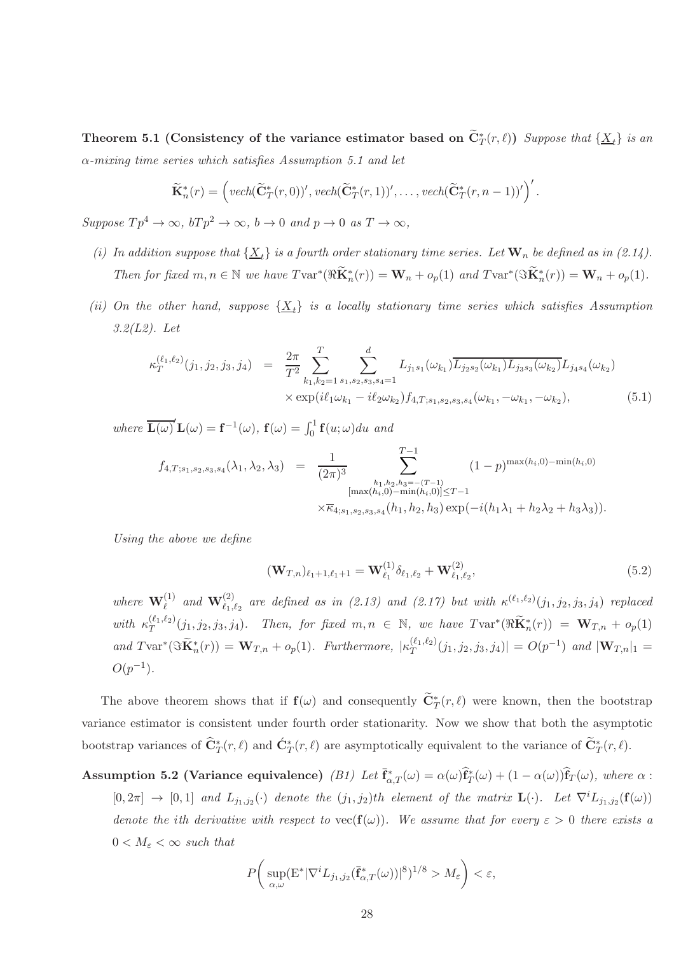Theorem 5.1 (Consistency of the variance estimator based on  $\mathbf{C}_T^*(r,\ell)$ ) *Suppose that*  $\{\underline{X}_t\}$  *is an*  $\alpha$ -mixing time series which satisfies Assumption 5.1 and let

$$
\widetilde{\mathbf{K}}_n^*(r) = \left(\text{vech}(\widetilde{\mathbf{C}}_T^*(r,0))', \text{vech}(\widetilde{\mathbf{C}}_T^*(r,1))', \dots, \text{vech}(\widetilde{\mathbf{C}}_T^*(r,n-1))'\right)'.
$$

Suppose  $Tp^4 \to \infty$ ,  $bTp^2 \to \infty$ ,  $b \to 0$  and  $p \to 0$  as  $T \to \infty$ ,

- (i) In addition suppose that  $\{\underline{X}_t\}$  is a fourth order stationary time series. Let  $\mathbf{W}_n$  be defined as in (2.14). Then for fixed  $m, n \in \mathbb{N}$  we have  $T \text{var}^*(\Re\widetilde{\mathbf{K}}_n^*(r)) = \mathbf{W}_n + o_p(1)$  and  $T \text{var}^*(\Im\widetilde{\mathbf{K}}_n^*(r)) = \mathbf{W}_n + o_p(1)$ .
- (ii) On the other hand, suppose  $\{\underline{X}_t\}$  is a locally stationary time series which satisfies Assumption  $3.2(L2)$ . Let

$$
\kappa_T^{(\ell_1,\ell_2)}(j_1,j_2,j_3,j_4) = \frac{2\pi}{T^2} \sum_{k_1,k_2=1}^T \sum_{s_1,s_2,s_3,s_4=1}^d L_{j_1s_1}(\omega_{k_1}) \overline{L_{j_2s_2}(\omega_{k_1}) L_{j_3s_3}(\omega_{k_2})} L_{j_4s_4}(\omega_{k_2})
$$
  
×  $\exp(i\ell_1\omega_{k_1} - i\ell_2\omega_{k_2}) f_{4,T;s_1,s_2,s_3,s_4}(\omega_{k_1}, -\omega_{k_1}, -\omega_{k_2}),$  (5.1)

where  $\overline{\mathbf{L}(\omega)}'\mathbf{L}(\omega) = \mathbf{f}^{-1}(\omega)$ ,  $\mathbf{f}(\omega) = \int_0^1 \mathbf{f}(u;\omega)du$  and

$$
f_{4,T;s_1,s_2,s_3,s_4}(\lambda_1,\lambda_2,\lambda_3) = \frac{1}{(2\pi)^3} \sum_{\substack{h_1,h_2,h_3 = -(T-1) \\ [\max(h_i,0)-\min(h_i,0)] \le T-1}}^{T-1} (1-p)^{\max(h_i,0)-\min(h_i,0)}
$$

$$
\times \overline{\kappa}_{4;s_1,s_2,s_3,s_4}(h_1,h_2,h_3) \exp(-i(h_1\lambda_1+h_2\lambda_2+h_3\lambda_3)).
$$

Using the above we define

$$
(\mathbf{W}_{T,n})_{\ell_1+1,\ell_1+1} = \mathbf{W}_{\ell_1}^{(1)} \delta_{\ell_1,\ell_2} + \mathbf{W}_{\ell_1,\ell_2}^{(2)},
$$
\n(5.2)

where  $\mathbf{W}_{\ell}^{(1)}$  and  $\mathbf{W}_{\ell_1,\ell_2}^{(2)}$  are defined as in (2.13) and (2.17) but with  $\kappa^{(\ell_1,\ell_2)}(j_1,j_2,j_3,j_4)$  replaced with  $\kappa_T^{(\ell_1,\ell_2)}$  $T^{(l_1,l_2)}(j_1, j_2, j_3, j_4)$ . Then, for fixed  $m, n \in \mathbb{N}$ , we have  $T \text{var}^*(\Re\widetilde{\mathbf{K}}_n^*(r)) = \mathbf{W}_{T,n} + o_p(1)$ and  $T \text{var}^*(\Im \widetilde{\mathbf{K}}_n^*(r)) = \mathbf{W}_{T,n} + o_p(1)$ . Furthermore,  $|\kappa_T^{(\ell_1,\ell_2)}|$  $|T(T^{(l_1,l_2)}(j_1,j_2,j_3,j_4)| = O(p^{-1})$  and  $|\mathbf{W}_{T,n}|_1 =$  $O(p^{-1})$ .

The above theorem shows that if  $f(\omega)$  and consequently  $\mathbf{C}_T^*(r,\ell)$  were known, then the bootstrap variance estimator is consistent under fourth order stationarity. Now we show that both the asymptotic bootstrap variances of  $\hat{\mathbf{C}}_T^*(r,\ell)$  and  $\hat{\mathbf{C}}_T^*(r,\ell)$  are asymptotically equivalent to the variance of  $\tilde{\mathbf{C}}_T^*(r,\ell)$ .

Assumption 5.2 (Variance equivalence) (B1) Let  $\bar{f}_{\alpha,T}^*(\omega) = \alpha(\omega)\hat{f}_T^*(\omega) + (1 - \alpha(\omega))\hat{f}_T(\omega)$ , where  $\alpha$ :  $[0, 2\pi] \rightarrow [0, 1]$  and  $L_{j_1, j_2}(\cdot)$  denote the  $(j_1, j_2)$ th element of the matrix  $\mathbf{L}(\cdot)$ . Let  $\nabla^i L_{j_1, j_2}(\mathbf{f}(\omega))$ denote the ith derivative with respect to  $\text{vec}(\mathbf{f}(\omega))$ . We assume that for every  $\varepsilon > 0$  there exists a  $0 < M_{\varepsilon} < \infty$  such that

$$
P\bigg(\sup_{\alpha,\omega} (\mathbf{E}^*|\nabla^i L_{j_1,j_2}(\bar{\mathbf{f}}^*_{\alpha,T}(\omega))|^8)^{1/8} > M_{\varepsilon}\bigg) < \varepsilon,
$$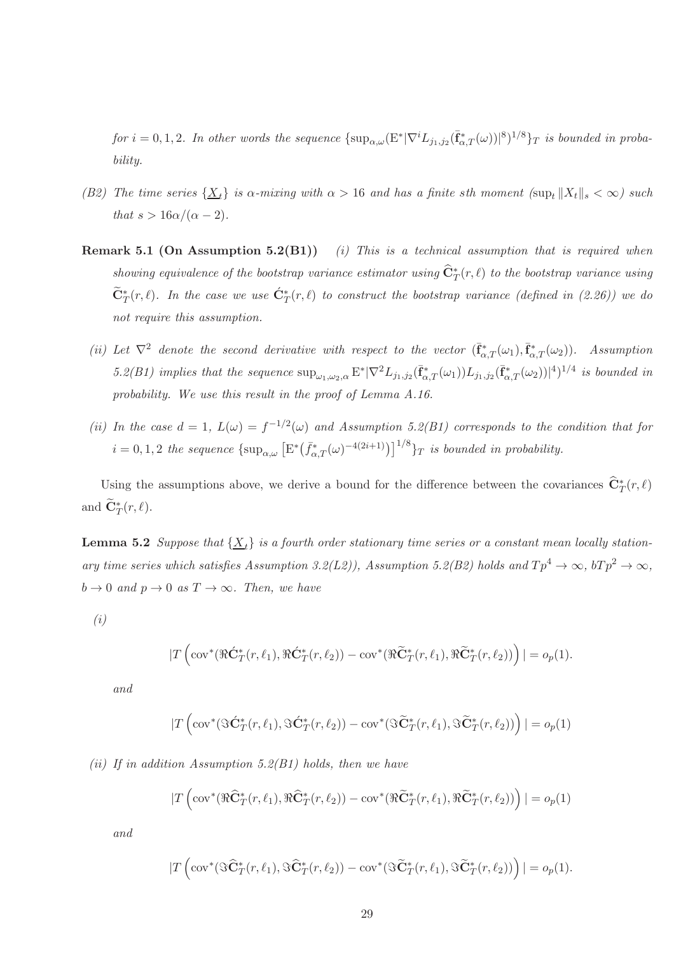$for i = 0, 1, 2$ . In other words the sequence  $\{\sup_{\alpha,\omega} (E^* | \nabla^i L_{j_1,j_2}(\bar{f}_{\alpha,T}^*(\omega))|^8)^{1/8}\}_T$  is bounded in probability.

- (B2) The time series  $\{\underline{X}_t\}$  is  $\alpha$ -mixing with  $\alpha > 16$  and has a finite sth moment  $(\sup_t \|X_t\|_s < \infty)$  such that  $s > 16\alpha/(\alpha - 2)$ .
- **Remark 5.1 (On Assumption 5.2(B1))** (i) This is a technical assumption that is required when showing equivalence of the bootstrap variance estimator using  $\mathbf{C}^*_T(r,\ell)$  to the bootstrap variance using  $\widetilde{\mathbf{C}}_T^*(r,\ell)$ . In the case we use  $\acute{\mathbf{C}}_T^*(r,\ell)$  to construct the bootstrap variance (defined in (2.26)) we do not require this assumption.
	- (ii) Let  $\nabla^2$  denote the second derivative with respect to the vector  $(\bar{\mathbf{f}}_{\alpha,T}^*(\omega_1), \bar{\mathbf{f}}_{\alpha,T}^*(\omega_2))$ . Assumption 5.2(B1) implies that the sequence  $\sup_{\omega_1,\omega_2,\alpha} E^* |\nabla^2 L_{j_1,j_2}(\bar{f}^*_{\alpha,T}(\omega_1)) L_{j_1,j_2}(\bar{f}^*_{\alpha,T}(\omega_2))|^4)^{1/4}$  is bounded in probability. We use this result in the proof of Lemma A.16.
	- (ii) In the case  $d = 1$ ,  $L(\omega) = f^{-1/2}(\omega)$  and Assumption 5.2(B1) corresponds to the condition that for  $i = 0, 1, 2$  the sequence  $\{\sup_{\alpha,\omega} \left[ \mathbf{E}^* \left( \bar{f}_{\alpha,T}^*(\omega)^{-4(2i+1)} \right) \right]^{1/8} \}_{T}$  is bounded in probability.

Using the assumptions above, we derive a bound for the difference between the covariances  $\mathbf{C}_T^*(r, \ell)$ and  $\mathbf{C}_T^*(r,\ell)$ .

**Lemma 5.2** Suppose that  $\{\underline{X}_t\}$  is a fourth order stationary time series or a constant mean locally stationary time series which satisfies Assumption 3.2(L2)), Assumption 5.2(B2) holds and  $Tp^4 \to \infty$ ,  $bTp^2 \to \infty$ ,  $b \to 0$  and  $p \to 0$  as  $T \to \infty$ . Then, we have

(i)

$$
|T\left(\operatorname{cov}^*(\Re\tilde{\mathbf{C}}_T^*(r,\ell_1),\Re\tilde{\mathbf{C}}_T^*(r,\ell_2)) - \operatorname{cov}^*(\Re\tilde{\mathbf{C}}_T^*(r,\ell_1),\Re\tilde{\mathbf{C}}_T^*(r,\ell_2))\right)| = o_p(1).
$$

and

$$
|T\left(\operatorname{cov}^*(\Im \acute{\mathbf{C}}_T^*(r,\ell_1),\Im \acute{\mathbf{C}}_T^*(r,\ell_2)) - \operatorname{cov}^*(\Im \widetilde{\mathbf{C}}_T^*(r,\ell_1),\Im \widetilde{\mathbf{C}}_T^*(r,\ell_2))\right)| = o_p(1)
$$

(ii) If in addition Assumption 5.2(B1) holds, then we have

$$
|T\left(\operatorname{cov}^*(\Re\widehat{\mathbf{C}}_T^*(r,\ell_1),\Re\widehat{\mathbf{C}}_T^*(r,\ell_2)) - \operatorname{cov}^*(\Re\widetilde{\mathbf{C}}_T^*(r,\ell_1),\Re\widetilde{\mathbf{C}}_T^*(r,\ell_2))\right)| = o_p(1)
$$

and

$$
|T\left(\operatorname{cov}^*(\Im \widehat{\mathbf{C}}_T^*(r,\ell_1),\Im \widehat{\mathbf{C}}_T^*(r,\ell_2)) - \operatorname{cov}^*(\Im \widetilde{\mathbf{C}}_T^*(r,\ell_1),\Im \widetilde{\mathbf{C}}_T^*(r,\ell_2))\right)| = o_p(1).
$$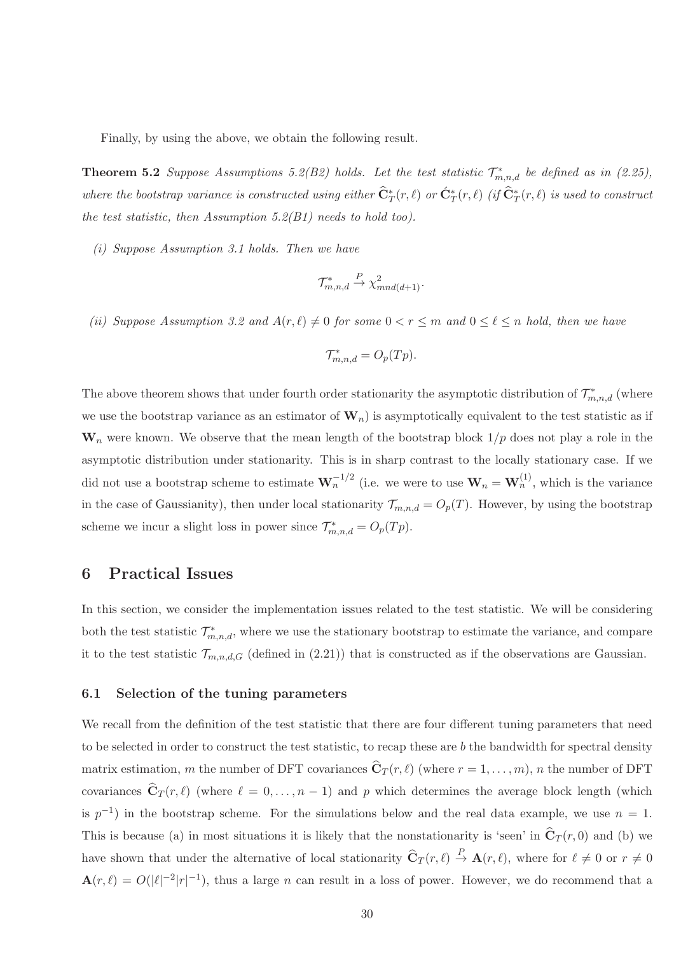Finally, by using the above, we obtain the following result.

**Theorem 5.2** Suppose Assumptions 5.2(B2) holds. Let the test statistic  $\mathcal{T}_{m,n,d}^*$  be defined as in (2.25), where the bootstrap variance is constructed using either  $\widehat{\mathbf{C}}_T^*(r,\ell)$  or  $\acute{\mathbf{C}}_T^*(r,\ell)$  (if  $\widehat{\mathbf{C}}_T^*(r,\ell)$  is used to construct the test statistic, then Assumption  $5.2(B1)$  needs to hold too).

(i) Suppose Assumption 3.1 holds. Then we have

$$
\mathcal{T}_{m,n,d}^* \stackrel{P}{\to} \chi^2_{mnd(d+1)}.
$$

(ii) Suppose Assumption 3.2 and  $A(r, \ell) \neq 0$  for some  $0 < r \leq m$  and  $0 \leq \ell \leq n$  hold, then we have

$$
\mathcal{T}_{m,n,d}^* = O_p(Tp).
$$

The above theorem shows that under fourth order stationarity the asymptotic distribution of  $\mathcal{T}_{m,n,d}^*$  (where we use the bootstrap variance as an estimator of  $W_n$ ) is asymptotically equivalent to the test statistic as if  $\mathbf{W}_n$  were known. We observe that the mean length of the bootstrap block  $1/p$  does not play a role in the asymptotic distribution under stationarity. This is in sharp contrast to the locally stationary case. If we did not use a bootstrap scheme to estimate  $\mathbf{W}_n^{-1/2}$  (i.e. we were to use  $\mathbf{W}_n = \mathbf{W}_n^{(1)}$ , which is the variance in the case of Gaussianity), then under local stationarity  $\mathcal{T}_{m,n,d} = O_p(T)$ . However, by using the bootstrap scheme we incur a slight loss in power since  $\mathcal{T}_{m,n,d}^* = O_p(Tp)$ .

## 6 Practical Issues

In this section, we consider the implementation issues related to the test statistic. We will be considering both the test statistic  $\mathcal{T}_{m,n,d}^*$ , where we use the stationary bootstrap to estimate the variance, and compare it to the test statistic  $\mathcal{T}_{m,n,d,G}$  (defined in (2.21)) that is constructed as if the observations are Gaussian.

## 6.1 Selection of the tuning parameters

We recall from the definition of the test statistic that there are four different tuning parameters that need to be selected in order to construct the test statistic, to recap these are b the bandwidth for spectral density matrix estimation, m the number of DFT covariances  $\hat{\mathbf{C}}_T (r, \ell)$  (where  $r = 1, \ldots, m$ ), n the number of DFT covariances  $\hat{\mathbf{C}}_T (r, \ell)$  (where  $\ell = 0, \ldots, n-1$ ) and p which determines the average block length (which is  $p^{-1}$ ) in the bootstrap scheme. For the simulations below and the real data example, we use  $n = 1$ . This is because (a) in most situations it is likely that the nonstationarity is 'seen' in  $\mathbf{C}_T(r,0)$  and (b) we have shown that under the alternative of local stationarity  $\widehat{\mathbf{C}}_T(r,\ell) \stackrel{P}{\to} \mathbf{A}(r,\ell)$ , where for  $\ell \neq 0$  or  $r \neq 0$  $\mathbf{A}(r,\ell) = O(|\ell|^{-2}|r|^{-1})$ , thus a large n can result in a loss of power. However, we do recommend that a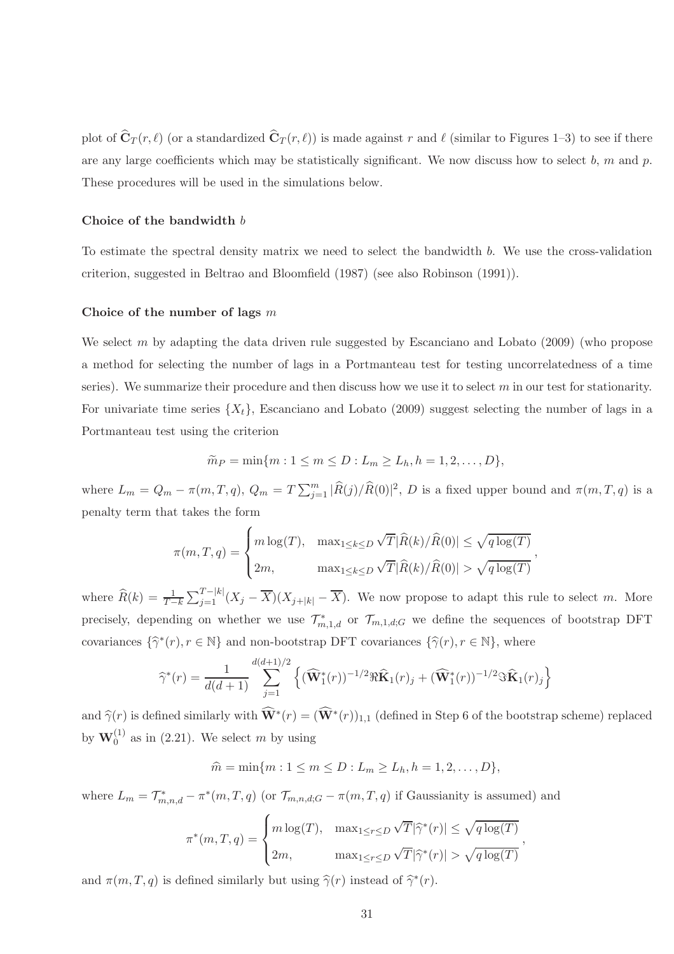plot of  $\hat{\mathbf{C}}_T (r, \ell)$  (or a standardized  $\hat{\mathbf{C}}_T (r, \ell)$ ) is made against r and  $\ell$  (similar to Figures 1–3) to see if there are any large coefficients which may be statistically significant. We now discuss how to select  $b, m$  and  $p$ . These procedures will be used in the simulations below.

## Choice of the bandwidth  $b$

To estimate the spectral density matrix we need to select the bandwidth b. We use the cross-validation criterion, suggested in Beltrao and Bloomfield (1987) (see also Robinson (1991)).

### Choice of the number of lags  $m$

We select m by adapting the data driven rule suggested by Escanciano and Lobato  $(2009)$  (who propose a method for selecting the number of lags in a Portmanteau test for testing uncorrelatedness of a time series). We summarize their procedure and then discuss how we use it to select  $m$  in our test for stationarity. For univariate time series  $\{X_t\}$ , Escanciano and Lobato (2009) suggest selecting the number of lags in a Portmanteau test using the criterion

$$
\widetilde{m}_P = \min\{m : 1 \le m \le D : L_m \ge L_h, h = 1, 2, ..., D\},\
$$

where  $L_m = Q_m - \pi(m, T, q)$ ,  $Q_m = T \sum_{j=1}^m |\widehat{R}(j)/\widehat{R}(0)|^2$ , D is a fixed upper bound and  $\pi(m, T, q)$  is a penalty term that takes the form

$$
\pi(m, T, q) = \begin{cases} m \log(T), & \max_{1 \le k \le D} \sqrt{T} |\widehat{R}(k)/\widehat{R}(0)| \le \sqrt{q \log(T)} \\ 2m, & \max_{1 \le k \le D} \sqrt{T} |\widehat{R}(k)/\widehat{R}(0)| > \sqrt{q \log(T)} \end{cases}
$$

where  $\widehat{R}(k) = \frac{1}{T-k} \sum_{j=1}^{T-|k|} (X_j - \overline{X})(X_{j+|k|} - \overline{X})$ . We now propose to adapt this rule to select m. More precisely, depending on whether we use  $\mathcal{T}_{m,1,d}^*$  or  $\mathcal{T}_{m,1,d;G}$  we define the sequences of bootstrap DFT covariances  $\{\hat{\gamma}^*(r), r \in \mathbb{N}\}\$  and non-bootstrap DFT covariances  $\{\hat{\gamma}(r), r \in \mathbb{N}\}\$ , where

$$
\widehat{\gamma}^*(r) = \frac{1}{d(d+1)} \sum_{j=1}^{d(d+1)/2} \left\{ (\widehat{\mathbf{W}}_1^*(r))^{-1/2} \Re \widehat{\mathbf{K}}_1(r)_j + (\widehat{\mathbf{W}}_1^*(r))^{-1/2} \Im \widehat{\mathbf{K}}_1(r)_j \right\}
$$

and  $\hat{\gamma}(r)$  is defined similarly with  $\mathbf{W}^*(r) = (\mathbf{W}^*(r))_{1,1}$  (defined in Step 6 of the bootstrap scheme) replaced by  $\mathbf{W}_0^{(1)}$  as in (2.21). We select m by using

$$
\widehat{m} = \min\{m : 1 \le m \le D : L_m \ge L_h, h = 1, 2, \dots, D\},\
$$

where  $L_m = \mathcal{T}_{m,n,d}^* - \pi^*(m,T,q)$  (or  $\mathcal{T}_{m,n,d;G} - \pi(m,T,q)$  if Gaussianity is assumed) and

$$
\pi^*(m, T, q) = \begin{cases} m \log(T), & \max_{1 \le r \le D} \sqrt{T} |\hat{\gamma}^*(r)| \le \sqrt{q \log(T)} \\ 2m, & \max_{1 \le r \le D} \sqrt{T} |\hat{\gamma}^*(r)| > \sqrt{q \log(T)} \end{cases}
$$

and  $\pi(m, T, q)$  is defined similarly but using  $\hat{\gamma}(r)$  instead of  $\hat{\gamma}^*(r)$ .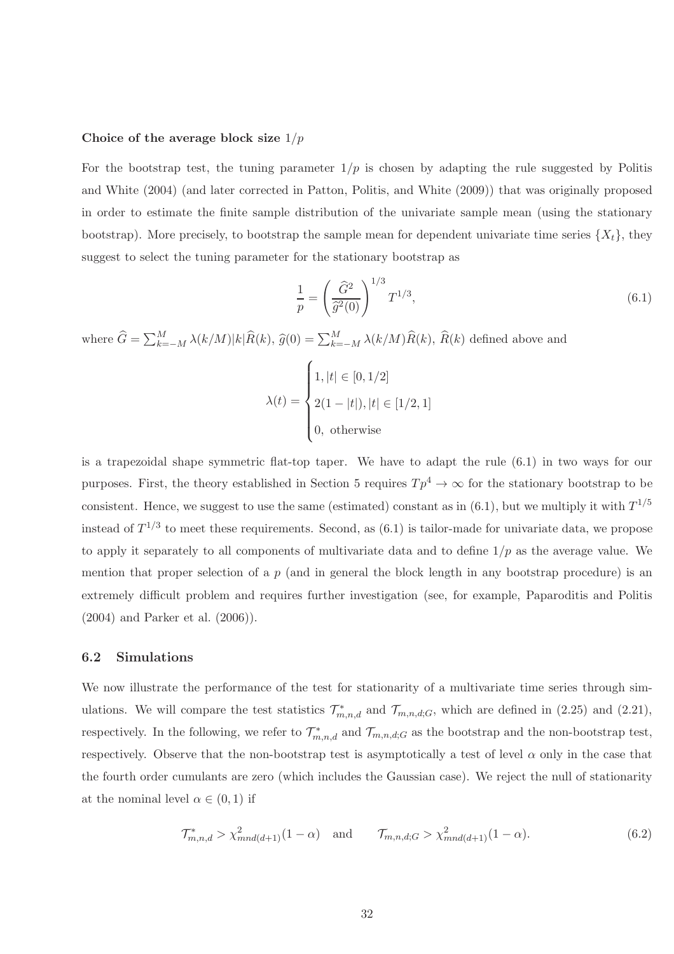## Choice of the average block size  $1/p$

For the bootstrap test, the tuning parameter  $1/p$  is chosen by adapting the rule suggested by Politis and White (2004) (and later corrected in Patton, Politis, and White (2009)) that was originally proposed in order to estimate the finite sample distribution of the univariate sample mean (using the stationary bootstrap). More precisely, to bootstrap the sample mean for dependent univariate time series  $\{X_t\}$ , they suggest to select the tuning parameter for the stationary bootstrap as

$$
\frac{1}{p} = \left(\frac{\widehat{G}^2}{\widehat{g}^2(0)}\right)^{1/3} T^{1/3},\tag{6.1}
$$

where  $\hat{G} = \sum_{k=-M}^{M} \lambda(k/M) |k| \hat{R}(k)$ ,  $\hat{g}(0) = \sum_{k=-M}^{M} \lambda(k/M) \hat{R}(k)$ ,  $\hat{R}(k)$  defined above and

$$
\lambda(t) = \begin{cases} 1, |t| \in [0, 1/2] \\ 2(1 - |t|), |t| \in [1/2, 1] \\ 0, \text{ otherwise} \end{cases}
$$

is a trapezoidal shape symmetric flat-top taper. We have to adapt the rule (6.1) in two ways for our purposes. First, the theory established in Section 5 requires  $T p^4 \to \infty$  for the stationary bootstrap to be consistent. Hence, we suggest to use the same (estimated) constant as in  $(6.1)$ , but we multiply it with  $T^{1/5}$ instead of  $T^{1/3}$  to meet these requirements. Second, as  $(6.1)$  is tailor-made for univariate data, we propose to apply it separately to all components of multivariate data and to define  $1/p$  as the average value. We mention that proper selection of a  $p$  (and in general the block length in any bootstrap procedure) is an extremely difficult problem and requires further investigation (see, for example, Paparoditis and Politis (2004) and Parker et al. (2006)).

## 6.2 Simulations

We now illustrate the performance of the test for stationarity of a multivariate time series through simulations. We will compare the test statistics  $\mathcal{T}_{m,n,d}^*$  and  $\mathcal{T}_{m,n,d,G}$ , which are defined in (2.25) and (2.21), respectively. In the following, we refer to  $\mathcal{T}_{m,n,d}^*$  and  $\mathcal{T}_{m,n,d;G}$  as the bootstrap and the non-bootstrap test, respectively. Observe that the non-bootstrap test is asymptotically a test of level  $\alpha$  only in the case that the fourth order cumulants are zero (which includes the Gaussian case). We reject the null of stationarity at the nominal level  $\alpha \in (0,1)$  if

$$
\mathcal{T}_{m,n,d}^* > \chi^2_{mnd(d+1)}(1-\alpha) \quad \text{and} \quad \mathcal{T}_{m,n,d;G} > \chi^2_{mnd(d+1)}(1-\alpha). \tag{6.2}
$$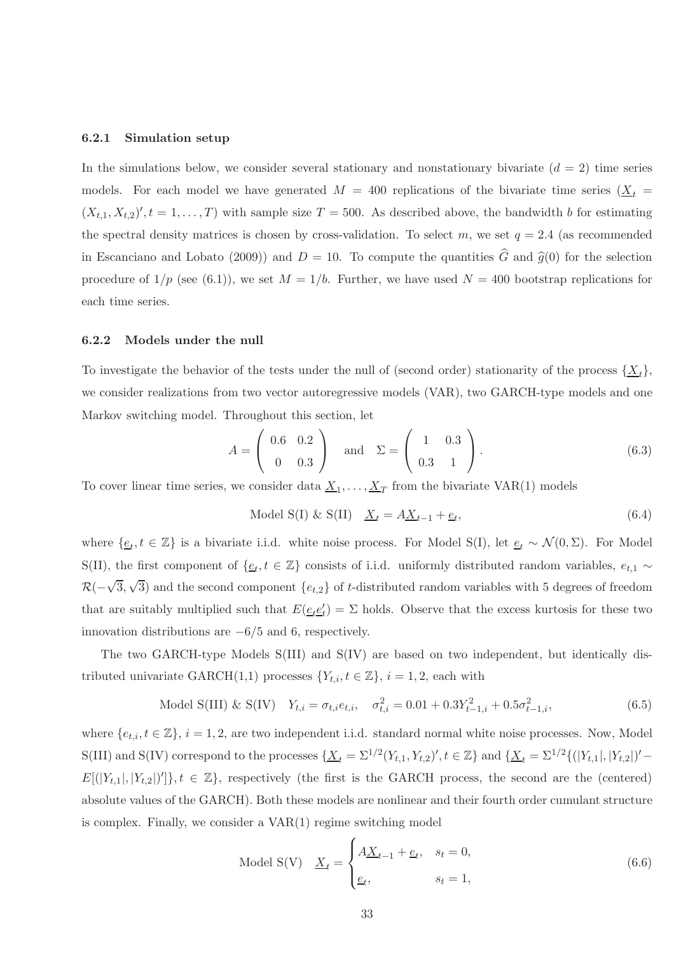#### 6.2.1 Simulation setup

In the simulations below, we consider several stationary and nonstationary bivariate  $(d = 2)$  time series models. For each model we have generated  $M = 400$  replications of the bivariate time series  $(\underline{X}_t =$  $(X_{t,1}, X_{t,2})'$ ,  $t = 1, \ldots, T$  with sample size  $T = 500$ . As described above, the bandwidth b for estimating the spectral density matrices is chosen by cross-validation. To select m, we set  $q = 2.4$  (as recommended in Escanciano and Lobato (2009)) and  $D = 10$ . To compute the quantities  $\hat{G}$  and  $\hat{g}(0)$  for the selection procedure of  $1/p$  (see (6.1)), we set  $M = 1/b$ . Further, we have used  $N = 400$  bootstrap replications for each time series.

## 6.2.2 Models under the null

To investigate the behavior of the tests under the null of (second order) stationarity of the process  $\{\underline{X}_t\}$ , we consider realizations from two vector autoregressive models (VAR), two GARCH-type models and one Markov switching model. Throughout this section, let

$$
A = \begin{pmatrix} 0.6 & 0.2 \\ 0 & 0.3 \end{pmatrix} \text{ and } \Sigma = \begin{pmatrix} 1 & 0.3 \\ 0.3 & 1 \end{pmatrix}.
$$
 (6.3)

To cover linear time series, we consider data  $\underline{X}_1, \ldots, \underline{X}_T$  from the bivariate VAR(1) models

$$
\text{Model S(I)} \& S(II) \quad \underline{X}_t = A \underline{X}_{t-1} + \underline{e}_t,\tag{6.4}
$$

where  $\{\underline{e}_t, t \in \mathbb{Z}\}\$  is a bivariate i.i.d. white noise process. For Model S(I), let  $\underline{e}_t \sim \mathcal{N}(0, \Sigma)$ . For Model S(II), the first component of  $\{\underline{e}_t, t \in \mathbb{Z}\}$  consists of i.i.d. uniformly distributed random variables,  $e_{t,1} \sim$  $\mathcal{R}(-\sqrt{3}, \sqrt{3})$  and the second component  $\{e_{t,2}\}\$  of t-distributed random variables with 5 degrees of freedom that are suitably multiplied such that  $E(\underline{e_t}\underline{e'_t}) = \Sigma$  holds. Observe that the excess kurtosis for these two innovation distributions are  $-6/5$  and 6, respectively.

The two GARCH-type Models S(III) and S(IV) are based on two independent, but identically distributed univariate GARCH(1,1) processes  ${Y_{t,i}, t \in \mathbb{Z}}$ ,  $i = 1, 2$ , each with

Model S(III) & S(IV) 
$$
Y_{t,i} = \sigma_{t,i} e_{t,i}, \quad \sigma_{t,i}^2 = 0.01 + 0.3Y_{t-1,i}^2 + 0.5\sigma_{t-1,i}^2,
$$
 (6.5)

where  $\{e_{t,i}, t \in \mathbb{Z}\}, i = 1, 2$ , are two independent i.i.d. standard normal white noise processes. Now, Model S(III) and S(IV) correspond to the processes  $\{\underline{X}_t = \Sigma^{1/2}(Y_{t,1}, Y_{t,2})', t \in \mathbb{Z}\}\$  and  $\{\underline{X}_t = \Sigma^{1/2}\{(|Y_{t,1}|, |Y_{t,2}|)' E[(|Y_{t,1}|, |Y_{t,2}|)']$ ,  $t \in \mathbb{Z}$ , respectively (the first is the GARCH process, the second are the (centered) absolute values of the GARCH). Both these models are nonlinear and their fourth order cumulant structure is complex. Finally, we consider a VAR(1) regime switching model

$$
\text{Model S(V)} \quad \underline{X}_t = \begin{cases} A\underline{X}_{t-1} + \underline{e}_t, & s_t = 0, \\ \underline{e}_t, & s_t = 1, \end{cases} \tag{6.6}
$$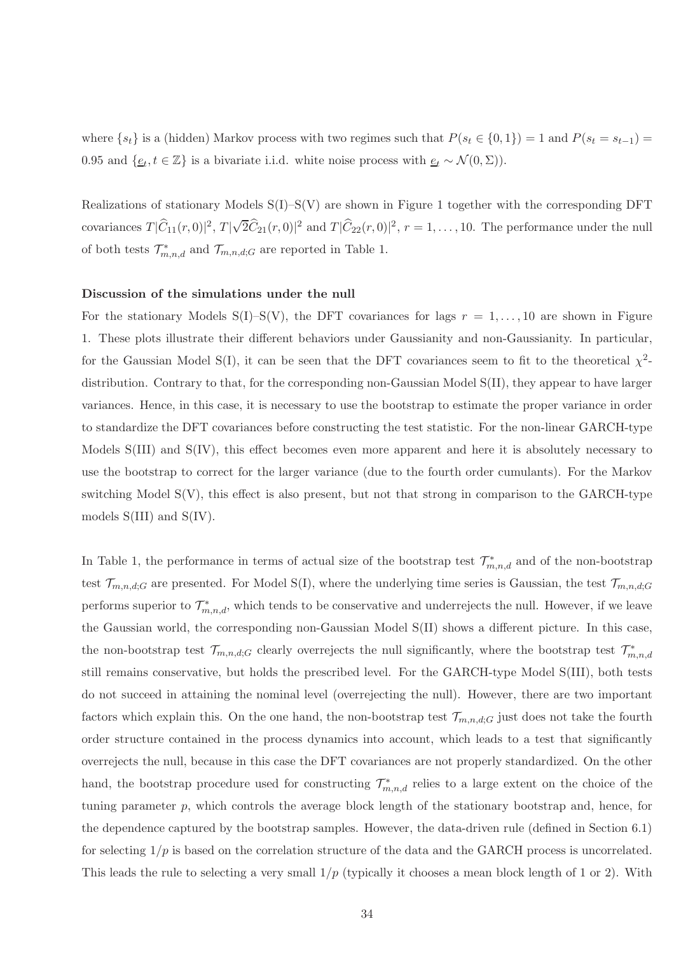where  $\{s_t\}$  is a (hidden) Markov process with two regimes such that  $P(s_t \in \{0,1\}) = 1$  and  $P(s_t = s_{t-1}) =$ 0.95 and  $\{\underline{e}_t, t \in \mathbb{Z}\}\)$  is a bivariate i.i.d. white noise process with  $\underline{e}_t \sim \mathcal{N}(0, \Sigma)$ .

Realizations of stationary Models S(I)–S(V) are shown in Figure 1 together with the corresponding DFT covariances  $T|\widehat{C}_{11}(r,0)|^2$ ,  $T|\sqrt{2}\widehat{C}_{21}(r,0)|^2$  and  $T|\widehat{C}_{22}(r,0)|^2$ ,  $r=1,\ldots,10$ . The performance under the null of both tests  $\mathcal{T}_{m,n,d}^*$  and  $\mathcal{T}_{m,n,d;G}$  are reported in Table 1.

## Discussion of the simulations under the null

For the stationary Models S(I)–S(V), the DFT covariances for lags  $r = 1, \ldots, 10$  are shown in Figure 1. These plots illustrate their different behaviors under Gaussianity and non-Gaussianity. In particular, for the Gaussian Model S(I), it can be seen that the DFT covariances seem to fit to the theoretical  $\chi^2$ distribution. Contrary to that, for the corresponding non-Gaussian Model S(II), they appear to have larger variances. Hence, in this case, it is necessary to use the bootstrap to estimate the proper variance in order to standardize the DFT covariances before constructing the test statistic. For the non-linear GARCH-type Models S(III) and S(IV), this effect becomes even more apparent and here it is absolutely necessary to use the bootstrap to correct for the larger variance (due to the fourth order cumulants). For the Markov switching Model S(V), this effect is also present, but not that strong in comparison to the GARCH-type models S(III) and S(IV).

In Table 1, the performance in terms of actual size of the bootstrap test  $\mathcal{T}_{m,n,d}^*$  and of the non-bootstrap test  $\mathcal{T}_{m,n,d;G}$  are presented. For Model S(I), where the underlying time series is Gaussian, the test  $\mathcal{T}_{m,n,d;G}$ performs superior to  $\mathcal{T}_{m,n,d}^*$ , which tends to be conservative and underrejects the null. However, if we leave the Gaussian world, the corresponding non-Gaussian Model S(II) shows a different picture. In this case, the non-bootstrap test  $\mathcal{T}_{m,n,d;G}$  clearly overrejects the null significantly, where the bootstrap test  $\mathcal{T}_{m,n,d}^*$ still remains conservative, but holds the prescribed level. For the GARCH-type Model S(III), both tests do not succeed in attaining the nominal level (overrejecting the null). However, there are two important factors which explain this. On the one hand, the non-bootstrap test  $\mathcal{T}_{m,n,d;G}$  just does not take the fourth order structure contained in the process dynamics into account, which leads to a test that significantly overrejects the null, because in this case the DFT covariances are not properly standardized. On the other hand, the bootstrap procedure used for constructing  $\mathcal{T}_{m,n,d}^*$  relies to a large extent on the choice of the tuning parameter p, which controls the average block length of the stationary bootstrap and, hence, for the dependence captured by the bootstrap samples. However, the data-driven rule (defined in Section 6.1) for selecting  $1/p$  is based on the correlation structure of the data and the GARCH process is uncorrelated. This leads the rule to selecting a very small  $1/p$  (typically it chooses a mean block length of 1 or 2). With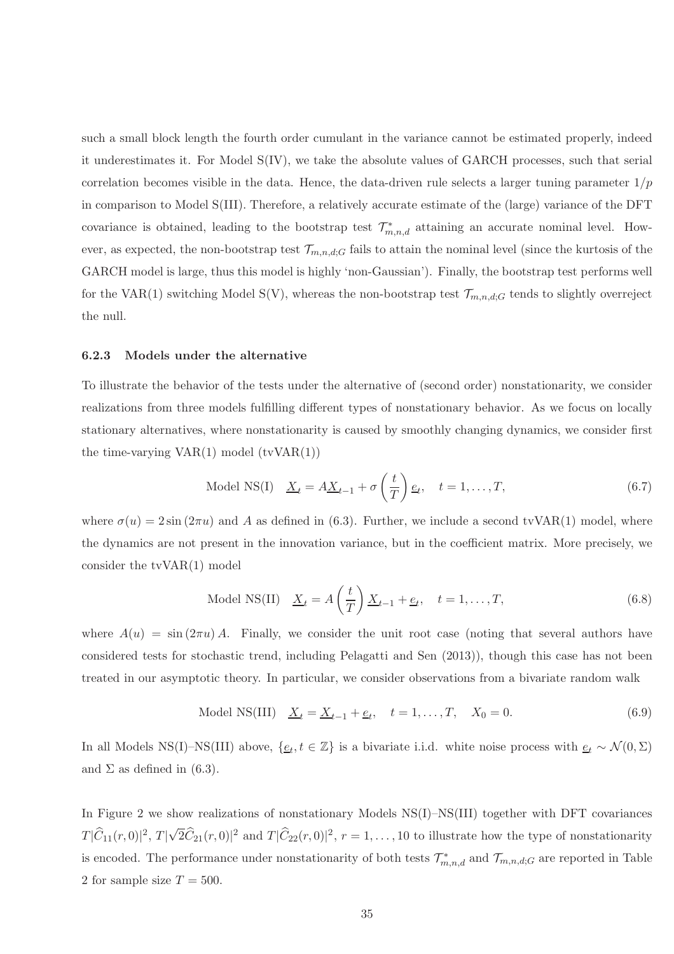such a small block length the fourth order cumulant in the variance cannot be estimated properly, indeed it underestimates it. For Model S(IV), we take the absolute values of GARCH processes, such that serial correlation becomes visible in the data. Hence, the data-driven rule selects a larger tuning parameter  $1/p$ in comparison to Model S(III). Therefore, a relatively accurate estimate of the (large) variance of the DFT covariance is obtained, leading to the bootstrap test  $\mathcal{T}_{m,n,d}^*$  attaining an accurate nominal level. However, as expected, the non-bootstrap test  $\mathcal{T}_{m,n,d;G}$  fails to attain the nominal level (since the kurtosis of the GARCH model is large, thus this model is highly 'non-Gaussian'). Finally, the bootstrap test performs well for the VAR(1) switching Model S(V), whereas the non-bootstrap test  $\mathcal{T}_{m,n,d;G}$  tends to slightly overreject the null.

## 6.2.3 Models under the alternative

To illustrate the behavior of the tests under the alternative of (second order) nonstationarity, we consider realizations from three models fulfilling different types of nonstationary behavior. As we focus on locally stationary alternatives, where nonstationarity is caused by smoothly changing dynamics, we consider first the time-varying  $VAR(1) \text{ model (tvVAR}(1))$ 

Model NS(I) 
$$
\underline{X}_t = A \underline{X}_{t-1} + \sigma \left(\frac{t}{T}\right) \underline{e}_t, \quad t = 1, ..., T,
$$
 (6.7)

where  $\sigma(u) = 2 \sin(2\pi u)$  and A as defined in (6.3). Further, we include a second tvVAR(1) model, where the dynamics are not present in the innovation variance, but in the coefficient matrix. More precisely, we consider the tvVAR(1) model

Model NS(II) 
$$
\underline{X}_t = A\left(\frac{t}{T}\right)\underline{X}_{t-1} + \underline{e}_t, \quad t = 1, \dots, T,
$$
 (6.8)

where  $A(u) = \sin(2\pi u) A$ . Finally, we consider the unit root case (noting that several authors have considered tests for stochastic trend, including Pelagatti and Sen (2013)), though this case has not been treated in our asymptotic theory. In particular, we consider observations from a bivariate random walk

Model NS(III) 
$$
\underline{X}_t = \underline{X}_{t-1} + \underline{e}_t, \quad t = 1, ..., T, \quad X_0 = 0.
$$
 (6.9)

In all Models NS(I)–NS(III) above,  $\{\underline{e}_t, t \in \mathbb{Z}\}$  is a bivariate i.i.d. white noise process with  $\underline{e}_t \sim \mathcal{N}(0, \Sigma)$ and  $\Sigma$  as defined in (6.3).

In Figure 2 we show realizations of nonstationary Models NS(I)–NS(III) together with DFT covariances  $T|\widehat{C}_{11}(r,0)|^2$ ,  $T|\sqrt{2}\widehat{C}_{21}(r,0)|^2$  and  $T|\widehat{C}_{22}(r,0)|^2$ ,  $r=1,\ldots,10$  to illustrate how the type of nonstationarity is encoded. The performance under nonstationarity of both tests  $\mathcal{T}_{m,n,d}^*$  and  $\mathcal{T}_{m,n,d;G}$  are reported in Table 2 for sample size  $T = 500$ .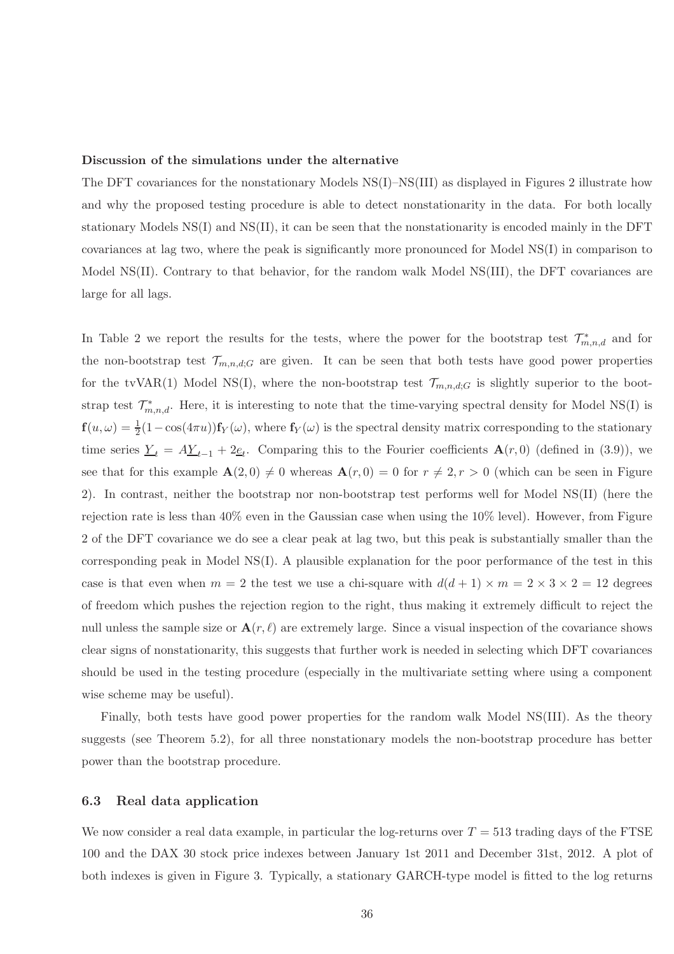#### Discussion of the simulations under the alternative

The DFT covariances for the nonstationary Models NS(I)–NS(III) as displayed in Figures 2 illustrate how and why the proposed testing procedure is able to detect nonstationarity in the data. For both locally stationary Models NS(I) and NS(II), it can be seen that the nonstationarity is encoded mainly in the DFT covariances at lag two, where the peak is significantly more pronounced for Model NS(I) in comparison to Model NS(II). Contrary to that behavior, for the random walk Model NS(III), the DFT covariances are large for all lags.

In Table 2 we report the results for the tests, where the power for the bootstrap test  $\mathcal{T}_{m,n,d}^*$  and for the non-bootstrap test  $\mathcal{T}_{m,n,d;G}$  are given. It can be seen that both tests have good power properties for the tvVAR(1) Model NS(I), where the non-bootstrap test  $\mathcal{T}_{m,n,d;G}$  is slightly superior to the bootstrap test  $\mathcal{T}_{m,n,d}^*$ . Here, it is interesting to note that the time-varying spectral density for Model NS(I) is  $\mathbf{f}(u,\omega) = \frac{1}{2}(1-\cos(4\pi u))\mathbf{f}_Y(\omega)$ , where  $\mathbf{f}_Y(\omega)$  is the spectral density matrix corresponding to the stationary time series  $\underline{Y}_t = A\underline{Y}_{t-1} + 2\underline{e}_t$ . Comparing this to the Fourier coefficients  $\mathbf{A}(r,0)$  (defined in (3.9)), we see that for this example  $\mathbf{A}(2,0) \neq 0$  whereas  $\mathbf{A}(r,0) = 0$  for  $r \neq 2, r > 0$  (which can be seen in Figure 2). In contrast, neither the bootstrap nor non-bootstrap test performs well for Model NS(II) (here the rejection rate is less than 40% even in the Gaussian case when using the 10% level). However, from Figure 2 of the DFT covariance we do see a clear peak at lag two, but this peak is substantially smaller than the corresponding peak in Model NS(I). A plausible explanation for the poor performance of the test in this case is that even when  $m = 2$  the test we use a chi-square with  $d(d + 1) \times m = 2 \times 3 \times 2 = 12$  degrees of freedom which pushes the rejection region to the right, thus making it extremely difficult to reject the null unless the sample size or  $\mathbf{A}(r,\ell)$  are extremely large. Since a visual inspection of the covariance shows clear signs of nonstationarity, this suggests that further work is needed in selecting which DFT covariances should be used in the testing procedure (especially in the multivariate setting where using a component wise scheme may be useful).

Finally, both tests have good power properties for the random walk Model NS(III). As the theory suggests (see Theorem 5.2), for all three nonstationary models the non-bootstrap procedure has better power than the bootstrap procedure.

## 6.3 Real data application

We now consider a real data example, in particular the log-returns over  $T = 513$  trading days of the FTSE 100 and the DAX 30 stock price indexes between January 1st 2011 and December 31st, 2012. A plot of both indexes is given in Figure 3. Typically, a stationary GARCH-type model is fitted to the log returns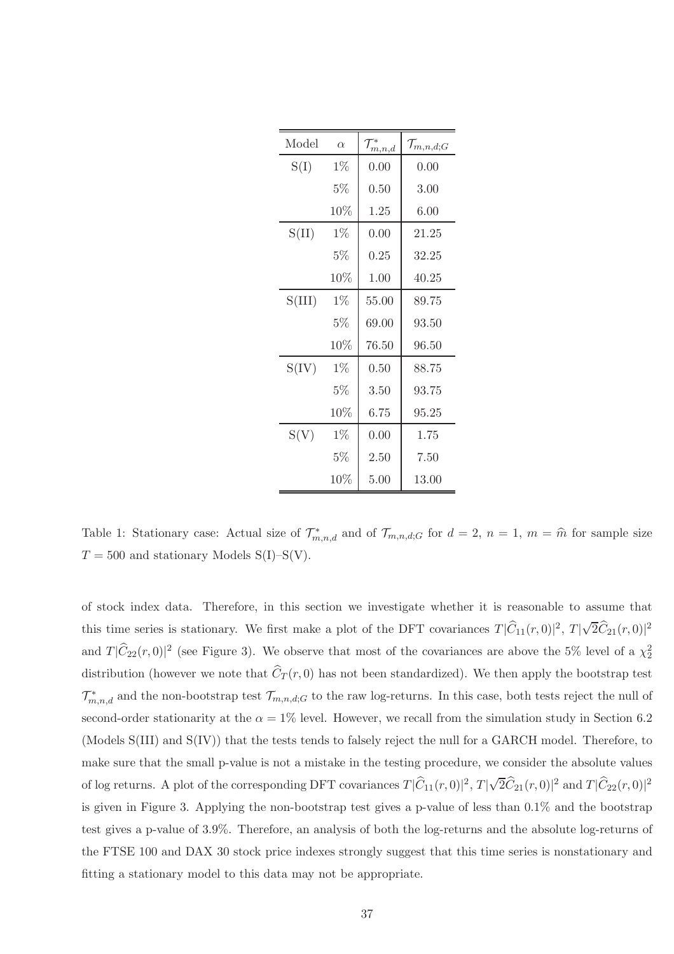| Model  | $\alpha$ | m,n,d | $\mathcal{T}_{m,n,d;G}$ |
|--------|----------|-------|-------------------------|
| S(I)   | $1\%$    | 0.00  | 0.00                    |
|        | $5\%$    | 0.50  | 3.00                    |
|        | 10%      | 1.25  | 6.00                    |
| S(II)  | $1\%$    | 0.00  | 21.25                   |
|        | $5\%$    | 0.25  | 32.25                   |
|        | 10%      | 1.00  | 40.25                   |
| S(III) | $1\%$    | 55.00 | 89.75                   |
|        | $5\%$    | 69.00 | 93.50                   |
|        | 10%      | 76.50 | 96.50                   |
| S(IV)  | $1\%$    | 0.50  | 88.75                   |
|        | $5\%$    | 3.50  | 93.75                   |
|        | 10%      | 6.75  | 95.25                   |
| S(V)   | $1\%$    | 0.00  | $1.75\,$                |
|        | $5\%$    | 2.50  | 7.50                    |
|        | 10%      | 5.00  | 13.00                   |

Table 1: Stationary case: Actual size of  $\mathcal{T}_{m,n,d}^*$  and of  $\mathcal{T}_{m,n,d,G}$  for  $d=2$ ,  $n=1$ ,  $m=\hat{m}$  for sample size  $T = 500$  and stationary Models S(I)–S(V).

of stock index data. Therefore, in this section we investigate whether it is reasonable to assume that this time series is stationary. We first make a plot of the DFT covariances  $T|\widehat{C}_{11}(r,0)|^2$ ,  $T|\sqrt{2}\widehat{C}_{21}(r,0)|^2$ and  $T|\widehat{C}_{22}(r,0)|^2$  (see Figure 3). We observe that most of the covariances are above the 5% level of a  $\chi^2$ distribution (however we note that  $\widehat{C}_T (r, 0)$  has not been standardized). We then apply the bootstrap test  $\mathcal{T}_{m,n,d}^*$  and the non-bootstrap test  $\mathcal{T}_{m,n,d;G}$  to the raw log-returns. In this case, both tests reject the null of second-order stationarity at the  $\alpha = 1\%$  level. However, we recall from the simulation study in Section 6.2 (Models S(III) and S(IV)) that the tests tends to falsely reject the null for a GARCH model. Therefore, to make sure that the small p-value is not a mistake in the testing procedure, we consider the absolute values of log returns. A plot of the corresponding DFT covariances  $T|\widehat{C}_{11}(r,0)|^2$ ,  $T|\sqrt{2}\widehat{C}_{21}(r,0)|^2$  and  $T|\widehat{C}_{22}(r,0)|^2$ is given in Figure 3. Applying the non-bootstrap test gives a p-value of less than 0.1% and the bootstrap test gives a p-value of 3.9%. Therefore, an analysis of both the log-returns and the absolute log-returns of the FTSE 100 and DAX 30 stock price indexes strongly suggest that this time series is nonstationary and fitting a stationary model to this data may not be appropriate.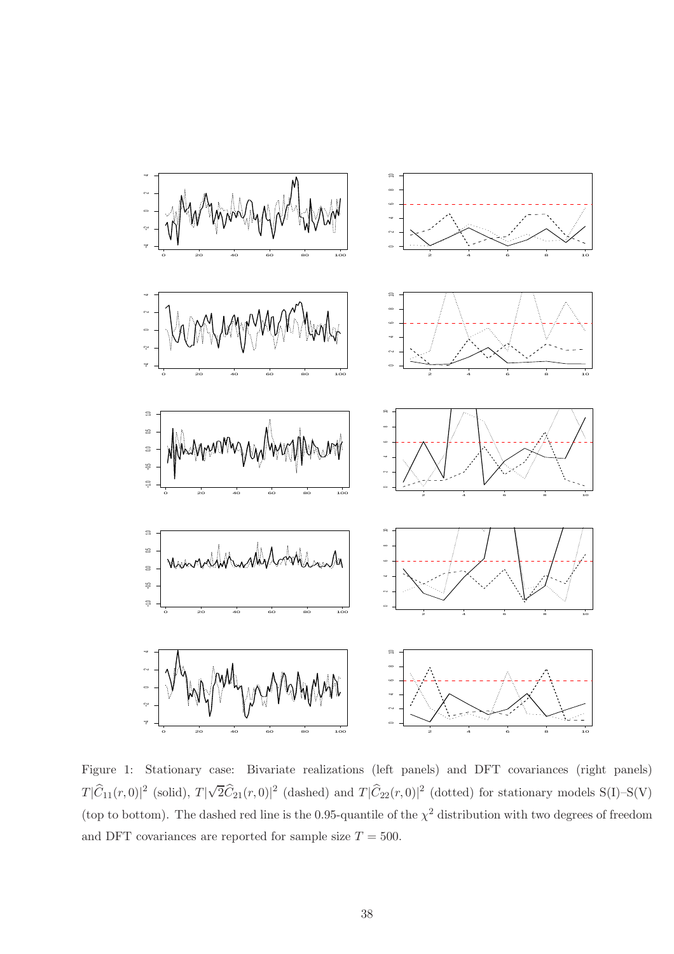

Figure 1: Stationary case: Bivariate realizations (left panels) and DFT covariances (right panels)  $T|\widehat{C}_{11}(r,0)|^2$  (solid),  $T|\sqrt{2}\widehat{C}_{21}(r,0)|^2$  (dashed) and  $T|\widehat{C}_{22}(r,0)|^2$  (dotted) for stationary models S(I)–S(V) (top to bottom). The dashed red line is the 0.95-quantile of the  $\chi^2$  distribution with two degrees of freedom and DFT covariances are reported for sample size  $T = 500$ .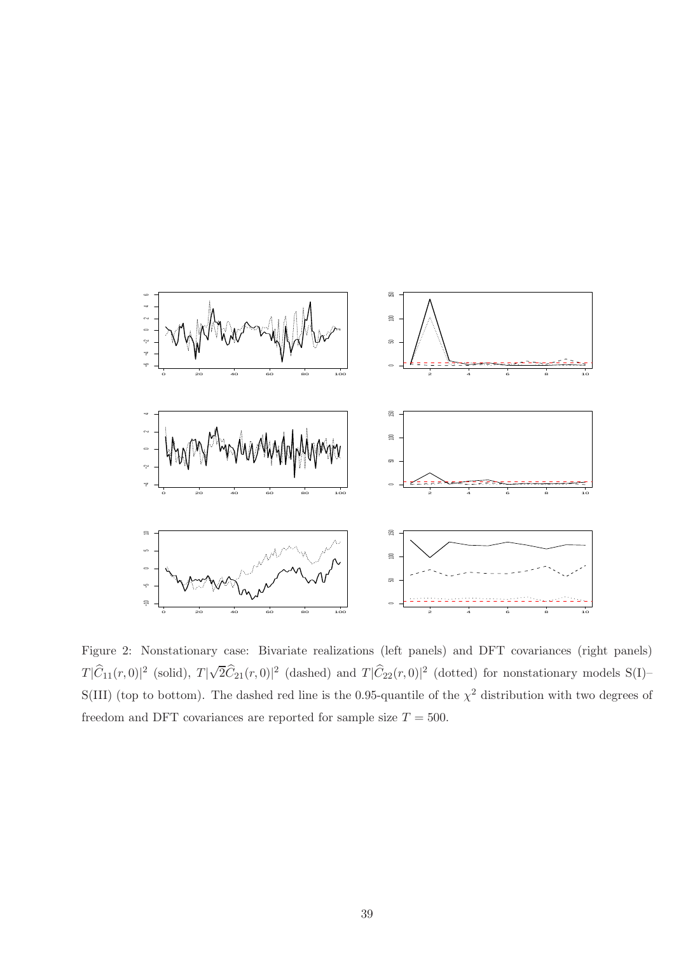

Figure 2: Nonstationary case: Bivariate realizations (left panels) and DFT covariances (right panels)  $T|\widehat{C}_{11}(r,0)|^2$  (solid),  $T|\sqrt{2}\widehat{C}_{21}(r,0)|^2$  (dashed) and  $T|\widehat{C}_{22}(r,0)|^2$  (dotted) for nonstationary models S(I)– S(III) (top to bottom). The dashed red line is the 0.95-quantile of the  $\chi^2$  distribution with two degrees of freedom and DFT covariances are reported for sample size  $T = 500$ .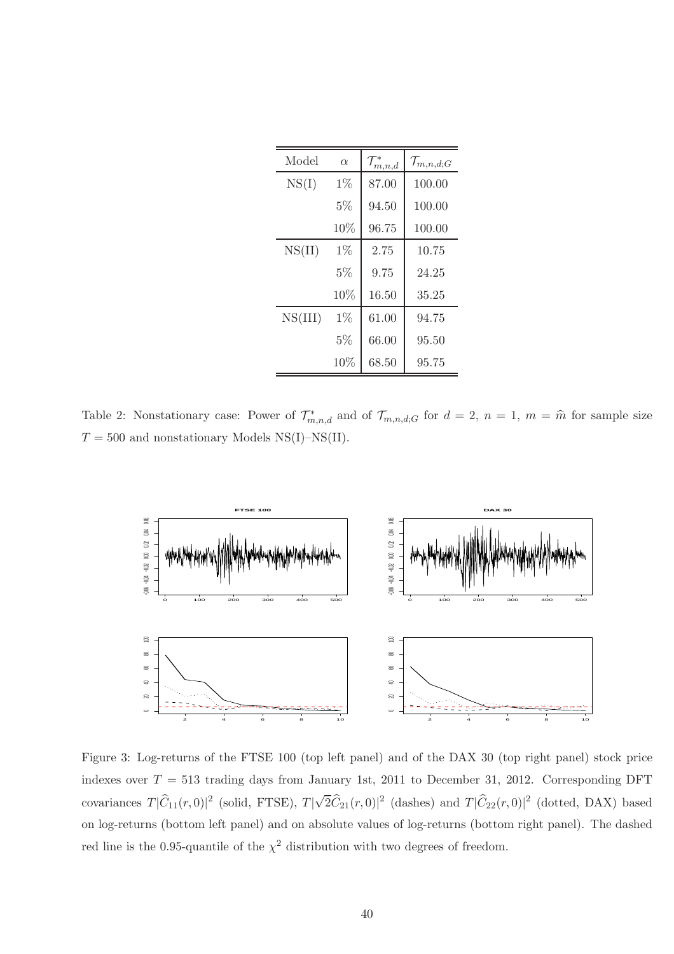| Model   | $\alpha$ | $\mathcal{T}_{m,n,d}^*$ | $\mathcal{T}_{m,n,d;G}$ |
|---------|----------|-------------------------|-------------------------|
| NS(I)   | $1\%$    | 87.00                   | 100.00                  |
|         | 5%       | 94.50                   | 100.00                  |
|         | 10%      | 96.75                   | 100.00                  |
| NS(II)  | $1\%$    | 2.75                    | 10.75                   |
|         | 5%       | 9.75                    | 24.25                   |
|         | 10%      | 16.50                   | 35.25                   |
| NS(III) | $1\%$    | 61.00                   | 94.75                   |
|         | 5%       | 66.00                   | 95.50                   |
|         | 10%      | 68.50                   | 95.75                   |

Table 2: Nonstationary case: Power of  $\mathcal{T}_{m,n,d}^*$  and of  $\mathcal{T}_{m,n,d;G}$  for  $d=2$ ,  $n=1$ ,  $m=\hat{m}$  for sample size  $T = 500$  and nonstationary Models NS(I)–NS(II).



Figure 3: Log-returns of the FTSE 100 (top left panel) and of the DAX 30 (top right panel) stock price indexes over  $T = 513$  trading days from January 1st, 2011 to December 31, 2012. Corresponding DFT covariances  $T|\widehat{C}_{11}(r,0)|^2$  (solid, FTSE),  $T|\sqrt{2}\widehat{C}_{21}(r,0)|^2$  (dashes) and  $T|\widehat{C}_{22}(r,0)|^2$  (dotted, DAX) based on log-returns (bottom left panel) and on absolute values of log-returns (bottom right panel). The dashed red line is the 0.95-quantile of the  $\chi^2$  distribution with two degrees of freedom.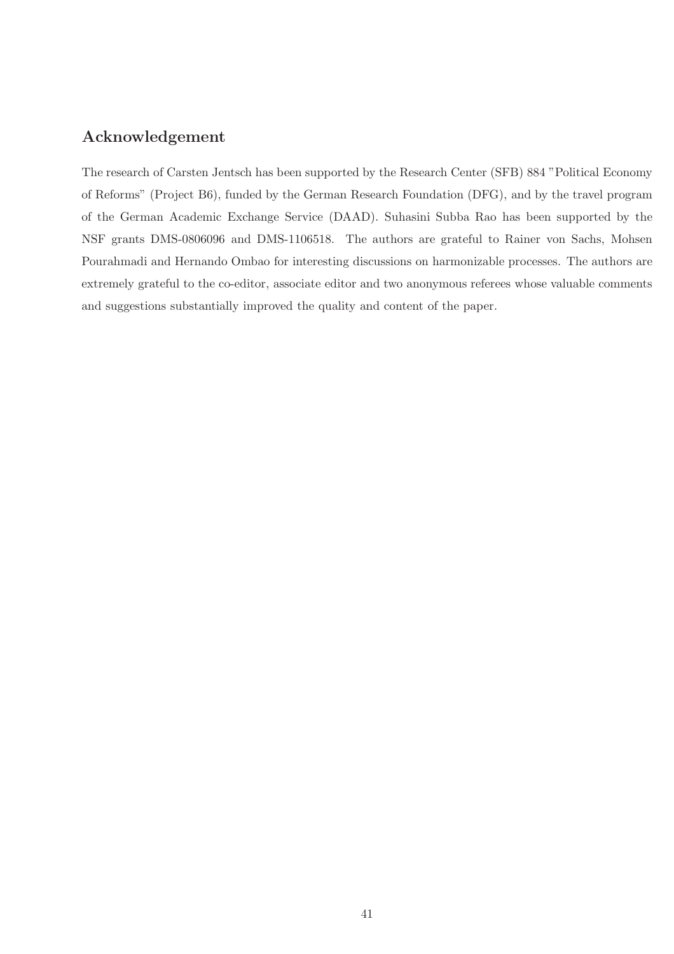# Acknowledgement

The research of Carsten Jentsch has been supported by the Research Center (SFB) 884 "Political Economy of Reforms" (Project B6), funded by the German Research Foundation (DFG), and by the travel program of the German Academic Exchange Service (DAAD). Suhasini Subba Rao has been supported by the NSF grants DMS-0806096 and DMS-1106518. The authors are grateful to Rainer von Sachs, Mohsen Pourahmadi and Hernando Ombao for interesting discussions on harmonizable processes. The authors are extremely grateful to the co-editor, associate editor and two anonymous referees whose valuable comments and suggestions substantially improved the quality and content of the paper.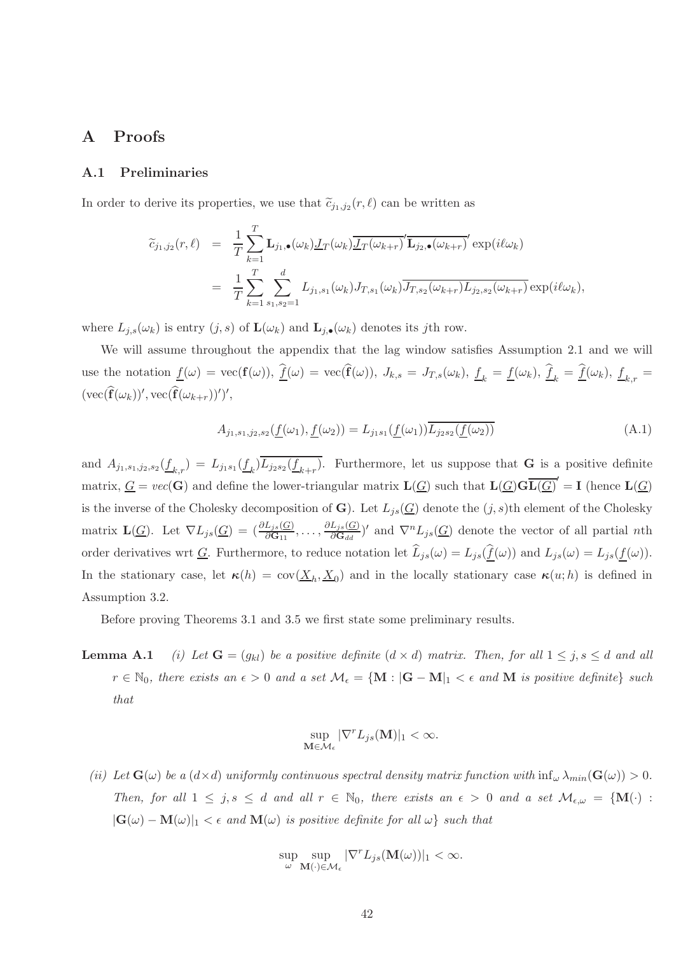## A Proofs

### A.1 Preliminaries

In order to derive its properties, we use that  $\tilde{c}_{j_1,j_2}(r,\ell)$  can be written as

$$
\widetilde{c}_{j_1,j_2}(r,\ell) = \frac{1}{T} \sum_{k=1}^T \mathbf{L}_{j_1,\bullet}(\omega_k) \underline{J}_T(\omega_k) \overline{J}_T(\omega_{k+r})' \mathbf{L}_{j_2,\bullet}(\omega_{k+r})' \exp(i\ell\omega_k)
$$
  
\n
$$
= \frac{1}{T} \sum_{k=1}^T \sum_{s_1,s_2=1}^d L_{j_1,s_1}(\omega_k) J_{T,s_1}(\omega_k) \overline{J_{T,s_2}(\omega_{k+r})} L_{j_2,s_2}(\omega_{k+r}) \exp(i\ell\omega_k),
$$

where  $L_{j,s}(\omega_k)$  is entry  $(j, s)$  of  $\mathbf{L}(\omega_k)$  and  $\mathbf{L}_{j,\bullet}(\omega_k)$  denotes its jth row.

We will assume throughout the appendix that the lag window satisfies Assumption 2.1 and we will use the notation  $\underline{f}(\omega) = \text{vec}(\mathbf{f}(\omega))$ ,  $\underline{f}(\omega) = \text{vec}(\mathbf{f}(\omega))$ ,  $J_{k,s} = J_{T,s}(\omega_k)$ ,  $\underline{f}_k = \underline{f}(\omega_k)$ ,  $\underline{f}_k = \underline{f}(\omega_k)$ ,  $\underline{f}_{k,r} =$  $(\text{vec}(\mathbf{f}(\omega_k))', \text{vec}(\mathbf{f}(\omega_{k+r}))')',$ 

$$
A_{j_1,s_1,j_2,s_2}(\underline{f}(\omega_1),\underline{f}(\omega_2)) = L_{j_1s_1}(\underline{f}(\omega_1))\overline{L_{j_2s_2}(\underline{f}(\omega_2))}
$$
(A.1)

and  $A_{j_1,s_1,j_2,s_2}(\underline{f}_{k,r}) = L_{j_1s_1}(\underline{f}_k)L_{j_2s_2}(\underline{f}_{k+r})$ . Furthermore, let us suppose that **G** is a positive definite matrix,  $G = vec(G)$  and define the lower-triangular matrix  $L(G)$  such that  $L(G)G\overline{L(G)}' = I$  (hence  $L(G)$ ) is the inverse of the Cholesky decomposition of G). Let  $L_{js}(\underline{G})$  denote the  $(j, s)$ th element of the Cholesky matrix  $\mathbf{L}(\underline{G})$ . Let  $\nabla L_{js}(\underline{G}) = \left(\frac{\partial L_{js}(\underline{G})}{\partial \mathbf{G}_{11}}, \ldots, \frac{\partial L_{js}(\underline{G})}{\partial \mathbf{G}_{dd}}\right)'$  and  $\nabla^n L_{js}(\underline{G})$  denote the vector of all partial *n*th order derivatives wrt <u>G</u>. Furthermore, to reduce notation let  $\widehat{L}_{js}(\omega) = L_{js}(\widehat{f}(\omega))$  and  $L_{js}(\omega) = L_{js}(f(\omega))$ . In the stationary case, let  $\kappa(h) = \text{cov}(\underline{X}_h, \underline{X}_0)$  and in the locally stationary case  $\kappa(u; h)$  is defined in Assumption 3.2.

Before proving Theorems 3.1 and 3.5 we first state some preliminary results.

**Lemma A.1** (i) Let  $G = (g_{kl})$  be a positive definite  $(d \times d)$  matrix. Then, for all  $1 \leq j, s \leq d$  and all  $r \in \mathbb{N}_0$ , there exists an  $\epsilon > 0$  and a set  $\mathcal{M}_{\epsilon} = {\bf M} : |{\bf G} - {\bf M}|_1 < \epsilon$  and **M** is positive definite} such that

$$
\sup_{\mathbf{M}\in\mathcal{M}_{\epsilon}}|\nabla^r L_{js}(\mathbf{M})|_1 < \infty.
$$

(ii) Let  $\mathbf{G}(\omega)$  be a  $(d \times d)$  uniformly continuous spectral density matrix function with  $\inf_{\omega} \lambda_{min}(\mathbf{G}(\omega)) > 0$ . Then, for all  $1 \leq j, s \leq d$  and all  $r \in \mathbb{N}_0$ , there exists an  $\epsilon > 0$  and a set  $\mathcal{M}_{\epsilon,\omega} = {\bf M}(\cdot)$ :  $|\mathbf{G}(\omega) - \mathbf{M}(\omega)|_1 < \epsilon$  and  $\mathbf{M}(\omega)$  is positive definite for all  $\omega\}$  such that

$$
\sup_{\omega}\sup_{\mathbf{M}(\cdot)\in\mathcal{M}_{\epsilon}}|\nabla^rL_{js}(\mathbf{M}(\omega))|_1<\infty.
$$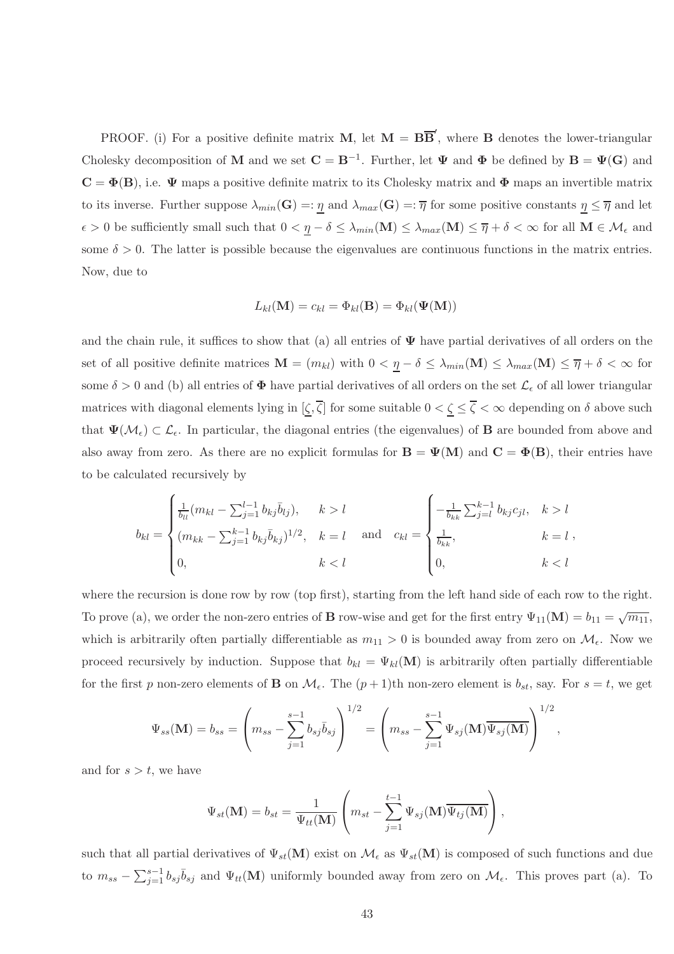PROOF. (i) For a positive definite matrix **M**, let  $\mathbf{M} = \mathbf{B}\overline{\mathbf{B}}'$ , where **B** denotes the lower-triangular Cholesky decomposition of M and we set  $C = B^{-1}$ . Further, let  $\Psi$  and  $\Phi$  be defined by  $B = \Psi(G)$  and  $C = \Phi(B)$ , i.e.  $\Psi$  maps a positive definite matrix to its Cholesky matrix and  $\Phi$  maps an invertible matrix to its inverse. Further suppose  $\lambda_{min}(\mathbf{G}) =: \eta$  and  $\lambda_{max}(\mathbf{G}) =: \overline{\eta}$  for some positive constants  $\eta \leq \overline{\eta}$  and let  $\epsilon > 0$  be sufficiently small such that  $0 < \underline{\eta} - \delta \leq \lambda_{min}(\mathbf{M}) \leq \lambda_{max}(\mathbf{M}) \leq \overline{\eta} + \delta < \infty$  for all  $\mathbf{M} \in \mathcal{M}_{\epsilon}$  and some  $\delta > 0$ . The latter is possible because the eigenvalues are continuous functions in the matrix entries. Now, due to

$$
L_{kl}(\mathbf{M})=c_{kl}=\Phi_{kl}(\mathbf{B})=\Phi_{kl}(\mathbf{\Psi}(\mathbf{M}))
$$

and the chain rule, it suffices to show that (a) all entries of  $\Psi$  have partial derivatives of all orders on the set of all positive definite matrices  $\mathbf{M} = (m_{kl})$  with  $0 < \eta - \delta \leq \lambda_{min}(\mathbf{M}) \leq \lambda_{max}(\mathbf{M}) \leq \overline{\eta} + \delta < \infty$  for some  $\delta > 0$  and (b) all entries of  $\Phi$  have partial derivatives of all orders on the set  $\mathcal{L}_{\epsilon}$  of all lower triangular matrices with diagonal elements lying in  $[\zeta, \overline{\zeta}]$  for some suitable  $0 < \zeta \leq \overline{\zeta} < \infty$  depending on  $\delta$  above such that  $\Psi(\mathcal{M}_{\epsilon}) \subset \mathcal{L}_{\epsilon}$ . In particular, the diagonal entries (the eigenvalues) of **B** are bounded from above and also away from zero. As there are no explicit formulas for  $B = \Psi(M)$  and  $C = \Phi(B)$ , their entries have to be calculated recursively by

$$
b_{kl} = \begin{cases} \frac{1}{b_{ll}}(m_{kl} - \sum_{j=1}^{l-1} b_{kj}\bar{b}_{lj}), & k > l \\ (m_{kk} - \sum_{j=1}^{k-1} b_{kj}\bar{b}_{kj})^{1/2}, & k = l \\ 0, & k < l \end{cases} \text{ and } c_{kl} = \begin{cases} -\frac{1}{b_{kk}} \sum_{j=l}^{k-1} b_{kj}c_{jl}, & k > l \\ \frac{1}{b_{kk}}, & k = l \\ 0, & k < l \end{cases}
$$

where the recursion is done row by row (top first), starting from the left hand side of each row to the right. To prove (a), we order the non-zero entries of **B** row-wise and get for the first entry  $\Psi_{11}(\mathbf{M}) = b_{11} = \sqrt{m_{11}}$ , which is arbitrarily often partially differentiable as  $m_{11} > 0$  is bounded away from zero on  $\mathcal{M}_{\epsilon}$ . Now we proceed recursively by induction. Suppose that  $b_{kl} = \Psi_{kl}(\mathbf{M})$  is arbitrarily often partially differentiable for the first p non-zero elements of **B** on  $\mathcal{M}_{\epsilon}$ . The  $(p+1)$ th non-zero element is  $b_{st}$ , say. For  $s = t$ , we get

$$
\Psi_{ss}(\mathbf{M}) = b_{ss} = \left( m_{ss} - \sum_{j=1}^{s-1} b_{sj} \overline{b}_{sj} \right)^{1/2} = \left( m_{ss} - \sum_{j=1}^{s-1} \Psi_{sj}(\mathbf{M}) \overline{\Psi_{sj}(\mathbf{M})} \right)^{1/2}
$$

,

and for  $s > t$ , we have

$$
\Psi_{st}(\mathbf{M}) = b_{st} = \frac{1}{\Psi_{tt}(\mathbf{M})} \left( m_{st} - \sum_{j=1}^{t-1} \Psi_{sj}(\mathbf{M}) \overline{\Psi_{tj}(\mathbf{M})} \right),
$$

such that all partial derivatives of  $\Psi_{st}(M)$  exist on  $\mathcal{M}_{\epsilon}$  as  $\Psi_{st}(M)$  is composed of such functions and due to  $m_{ss} - \sum_{j=1}^{s-1} b_{sj} \bar{b}_{sj}$  and  $\Psi_{tt}(\mathbf{M})$  uniformly bounded away from zero on  $\mathcal{M}_{\epsilon}$ . This proves part (a). To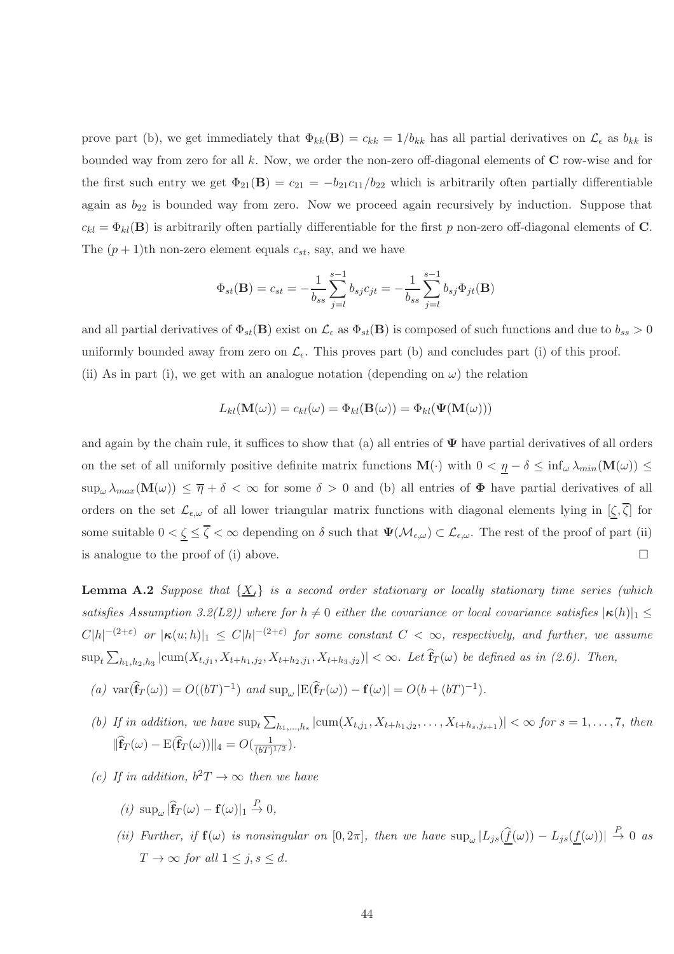prove part (b), we get immediately that  $\Phi_{kk}(\mathbf{B}) = c_{kk} = 1/b_{kk}$  has all partial derivatives on  $\mathcal{L}_{\epsilon}$  as  $b_{kk}$  is bounded way from zero for all  $k$ . Now, we order the non-zero off-diagonal elements of  $C$  row-wise and for the first such entry we get  $\Phi_{21}(\mathbf{B}) = c_{21} = -b_{21}c_{11}/b_{22}$  which is arbitrarily often partially differentiable again as  $b_{22}$  is bounded way from zero. Now we proceed again recursively by induction. Suppose that  $c_{kl} = \Phi_{kl}(\mathbf{B})$  is arbitrarily often partially differentiable for the first p non-zero off-diagonal elements of C. The  $(p+1)$ th non-zero element equals  $c_{st}$ , say, and we have

$$
\Phi_{st}(\mathbf{B}) = c_{st} = -\frac{1}{b_{ss}} \sum_{j=l}^{s-1} b_{sj} c_{jt} = -\frac{1}{b_{ss}} \sum_{j=l}^{s-1} b_{sj} \Phi_{jt}(\mathbf{B})
$$

and all partial derivatives of  $\Phi_{st}(\mathbf{B})$  exist on  $\mathcal{L}_{\epsilon}$  as  $\Phi_{st}(\mathbf{B})$  is composed of such functions and due to  $b_{ss} > 0$ uniformly bounded away from zero on  $\mathcal{L}_{\epsilon}$ . This proves part (b) and concludes part (i) of this proof. (ii) As in part (i), we get with an analogue notation (depending on  $\omega$ ) the relation

$$
L_{kl}(\mathbf{M}(\omega)) = c_{kl}(\omega) = \Phi_{kl}(\mathbf{B}(\omega)) = \Phi_{kl}(\mathbf{\Psi}(\mathbf{M}(\omega)))
$$

and again by the chain rule, it suffices to show that (a) all entries of  $\Psi$  have partial derivatives of all orders on the set of all uniformly positive definite matrix functions  $\mathbf{M}(\cdot)$  with  $0 < \underline{\eta} - \delta \leq \inf_{\omega} \lambda_{min}(\mathbf{M}(\omega)) \leq$  $\sup_{\omega} \lambda_{max}(\mathbf{M}(\omega)) \leq \overline{\eta} + \delta < \infty$  for some  $\delta > 0$  and (b) all entries of  $\Phi$  have partial derivatives of all orders on the set  $\mathcal{L}_{\epsilon,\omega}$  of all lower triangular matrix functions with diagonal elements lying in  $[\underline{\zeta}, \overline{\zeta}]$  for some suitable  $0 < \underline{\zeta} \leq \overline{\zeta} < \infty$  depending on  $\delta$  such that  $\Psi(\mathcal{M}_{\epsilon,\omega}) \subset \mathcal{L}_{\epsilon,\omega}$ . The rest of the proof of part (ii) is analogue to the proof of (i) above.

**Lemma A.2** Suppose that  $\{\underline{X}_t\}$  is a second order stationary or locally stationary time series (which satisfies Assumption 3.2(L2)) where for  $h \neq 0$  either the covariance or local covariance satisfies  $|\kappa(h)|_1 \leq$  $C|h|^{-(2+\varepsilon)}$  or  $|\kappa(u;h)|_1 \leq C|h|^{-(2+\varepsilon)}$  for some constant  $C < \infty$ , respectively, and further, we assume  $\sup_t \sum_{h_1,h_2,h_3} |\text{cum}(X_{t,j_1}, X_{t+h_1,j_2}, X_{t+h_2,j_1}, X_{t+h_3,j_2})| < \infty$ . Let  $\hat{f}_T(\omega)$  be defined as in (2.6). Then,

- (a)  $\text{var}(\mathbf{f}_T(\omega)) = O((bT)^{-1})$  and  $\text{sup}_{\omega} |E(\mathbf{f}_T(\omega)) \mathbf{f}(\omega)| = O(b + (bT)^{-1}).$
- (b) If in addition, we have  $\sup_t \sum_{h_1,\dots,h_s} |\text{cum}(X_{t,j_1}, X_{t+h_1,j_2},\dots,X_{t+h_s,j_{s+1}})| < \infty$  for  $s = 1,\dots,7$ , then  $\|\widehat{\mathbf{f}}_T(\omega) - \mathrm{E}(\widehat{\mathbf{f}}_T(\omega))\|_4 = O(\frac{1}{(bT)})$  $\frac{1}{(bT)^{1/2}}$ ).
- (c) If in addition,  $b^2T \to \infty$  then we have
	- (*i*)  $\sup_{\omega} |\hat{f}_T(\omega) f(\omega)|_1 \stackrel{P}{\to} 0,$
	- (ii) Further, if  $f(\omega)$  is nonsingular on  $[0, 2\pi]$ , then we have  $\sup_{\omega} |L_{js}(\hat{f}(\omega)) L_{js}(\hat{f}(\omega))| \stackrel{P}{\to} 0$  as  $T \rightarrow \infty$  for all  $1 \leq j, s \leq d$ .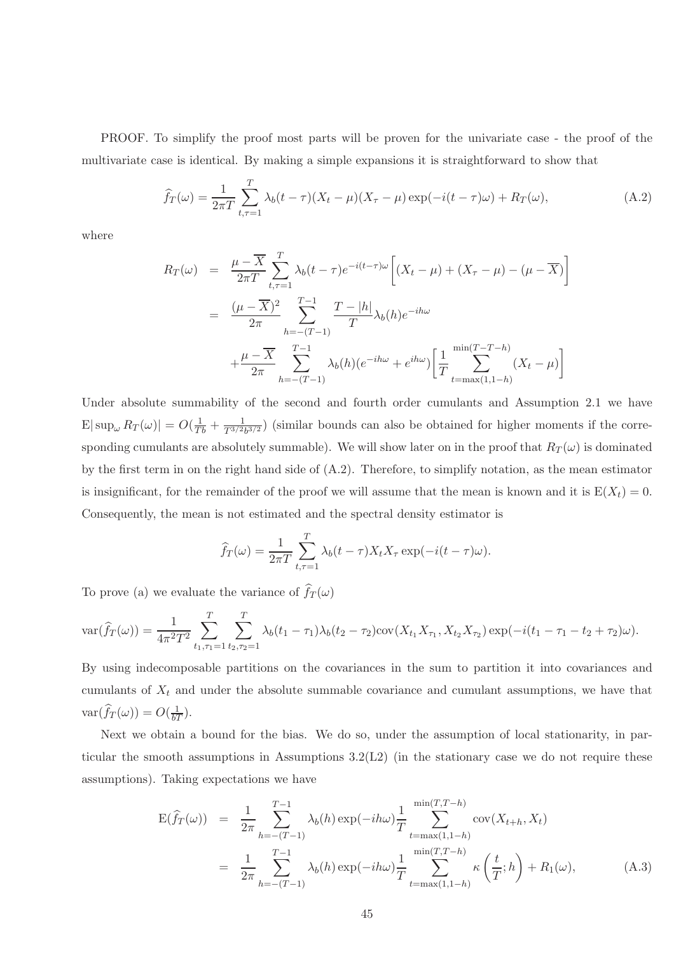PROOF. To simplify the proof most parts will be proven for the univariate case - the proof of the multivariate case is identical. By making a simple expansions it is straightforward to show that

$$
\widehat{f}_T(\omega) = \frac{1}{2\pi T} \sum_{t,\tau=1}^T \lambda_b(t-\tau) (X_t - \mu) (X_\tau - \mu) \exp(-i(t-\tau)\omega) + R_T(\omega),
$$
\n(A.2)

where

$$
R_T(\omega) = \frac{\mu - \overline{X}}{2\pi T} \sum_{t,\tau=1}^T \lambda_b(t-\tau) e^{-i(t-\tau)\omega} \left[ (X_t - \mu) + (X_\tau - \mu) - (\mu - \overline{X}) \right]
$$
  

$$
= \frac{(\mu - \overline{X})^2}{2\pi} \sum_{h=-\tau-1}^{T-1} \frac{T - |h|}{T} \lambda_b(h) e^{-ih\omega}
$$
  

$$
+ \frac{\mu - \overline{X}}{2\pi} \sum_{h=-\tau-1}^{T-1} \lambda_b(h) (e^{-ih\omega} + e^{ih\omega}) \left[ \frac{1}{T} \sum_{t=\max(1,1-h)}^{\min(T-T-h)} (X_t - \mu) \right]
$$

Under absolute summability of the second and fourth order cumulants and Assumption 2.1 we have  $\mathbb{E}|\sup_{\omega} R_T(\omega)| = O(\frac{1}{Tb} + \frac{1}{T^{3/2}b^{3/2}})$  (similar bounds can also be obtained for higher moments if the corresponding cumulants are absolutely summable). We will show later on in the proof that  $R_T(\omega)$  is dominated by the first term in on the right hand side of (A.2). Therefore, to simplify notation, as the mean estimator is insignificant, for the remainder of the proof we will assume that the mean is known and it is  $E(X_t) = 0$ . Consequently, the mean is not estimated and the spectral density estimator is

$$
\widehat{f}_T(\omega) = \frac{1}{2\pi T} \sum_{t,\tau=1}^T \lambda_b(t-\tau) X_t X_\tau \exp(-i(t-\tau)\omega).
$$

To prove (a) we evaluate the variance of  $f_T(\omega)$ 

$$
\text{var}(\widehat{f}_T(\omega)) = \frac{1}{4\pi^2 T^2} \sum_{t_1, \tau_1 = 1}^T \sum_{t_2, \tau_2 = 1}^T \lambda_b(t_1 - \tau_1) \lambda_b(t_2 - \tau_2) \text{cov}(X_{t_1} X_{\tau_1}, X_{t_2} X_{\tau_2}) \exp(-i(t_1 - \tau_1 - t_2 + \tau_2)\omega).
$$

By using indecomposable partitions on the covariances in the sum to partition it into covariances and cumulants of  $X_t$  and under the absolute summable covariance and cumulant assumptions, we have that  $\text{var}(\widehat{f}_T(\omega)) = O(\frac{1}{bT}).$ 

Next we obtain a bound for the bias. We do so, under the assumption of local stationarity, in particular the smooth assumptions in Assumptions  $3.2(L2)$  (in the stationary case we do not require these assumptions). Taking expectations we have

$$
E(\hat{f}_T(\omega)) = \frac{1}{2\pi} \sum_{h=-(T-1)}^{T-1} \lambda_b(h) \exp(-ih\omega) \frac{1}{T} \sum_{t=\max(1,1-h)}^{\min(T,T-h)} \text{cov}(X_{t+h}, X_t)
$$
  
= 
$$
\frac{1}{2\pi} \sum_{h=-(T-1)}^{T-1} \lambda_b(h) \exp(-ih\omega) \frac{1}{T} \sum_{t=\max(1,1-h)}^{\min(T,T-h)} \kappa\left(\frac{t}{T}; h\right) + R_1(\omega), \tag{A.3}
$$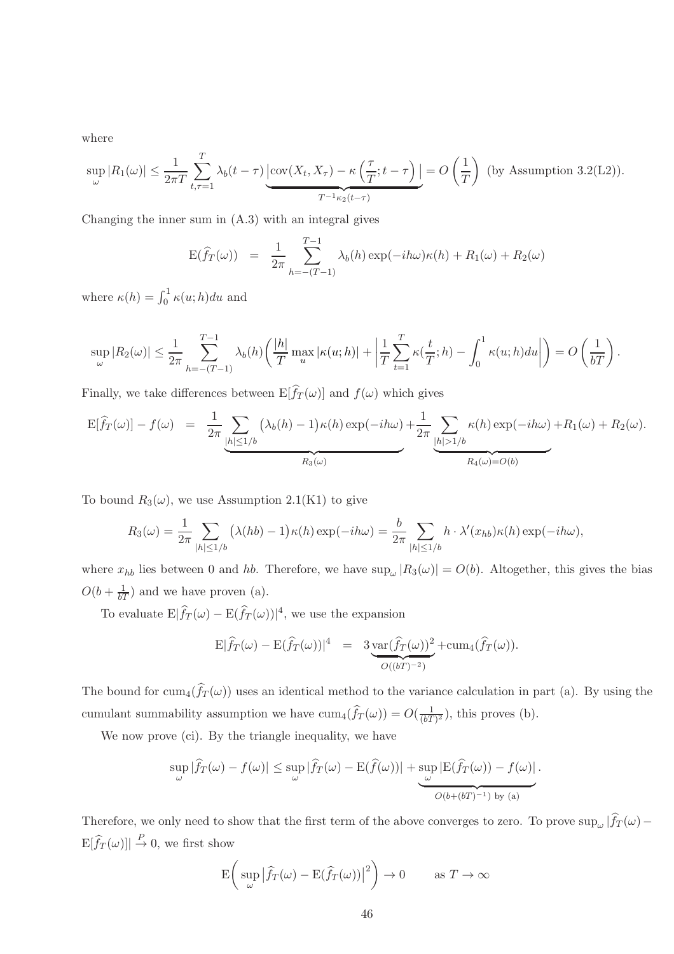where

$$
\sup_{\omega} |R_1(\omega)| \leq \frac{1}{2\pi T} \sum_{t,\tau=1}^T \lambda_b(t-\tau) \underbrace{\left| \text{cov}(X_t, X_\tau) - \kappa \left( \frac{\tau}{T}; t-\tau \right) \right|}_{T^{-1}\kappa_2(t-\tau)} = O\left(\frac{1}{T}\right) \text{ (by Assumption 3.2(L2))}.
$$

Changing the inner sum in (A.3) with an integral gives

$$
E(\widehat{f}_T(\omega)) = \frac{1}{2\pi} \sum_{h=- (T-1)}^{T-1} \lambda_b(h) \exp(-ih\omega)\kappa(h) + R_1(\omega) + R_2(\omega)
$$

where  $\kappa(h) = \int_0^1 \kappa(u; h) du$  and

$$
\sup_{\omega} |R_2(\omega)| \leq \frac{1}{2\pi} \sum_{h=- (T-1)}^{T-1} \lambda_b(h) \left( \frac{|h|}{T} \max_u |\kappa(u;h)| + \left| \frac{1}{T} \sum_{t=1}^T \kappa(\frac{t}{T};h) - \int_0^1 \kappa(u;h) du \right| \right) = O\left(\frac{1}{bT}\right).
$$

Finally, we take differences between  $E[f_T(\omega)]$  and  $f(\omega)$  which gives

$$
E[\widehat{f}_T(\omega)] - f(\omega) = \frac{1}{2\pi} \underbrace{\sum_{|h| \le 1/b} (\lambda_b(h) - 1) \kappa(h) \exp(-ih\omega)}_{R_3(\omega)} + \frac{1}{2\pi} \underbrace{\sum_{|h| > 1/b} \kappa(h) \exp(-ih\omega)}_{R_4(\omega) = O(b)} + R_1(\omega) + R_2(\omega).
$$

To bound  $R_3(\omega)$ , we use Assumption 2.1(K1) to give

$$
R_3(\omega) = \frac{1}{2\pi} \sum_{|h| \le 1/b} \left( \lambda(hb) - 1 \right) \kappa(h) \exp(-ih\omega) = \frac{b}{2\pi} \sum_{|h| \le 1/b} h \cdot \lambda'(x_{hb}) \kappa(h) \exp(-ih\omega),
$$

where  $x_{hb}$  lies between 0 and hb. Therefore, we have  $\sup_{\omega} |R_3(\omega)| = O(b)$ . Altogether, this gives the bias  $O(b + \frac{1}{bT})$  and we have proven (a).

To evaluate  $E|\hat{f}_T(\omega) - E(\hat{f}_T(\omega))|^4$ , we use the expansion

$$
\mathbf{E}|\widehat{f}_T(\omega) - \mathbf{E}(\widehat{f}_T(\omega))|^4 = 3 \underbrace{\mathrm{var}(\widehat{f}_T(\omega))^2}_{O((bT)^{-2})} + \mathrm{cum}_4(\widehat{f}_T(\omega)).
$$

The bound for  $\text{cum}_4(f_T(\omega))$  uses an identical method to the variance calculation in part (a). By using the cumulant summability assumption we have  $\text{cum}_4(\hat{f}_T(\omega)) = O(\frac{1}{bT})$  $\frac{1}{(bT)^2}$ , this proves (b).

We now prove (ci). By the triangle inequality, we have

$$
\sup_{\omega} |\widehat{f}_T(\omega) - f(\omega)| \leq \sup_{\omega} |\widehat{f}_T(\omega) - \mathcal{E}(\widehat{f}(\omega))| + \sup_{\omega} |\mathcal{E}(\widehat{f}_T(\omega)) - f(\omega)|.
$$
  

$$
\frac{\omega}{O(b + (bT)^{-1}) \log(a)}.
$$

Therefore, we only need to show that the first term of the above converges to zero. To prove  $\sup_{\omega} |f_T(\omega) \mathbb{E}[\widehat{f}_T(\omega)] \stackrel{P}{\rightarrow} 0$ , we first show

$$
E\left(\sup_{\omega} |\widehat{f}_T(\omega) - E(\widehat{f}_T(\omega))|^2\right) \to 0 \quad \text{as } T \to \infty
$$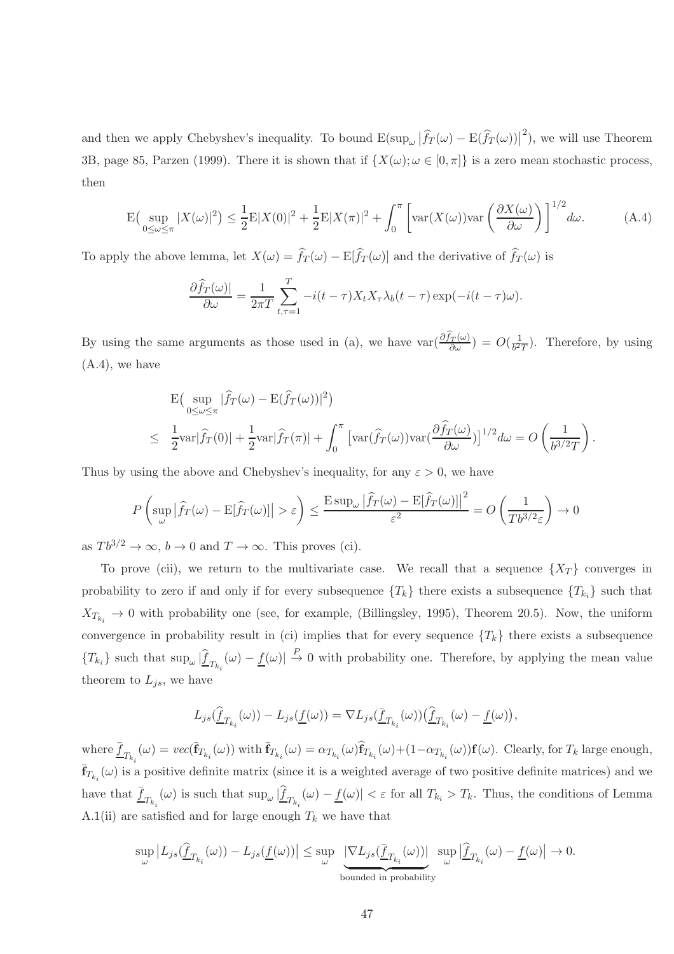and then we apply Chebyshev's inequality. To bound  $E(\sup_{\omega} |\hat{f}_T(\omega) - E(\hat{f}_T(\omega))|^2)$ , we will use Theorem 3B, page 85, Parzen (1999). There it is shown that if  $\{X(\omega); \omega \in [0, \pi]\}$  is a zero mean stochastic process, then

$$
\mathcal{E}\left(\sup_{0\le\omega\le\pi}|X(\omega)|^2\right) \le \frac{1}{2}\mathcal{E}|X(0)|^2 + \frac{1}{2}\mathcal{E}|X(\pi)|^2 + \int_0^\pi \left[\text{var}(X(\omega))\text{var}\left(\frac{\partial X(\omega)}{\partial \omega}\right)\right]^{1/2}d\omega. \tag{A.4}
$$

To apply the above lemma, let  $X(\omega) = f_T(\omega) - \mathbb{E}[f_T(\omega)]$  and the derivative of  $f_T(\omega)$  is

$$
\frac{\partial \widehat{f}_T(\omega)}{\partial \omega} = \frac{1}{2\pi T} \sum_{t,\tau=1}^T -i(t-\tau)X_t X_\tau \lambda_b(t-\tau) \exp(-i(t-\tau)\omega).
$$

By using the same arguments as those used in (a), we have  $\text{var}(\frac{\partial f_T(\omega)}{\partial \omega}) = O(\frac{1}{b^2})$  $\frac{1}{b^2T}$ ). Therefore, by using  $(A.4)$ , we have

$$
\begin{split} & \mathcal{E}\big(\sup_{0\leq\omega\leq\pi}|\widehat{f}_{T}(\omega)-\mathcal{E}(\widehat{f}_{T}(\omega))|^{2}\big) \\ &\leq\frac{1}{2}\text{var}|\widehat{f}_{T}(0)|+\frac{1}{2}\text{var}|\widehat{f}_{T}(\pi)|+\int_{0}^{\pi}\big[\text{var}(\widehat{f}_{T}(\omega))\text{var}\big(\frac{\partial\widehat{f}_{T}(\omega)}{\partial\omega}\big)\big]^{1/2}d\omega=O\left(\frac{1}{b^{3/2}T}\right). \end{split}
$$

Thus by using the above and Chebyshev's inequality, for any  $\varepsilon > 0$ , we have

$$
P\left(\sup_{\omega} \left|\widehat{f}_T(\omega) - \mathbb{E}[\widehat{f}_T(\omega)]\right| > \varepsilon\right) \le \frac{\mathbb{E}\sup_{\omega} \left|\widehat{f}_T(\omega) - \mathbb{E}[\widehat{f}_T(\omega)]\right|^2}{\varepsilon^2} = O\left(\frac{1}{Tb^{3/2}\varepsilon}\right) \to 0
$$

as  $Tb^{3/2} \to \infty$ ,  $b \to 0$  and  $T \to \infty$ . This proves (ci).

≤

To prove (cii), we return to the multivariate case. We recall that a sequence  $\{X_T\}$  converges in probability to zero if and only if for every subsequence  $\{T_k\}$  there exists a subsequence  $\{T_{k_i}\}$  such that  $X_{T_{k_i}} \to 0$  with probability one (see, for example, (Billingsley, 1995), Theorem 20.5). Now, the uniform convergence in probability result in (ci) implies that for every sequence  $\{T_k\}$  there exists a subsequence  ${T_{k_i}}$  such that  $\sup_{\omega} |\hat{f}_{T_{k_i}}(\omega) - f(\omega)| \overset{P}{\to} 0$  with probability one. Therefore, by applying the mean value theorem to  $L_{js}$ , we have

$$
L_{js}(\hat{\underline{f}}_{T_{k_i}}(\omega)) - L_{js}(\underline{f}(\omega)) = \nabla L_{js}(\bar{\underline{f}}_{T_{k_i}}(\omega))(\hat{\underline{f}}_{T_{k_i}}(\omega) - \underline{f}(\omega)),
$$

where  $\underline{\bar{f}}_{T_{k_i}}(\omega) = vec(\overline{\mathbf{f}}_{T_{k_i}}(\omega))$  with  $\overline{\mathbf{f}}_{T_{k_i}}(\omega) = \alpha_{T_{k_i}}(\omega)\mathbf{\hat{f}}_{T_{k_i}}(\omega) + (1 - \alpha_{T_{k_i}}(\omega))\mathbf{f}(\omega)$ . Clearly, for  $T_k$  large enough,  $\bar{\mathbf{f}}_{T_{k_i}}(\omega)$  is a positive definite matrix (since it is a weighted average of two positive definite matrices) and we have that  $\underline{\tilde{f}}_{T_{k_i}}(\omega)$  is such that  $\sup_{\omega} |\hat{f}_{T_{k_i}}(\omega) - \underline{f}(\omega)| < \varepsilon$  for all  $T_{k_i} > T_k$ . Thus, the conditions of Lemma A.1(ii) are satisfied and for large enough  $T_k$  we have that

$$
\sup_{\omega} |L_{js}(\hat{\underline{f}}_{T_{k_i}}(\omega)) - L_{js}(\underline{f}(\omega))| \le \sup_{\omega} \underbrace{|\nabla L_{js}(\hat{\underline{f}}_{T_{k_i}}(\omega))|}_{\text{bounded in probability}} \sup_{\omega} |\hat{\underline{f}}_{T_{k_i}}(\omega) - \underline{f}(\omega)| \to 0.
$$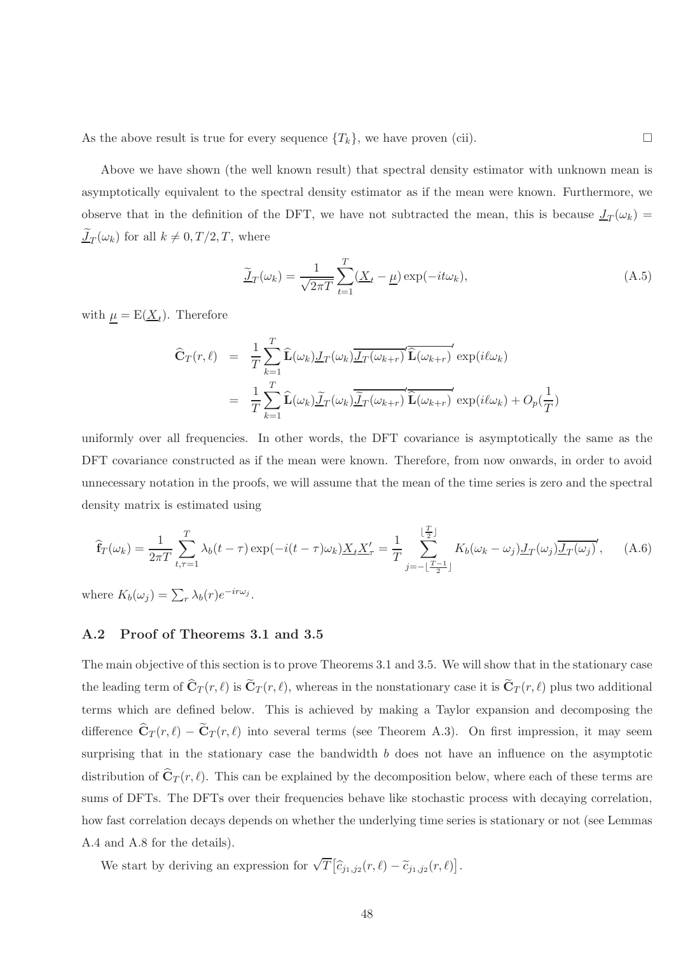As the above result is true for every sequence  ${T_k}$ , we have proven (cii).

Above we have shown (the well known result) that spectral density estimator with unknown mean is asymptotically equivalent to the spectral density estimator as if the mean were known. Furthermore, we observe that in the definition of the DFT, we have not subtracted the mean, this is because  $\underline{J}_T(\omega_k)$  =  $J_T(\omega_k)$  for all  $k \neq 0, T/2, T$ , where

$$
\widetilde{\underline{J}}_T(\omega_k) = \frac{1}{\sqrt{2\pi T}} \sum_{t=1}^T (\underline{X}_t - \underline{\mu}) \exp(-it\omega_k),\tag{A.5}
$$

with  $\underline{\mu} = E(\underline{X}_t)$ . Therefore

$$
\widehat{\mathbf{C}}_{T}(r,\ell) = \frac{1}{T} \sum_{k=1}^{T} \widehat{\mathbf{L}}(\omega_{k}) \underline{J}_{T}(\omega_{k}) \overline{\underline{J}_{T}(\omega_{k+r})}^{\prime} \widehat{\mathbf{L}}(\omega_{k+r})^{\prime} \exp(i\ell\omega_{k})
$$
\n
$$
= \frac{1}{T} \sum_{k=1}^{T} \widehat{\mathbf{L}}(\omega_{k}) \underline{\widetilde{J}_{T}(\omega_{k})} \overline{\underline{\widetilde{J}_{T}(\omega_{k+r})}}^{\prime} \widehat{\mathbf{L}}(\omega_{k+r})^{\prime} \exp(i\ell\omega_{k}) + O_{p}(\frac{1}{T})
$$

uniformly over all frequencies. In other words, the DFT covariance is asymptotically the same as the DFT covariance constructed as if the mean were known. Therefore, from now onwards, in order to avoid unnecessary notation in the proofs, we will assume that the mean of the time series is zero and the spectral density matrix is estimated using

$$
\widehat{\mathbf{f}}_{T}(\omega_{k}) = \frac{1}{2\pi T} \sum_{t,\tau=1}^{T} \lambda_{b}(t-\tau) \exp(-i(t-\tau)\omega_{k}) \underline{X}_{t} \underline{X}'_{\tau} = \frac{1}{T} \sum_{j=-\lfloor \frac{T-1}{2} \rfloor}^{\lfloor \frac{T}{2} \rfloor} K_{b}(\omega_{k}-\omega_{j}) \underline{J}_{T}(\omega_{j}) \overline{J}_{T}(\omega_{j})', \quad (A.6)
$$

where  $K_b(\omega_j) = \sum_r \lambda_b(r) e^{-ir\omega_j}$ .

### A.2 Proof of Theorems 3.1 and 3.5

The main objective of this section is to prove Theorems 3.1 and 3.5. We will show that in the stationary case the leading term of  $\hat{\mathbf{C}}_T (r, \ell)$  is  $\tilde{\mathbf{C}}_T (r, \ell)$ , whereas in the nonstationary case it is  $\tilde{\mathbf{C}}_T (r, \ell)$  plus two additional terms which are defined below. This is achieved by making a Taylor expansion and decomposing the difference  $\hat{\mathbf{C}}_T (r, \ell) - \tilde{\mathbf{C}}_T (r, \ell)$  into several terms (see Theorem A.3). On first impression, it may seem surprising that in the stationary case the bandwidth  $b$  does not have an influence on the asymptotic distribution of  $\hat{\mathbf{C}}_T (r, \ell)$ . This can be explained by the decomposition below, where each of these terms are sums of DFTs. The DFTs over their frequencies behave like stochastic process with decaying correlation, how fast correlation decays depends on whether the underlying time series is stationary or not (see Lemmas A.4 and A.8 for the details).

We start by deriving an expression for  $\sqrt{T} [\hat{c}_{j_1,j_2}(r,\ell) - \tilde{c}_{j_1,j_2}(r,\ell)].$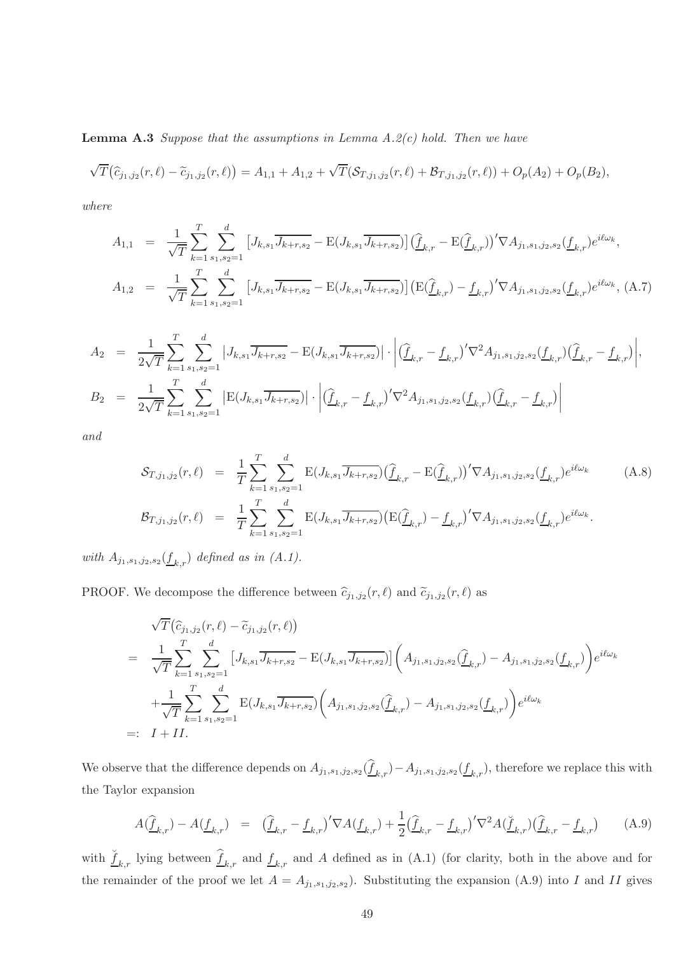**Lemma A.3** Suppose that the assumptions in Lemma  $A.2(c)$  hold. Then we have

$$
\sqrt{T}(\widehat{c}_{j_1,j_2}(r,\ell)-\widetilde{c}_{j_1,j_2}(r,\ell))=A_{1,1}+A_{1,2}+\sqrt{T}(\mathcal{S}_{T,j_1,j_2}(r,\ell)+\mathcal{B}_{T,j_1,j_2}(r,\ell))+O_p(A_2)+O_p(B_2),
$$

where

$$
A_{1,1} = \frac{1}{\sqrt{T}} \sum_{k=1}^{T} \sum_{s_1, s_2=1}^{d} \left[ J_{k,s_1} \overline{J_{k+r,s_2}} - \mathcal{E}(J_{k,s_1} \overline{J_{k+r,s_2}}) \right] \left( \hat{\underline{f}}_{k,r} - \mathcal{E}(\hat{\underline{f}}_{k,r}) \right)' \nabla A_{j_1, s_1, j_2, s_2}(\underline{f}_{k,r}) e^{i\ell \omega_k},
$$
  
\n
$$
A_{1,2} = \frac{1}{\sqrt{T}} \sum_{k=1}^{T} \sum_{s_1, s_2=1}^{d} \left[ J_{k,s_1} \overline{J_{k+r,s_2}} - \mathcal{E}(J_{k,s_1} \overline{J_{k+r,s_2}}) \right] \left( \mathcal{E}(\hat{\underline{f}}_{k,r}) - \underline{f}_{k,r} \right)' \nabla A_{j_1, s_1, j_2, s_2}(\underline{f}_{k,r}) e^{i\ell \omega_k}, \quad (A.7)
$$

$$
A_2 = \frac{1}{2\sqrt{T}} \sum_{k=1}^T \sum_{s_1, s_2=1}^d |J_{k,s_1} \overline{J_{k+r,s_2}} - \mathcal{E}(J_{k,s_1} \overline{J_{k+r,s_2}})| \cdot \left| (\widehat{\underline{f}}_{k,r} - \underline{f}_{k,r})' \nabla^2 A_{j_1, s_1, j_2, s_2} (\underline{f}_{k,r}) (\widehat{\underline{f}}_{k,r} - \underline{f}_{k,r}) \right|,
$$
  
\n
$$
B_2 = \frac{1}{2\sqrt{T}} \sum_{k=1}^T \sum_{s_1, s_2=1}^d |\mathcal{E}(J_{k,s_1} \overline{J_{k+r,s_2}})| \cdot \left| (\widehat{\underline{f}}_{k,r} - \underline{f}_{k,r})' \nabla^2 A_{j_1, s_1, j_2, s_2} (\underline{f}_{k,r}) (\widehat{\underline{f}}_{k,r} - \underline{f}_{k,r}) \right|
$$

and

$$
\mathcal{S}_{T,j_1,j_2}(r,\ell) = \frac{1}{T} \sum_{k=1}^T \sum_{s_1,s_2=1}^d E(J_{k,s_1} \overline{J_{k+r,s_2}}) (\hat{\underline{f}}_{k,r} - E(\hat{\underline{f}}_{k,r}))' \nabla A_{j_1,s_1,j_2,s_2} (\underline{f}_{k,r}) e^{i\ell \omega_k}
$$
\n
$$
\mathcal{B}_{T,j_1,j_2}(r,\ell) = \frac{1}{T} \sum_{k=1}^T \sum_{s_1,s_2=1}^d E(J_{k,s_1} \overline{J_{k+r,s_2}}) (E(\hat{\underline{f}}_{k,r}) - \underline{f}_{k,r})' \nabla A_{j_1,s_1,j_2,s_2} (\underline{f}_{k,r}) e^{i\ell \omega_k}.
$$
\n(A.8)

with  $A_{j_1,s_1,j_2,s_2}(\underline{f}_{k,r})$  defined as in  $(A.1)$ .

PROOF. We decompose the difference between  $\hat{c}_{j_1,j_2}(r,\ell)$  and  $\tilde{c}_{j_1,j_2}(r,\ell)$  as

$$
\sqrt{T}(\hat{c}_{j_1,j_2}(r,\ell) - \tilde{c}_{j_1,j_2}(r,\ell))
$$
\n
$$
= \frac{1}{\sqrt{T}} \sum_{k=1}^T \sum_{s_1,s_2=1}^d \left[ J_{k,s_1} \overline{J_{k+r,s_2}} - \mathcal{E}(J_{k,s_1} \overline{J_{k+r,s_2}}) \right] \left( A_{j_1,s_1,j_2,s_2} (\hat{f}_{k,r}) - A_{j_1,s_1,j_2,s_2} (f_{k,r}) \right) e^{i\ell \omega_k}
$$
\n
$$
+ \frac{1}{\sqrt{T}} \sum_{k=1}^T \sum_{s_1,s_2=1}^d \mathcal{E}(J_{k,s_1} \overline{J_{k+r,s_2}}) \left( A_{j_1,s_1,j_2,s_2} (\hat{f}_{k,r}) - A_{j_1,s_1,j_2,s_2} (f_{k,r}) \right) e^{i\ell \omega_k}
$$
\n
$$
=: I + II.
$$

We observe that the difference depends on  $A_{j_1,s_1,j_2,s_2}(\underline{f}_{k,r})-A_{j_1,s_1,j_2,s_2}(\underline{f}_{k,r})$ , therefore we replace this with the Taylor expansion

$$
A(\hat{\underline{f}}_{k,r}) - A(\underline{f}_{k,r}) = (\hat{\underline{f}}_{k,r} - \underline{f}_{k,r})' \nabla A(\underline{f}_{k,r}) + \frac{1}{2} (\hat{\underline{f}}_{k,r} - \underline{f}_{k,r})' \nabla^2 A(\check{\underline{f}}_{k,r}) (\hat{\underline{f}}_{k,r} - \underline{f}_{k,r})
$$
(A.9)

with  $\underline{\check{f}}_{k,r}$  lying between  $\widehat{f}_{k,r}$  and  $f_{k,r}$  and A defined as in (A.1) (for clarity, both in the above and for the remainder of the proof we let  $A = A_{j_1, s_1, j_2, s_2}$ . Substituting the expansion (A.9) into I and II gives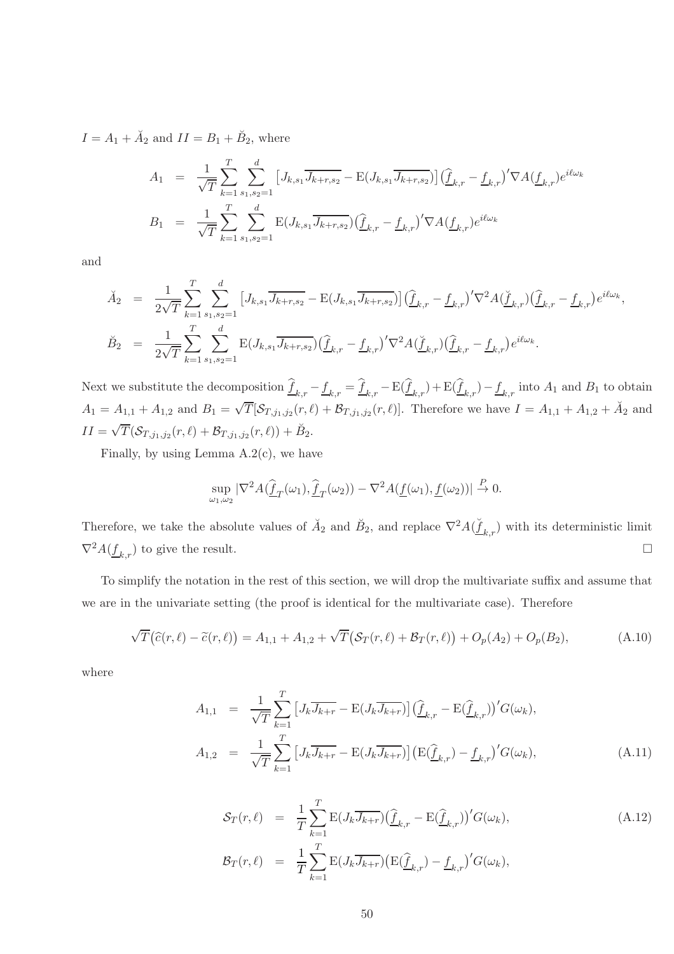$I = A_1 + \check{A}_2$  and  $II = B_1 + \check{B}_2$ , where

$$
A_1 = \frac{1}{\sqrt{T}} \sum_{k=1}^T \sum_{s_1, s_2=1}^d \left[ J_{k,s_1} \overline{J_{k+r,s_2}} - \mathcal{E}(J_{k,s_1} \overline{J_{k+r,s_2}}) \right] \left( \hat{\underline{f}}_{k,r} - \underline{f}_{k,r} \right)' \nabla A(\underline{f}_{k,r}) e^{i\ell \omega_k}
$$
  
\n
$$
B_1 = \frac{1}{\sqrt{T}} \sum_{k=1}^T \sum_{s_1, s_2=1}^d \mathcal{E}(J_{k,s_1} \overline{J_{k+r,s_2}}) \left( \hat{\underline{f}}_{k,r} - \underline{f}_{k,r} \right)' \nabla A(\underline{f}_{k,r}) e^{i\ell \omega_k}
$$

and

$$
\check{A}_{2} = \frac{1}{2\sqrt{T}} \sum_{k=1}^{T} \sum_{s_{1}, s_{2}=1}^{d} \left[ J_{k,s_{1}} \overline{J_{k+r,s_{2}}} - \mathcal{E}(J_{k,s_{1}} \overline{J_{k+r,s_{2}}}) \right] \left( \hat{\underline{f}}_{k,r} - \underline{f}_{k,r} \right)^{\prime} \nabla^{2} A \left( \underline{\check{f}}_{k,r} \right) \left( \hat{\underline{f}}_{k,r} - \underline{f}_{k,r} \right) e^{i\ell\omega_{k}},
$$
\n
$$
\check{B}_{2} = \frac{1}{2\sqrt{T}} \sum_{k=1}^{T} \sum_{s_{1}, s_{2}=1}^{d} \mathcal{E}(J_{k,s_{1}} \overline{J_{k+r,s_{2}}}) \left( \hat{\underline{f}}_{k,r} - \underline{f}_{k,r} \right)^{\prime} \nabla^{2} A \left( \underline{\check{f}}_{k,r} \right) \left( \hat{\underline{f}}_{k,r} - \underline{f}_{k,r} \right) e^{i\ell\omega_{k}}.
$$

Next we substitute the decomposition  $\underline{f}_{k,r} - \underline{f}_{k,r} = \underline{f}_{k,r} - \mathrm{E}(\underline{f}_{k,r}) + \mathrm{E}(\underline{f}_{k,r}) - \underline{f}_{k,r}$  into  $A_1$  and  $B_1$  to obtain  $A_1 = A_{1,1} + A_{1,2}$  and  $B_1 = \sqrt{T}[\mathcal{S}_{T,j_1,j_2}(r,\ell) + \mathcal{B}_{T,j_1,j_2}(r,\ell)]$ . Therefore we have  $I = A_{1,1} + A_{1,2} + \tilde{A}_2$  and  $II = \sqrt{T}(\mathcal{S}_{T,j_1,j_2}(r,\ell) + \mathcal{B}_{T,j_1,j_2}(r,\ell)) + \breve{B}_2.$ 

Finally, by using Lemma A.2(c), we have

$$
\sup_{\omega_1,\omega_2} |\nabla^2 A(\hat{f}_T(\omega_1),\hat{f}_T(\omega_2)) - \nabla^2 A(\underline{f}(\omega_1),\underline{f}(\omega_2))| \stackrel{P}{\to} 0.
$$

Therefore, we take the absolute values of  $\check{A}_2$  and  $\check{B}_2$ , and replace  $\nabla^2 A(\underline{\check{f}}_{k,r})$  with its deterministic limit  $\nabla^2 A(\underline{f}_{k,r})$  to give the result.

To simplify the notation in the rest of this section, we will drop the multivariate suffix and assume that we are in the univariate setting (the proof is identical for the multivariate case). Therefore

$$
\sqrt{T}(\hat{c}(r,\ell) - \tilde{c}(r,\ell)) = A_{1,1} + A_{1,2} + \sqrt{T}(\mathcal{S}_T(r,\ell) + \mathcal{B}_T(r,\ell)) + O_p(A_2) + O_p(B_2),\tag{A.10}
$$

where

$$
A_{1,1} = \frac{1}{\sqrt{T}} \sum_{k=1}^{T} \left[ J_k \overline{J_{k+r}} - \mathcal{E}(J_k \overline{J_{k+r}}) \right] \left( \hat{\underline{f}}_{k,r} - \mathcal{E}(\hat{\underline{f}}_{k,r}) \right)' G(\omega_k),
$$
  

$$
A_{1,2} = \frac{1}{\sqrt{T}} \sum_{k=1}^{T} \left[ J_k \overline{J_{k+r}} - \mathcal{E}(J_k \overline{J_{k+r}}) \right] \left( \mathcal{E}(\hat{\underline{f}}_{k,r}) - \underline{f}_{k,r} \right)' G(\omega_k), \tag{A.11}
$$

$$
\mathcal{S}_{T}(r,\ell) = \frac{1}{T} \sum_{k=1}^{T} \mathcal{E}(J_k \overline{J_{k+r}}) \left(\frac{\hat{f}}{\hat{L}_{k,r}} - \mathcal{E}(\frac{\hat{f}}{\hat{L}_{k,r}})\right)' G(\omega_k),
$$
\n
$$
\mathcal{B}_{T}(r,\ell) = \frac{1}{T} \sum_{k=1}^{T} \mathcal{E}(J_k \overline{J_{k+r}}) \left(\mathcal{E}(\frac{\hat{f}}{\hat{L}_{k,r}}) - \underline{f}_{k,r}\right)' G(\omega_k),
$$
\n(A.12)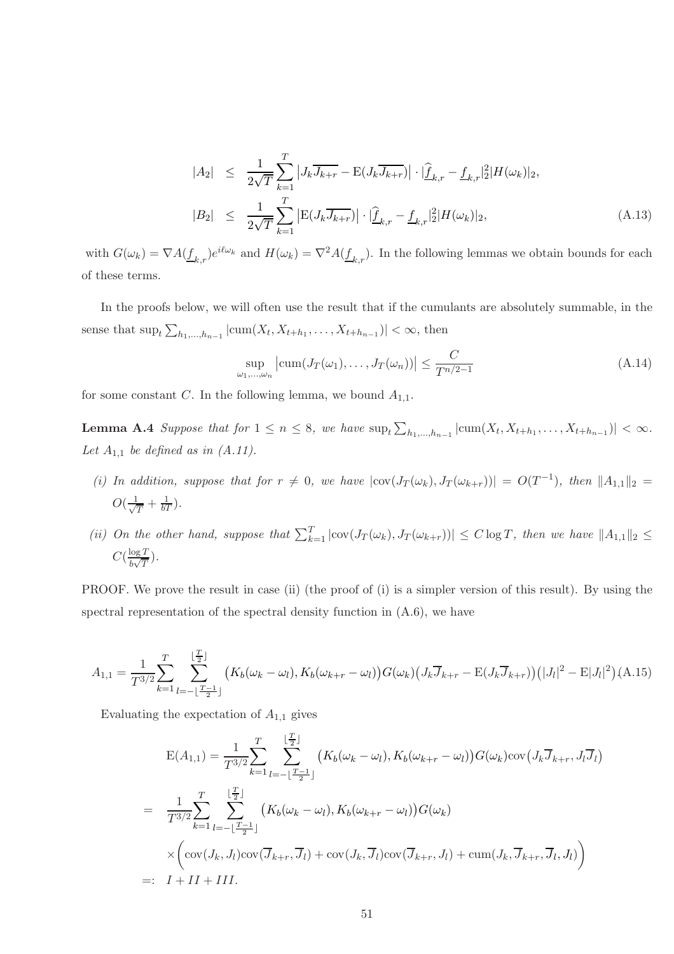$$
|A_2| \leq \frac{1}{2\sqrt{T}} \sum_{k=1}^T |J_k \overline{J_{k+r}} - \mathcal{E}(J_k \overline{J_{k+r}})| \cdot |\hat{f}_{k,r} - \underline{f}_{k,r}|_2^2 |H(\omega_k)|_2,
$$
  
\n
$$
|B_2| \leq \frac{1}{2\sqrt{T}} \sum_{k=1}^T |\mathcal{E}(J_k \overline{J_{k+r}})| \cdot |\hat{f}_{k,r} - \underline{f}_{k,r}|_2^2 |H(\omega_k)|_2,
$$
\n(A.13)

with  $G(\omega_k) = \nabla A(\underline{f}_{k,r})e^{i\ell\omega_k}$  and  $H(\omega_k) = \nabla^2 A(\underline{f}_{k,r})$ . In the following lemmas we obtain bounds for each of these terms.

In the proofs below, we will often use the result that if the cumulants are absolutely summable, in the sense that  $\sup_t \sum_{h_1,\dots,h_{n-1}} |\text{cum}(X_t, X_{t+h_1}, \dots, X_{t+h_{n-1}})| < \infty$ , then

$$
\sup_{\omega_1,\dots,\omega_n} \left| \operatorname{cum}(J_T(\omega_1),\dots,J_T(\omega_n)) \right| \le \frac{C}{T^{n/2-1}} \tag{A.14}
$$

for some constant C. In the following lemma, we bound  $A_{1,1}$ .

**Lemma A.4** Suppose that for  $1 \le n \le 8$ , we have  $\sup_t \sum_{h_1,\dots,h_{n-1}} |\text{cum}(X_t, X_{t+h_1}, \dots, X_{t+h_{n-1}})| < \infty$ . Let  $A_{1,1}$  be defined as in  $(A.11)$ .

- (i) In addition, suppose that for  $r \neq 0$ , we have  $|\text{cov}(J_T(\omega_k), J_T(\omega_{k+r}))| = O(T^{-1})$ , then  $||A_{1,1}||_2 =$  $O(\frac{1}{\sqrt{n}})$  $\frac{1}{T}+\frac{1}{bT}).$
- (ii) On the other hand, suppose that  $\sum_{k=1}^{T} |\text{cov}(J_T(\omega_k), J_T(\omega_{k+r}))| \leq C \log T$ , then we have  $||A_{1,1}||_2 \leq C \log T$  $C(\frac{\log T}{\ln \sqrt{T}})$  $\frac{\log I}{b\sqrt{T}}$ ).

PROOF. We prove the result in case (ii) (the proof of (i) is a simpler version of this result). By using the spectral representation of the spectral density function in  $(A.6)$ , we have

$$
A_{1,1} = \frac{1}{T^{3/2}} \sum_{k=1}^{T} \sum_{l=-\lfloor \frac{T-1}{2} \rfloor}^{\lfloor \frac{T}{2} \rfloor} \left( K_b(\omega_k - \omega_l), K_b(\omega_{k+r} - \omega_l) \right) G(\omega_k) \left( J_k \overline{J}_{k+r} - \mathcal{E}(J_k \overline{J}_{k+r}) \right) \left( |J_l|^2 - \mathcal{E}|J_l|^2 \right) (A.15)
$$

Evaluating the expectation of  $A_{1,1}$  gives

$$
E(A_{1,1}) = \frac{1}{T^{3/2}} \sum_{k=1}^{T} \sum_{l=-\lfloor \frac{T-1}{2} \rfloor}^{\lfloor \frac{T}{2} \rfloor} \left( K_b(\omega_k - \omega_l), K_b(\omega_{k+r} - \omega_l) \right) G(\omega_k) \text{cov}(J_k \overline{J}_{k+r}, J_l \overline{J}_l)
$$
  
\n
$$
= \frac{1}{T^{3/2}} \sum_{k=1}^{T} \sum_{l=-\lfloor \frac{T-1}{2} \rfloor}^{\lfloor \frac{T}{2} \rfloor} \left( K_b(\omega_k - \omega_l), K_b(\omega_{k+r} - \omega_l) \right) G(\omega_k)
$$
  
\n
$$
\times \left( \text{cov}(J_k, J_l) \text{cov}(\overline{J}_{k+r}, \overline{J}_l) + \text{cov}(J_k, \overline{J}_l) \text{cov}(\overline{J}_{k+r}, J_l) + \text{cum}(J_k, \overline{J}_{k+r}, \overline{J}_l, J_l) \right)
$$
  
\n
$$
=: I + II + III.
$$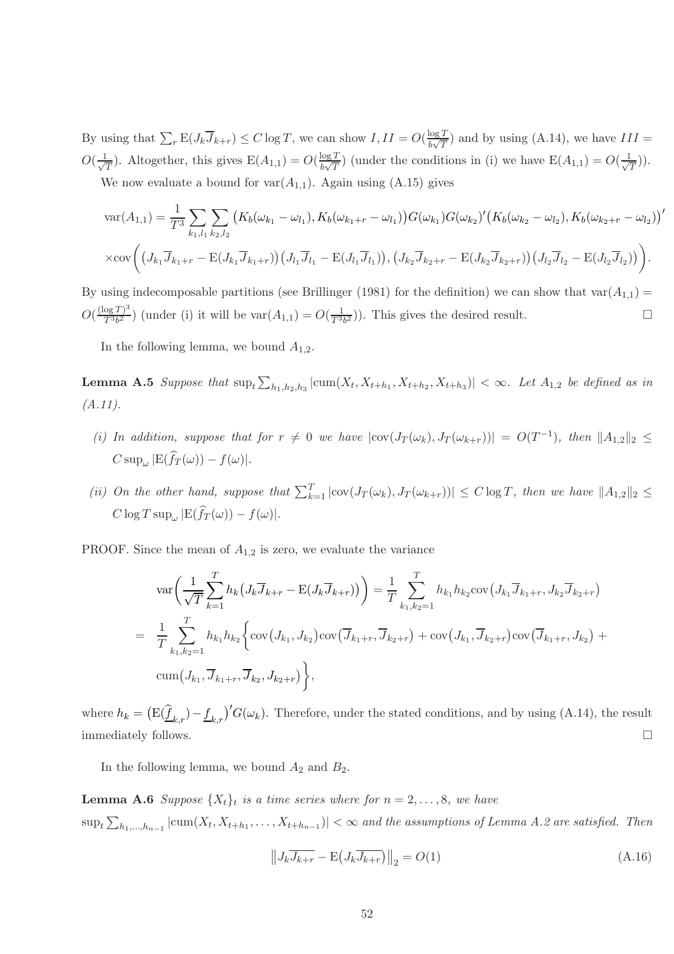By using that  $\sum_r \mathbb{E}(J_k \overline{J}_{k+r}) \leq C \log T$ , we can show  $I, II = O(\frac{\log T}{b\sqrt{T}})$  $\frac{\log I}{b\sqrt{T}}$  and by using (A.14), we have  $III =$  $O(\frac{1}{\sqrt{2}})$  $\overline{\overline{T}}$ ). Altogether, this gives  $E(A_{1,1}) = O(\frac{\log T}{b\sqrt{T}})$  $\frac{\log T}{b\sqrt{T}}$ ) (under the conditions in (i) we have  $E(A_{1,1}) = O(\frac{1}{\sqrt{T}})$  $\frac{1}{T}$ )). We now evaluate a bound for  $var(A_{1,1})$ . Again using (A.15) gives

$$
\begin{split}\n\text{var}(A_{1,1}) &= \frac{1}{T^3} \sum_{k_1,l_1} \sum_{k_2,l_2} \left( K_b(\omega_{k_1} - \omega_{l_1}), K_b(\omega_{k_1+r} - \omega_{l_1}) \right) G(\omega_{k_1}) G(\omega_{k_2})' \left( K_b(\omega_{k_2} - \omega_{l_2}), K_b(\omega_{k_2+r} - \omega_{l_2}) \right)' \\
&\times \text{cov}\left( \left( J_{k_1} \overline{J}_{k_1+r} - \mathcal{E}(J_{k_1} \overline{J}_{k_1+r}) \right) \left( J_{l_1} \overline{J}_{l_1} - \mathcal{E}(J_{l_1} \overline{J}_{l_1}) \right), \left( J_{k_2} \overline{J}_{k_2+r} - \mathcal{E}(J_{k_2} \overline{J}_{k_2+r}) \right) \left( J_{l_2} \overline{J}_{l_2} - \mathcal{E}(J_{l_2} \overline{J}_{l_2}) \right) \right).\n\end{split}
$$

By using indecomposable partitions (see Brillinger (1981) for the definition) we can show that  $var(A_{1,1}) =$  $O(\frac{(\log T)^3}{T^3h^2})$  $\frac{\log T)^3}{T^3b^2}$  (under (i) it will be  $\text{var}(A_{1,1}) = O(\frac{1}{T^3b^2})$ . This gives the desired result.

In the following lemma, we bound  $A_{1,2}$ .

**Lemma A.5** Suppose that  $\sup_t \sum_{h_1,h_2,h_3} |\text{cum}(X_t, X_{t+h_1}, X_{t+h_2}, X_{t+h_3})| < \infty$ . Let  $A_{1,2}$  be defined as in  $(A.11).$ 

- (i) In addition, suppose that for  $r \neq 0$  we have  $|\text{cov}(J_T(\omega_k), J_T(\omega_{k+r}))| = O(T^{-1})$ , then  $||A_{1,2}||_2 \leq$  $C \sup_{\omega} |E(f_T(\omega)) - f(\omega)|.$
- (ii) On the other hand, suppose that  $\sum_{k=1}^{T} |\text{cov}(J_T(\omega_k), J_T(\omega_{k+r}))| \leq C \log T$ , then we have  $||A_{1,2}||_2 \leq C \log T$  $C \log T \sup_{\omega} |\mathcal{E}(f_T(\omega)) - f(\omega)|.$

PROOF. Since the mean of  $A_{1,2}$  is zero, we evaluate the variance

$$
\begin{split}\n&\n\text{var}\bigg(\frac{1}{\sqrt{T}}\sum_{k=1}^{T} h_k \big(J_k \overline{J}_{k+r} - \mathcal{E}(J_k \overline{J}_{k+r})\big)\bigg) = \frac{1}{T} \sum_{k_1,k_2=1}^{T} h_{k_1} h_{k_2} \text{cov}\big(J_{k_1} \overline{J}_{k_1+r}, J_{k_2} \overline{J}_{k_2+r}\big) \\
&= \frac{1}{T} \sum_{k_1,k_2=1}^{T} h_{k_1} h_{k_2} \bigg\{ \text{cov}\big(J_{k_1}, J_{k_2}\big) \text{cov}\big(\overline{J}_{k_1+r}, \overline{J}_{k_2+r}\big) + \text{cov}\big(J_{k_1}, \overline{J}_{k_2+r}\big) \text{cov}\big(\overline{J}_{k_1+r}, J_{k_2}\big) + \\
&\text{cum}\big(J_{k_1}, \overline{J}_{k_1+r}, \overline{J}_{k_2}, J_{k_2+r}\big) \bigg\},\n\end{split}
$$

where  $h_k = (E(\hat{f}_{k,r}) - f_{k,r})'G(\omega_k)$ . Therefore, under the stated conditions, and by using (A.14), the result immediately follows.  $\Box$ 

In the following lemma, we bound  $A_2$  and  $B_2$ .

**Lemma A.6** Suppose  $\{X_t\}_t$  is a time series where for  $n = 2, \ldots, 8$ , we have  $\sup_t \sum_{h_1,\dots,h_{n-1}} |\text{cum}(X_t, X_{t+h_1}, \dots, X_{t+h_{n-1}})| < \infty$  and the assumptions of Lemma A.2 are satisfied. Then

$$
\left\| J_k \overline{J_{k+r}} - \mathcal{E} \left( J_k \overline{J_{k+r}} \right) \right\|_2 = O(1) \tag{A.16}
$$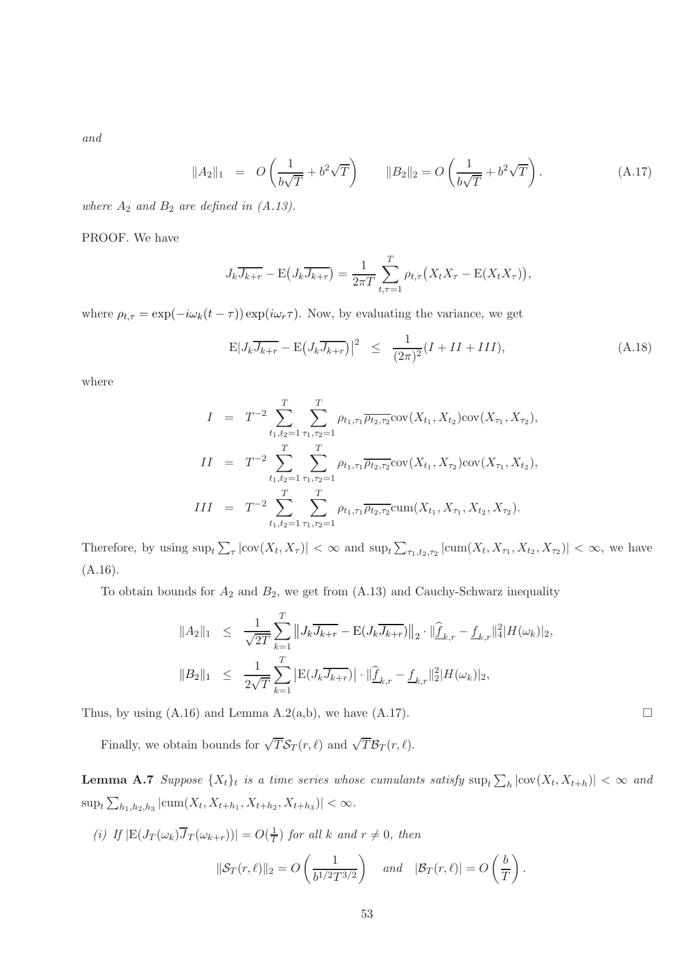and

$$
||A_2||_1 = O\left(\frac{1}{b\sqrt{T}} + b^2\sqrt{T}\right) \qquad ||B_2||_2 = O\left(\frac{1}{b\sqrt{T}} + b^2\sqrt{T}\right). \tag{A.17}
$$

where  $A_2$  and  $B_2$  are defined in  $(A.13)$ .

PROOF. We have

$$
J_k \overline{J_{k+r}} - \mathcal{E}(J_k \overline{J_{k+r}}) = \frac{1}{2\pi T} \sum_{t,\tau=1}^T \rho_{t,\tau} (X_t X_\tau - \mathcal{E}(X_t X_\tau)),
$$

where  $\rho_{t,\tau} = \exp(-i\omega_k(t-\tau)) \exp(i\omega_r \tau)$ . Now, by evaluating the variance, we get

$$
\mathcal{E}|J_k\overline{J_{k+r}} - \mathcal{E}(J_k\overline{J_{k+r}})|^2 \leq \frac{1}{(2\pi)^2}(I + II + III), \tag{A.18}
$$

where

$$
I = T^{-2} \sum_{t_1, t_2=1}^{T} \sum_{\tau_1, \tau_2=1}^{T} \rho_{t_1, \tau_1} \overline{\rho_{t_2, \tau_2}} \text{cov}(X_{t_1}, X_{t_2}) \text{cov}(X_{\tau_1}, X_{\tau_2}),
$$
  
\n
$$
II = T^{-2} \sum_{t_1, t_2=1}^{T} \sum_{\tau_1, \tau_2=1}^{T} \rho_{t_1, \tau_1} \overline{\rho_{t_2, \tau_2}} \text{cov}(X_{t_1}, X_{\tau_2}) \text{cov}(X_{\tau_1}, X_{t_2}),
$$
  
\n
$$
III = T^{-2} \sum_{t_1, t_2=1}^{T} \sum_{\tau_1, \tau_2=1}^{T} \rho_{t_1, \tau_1} \overline{\rho_{t_2, \tau_2}} \text{cum}(X_{t_1}, X_{\tau_1}, X_{t_2}, X_{\tau_2}).
$$

Therefore, by using  $\sup_t \sum_{\tau} |\text{cov}(X_t, X_{\tau})| < \infty$  and  $\sup_t \sum_{\tau_1, t_2, \tau_2} |\text{cum}(X_t, X_{\tau_1}, X_{t_2}, X_{\tau_2})| < \infty$ , we have (A.16).

To obtain bounds for  $A_2$  and  $B_2$ , we get from  $(A.13)$  and Cauchy-Schwarz inequality

$$
||A_2||_1 \leq \frac{1}{\sqrt{2T}} \sum_{k=1}^T ||J_k \overline{J_{k+r}} - \mathcal{E}(J_k \overline{J_{k+r}})||_2 \cdot ||\hat{f}_{k,r} - \underline{f}_{k,r}||_4^2 |H(\omega_k)|_2,
$$
  

$$
||B_2||_1 \leq \frac{1}{2\sqrt{T}} \sum_{k=1}^T |\mathcal{E}(J_k \overline{J_{k+r}})| \cdot ||\hat{f}_{k,r} - \underline{f}_{k,r}||_2^2 |H(\omega_k)|_2,
$$

Thus, by using  $(A.16)$  and Lemma  $A.2(a,b)$ , we have  $(A.17)$ .

Finally, we obtain bounds for  $\sqrt{T}S_T(r,\ell)$  and  $\sqrt{T}\mathcal{B}_T(r,\ell)$ .

**Lemma A.7** Suppose  $\{X_t\}_t$  is a time series whose cumulants satisfy  $\sup_t \sum_h |\text{cov}(X_t, X_{t+h})| < \infty$  and  $\sup_t \sum_{h_1, h_2, h_3} |\text{cum}(X_t, X_{t+h_1}, X_{t+h_2}, X_{t+h_3})| < \infty.$ 

(i) If  $|E(J_T(\omega_k)\overline{J}_T(\omega_{k+r}))| = O(\frac{1}{T})$  $(\frac{1}{T})$  for all k and  $r \neq 0$ , then

$$
\|\mathcal{S}_T(r,\ell)\|_2 = O\left(\frac{1}{b^{1/2}T^{3/2}}\right) \quad \text{and} \quad |\mathcal{B}_T(r,\ell)| = O\left(\frac{b}{T}\right).
$$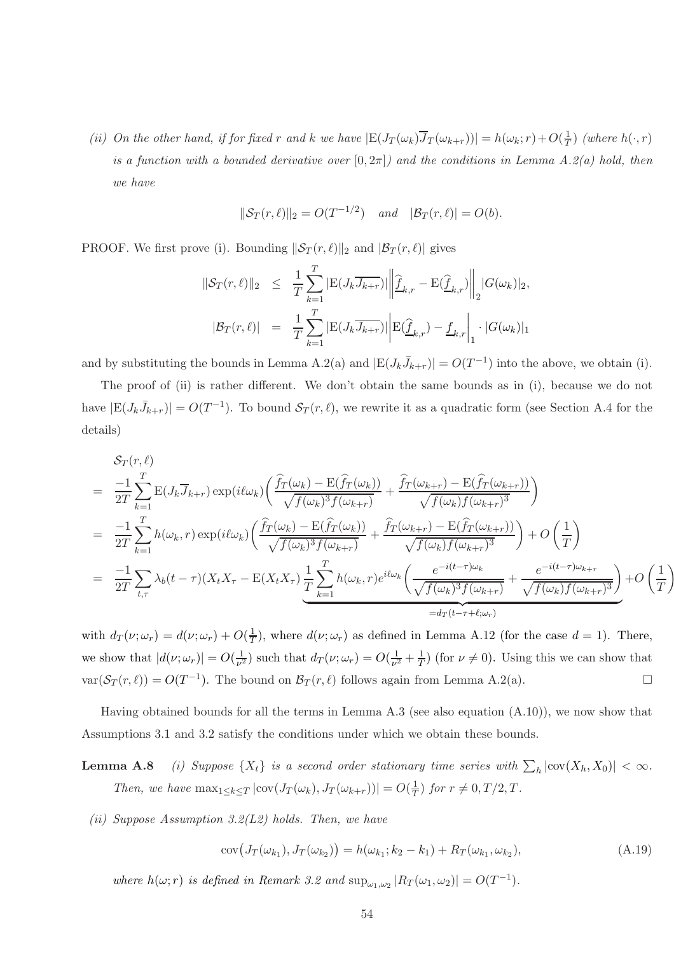(ii) On the other hand, if for fixed r and k we have  $|E(J_T(\omega_k)\overline{J}_T(\omega_{k+r}))|=h(\omega_k;r)+O(\frac{1}{T})$  $\frac{1}{T}$ ) (where  $h(\cdot, r)$ is a function with a bounded derivative over  $[0, 2\pi]$  and the conditions in Lemma A.2(a) hold, then we have

$$
||S_T(r, \ell)||_2 = O(T^{-1/2})
$$
 and  $|B_T(r, \ell)| = O(b)$ .

PROOF. We first prove (i). Bounding  $\|\mathcal{S}_T (r, \ell)\|_2$  and  $|\mathcal{B}_T (r, \ell)|$  gives

$$
\|\mathcal{S}_T(r,\ell)\|_2 \leq \frac{1}{T} \sum_{k=1}^T |\mathcal{E}(J_k \overline{J_{k+r}})| \left\| \widehat{f}_{k,r} - \mathcal{E}(\widehat{f}_{k,r}) \right\|_2 |G(\omega_k)|_2,
$$
  

$$
|\mathcal{B}_T(r,\ell)| = \frac{1}{T} \sum_{k=1}^T |\mathcal{E}(J_k \overline{J_{k+r}})| \left| \mathcal{E}(\widehat{f}_{k,r}) - \underline{f}_{k,r} \right|_1 \cdot |G(\omega_k)|_1
$$

and by substituting the bounds in Lemma A.2(a) and  $|E(J_k\bar{J}_{k+r})| = O(T^{-1})$  into the above, we obtain (i).

The proof of (ii) is rather different. We don't obtain the same bounds as in (i), because we do not have  $|E(J_k\bar{J}_{k+r})| = O(T^{-1})$ . To bound  $S_T(r,\ell)$ , we rewrite it as a quadratic form (see Section A.4 for the details)

$$
\begin{split}\n&\mathcal{S}_{T}(r,\ell) \\
&= \frac{-1}{2T} \sum_{k=1}^{T} \mathbf{E}(J_{k}\overline{J}_{k+r}) \exp(i\ell\omega_{k}) \bigg( \frac{\widehat{f}_{T}(\omega_{k}) - \mathbf{E}(\widehat{f}_{T}(\omega_{k}))}{\sqrt{f(\omega_{k})^{3}f(\omega_{k+r})}} + \frac{\widehat{f}_{T}(\omega_{k+r}) - \mathbf{E}(\widehat{f}_{T}(\omega_{k+r}))}{\sqrt{f(\omega_{k})f(\omega_{k+r})^{3}}} \bigg) \\
&= \frac{-1}{2T} \sum_{k=1}^{T} h(\omega_{k},r) \exp(i\ell\omega_{k}) \bigg( \frac{\widehat{f}_{T}(\omega_{k}) - \mathbf{E}(\widehat{f}_{T}(\omega_{k}))}{\sqrt{f(\omega_{k})^{3}f(\omega_{k+r})}} + \frac{\widehat{f}_{T}(\omega_{k+r}) - \mathbf{E}(\widehat{f}_{T}(\omega_{k+r}))}{\sqrt{f(\omega_{k})f(\omega_{k+r})^{3}}} \bigg) + O\left(\frac{1}{T}\right) \\
&= \frac{-1}{2T} \sum_{t,\tau} \lambda_{b}(t-\tau) (X_{t}X_{\tau} - \mathbf{E}(X_{t}X_{\tau}) \frac{1}{T} \sum_{k=1}^{T} h(\omega_{k},r) e^{i\ell\omega_{k}} \bigg( \frac{e^{-i(t-\tau)\omega_{k}}}{\sqrt{f(\omega_{k})^{3}f(\omega_{k+r})}} + \frac{e^{-i(t-\tau)\omega_{k+r}}}{\sqrt{f(\omega_{k})f(\omega_{k+r})^{3}}} \bigg) + O\left(\frac{1}{T}\right) \\
&= d_{T}(t-\tau+\ell;\omega_{r})\n\end{split}
$$

with  $d_T(\nu; \omega_r) = d(\nu; \omega_r) + O(\frac{1}{T})$  $\frac{1}{T}$ ), where  $d(\nu; \omega_r)$  as defined in Lemma A.12 (for the case  $d = 1$ ). There, we show that  $|d(\nu; \omega_r)| = O(\frac{1}{\nu^2})$  $\frac{1}{\nu^2}$ ) such that  $d_T(\nu; \omega_r) = O(\frac{1}{\nu^2})$  $\frac{1}{\nu^2} + \frac{1}{T}$  $(\frac{1}{T})$  (for  $\nu \neq 0$ ). Using this we can show that var $(\mathcal{S}_T(r,\ell)) = O(T^{-1})$ . The bound on  $\mathcal{B}_T(r,\ell)$  follows again from Lemma A.2(a).

Having obtained bounds for all the terms in Lemma A.3 (see also equation (A.10)), we now show that Assumptions 3.1 and 3.2 satisfy the conditions under which we obtain these bounds.

- **Lemma A.8** (i) Suppose  $\{X_t\}$  is a second order stationary time series with  $\sum_h |\text{cov}(X_h, X_0)| < \infty$ . Then, we have  $\max_{1 \leq k \leq T} |\text{cov}(J_T(\omega_k), J_T(\omega_{k+r}))| = O(\frac{1}{T})$  $\frac{1}{T}$ ) for  $r \neq 0, T/2, T$ .
	- (ii) Suppose Assumption 3.2( $L2$ ) holds. Then, we have

$$
cov(J_T(\omega_{k_1}), J_T(\omega_{k_2})) = h(\omega_{k_1}; k_2 - k_1) + R_T(\omega_{k_1}, \omega_{k_2}),
$$
\n(A.19)

where  $h(\omega; r)$  is defined in Remark 3.2 and  $\sup_{\omega_1,\omega_2} |R_T(\omega_1, \omega_2)| = O(T^{-1})$ .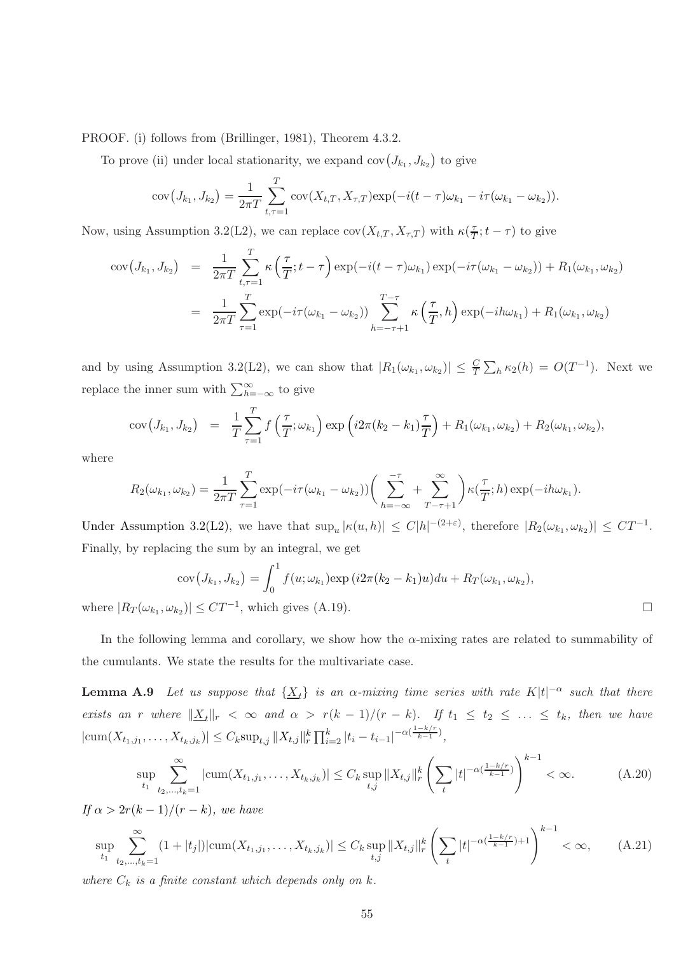PROOF. (i) follows from (Brillinger, 1981), Theorem 4.3.2.

To prove (ii) under local stationarity, we expand  $cov(J_{k_1}, J_{k_2})$  to give

$$
cov(J_{k_1}, J_{k_2}) = \frac{1}{2\pi T} \sum_{t,\tau=1}^T cov(X_{t,T}, X_{\tau,T}) exp(-i(t-\tau)\omega_{k_1} - i\tau(\omega_{k_1} - \omega_{k_2})).
$$

Now, using Assumption 3.2(L2), we can replace  $cov(X_{t,T}, X_{\tau,T})$  with  $\kappa(\frac{\tau}{T})$  $\frac{\tau}{T}$ ;  $t - \tau$ ) to give

$$
\text{cov}(J_{k_1}, J_{k_2}) = \frac{1}{2\pi T} \sum_{t,\tau=1}^T \kappa \left(\frac{\tau}{T}; t - \tau\right) \exp(-i(t - \tau)\omega_{k_1}) \exp(-i\tau(\omega_{k_1} - \omega_{k_2})) + R_1(\omega_{k_1}, \omega_{k_2})
$$

$$
= \frac{1}{2\pi T} \sum_{\tau=1}^T \exp(-i\tau(\omega_{k_1} - \omega_{k_2})) \sum_{h=-\tau+1}^{T-\tau} \kappa \left(\frac{\tau}{T}, h\right) \exp(-ih\omega_{k_1}) + R_1(\omega_{k_1}, \omega_{k_2})
$$

and by using Assumption 3.2(L2), we can show that  $|R_1(\omega_{k_1}, \omega_{k_2})| \leq \frac{C}{T} \sum_h \kappa_2(h) = O(T^{-1})$ . Next we replace the inner sum with  $\sum_{h=-\infty}^{\infty}$  to give

$$
cov(J_{k_1}, J_{k_2}) = \frac{1}{T} \sum_{\tau=1}^T f\left(\frac{\tau}{T}; \omega_{k_1}\right) exp\left(i2\pi(k_2 - k_1)\frac{\tau}{T}\right) + R_1(\omega_{k_1}, \omega_{k_2}) + R_2(\omega_{k_1}, \omega_{k_2}),
$$

where

$$
R_2(\omega_{k_1}, \omega_{k_2}) = \frac{1}{2\pi T} \sum_{\tau=1}^T \exp(-i\tau(\omega_{k_1} - \omega_{k_2})) \left( \sum_{h=-\infty}^{-\tau} + \sum_{T-\tau+1}^{\infty} \right) \kappa(\frac{\tau}{T}; h) \exp(-ih\omega_{k_1}).
$$

Under Assumption 3.2(L2), we have that  $\sup_u |\kappa(u,h)| \leq C|h|^{-(2+\varepsilon)}$ , therefore  $|R_2(\omega_{k_1}, \omega_{k_2})| \leq CT^{-1}$ . Finally, by replacing the sum by an integral, we get

$$
\text{cov}(J_{k_1}, J_{k_2}) = \int_0^1 f(u; \omega_{k_1}) \text{exp}(i2\pi(k_2 - k_1)u) du + R_T(\omega_{k_1}, \omega_{k_2}),
$$
  
where  $|R_T(\omega_{k_1}, \omega_{k_2})| \le CT^{-1}$ , which gives (A.19).

In the following lemma and corollary, we show how the  $\alpha$ -mixing rates are related to summability of the cumulants. We state the results for the multivariate case.

**Lemma A.9** Let us suppose that  $\{\underline{X}_t\}$  is an  $\alpha$ -mixing time series with rate  $K|t|^{-\alpha}$  such that there exists an r where  $\|\underline{X}_t\|_r < \infty$  and  $\alpha > r(k-1)/(r-k)$ . If  $t_1 \leq t_2 \leq \ldots \leq t_k$ , then we have  $|\text{cum}(X_{t_1,j_1},\ldots,X_{t_k,j_k})| \leq C_k \text{sup}_{t,j} ||X_{t,j}||_r^k \prod_{i=2}^k |t_i - t_{i-1}|^{-\alpha(\frac{1-k/r}{k-1})},$ 

$$
\sup_{t_1} \sum_{t_2,\dots,t_k=1}^{\infty} |\text{cum}(X_{t_1,j_1},\dots,X_{t_k,j_k})| \le C_k \sup_{t,j} \|X_{t,j}\|_r^k \left(\sum_t |t|^{-\alpha(\frac{1-k/r}{k-1})}\right)^{k-1} < \infty. \tag{A.20}
$$

If  $\alpha > 2r(k-1)/(r-k)$ , we have

$$
\sup_{t_1} \sum_{t_2,\dots,t_k=1}^{\infty} (1+|t_j|)|\text{cum}(X_{t_1,j_1},\dots,X_{t_k,j_k})| \leq C_k \sup_{t,j} \|X_{t,j}\|_r^k \left(\sum_t |t|^{-\alpha(\frac{1-k/r}{k-1})+1}\right)^{k-1} < \infty, \tag{A.21}
$$

where  $C_k$  is a finite constant which depends only on k.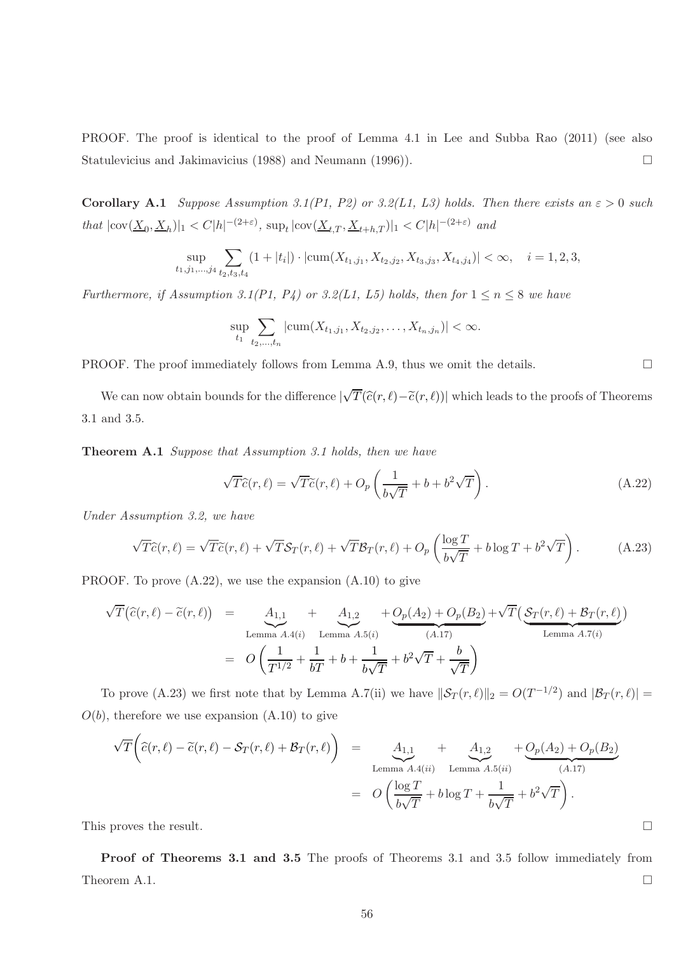PROOF. The proof is identical to the proof of Lemma 4.1 in Lee and Subba Rao (2011) (see also Statulevicius and Jakimavicius (1988) and Neumann (1996)).

**Corollary A.1** Suppose Assumption 3.1(P1, P2) or 3.2(L1, L3) holds. Then there exists an  $\varepsilon > 0$  such that  $|\text{cov}(\underline{X}_0, \underline{X}_h)|_1 < C|h|^{-(2+\varepsilon)}$ ,  $\sup_t |\text{cov}(\underline{X}_{t,T}, \underline{X}_{t+h,T})|_1 < C|h|^{-(2+\varepsilon)}$  and

$$
\sup_{t_1,j_1,\dots,j_4} \sum_{t_2,t_3,t_4} (1+|t_i|) \cdot |\text{cum}(X_{t_1,j_1}, X_{t_2,j_2}, X_{t_3,j_3}, X_{t_4,j_4})| < \infty, \quad i = 1,2,3,
$$

Furthermore, if Assumption 3.1(P1, P4) or 3.2(L1, L5) holds, then for  $1 \le n \le 8$  we have

$$
\sup_{t_1} \sum_{t_2,\dots,t_n} |\text{cum}(X_{t_1,j_1}, X_{t_2,j_2},\dots,X_{t_n,j_n})| < \infty.
$$

PROOF. The proof immediately follows from Lemma A.9, thus we omit the details.

We can now obtain bounds for the difference  $|\sqrt{T}(\hat{c}(r,\ell)-\tilde{c}(r,\ell))|$  which leads to the proofs of Theorems 3.1 and 3.5.

Theorem A.1 Suppose that Assumption 3.1 holds, then we have

$$
\sqrt{T}\hat{c}(r,\ell) = \sqrt{T}\tilde{c}(r,\ell) + O_p\left(\frac{1}{b\sqrt{T}} + b + b^2\sqrt{T}\right). \tag{A.22}
$$

Under Assumption 3.2, we have

$$
\sqrt{T}\widehat{c}(r,\ell) = \sqrt{T}\widetilde{c}(r,\ell) + \sqrt{T}\mathcal{S}_T(r,\ell) + \sqrt{T}\mathcal{B}_T(r,\ell) + O_p\left(\frac{\log T}{b\sqrt{T}} + b\log T + b^2\sqrt{T}\right). \tag{A.23}
$$

PROOF. To prove (A.22), we use the expansion (A.10) to give

$$
\sqrt{T}(\widehat{c}(r,\ell) - \widetilde{c}(r,\ell)) = \underbrace{A_{1,1}}_{\text{Lemma }A.4(i)} + \underbrace{A_{1,2}}_{\text{Lemma }A.5(i)} + \underbrace{O_p(A_2) + O_p(B_2)}_{(A.17)} + \sqrt{T} \left( \underbrace{S_T(r,\ell) + B_T(r,\ell)}_{\text{Lemma }A.7(i)} \right)
$$
\n
$$
= O\left(\frac{1}{T^{1/2}} + \frac{1}{bT} + b + \frac{1}{b\sqrt{T}} + b^2\sqrt{T} + \frac{b}{\sqrt{T}} \right)
$$

To prove (A.23) we first note that by Lemma A.7(ii) we have  $\|\mathcal{S}_T(r,\ell)\|_2 = O(T^{-1/2})$  and  $|\mathcal{B}_T(r,\ell)| =$  $O(b)$ , therefore we use expansion  $(A.10)$  to give

$$
\sqrt{T}\left(\widehat{c}(r,\ell) - \widetilde{c}(r,\ell) - \mathcal{S}_T(r,\ell) + \mathcal{B}_T(r,\ell)\right) = \underbrace{A_{1,1}}_{\text{Lemma }A.4(ii)} + \underbrace{A_{1,2}}_{\text{Lemma }A.5(ii)} + \underbrace{O_p(A_2) + O_p(B_2)}_{(A.17)}.
$$
\n
$$
= O\left(\frac{\log T}{b\sqrt{T}} + b\log T + \frac{1}{b\sqrt{T}} + b^2\sqrt{T}\right).
$$

This proves the result.

Proof of Theorems 3.1 and 3.5 The proofs of Theorems 3.1 and 3.5 follow immediately from Theorem A.1.  $\Box$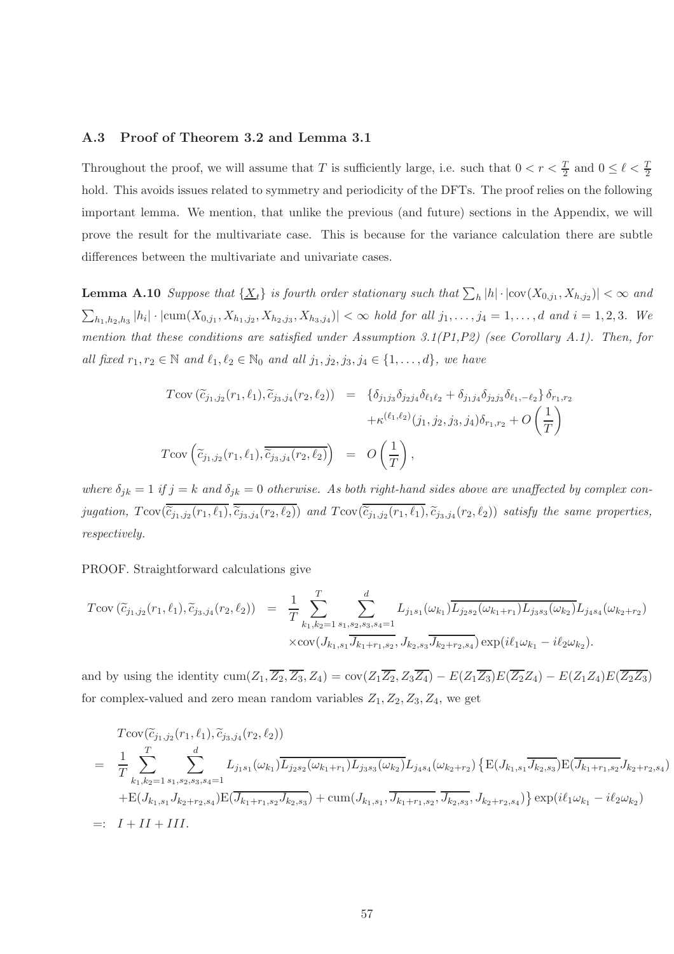#### A.3 Proof of Theorem 3.2 and Lemma 3.1

Throughout the proof, we will assume that T is sufficiently large, i.e. such that  $0 < r < \frac{T}{2}$  and  $0 \le \ell < \frac{T}{2}$ hold. This avoids issues related to symmetry and periodicity of the DFTs. The proof relies on the following important lemma. We mention, that unlike the previous (and future) sections in the Appendix, we will prove the result for the multivariate case. This is because for the variance calculation there are subtle differences between the multivariate and univariate cases.

**Lemma A.10** Suppose that  $\{\underline{X}_t\}$  is fourth order stationary such that  $\sum_h |h| \cdot |\text{cov}(X_{0,j_1}, X_{h,j_2})| < \infty$  and  $\sum_{h_1,h_2,h_3} |h_i| \cdot |\text{cum}(X_{0,j_1}, X_{h_1,j_2}, X_{h_2,j_3}, X_{h_3,j_4})| < \infty$  hold for all  $j_1,\ldots,j_4 = 1,\ldots,d$  and  $i = 1,2,3$ . We mention that these conditions are satisfied under Assumption 3.1(P1,P2) (see Corollary A.1). Then, for all fixed  $r_1, r_2 \in \mathbb{N}$  and  $\ell_1, \ell_2 \in \mathbb{N}_0$  and all  $j_1, j_2, j_3, j_4 \in \{1, \ldots, d\}$ , we have

$$
T\text{cov}(\widetilde{c}_{j_1,j_2}(r_1,\ell_1),\widetilde{c}_{j_3,j_4}(r_2,\ell_2)) = \{\delta_{j_1j_3}\delta_{j_2j_4}\delta_{\ell_1\ell_2} + \delta_{j_1j_4}\delta_{j_2j_3}\delta_{\ell_1,-\ell_2}\}\delta_{r_1,r_2} + \kappa^{(\ell_1,\ell_2)}(j_1,j_2,j_3,j_4)\delta_{r_1,r_2} + O\left(\frac{1}{T}\right)
$$
  

$$
T\text{cov}(\widetilde{c}_{j_1,j_2}(r_1,\ell_1),\overline{\widetilde{c}_{j_3,j_4}(r_2,\ell_2)}) = O\left(\frac{1}{T}\right),
$$

where  $\delta_{jk} = 1$  if  $j = k$  and  $\delta_{jk} = 0$  otherwise. As both right-hand sides above are unaffected by complex conjugation,  $T\text{cov}(\tilde{c}_{j_1,j_2}(r_1,\ell_1),\tilde{c}_{j_3,j_4}(r_2,\ell_2))$  and  $T\text{cov}(\tilde{c}_{j_1,j_2}(r_1,\ell_1),\tilde{c}_{j_3,j_4}(r_2,\ell_2))$  satisfy the same properties, respectively.

PROOF. Straightforward calculations give

$$
T\text{cov}\left(\tilde{c}_{j_1,j_2}(r_1,\ell_1),\tilde{c}_{j_3,j_4}(r_2,\ell_2)\right) = \frac{1}{T} \sum_{k_1,k_2=1}^T \sum_{s_1,s_2,s_3,s_4=1}^d L_{j_1s_1}(\omega_{k_1}) \overline{L_{j_2s_2}(\omega_{k_1+r_1}) L_{j_3s_3}(\omega_{k_2})} L_{j_4s_4}(\omega_{k_2+r_2})
$$
  
 
$$
\times \text{cov}(J_{k_1,s_1} \overline{J_{k_1+r_1,s_2}}, J_{k_2,s_3} \overline{J_{k_2+r_2,s_4}}) \exp(i\ell_1 \omega_{k_1} - i\ell_2 \omega_{k_2}).
$$

and by using the identity  $cum(Z_1,\overline{Z_2},\overline{Z_3},Z_4) = cov(Z_1\overline{Z_2},Z_3\overline{Z_4}) - E(Z_1\overline{Z_3})E(\overline{Z_2}Z_4) - E(Z_1Z_4)E(\overline{Z_2}Z_3)$ for complex-valued and zero mean random variables  $Z_1, Z_2, Z_3, Z_4$ , we get

$$
T\text{cov}(\tilde{c}_{j_1,j_2}(r_1,\ell_1),\tilde{c}_{j_3,j_4}(r_2,\ell_2))
$$
\n
$$
= \frac{1}{T} \sum_{k_1,k_2=1}^T \sum_{s_1,s_2,s_3,s_4=1}^d L_{j_1s_1}(\omega_{k_1}) L_{j_2s_2}(\omega_{k_1+r_1}) L_{j_3s_3}(\omega_{k_2}) L_{j_4s_4}(\omega_{k_2+r_2}) \left\{ E(J_{k_1,s_1},\overline{J_{k_2,s_3}}) E(\overline{J_{k_1+r_1,s_2}} J_{k_2+r_2,s_4}) + E(J_{k_1,s_1},J_{k_2+r_2,s_4}) E(\overline{J_{k_1+r_1,s_2}} J_{k_2,s_3}) + \text{cum}(J_{k_1,s_1},\overline{J_{k_1+r_1,s_2}},\overline{J_{k_2,s_3}},J_{k_2+r_2,s_4}) \right\} \exp(i\ell_1\omega_{k_1} - i\ell_2\omega_{k_2})
$$
\n
$$
=: I + II + III.
$$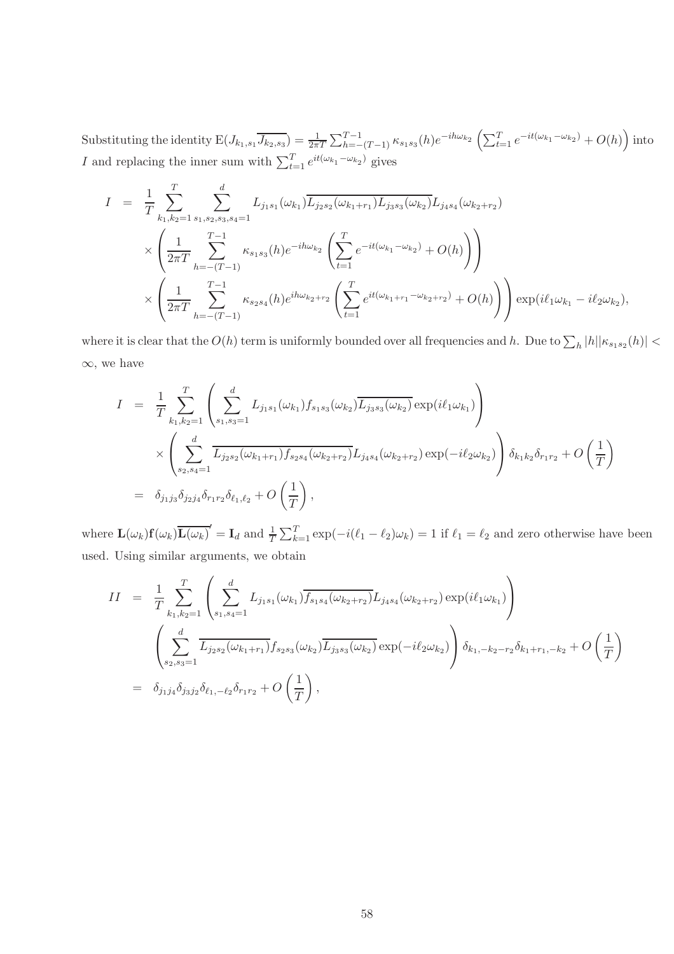Substituting the identity  $E(J_{k_1,s_1}\overline{J_{k_2,s_3}}) = \frac{1}{2\pi T} \sum_{h=- (T-1)}^{T-1} \kappa_{s_1s_3}(h) e^{-ih\omega_{k_2}} \left(\sum_{t=1}^T e^{-it(\omega_{k_1}-\omega_{k_2})} + O(h)\right)$  into I and replacing the inner sum with  $\sum_{t=1}^{T} e^{it(\omega_{k_1} - \omega_{k_2})}$  gives

$$
I = \frac{1}{T} \sum_{k_1, k_2=1}^{T} \sum_{s_1, s_2, s_3, s_4=1}^{d} L_{j_1 s_1}(\omega_{k_1}) \overline{L_{j_2 s_2}(\omega_{k_1+r_1})} L_{j_3 s_3}(\omega_{k_2})} L_{j_4 s_4}(\omega_{k_2+r_2})
$$
  

$$
\times \left( \frac{1}{2\pi T} \sum_{h=-(T-1)}^{T-1} \kappa_{s_1 s_3}(h) e^{-ih\omega_{k_2}} \left( \sum_{t=1}^{T} e^{-it(\omega_{k_1}-\omega_{k_2})} + O(h) \right) \right)
$$
  

$$
\times \left( \frac{1}{2\pi T} \sum_{h=-(T-1)}^{T-1} \kappa_{s_2 s_4}(h) e^{ih\omega_{k_2+r_2}} \left( \sum_{t=1}^{T} e^{it(\omega_{k_1+r_1}-\omega_{k_2+r_2})} + O(h) \right) \right) \exp(i\ell_1 \omega_{k_1} - i\ell_2 \omega_{k_2}),
$$

where it is clear that the  $O(h)$  term is uniformly bounded over all frequencies and h. Due to  $\sum_h |h||\kappa_{s_1s_2}(h)| <$ ∞, we have

$$
I = \frac{1}{T} \sum_{k_1, k_2=1}^{T} \left( \sum_{s_1, s_3=1}^{d} L_{j_1s_1}(\omega_{k_1}) f_{s_1s_3}(\omega_{k_2}) \overline{L_{j_3s_3}(\omega_{k_2})} \exp(i\ell_1 \omega_{k_1}) \right) \times \left( \sum_{s_2, s_4=1}^{d} \overline{L_{j_2s_2}(\omega_{k_1+r_1}) f_{s_2s_4}(\omega_{k_2+r_2})} L_{j_4s_4}(\omega_{k_2+r_2}) \exp(-i\ell_2 \omega_{k_2}) \right) \delta_{k_1k_2} \delta_{r_1r_2} + O\left(\frac{1}{T}\right) = \delta_{j_1j_3} \delta_{j_2j_4} \delta_{r_1r_2} \delta_{\ell_1,\ell_2} + O\left(\frac{1}{T}\right),
$$

where  $\mathbf{L}(\omega_k)\mathbf{f}(\omega_k)\mathbf{L}(\omega_k)^\prime = \mathbf{I}_d$  and  $\frac{1}{T}\sum_{k=1}^T \exp(-i(\ell_1 - \ell_2)\omega_k) = 1$  if  $\ell_1 = \ell_2$  and zero otherwise have been used. Using similar arguments, we obtain

$$
II = \frac{1}{T} \sum_{k_1, k_2=1}^{T} \left( \sum_{s_1, s_4=1}^{d} L_{j_1 s_1}(\omega_{k_1}) \overline{f_{s_1 s_4}(\omega_{k_2+r_2})} L_{j_4 s_4}(\omega_{k_2+r_2}) \exp(i\ell_1 \omega_{k_1}) \right)
$$
  

$$
\left( \sum_{s_2, s_3=1}^{d} \overline{L_{j_2 s_2}(\omega_{k_1+r_1})} f_{s_2 s_3}(\omega_{k_2}) \overline{L_{j_3 s_3}(\omega_{k_2})} \exp(-i\ell_2 \omega_{k_2}) \right) \delta_{k_1, -k_2-r_2} \delta_{k_1+r_1, -k_2} + O\left(\frac{1}{T}\right)
$$
  

$$
= \delta_{j_1 j_4} \delta_{j_3 j_2} \delta_{\ell_1, -\ell_2} \delta_{r_1 r_2} + O\left(\frac{1}{T}\right),
$$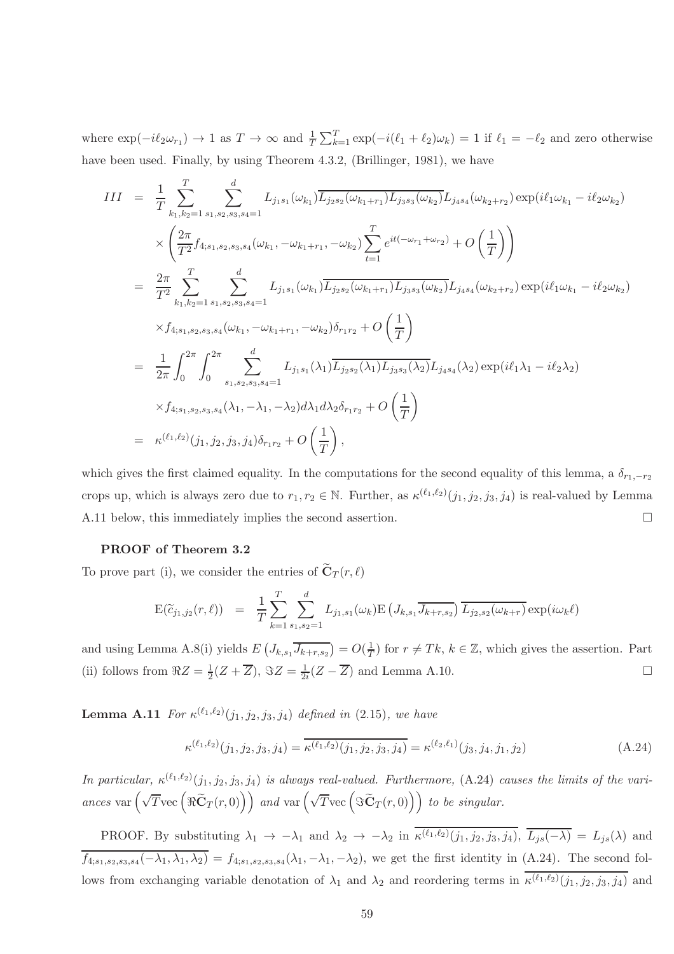where  $\exp(-i\ell_2\omega_{r_1}) \to 1$  as  $T \to \infty$  and  $\frac{1}{T}\sum_{k=1}^T \exp(-i(\ell_1+\ell_2)\omega_k) = 1$  if  $\ell_1 = -\ell_2$  and zero otherwise have been used. Finally, by using Theorem 4.3.2, (Brillinger, 1981), we have

$$
III = \frac{1}{T} \sum_{k_1, k_2=1}^{T} \sum_{s_1, s_2, s_3, s_4=1}^{d} L_{j_1s_1}(\omega_{k_1}) \overline{L_{j_2s_2}(\omega_{k_1+r_1})} L_{j_3s_3}(\omega_{k_2})} L_{j_4s_4}(\omega_{k_2+r_2}) \exp(i\ell_1\omega_{k_1} - i\ell_2\omega_{k_2})
$$
  
\n
$$
\times \left(\frac{2\pi}{T^2} f_{4;s_1,s_2,s_3,s_4}(\omega_{k_1}, -\omega_{k_1+r_1}, -\omega_{k_2}) \sum_{t=1}^{T} e^{it(-\omega_{r_1} + \omega_{r_2})} + O\left(\frac{1}{T}\right)\right)
$$
  
\n
$$
= \frac{2\pi}{T^2} \sum_{k_1, k_2=1}^{T} \sum_{s_1, s_2, s_3, s_4=1}^{d} L_{j_1s_1}(\omega_{k_1}) \overline{L_{j_2s_2}(\omega_{k_1+r_1})} L_{j_3s_3}(\omega_{k_2})} L_{j_4s_4}(\omega_{k_2+r_2}) \exp(i\ell_1\omega_{k_1} - i\ell_2\omega_{k_2})
$$
  
\n
$$
\times f_{4;s_1,s_2,s_3,s_4}(\omega_{k_1}, -\omega_{k_1+r_1}, -\omega_{k_2}) \delta_{r_1r_2} + O\left(\frac{1}{T}\right)
$$
  
\n
$$
= \frac{1}{2\pi} \int_0^{2\pi} \int_0^{2\pi} \sum_{s_1, s_2, s_3, s_4=1}^{d} L_{j_1s_1}(\lambda_1) \overline{L_{j_2s_2}(\lambda_1)} L_{j_3s_3}(\lambda_2) L_{j_4s_4}(\lambda_2) \exp(i\ell_1\lambda_1 - i\ell_2\lambda_2)
$$
  
\n
$$
\times f_{4;s_1,s_2,s_3,s_4}(\lambda_1, -\lambda_1, -\lambda_2) d\lambda_1 d\lambda_2 \delta_{r_1r_2} + O\left(\frac{1}{T}\right)
$$
  
\n
$$
= \kappa^{(\ell_1,\ell_2)}(j
$$

which gives the first claimed equality. In the computations for the second equality of this lemma, a  $\delta_{r_1,-r_2}$ crops up, which is always zero due to  $r_1, r_2 \in \mathbb{N}$ . Further, as  $\kappa^{(\ell_1,\ell_2)}(j_1, j_2, j_3, j_4)$  is real-valued by Lemma A.11 below, this immediately implies the second assertion.

#### PROOF of Theorem 3.2

To prove part (i), we consider the entries of  $\tilde{\mathbf{C}}_T(r,\ell)$ 

$$
E(\widetilde{c}_{j_1,j_2}(r,\ell)) = \frac{1}{T} \sum_{k=1}^T \sum_{s_1,s_2=1}^d L_{j_1,s_1}(\omega_k) E\left(J_{k,s_1} \overline{J_{k+r,s_2}}\right) \overline{L_{j_2,s_2}(\omega_{k+r})} \exp(i\omega_k \ell)
$$

and using Lemma A.8(i) yields  $E\left(J_{k,s_1}\overline{J_{k+r,s_2}}\right) = O(\frac{1}{T})$  $(\frac{1}{T})$  for  $r \neq Tk$ ,  $k \in \mathbb{Z}$ , which gives the assertion. Part (ii) follows from  $\Re Z = \frac{1}{2}$  $\frac{1}{2}(Z+\overline{Z}), \Im Z = \frac{1}{2i}$  $\frac{1}{2i}(Z-\overline{Z})$  and Lemma A.10.

**Lemma A.11** For  $\kappa^{(\ell_1,\ell_2)}(j_1, j_2, j_3, j_4)$  defined in (2.15), we have

$$
\kappa^{(\ell_1,\ell_2)}(j_1,j_2,j_3,j_4) = \overline{\kappa^{(\ell_1,\ell_2)}(j_1,j_2,j_3,j_4)} = \kappa^{(\ell_2,\ell_1)}(j_3,j_4,j_1,j_2)
$$
(A.24)

In particular,  $\kappa^{(\ell_1,\ell_2)}(j_1,j_2,j_3,j_4)$  is always real-valued. Furthermore, (A.24) causes the limits of the variances var  $(\sqrt{T}\text{vec}\left(\Re\widetilde{\mathbf{C}}_T(r,0)\right))$  and var  $(\sqrt{T}\text{vec}\left(\Im\widetilde{\mathbf{C}}_T(r,0)\right))$  to be singular.

PROOF. By substituting  $\lambda_1 \to -\lambda_1$  and  $\lambda_2 \to -\lambda_2$  in  $\kappa^{(\ell_1,\ell_2)}(j_1,j_2,j_3,j_4)$ ,  $L_{js}(-\lambda) = L_{js}(\lambda)$  and  $f_{4,s_1,s_2,s_3,s_4}(-\lambda_1,\lambda_1,\lambda_2) = f_{4,s_1,s_2,s_3,s_4}(\lambda_1,-\lambda_1,-\lambda_2)$ , we get the first identity in  $(A.24)$ . The second follows from exchanging variable denotation of  $\lambda_1$  and  $\lambda_2$  and reordering terms in  $\overline{\kappa^{(\ell_1,\ell_2)}(j_1,j_2,j_3,j_4)}$  and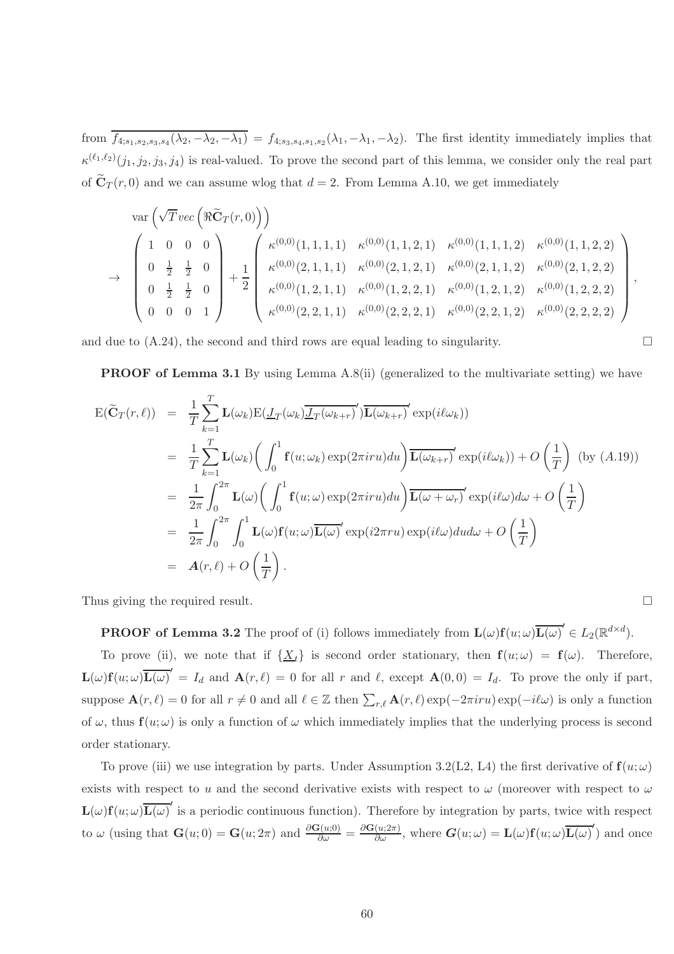from  $f_{4,s_1,s_2,s_3,s_4}(\lambda_2,-\lambda_2,-\lambda_1) = f_{4,s_3,s_4,s_1,s_2}(\lambda_1,-\lambda_1,-\lambda_2)$ . The first identity immediately implies that  $\kappa^{(\ell_1,\ell_2)}(j_1,j_2,j_3,j_4)$  is real-valued. To prove the second part of this lemma, we consider only the real part of  $\tilde{\mathbf{C}}_T(r,0)$  and we can assume wlog that  $d=2$ . From Lemma A.10, we get immediately

$$
\rightarrow \begin{pmatrix}\n1 & 0 & 0 & 0 \\
0 & \frac{1}{2} & \frac{1}{2} & 0 \\
0 & \frac{1}{2} & \frac{1}{2} & 0 \\
0 & 0 & 0 & 1\n\end{pmatrix} + \frac{1}{2} \begin{pmatrix}\n\kappa^{(0,0)}(1,1,1,1) & \kappa^{(0,0)}(1,1,2,1) & \kappa^{(0,0)}(1,1,1,2) & \kappa^{(0,0)}(1,1,2,2) \\
\kappa^{(0,0)}(2,1,1,1) & \kappa^{(0,0)}(2,1,2,1) & \kappa^{(0,0)}(2,1,1,2) & \kappa^{(0,0)}(2,1,2,2) \\
\kappa^{(0,0)}(1,2,1,1) & \kappa^{(0,0)}(1,2,2,1) & \kappa^{(0,0)}(1,2,1,2) & \kappa^{(0,0)}(1,2,2,2) \\
\kappa^{(0,0)}(2,2,1,1) & \kappa^{(0,0)}(2,2,2,1) & \kappa^{(0,0)}(2,2,1,2) & \kappa^{(0,0)}(2,2,2,2)\n\end{pmatrix},
$$

and due to  $(A.24)$ , the second and third rows are equal leading to singularity.

PROOF of Lemma 3.1 By using Lemma A.8(ii) (generalized to the multivariate setting) we have

$$
\begin{split}\n\mathbf{E}(\widetilde{\mathbf{C}}_{T}(r,\ell)) &= \frac{1}{T} \sum_{k=1}^{T} \mathbf{L}(\omega_{k}) \mathbf{E}(\underline{J}_{T}(\omega_{k}) \overline{\underline{J}_{T}(\omega_{k+r})}') \overline{\mathbf{L}(\omega_{k+r})}' \exp(i\ell\omega_{k})) \\
&= \frac{1}{T} \sum_{k=1}^{T} \mathbf{L}(\omega_{k}) \bigg( \int_{0}^{1} \mathbf{f}(u; \omega_{k}) \exp(2\pi i r u) du \bigg) \overline{\mathbf{L}(\omega_{k+r})}' \exp(i\ell\omega_{k}) + O\left(\frac{1}{T}\right) \text{ (by (A.19))} \\
&= \frac{1}{2\pi} \int_{0}^{2\pi} \mathbf{L}(\omega) \bigg( \int_{0}^{1} \mathbf{f}(u; \omega) \exp(2\pi i r u) du \bigg) \overline{\mathbf{L}(\omega + \omega_{r})}' \exp(i\ell\omega) d\omega + O\left(\frac{1}{T}\right) \\
&= \frac{1}{2\pi} \int_{0}^{2\pi} \int_{0}^{1} \mathbf{L}(\omega) \mathbf{f}(u; \omega) \overline{\mathbf{L}(\omega)}' \exp(i2\pi r u) \exp(i\ell\omega) dud\omega + O\left(\frac{1}{T}\right) \\
&= \mathbf{A}(r, \ell) + O\left(\frac{1}{T}\right).\n\end{split}
$$

Thus giving the required result.

**PROOF of Lemma 3.2** The proof of (i) follows immediately from  $\mathbf{L}(\omega)\mathbf{f}(u;\omega)\overline{\mathbf{L}(\omega)}' \in L_2(\mathbb{R}^{d \times d})$ .

To prove (ii), we note that if  $\{\underline{X}_t\}$  is second order stationary, then  $f(u; \omega) = f(\omega)$ . Therefore,  $\mathbf{L}(\omega)\mathbf{f}(u;\omega)\overline{\mathbf{L}(\omega)}' = I_d$  and  $\mathbf{A}(r,\ell) = 0$  for all r and  $\ell$ , except  $\mathbf{A}(0,0) = I_d$ . To prove the only if part, suppose  $\mathbf{A}(r,\ell) = 0$  for all  $r \neq 0$  and all  $\ell \in \mathbb{Z}$  then  $\sum_{r,\ell} \mathbf{A}(r,\ell) \exp(-2\pi i r u) \exp(-i\ell\omega)$  is only a function of  $\omega$ , thus  $f(u; \omega)$  is only a function of  $\omega$  which immediately implies that the underlying process is second order stationary.

To prove (iii) we use integration by parts. Under Assumption 3.2(L2, L4) the first derivative of  $f(u; \omega)$ exists with respect to u and the second derivative exists with respect to  $\omega$  (moreover with respect to  $\omega$  $\mathbf{L}(\omega)\mathbf{f}(u;\omega)\overline{\mathbf{L}(\omega)}'$  is a periodic continuous function). Therefore by integration by parts, twice with respect to  $\omega$  (using that  $\mathbf{G}(u;0) = \mathbf{G}(u;2\pi)$  and  $\frac{\partial \mathbf{G}(u;0)}{\partial \omega} = \frac{\partial \mathbf{G}(u;2\pi)}{\partial \omega}$ , where  $\mathbf{G}(u;\omega) = \mathbf{L}(\omega)\mathbf{f}(u;\omega)\overline{\mathbf{L}(\omega)}'$  and once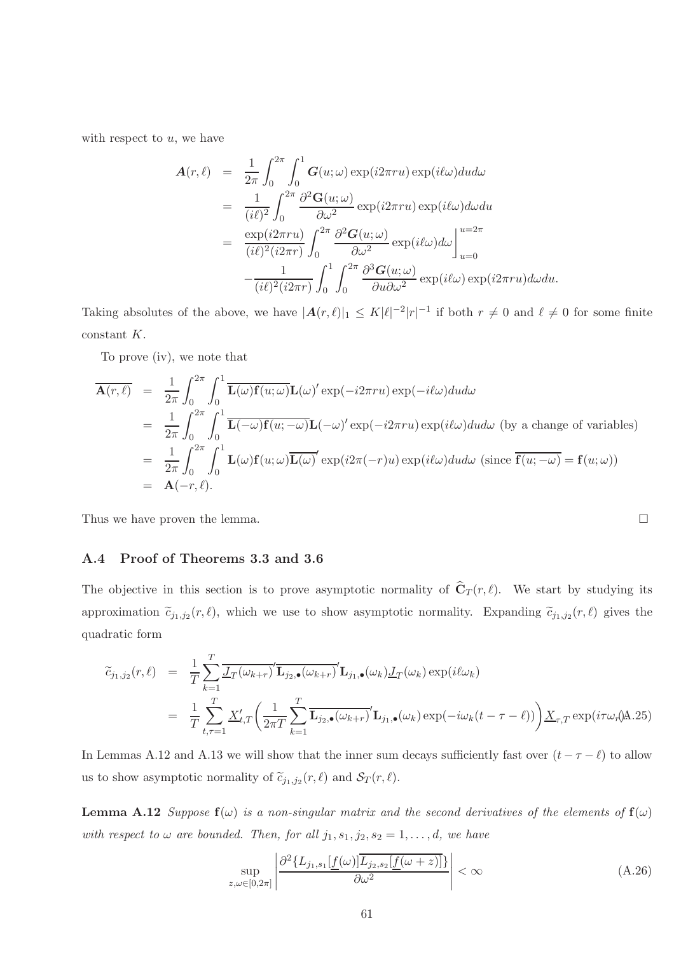with respect to  $u$ , we have

$$
A(r,\ell) = \frac{1}{2\pi} \int_0^{2\pi} \int_0^1 G(u;\omega) \exp(i2\pi ru) \exp(i\ell\omega) du d\omega
$$
  
\n
$$
= \frac{1}{(i\ell)^2} \int_0^{2\pi} \frac{\partial^2 G(u;\omega)}{\partial \omega^2} \exp(i2\pi ru) \exp(i\ell\omega) d\omega du
$$
  
\n
$$
= \frac{\exp(i2\pi ru)}{(i\ell)^2 (i2\pi r)} \int_0^{2\pi} \frac{\partial^2 G(u;\omega)}{\partial \omega^2} \exp(i\ell\omega) d\omega \Big|_{u=0}^{u=2\pi}
$$
  
\n
$$
- \frac{1}{(i\ell)^2 (i2\pi r)} \int_0^1 \int_0^{2\pi} \frac{\partial^3 G(u;\omega)}{\partial u \partial \omega^2} \exp(i\ell\omega) \exp(i2\pi ru) d\omega du.
$$

Taking absolutes of the above, we have  $|A(r,\ell)|_1 \leq K|\ell|^{-2}|r|^{-1}$  if both  $r \neq 0$  and  $\ell \neq 0$  for some finite constant K.

To prove (iv), we note that

$$
\overline{\mathbf{A}(r,\ell)} = \frac{1}{2\pi} \int_0^{2\pi} \int_0^1 \overline{\mathbf{L}(\omega)} \mathbf{f}(u;\omega) \mathbf{L}(\omega)' \exp(-i2\pi ru) \exp(-i\ell\omega) dud\omega \n= \frac{1}{2\pi} \int_0^{2\pi} \int_0^1 \overline{\mathbf{L}(-\omega)} \mathbf{f}(u;-\omega) \mathbf{L}(-\omega)' \exp(-i2\pi ru) \exp(i\ell\omega) dud\omega \text{ (by a change of variables)} \n= \frac{1}{2\pi} \int_0^{2\pi} \int_0^1 \mathbf{L}(\omega) \mathbf{f}(u;\omega) \overline{\mathbf{L}(\omega)}' \exp(i2\pi(-r)u) \exp(i\ell\omega) dud\omega \text{ (since } \overline{\mathbf{f}(u;-\omega)} = \mathbf{f}(u;\omega)) \n= \mathbf{A}(-r,\ell).
$$

Thus we have proven the lemma.  $\Box$ 

## A.4 Proof of Theorems 3.3 and 3.6

The objective in this section is to prove asymptotic normality of  $\mathbf{C}_T(r,\ell)$ . We start by studying its approximation  $\tilde{c}_{j_1,j_2}(r,\ell)$ , which we use to show asymptotic normality. Expanding  $\tilde{c}_{j_1,j_2}(r,\ell)$  gives the quadratic form

$$
\widetilde{c}_{j_1,j_2}(r,\ell) = \frac{1}{T} \sum_{k=1}^T \frac{\overline{J}_T(\omega_{k+r})' \mathbf{L}_{j_2,\bullet}(\omega_{k+r})'}{\mathbf{L}_{j_2,\bullet}(\omega_{k+r})'} \mathbf{L}_{j_1,\bullet}(\omega_k) \underline{J}_T(\omega_k) \exp(i\ell\omega_k)
$$
\n
$$
= \frac{1}{T} \sum_{t,\tau=1}^T \underline{X}'_{t,\tau} \bigg( \frac{1}{2\pi T} \sum_{k=1}^T \overline{\mathbf{L}_{j_2,\bullet}(\omega_{k+r})'} \mathbf{L}_{j_1,\bullet}(\omega_k) \exp(-i\omega_k(t-\tau-\ell)) \bigg) \underline{X}_{\tau,T} \exp(i\tau\omega_r) \mathbf{A}.25)
$$

In Lemmas A.12 and A.13 we will show that the inner sum decays sufficiently fast over  $(t - \tau - \ell)$  to allow us to show asymptotic normality of  $\tilde{c}_{j_1,j_2}(r,\ell)$  and  $\mathcal{S}_T(r,\ell)$ .

**Lemma A.12** Suppose  $f(\omega)$  is a non-singular matrix and the second derivatives of the elements of  $f(\omega)$ with respect to  $\omega$  are bounded. Then, for all  $j_1, s_1, j_2, s_2 = 1, \ldots, d$ , we have

$$
\sup_{z,\omega \in [0,2\pi]} \left| \frac{\partial^2 \{L_{j_1,s_1}[\underline{f}(\omega)] \overline{L_{j_2,s_2}[\underline{f}(\omega+z)]}\}}{\partial \omega^2} \right| < \infty \tag{A.26}
$$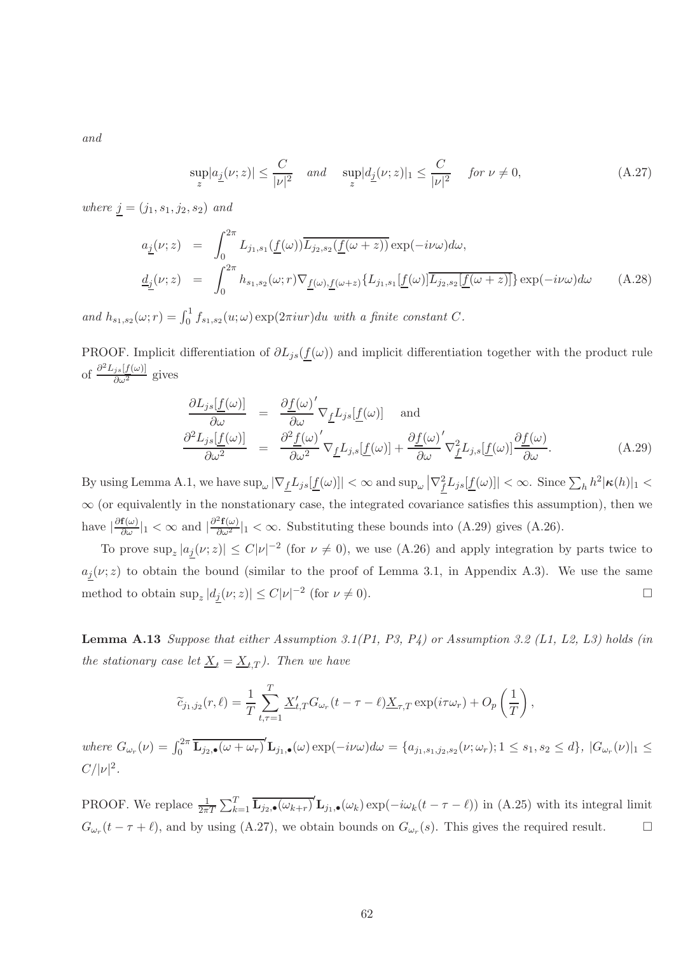and

$$
\sup_{z} |a_{\underline{j}}(\nu; z)| \leq \frac{C}{|\nu|^2} \quad \text{and} \quad \sup_{z} |d_{\underline{j}}(\nu; z)|_1 \leq \frac{C}{|\nu|^2} \quad \text{for } \nu \neq 0,
$$
\n(A.27)

where  $j = (j_1, s_1, j_2, s_2)$  and

$$
a_{\underline{j}}(\nu; z) = \int_0^{2\pi} L_{j_1, s_1}(\underline{f}(\omega)) \overline{L_{j_2, s_2}(\underline{f}(\omega + z))} \exp(-i\nu\omega) d\omega,
$$
  

$$
\underline{d}_{\underline{j}}(\nu; z) = \int_0^{2\pi} h_{s_1, s_2}(\omega; r) \nabla_{\underline{f}(\omega), \underline{f}(\omega + z)} \{L_{j_1, s_1}[\underline{f}(\omega)] \overline{L_{j_2, s_2}[\underline{f}(\omega + z)]} \} \exp(-i\nu\omega) d\omega \qquad (A.28)
$$

and  $h_{s_1,s_2}(\omega;r) = \int_0^1 f_{s_1,s_2}(u;\omega) \exp(2\pi i u r) du$  with a finite constant C.

PROOF. Implicit differentiation of  $\partial L_{js}(f(\omega))$  and implicit differentiation together with the product rule of  $\frac{\partial^2 L_{js}[f(\omega)]}{\partial \omega^2}$  gives

$$
\frac{\partial L_{js}[f(\omega)]}{\partial \omega} = \frac{\partial f(\omega)'}{\partial \omega} \nabla_{\underline{f}} L_{js}[\underline{f}(\omega)] \text{ and}
$$
\n
$$
\frac{\partial^2 L_{js}[f(\omega)]}{\partial \omega^2} = \frac{\partial^2 f(\omega)'}{\partial \omega^2} \nabla_{\underline{f}} L_{js}[\underline{f}(\omega)] + \frac{\partial f(\omega)'}{\partial \omega} \nabla_{\underline{f}}^2 L_{js}[\underline{f}(\omega)] \frac{\partial f(\omega)}{\partial \omega}.
$$
\n(A.29)

By using Lemma A.1, we have  $\sup_{\omega} |\nabla_{\underline{f}} L_{j s}[\underline{f}(\omega)]| < \infty$  and  $\sup_{\omega} |\nabla_{\underline{f}}^2 L_{j s}[\underline{f}(\omega)]| < \infty$ . Since  $\sum_h h^2 |\kappa(h)|_1 <$  $\infty$  (or equivalently in the nonstationary case, the integrated covariance satisfies this assumption), then we have  $\left|\frac{\partial f(\omega)}{\partial \omega}\right|_1 < \infty$  and  $\left|\frac{\partial^2 f(\omega)}{\partial \omega^2}\right|_1 < \infty$ . Substituting these bounds into (A.29) gives (A.26).

To prove  $\sup_z |a_{\underline{j}}(\nu; z)| \leq C|\nu|^{-2}$  (for  $\nu \neq 0$ ), we use (A.26) and apply integration by parts twice to  $a_j(\nu; z)$  to obtain the bound (similar to the proof of Lemma 3.1, in Appendix A.3). We use the same method to obtain  $\sup_z |d_{\underline{j}}(v; z)| \le C |\nu|^{-2}$  (for  $\nu \ne 0$ ).

**Lemma A.13** Suppose that either Assumption 3.1(P1, P3, P4) or Assumption 3.2 (L1, L2, L3) holds (in the stationary case let  $\underline{X}_t = \underline{X}_{t,T}$ ). Then we have

$$
\widetilde{c}_{j_1,j_2}(r,\ell) = \frac{1}{T} \sum_{t,\tau=1}^T \underline{X}'_{t,T} G_{\omega_r}(t-\tau-\ell) \underline{X}_{\tau,T} \exp(i\tau\omega_r) + O_p\left(\frac{1}{T}\right),
$$

where  $G_{\omega_r}(\nu) = \int_0^{2\pi} \overline{\mathbf{L}_{j_2,\bullet}(\omega + \omega_r)}' \mathbf{L}_{j_1,\bullet}(\omega) \exp(-i\nu\omega) d\omega = \{a_{j_1,s_1,j_2,s_2}(\nu; \omega_r); 1 \le s_1, s_2 \le d\}, |G_{\omega_r}(\nu)|_1 \le c_1$  $C/|\nu|^2$ .

PROOF. We replace  $\frac{1}{2\pi T} \sum_{k=1}^T \overline{\mathbf{L}_{j_2,\bullet}(\omega_{k+r})}^T \mathbf{L}_{j_1,\bullet}(\omega_k) \exp(-i\omega_k(t-\tau-\ell))$  in (A.25) with its integral limit  $G_{\omega_r}(t-\tau+\ell)$ , and by using (A.27), we obtain bounds on  $G_{\omega_r}(s)$ . This gives the required result.  $\Box$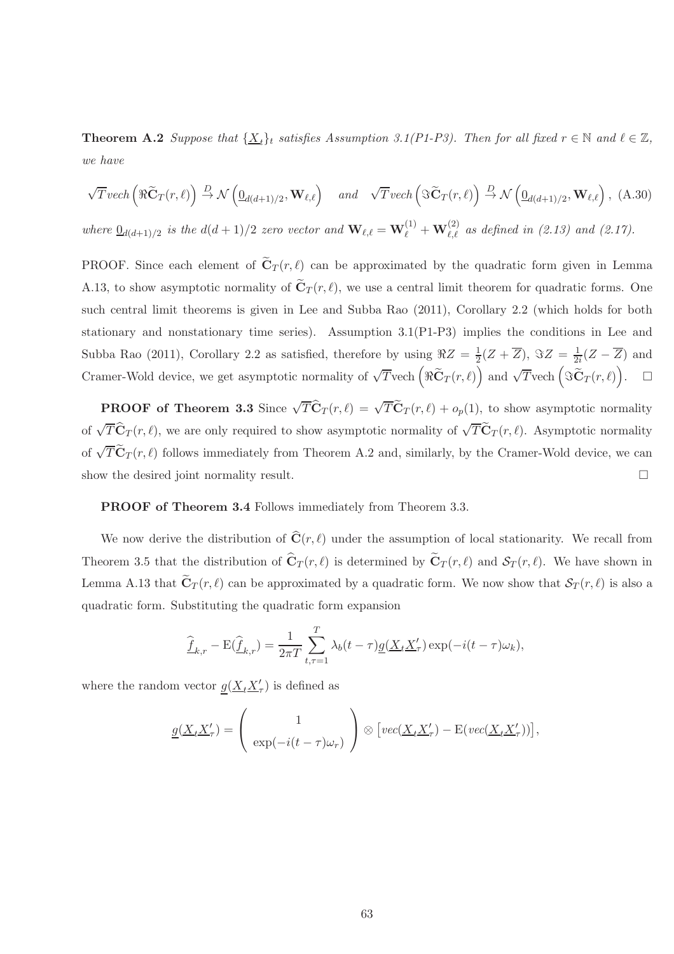**Theorem A.2** Suppose that  $\{\underline{X}_t\}_t$  satisfies Assumption 3.1(P1-P3). Then for all fixed  $r \in \mathbb{N}$  and  $\ell \in \mathbb{Z}$ , we have

$$
\sqrt{T} \text{vech}\left(\Re \widetilde{\mathbf{C}}_T(r,\ell)\right) \xrightarrow{D} \mathcal{N}\left(\underline{0}_{d(d+1)/2}, \mathbf{W}_{\ell,\ell}\right) \quad \text{and} \quad \sqrt{T} \text{vech}\left(\Im \widetilde{\mathbf{C}}_T(r,\ell)\right) \xrightarrow{D} \mathcal{N}\left(\underline{0}_{d(d+1)/2}, \mathbf{W}_{\ell,\ell}\right), \tag{A.30}
$$

where  $\underline{0}_{d(d+1)/2}$  is the  $d(d+1)/2$  zero vector and  $\mathbf{W}_{\ell,\ell} = \mathbf{W}_{\ell}^{(1)} + \mathbf{W}_{\ell,\ell}^{(2)}$  as defined in (2.13) and (2.17).

PROOF. Since each element of  $\tilde{\mathbf{C}}_T(r,\ell)$  can be approximated by the quadratic form given in Lemma A.13, to show asymptotic normality of  $\tilde{\mathbf{C}}_T(r,\ell)$ , we use a central limit theorem for quadratic forms. One such central limit theorems is given in Lee and Subba Rao (2011), Corollary 2.2 (which holds for both stationary and nonstationary time series). Assumption 3.1(P1-P3) implies the conditions in Lee and Subba Rao (2011), Corollary 2.2 as satisfied, therefore by using  $\Re Z = \frac{1}{2}(Z + \overline{Z})$ ,  $\Im Z = \frac{1}{2i}(Z - \overline{Z})$  and Cramer-Wold device, we get asymptotic normality of  $\sqrt{T}$  vech  $(\Re \tilde{\mathbf{C}}_T(r,\ell))$  and  $\sqrt{T}$  vech  $(\Im \tilde{\mathbf{C}}_T(r,\ell))$ .

**PROOF of Theorem 3.3** Since  $\sqrt{T}\hat{\mathbf{C}}_T(r,\ell) = \sqrt{T}\tilde{\mathbf{C}}_T(r,\ell) + o_p(1)$ , to show asymptotic normality of  $\sqrt{T}\widehat{\mathbf{C}}_T(r,\ell)$ , we are only required to show asymptotic normality of  $\sqrt{T}\widetilde{\mathbf{C}}_T(r,\ell)$ . Asymptotic normality of  $\sqrt{T}\widetilde{\mathbf{C}}_T(r,\ell)$  follows immediately from Theorem A.2 and, similarly, by the Cramer-Wold device, we can show the desired joint normality result.

#### PROOF of Theorem 3.4 Follows immediately from Theorem 3.3.

We now derive the distribution of  $\hat{\mathbf{C}}(r,\ell)$  under the assumption of local stationarity. We recall from Theorem 3.5 that the distribution of  $\mathbf{C}_T(r,\ell)$  is determined by  $\mathbf{C}_T(r,\ell)$  and  $\mathcal{S}_T(r,\ell)$ . We have shown in Lemma A.13 that  $\tilde{\mathbf{C}}_T(r,\ell)$  can be approximated by a quadratic form. We now show that  $\mathcal{S}_T(r,\ell)$  is also a quadratic form. Substituting the quadratic form expansion

$$
\widehat{\underline{f}}_{k,r} - \mathcal{E}(\widehat{\underline{f}}_{k,r}) = \frac{1}{2\pi T} \sum_{t,\tau=1}^T \lambda_b(t-\tau) \underline{g}(\underline{X}_t \underline{X}'_\tau) \exp(-i(t-\tau)\omega_k),
$$

where the random vector  $g(X_t X'_\tau)$  is defined as

$$
\underline{g}(\underline{X}_t \underline{X}'_\tau) = \begin{pmatrix} 1 \\ \exp(-i(t-\tau)\omega_r) \end{pmatrix} \otimes \left[ vec(\underline{X}_t \underline{X}'_\tau) - E( vec(\underline{X}_t \underline{X}'_\tau)) \right],
$$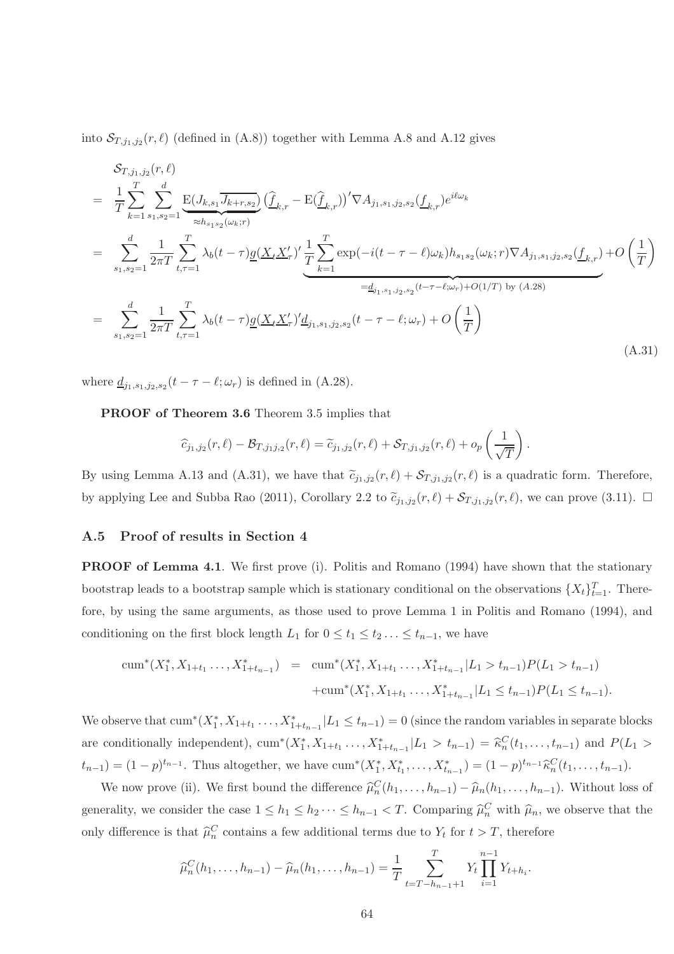into  $S_{T,j_1,j_2}(r,\ell)$  (defined in (A.8)) together with Lemma A.8 and A.12 gives

$$
S_{T,j_1,j_2}(r,\ell)
$$
\n
$$
= \frac{1}{T} \sum_{k=1}^{T} \sum_{s_1,s_2=1}^{d} \underbrace{E(J_{k,s_1} \overline{J_{k+r,s_2}})}_{\approx h_{s_1s_2}(\omega_k;r)} \left(\frac{\widehat{f}_{k,r}}{L} - \underbrace{E(\widehat{f}_{k,r})}^{T}\right)' \nabla A_{j_1,s_1,j_2,s_2} \left(\frac{f}{L_{k,r}}\right) e^{i\ell\omega_k}
$$
\n
$$
= \sum_{s_1,s_2=1}^{d} \frac{1}{2\pi T} \sum_{t,\tau=1}^{T} \lambda_b(t-\tau) \underbrace{g(X_t X_\tau')'}_{\approx H_{s_1s_2} \left(\frac{f}{L} - \tau - \ell\right) \omega_k}^{T} \underbrace{E_{s_1,s_2}(\omega_k;r) \nabla A_{j_1,s_1,j_2,s_2} \left(\frac{f}{L_{k,r}}\right)}_{\approx -d_{j_1,s_1,j_2,s_2}(t-\tau - \ell; \omega_r) + O\left(\frac{1}{T}\right)}
$$
\n
$$
= \sum_{s_1,s_2=1}^{d} \frac{1}{2\pi T} \sum_{t,\tau=1}^{T} \lambda_b(t-\tau) \underbrace{g(X_t X_\tau')' d_{j_1,s_1,j_2,s_2}(t-\tau-\ell; \omega_r) + O\left(\frac{1}{T}\right)}_{\approx 0} \tag{A.31}
$$

where  $\underline{d}_{j_1,s_1,j_2,s_2}(t-\tau-\ell;\omega_r)$  is defined in (A.28).

PROOF of Theorem 3.6 Theorem 3.5 implies that

$$
\widehat{c}_{j_1,j_2}(r,\ell) - \mathcal{B}_{T,j_1j_2}(r,\ell) = \widetilde{c}_{j_1,j_2}(r,\ell) + \mathcal{S}_{T,j_1,j_2}(r,\ell) + o_p\left(\frac{1}{\sqrt{T}}\right).
$$

By using Lemma A.13 and (A.31), we have that  $\tilde{c}_{j_1,j_2}(r,\ell) + \mathcal{S}_{T,j_1,j_2}(r,\ell)$  is a quadratic form. Therefore, by applying Lee and Subba Rao (2011), Corollary 2.2 to  $\tilde{c}_{j_1,j_2}(r,\ell) + \mathcal{S}_{T,j_1,j_2}(r,\ell)$ , we can prove (3.11).  $\Box$ 

## A.5 Proof of results in Section 4

PROOF of Lemma 4.1. We first prove (i). Politis and Romano (1994) have shown that the stationary bootstrap leads to a bootstrap sample which is stationary conditional on the observations  $\{X_t\}_{t=1}^T$ . Therefore, by using the same arguments, as those used to prove Lemma 1 in Politis and Romano (1994), and conditioning on the first block length  $L_1$  for  $0 \le t_1 \le t_2 ... \le t_{n-1}$ , we have

$$
\begin{array}{rcl}\n\text{cum}^*(X_1^*, X_{1+t_1} \dots, X_{1+t_{n-1}}^*) & = & \text{cum}^*(X_1^*, X_{1+t_1} \dots, X_{1+t_{n-1}}^* | L_1 > t_{n-1}) P(L_1 > t_{n-1}) \\
& & + \text{cum}^*(X_1^*, X_{1+t_1} \dots, X_{1+t_{n-1}}^* | L_1 \le t_{n-1}) P(L_1 \le t_{n-1}).\n\end{array}
$$

We observe that  $\text{cum}^*(X_1^*, X_{1+t_1}, \ldots, X_{1+t_{n-1}}^* | L_1 \le t_{n-1}) = 0$  (since the random variables in separate blocks are conditionally independent),  $\text{cum}^*(X_1^*, X_{1+t_1}, \ldots, X_{1+t_{n-1}}^* | L_1 > t_{n-1}) = \hat{\kappa}_n^C(t_1, \ldots, t_{n-1})$  and  $P(L_1 > t_{n-1})$  $(t_{n-1}) = (1-p)^{t_{n-1}}$ . Thus altogether, we have  $\text{cum}^*(X_1^*, X_{t_1}^*, \ldots, X_{t_{n-1}}^*) = (1-p)^{t_{n-1}} \widehat{\kappa}_n^C(t_1, \ldots, t_{n-1})$ .

We now prove (ii). We first bound the difference  $\hat{\mu}_n^C(h_1,\ldots,h_{n-1}) - \hat{\mu}_n(h_1,\ldots,h_{n-1})$ . Without loss of generality, we consider the case  $1 \leq h_1 \leq h_2 \cdots \leq h_{n-1} < T$ . Comparing  $\widehat{\mu}_n^C$  with  $\widehat{\mu}_n$ , we observe that the only difference is that  $\widehat{\mu}_n^C$  contains a few additional terms due to  $Y_t$  for  $t > T$ , therefore

$$
\widehat{\mu}_n^C(h_1,\ldots,h_{n-1}) - \widehat{\mu}_n(h_1,\ldots,h_{n-1}) = \frac{1}{T} \sum_{t=T-h_{n-1}+1}^T Y_t \prod_{i=1}^{n-1} Y_{t+h_i}.
$$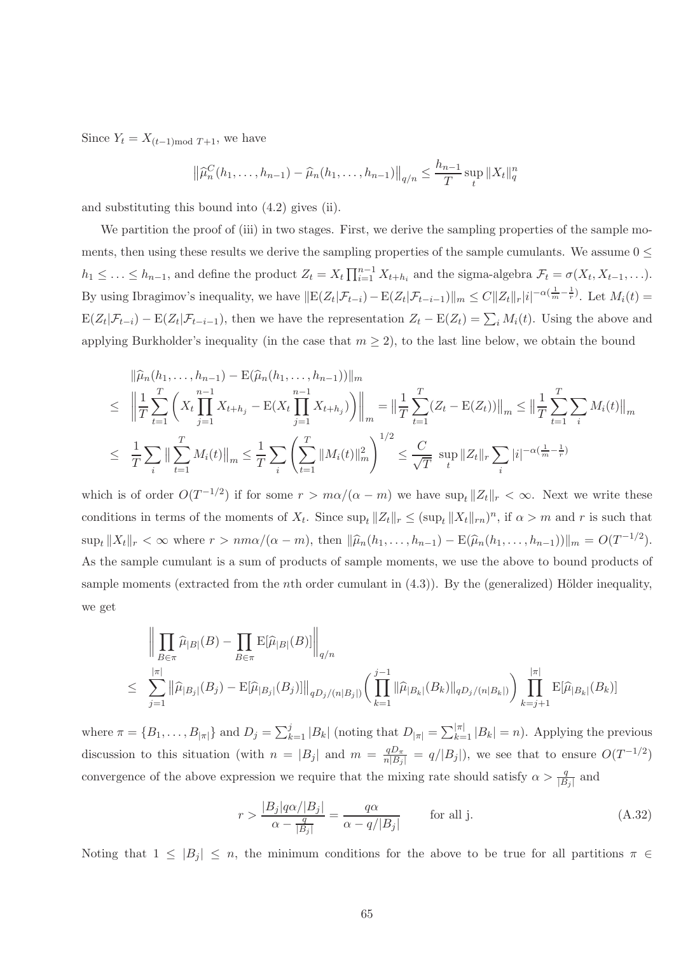Since  $Y_t = X_{(t-1) \text{mod } T+1}$ , we have

$$
\left\|\widehat{\mu}_n^C(h_1,\ldots,h_{n-1}) - \widehat{\mu}_n(h_1,\ldots,h_{n-1})\right\|_{q/n} \le \frac{h_{n-1}}{T} \sup_t \|X_t\|_q^n
$$

and substituting this bound into (4.2) gives (ii).

We partition the proof of (iii) in two stages. First, we derive the sampling properties of the sample moments, then using these results we derive the sampling properties of the sample cumulants. We assume  $0 \leq$  $h_1 \leq \ldots \leq h_{n-1}$ , and define the product  $Z_t = X_t \prod_{i=1}^{n-1} X_{t+h_i}$  and the sigma-algebra  $\mathcal{F}_t = \sigma(X_t, X_{t-1}, \ldots)$ . By using Ibragimov's inequality, we have  $\|\mathbb{E}(Z_t|\mathcal{F}_{t-i}) - \mathbb{E}(Z_t|\mathcal{F}_{t-i-1})\|_m \leq C \|Z_t\|_r |i|^{-\alpha(\frac{1}{m}-\frac{1}{r})}$ . Let  $M_i(t) =$  $E(Z_t|\mathcal{F}_{t-i}) - E(Z_t|\mathcal{F}_{t-i-1})$ , then we have the representation  $Z_t - E(Z_t) = \sum_i M_i(t)$ . Using the above and applying Burkholder's inequality (in the case that  $m \geq 2$ ), to the last line below, we obtain the bound

$$
\|\widehat{\mu}_n(h_1,\ldots,h_{n-1}) - \mathbb{E}(\widehat{\mu}_n(h_1,\ldots,h_{n-1}))\|_m
$$
\n
$$
\leq \left\|\frac{1}{T}\sum_{t=1}^T \left(X_t\prod_{j=1}^{n-1} X_{t+h_j} - \mathbb{E}(X_t\prod_{j=1}^{n-1} X_{t+h_j})\right)\right\|_m = \left\|\frac{1}{T}\sum_{t=1}^T (Z_t - \mathbb{E}(Z_t))\right\|_m \leq \left\|\frac{1}{T}\sum_{t=1}^T \sum_i M_i(t)\right\|_m
$$
\n
$$
\leq \frac{1}{T}\sum_i \left\|\sum_{t=1}^T M_i(t)\right\|_m \leq \frac{1}{T}\sum_i \left(\sum_{t=1}^T \|M_i(t)\|_m^2\right)^{1/2} \leq \frac{C}{\sqrt{T}} \sup_t \|Z_t\|_r \sum_i |i|^{-\alpha(\frac{1}{m}-\frac{1}{r})}
$$

which is of order  $O(T^{-1/2})$  if for some  $r > m\alpha/(\alpha - m)$  we have  $\sup_t ||Z_t||_r < \infty$ . Next we write these conditions in terms of the moments of  $X_t$ . Since  $\sup_t ||Z_t||_r \leq (\sup_t ||X_t||_{rn})^n$ , if  $\alpha > m$  and r is such that  $\sup_t ||X_t||_r < \infty$  where  $r > n m\alpha/(\alpha - m)$ , then  $||\widehat{\mu}_n(h_1, ..., h_{n-1}) - E(\widehat{\mu}_n(h_1, ..., h_{n-1}))||_m = O(T^{-1/2})$ . As the sample cumulant is a sum of products of sample moments, we use the above to bound products of sample moments (extracted from the *n*th order cumulant in  $(4.3)$ ). By the (generalized) Hölder inequality, we get

$$
\left\| \prod_{B \in \pi} \widehat{\mu}_{|B|}(B) - \prod_{B \in \pi} \mathbb{E}[\widehat{\mu}_{|B|}(B)] \right\|_{q/n}
$$
\n
$$
\leq \sum_{j=1}^{|\pi|} \left\| \widehat{\mu}_{|B_j|}(B_j) - \mathbb{E}[\widehat{\mu}_{|B_j|}(B_j)] \right\|_{qD_j/(n|B_j|)} \left( \prod_{k=1}^{j-1} \|\widehat{\mu}_{|B_k|}(B_k) \|_{qD_j/(n|B_k|)} \right) \prod_{k=j+1}^{|\pi|} \mathbb{E}[\widehat{\mu}_{|B_k|}(B_k)]
$$

where  $\pi = \{B_1, \ldots, B_{|\pi|}\}\$  and  $D_j = \sum_{k=1}^j |B_k|$  (noting that  $D_{|\pi|} = \sum_{k=1}^{|\pi|} |B_k| = n$ ). Applying the previous discussion to this situation (with  $n = |B_j|$  and  $m = \frac{qD_{\pi}}{n|B_j|} = q/|B_j|$ ), we see that to ensure  $O(T^{-1/2})$ convergence of the above expression we require that the mixing rate should satisfy  $\alpha > \frac{q}{|B_j|}$  and

$$
r > \frac{|B_j|q\alpha/|B_j|}{\alpha - \frac{q}{|B_j|}} = \frac{q\alpha}{\alpha - q/|B_j|} \qquad \text{for all } j.
$$
 (A.32)

Noting that  $1 \leq |B_j| \leq n$ , the minimum conditions for the above to be true for all partitions  $\pi \in$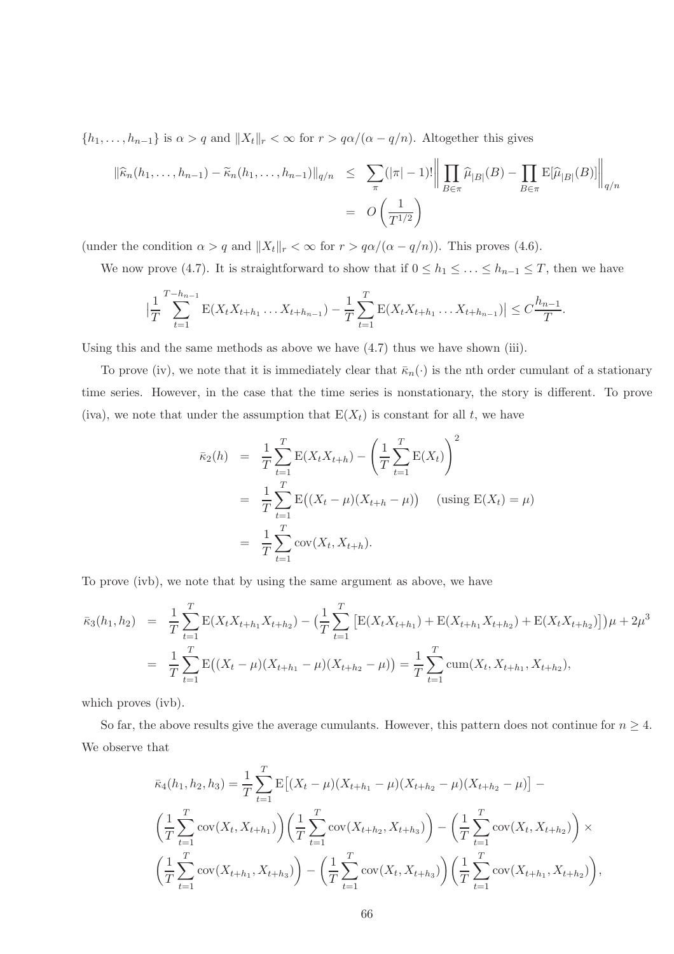$\{h_1, \ldots, h_{n-1}\}\$ is  $\alpha > q$  and  $||X_t||_r < \infty$  for  $r > q\alpha/(\alpha - q/n)$ . Altogether this gives

$$
\|\widehat{\kappa}_n(h_1,\ldots,h_{n-1}) - \widetilde{\kappa}_n(h_1,\ldots,h_{n-1})\|_{q/n} \leq \sum_{\pi} (|\pi|-1)! \left\| \prod_{B \in \pi} \widehat{\mu}_{|B|}(B) - \prod_{B \in \pi} \mathbb{E}[\widehat{\mu}_{|B|}(B)] \right\|_{q/n}
$$

$$
= O\left(\frac{1}{T^{1/2}}\right)
$$

(under the condition  $\alpha > q$  and  $||X_t||_r < \infty$  for  $r > q\alpha/(\alpha - q/n)$ ). This proves (4.6).

We now prove (4.7). It is straightforward to show that if  $0 \leq h_1 \leq \ldots \leq h_{n-1} \leq T$ , then we have

$$
\left|\frac{1}{T}\sum_{t=1}^{T-h_{n-1}}\mathbb{E}(X_tX_{t+h_1}\ldots X_{t+h_{n-1}})-\frac{1}{T}\sum_{t=1}^T\mathbb{E}(X_tX_{t+h_1}\ldots X_{t+h_{n-1}})\right|\leq C\frac{h_{n-1}}{T}.
$$

Using this and the same methods as above we have (4.7) thus we have shown (iii).

To prove (iv), we note that it is immediately clear that  $\bar{\kappa}_n(\cdot)$  is the nth order cumulant of a stationary time series. However, in the case that the time series is nonstationary, the story is different. To prove (iva), we note that under the assumption that  $E(X_t)$  is constant for all t, we have

$$
\begin{aligned}\n\bar{\kappa}_2(h) &= \frac{1}{T} \sum_{t=1}^T \mathrm{E}(X_t X_{t+h}) - \left(\frac{1}{T} \sum_{t=1}^T \mathrm{E}(X_t)\right)^2 \\
&= \frac{1}{T} \sum_{t=1}^T \mathrm{E}\big((X_t - \mu)(X_{t+h} - \mu)\big) \quad \text{(using } \mathrm{E}(X_t) = \mu\big) \\
&= \frac{1}{T} \sum_{t=1}^T \mathrm{cov}(X_t, X_{t+h}).\n\end{aligned}
$$

To prove (ivb), we note that by using the same argument as above, we have

$$
\bar{\kappa}_3(h_1, h_2) = \frac{1}{T} \sum_{t=1}^T \mathbb{E}(X_t X_{t+h_1} X_{t+h_2}) - \left(\frac{1}{T} \sum_{t=1}^T \left[ \mathbb{E}(X_t X_{t+h_1}) + \mathbb{E}(X_{t+h_1} X_{t+h_2}) + \mathbb{E}(X_t X_{t+h_2}) \right] \right) \mu + 2\mu^3
$$
  
\n
$$
= \frac{1}{T} \sum_{t=1}^T \mathbb{E}((X_t - \mu)(X_{t+h_1} - \mu)(X_{t+h_2} - \mu)) = \frac{1}{T} \sum_{t=1}^T \text{cum}(X_t, X_{t+h_1}, X_{t+h_2}),
$$

which proves (ivb).

So far, the above results give the average cumulants. However, this pattern does not continue for  $n \geq 4$ . We observe that

$$
\bar{\kappa}_{4}(h_{1}, h_{2}, h_{3}) = \frac{1}{T} \sum_{t=1}^{T} \mathrm{E} \left[ (X_{t} - \mu)(X_{t+h_{1}} - \mu)(X_{t+h_{2}} - \mu)(X_{t+h_{2}} - \mu) \right] - \left( \frac{1}{T} \sum_{t=1}^{T} \mathrm{cov}(X_{t}, X_{t+h_{1}}) \right) \left( \frac{1}{T} \sum_{t=1}^{T} \mathrm{cov}(X_{t+h_{2}}, X_{t+h_{3}}) \right) - \left( \frac{1}{T} \sum_{t=1}^{T} \mathrm{cov}(X_{t}, X_{t+h_{2}}) \right) \times \left( \frac{1}{T} \sum_{t=1}^{T} \mathrm{cov}(X_{t+h_{1}}, X_{t+h_{3}}) \right) - \left( \frac{1}{T} \sum_{t=1}^{T} \mathrm{cov}(X_{t}, X_{t+h_{3}}) \right) \left( \frac{1}{T} \sum_{t=1}^{T} \mathrm{cov}(X_{t+h_{1}}, X_{t+h_{2}}) \right),
$$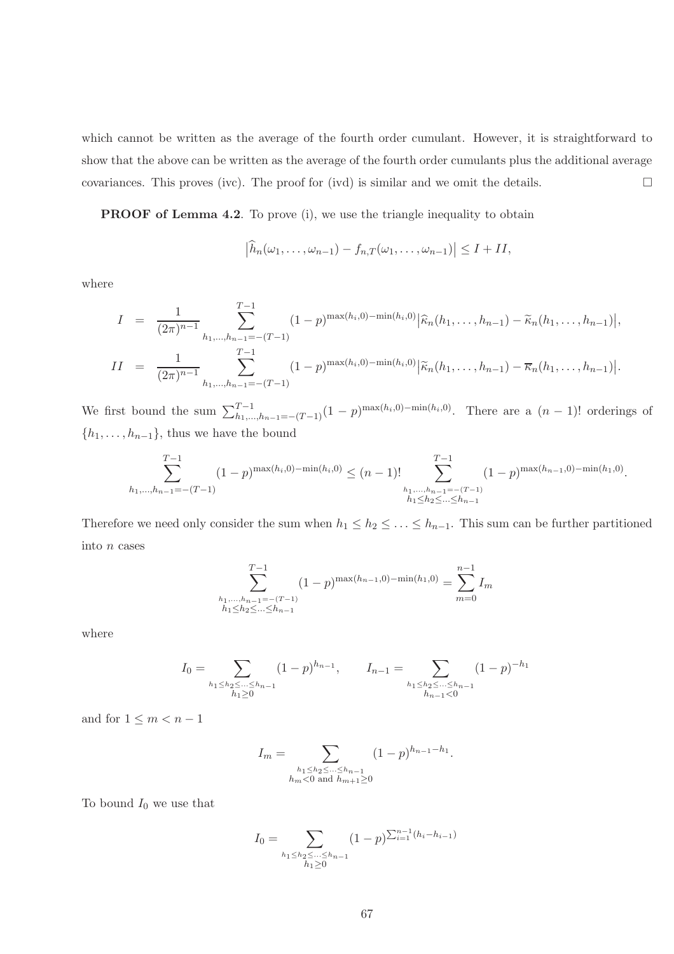which cannot be written as the average of the fourth order cumulant. However, it is straightforward to show that the above can be written as the average of the fourth order cumulants plus the additional average covariances. This proves (ivc). The proof for (ivd) is similar and we omit the details.  $\square$ 

PROOF of Lemma 4.2. To prove (i), we use the triangle inequality to obtain

$$
\left|\widehat{h}_n(\omega_1,\ldots,\omega_{n-1})-f_{n,T}(\omega_1,\ldots,\omega_{n-1})\right|\leq I+II,
$$

where

$$
I = \frac{1}{(2\pi)^{n-1}} \sum_{h_1,\dots,h_{n-1} = -(T-1)}^{T-1} (1-p)^{\max(h_i,0)-\min(h_i,0)} |\widehat{\kappa}_n(h_1,\dots,h_{n-1}) - \widetilde{\kappa}_n(h_1,\dots,h_{n-1})|,
$$
  
\n
$$
II = \frac{1}{(2\pi)^{n-1}} \sum_{h_1,\dots,h_{n-1} = -(T-1)}^{T-1} (1-p)^{\max(h_i,0)-\min(h_i,0)} |\widetilde{\kappa}_n(h_1,\dots,h_{n-1}) - \overline{\kappa}_n(h_1,\dots,h_{n-1})|.
$$

We first bound the sum  $\sum_{h_1,\dots,h_{n-1}=-(T-1)}^{T-1}(1-p)^{\max(h_i,0)-\min(h_i,0)}$ . There are a  $(n-1)!$  orderings of  ${h_1, \ldots, h_{n-1}}$ , thus we have the bound

$$
\sum_{h_1,\ldots,h_{n-1}=-(T-1)}^{T-1} (1-p)^{\max(h_i,0)-\min(h_i,0)} \le (n-1)! \sum_{\substack{h_1,\ldots,h_{n-1}=-(T-1) \\ h_1\le h_2\le\ldots\le h_{n-1}}}^{T-1} (1-p)^{\max(h_{n-1},0)-\min(h_1,0)}.
$$

Therefore we need only consider the sum when  $h_1 \leq h_2 \leq \ldots \leq h_{n-1}$ . This sum can be further partitioned into n cases

$$
\sum_{\substack{h_1,\ldots,h_{n-1}=-(T-1)\\h_1\leq h_2\leq\ldots\leq h_{n-1}}}^{T-1} (1-p)^{\max(h_{n-1},0)-\min(h_1,0)} = \sum_{m=0}^{n-1} I_m
$$

where

$$
I_0 = \sum_{\substack{h_1 \le h_2 \le \dots \le h_{n-1} \\ h_1 \ge 0}} (1-p)^{h_{n-1}}, \qquad I_{n-1} = \sum_{\substack{h_1 \le h_2 \le \dots \le h_{n-1} \\ h_{n-1} < 0}} (1-p)^{-h_1}
$$

and for  $1 \leq m < n - 1$ 

$$
I_m = \sum_{\substack{h_1 \le h_2 \le \dots \le h_{n-1} \\ h_m < 0 \text{ and } h_{m+1} \ge 0}} (1-p)^{h_{n-1} - h_1}.
$$

To bound  $I_0$  we use that

$$
I_0 = \sum_{\substack{h_1 \le h_2 \le \dots \le h_{n-1} \\ h_1 \ge 0}} (1-p)^{\sum_{i=1}^{n-1} (h_i - h_{i-1})}
$$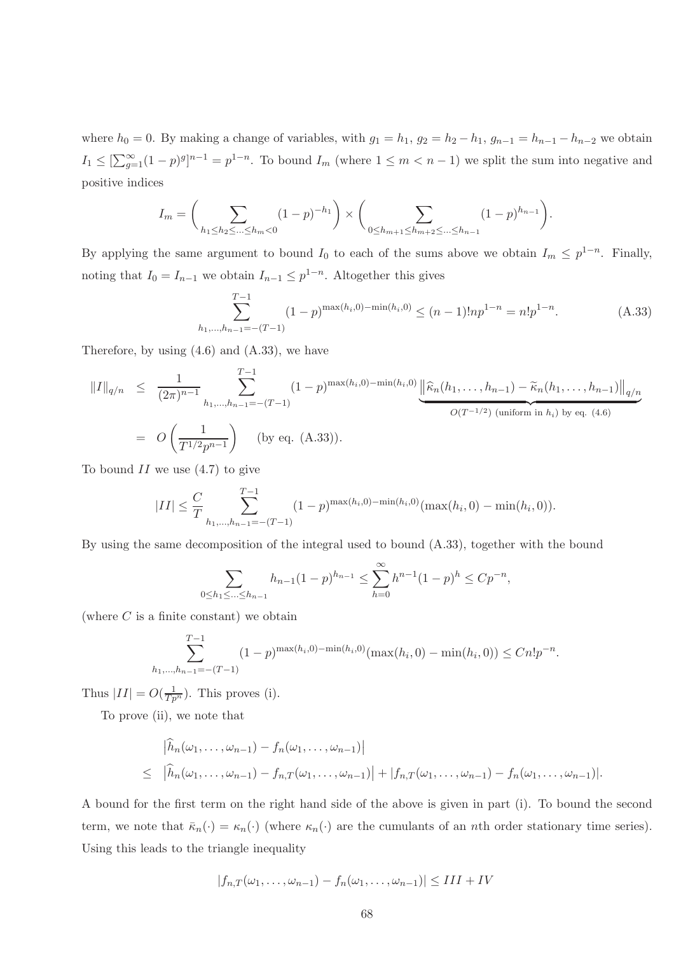where  $h_0 = 0$ . By making a change of variables, with  $g_1 = h_1$ ,  $g_2 = h_2 - h_1$ ,  $g_{n-1} = h_{n-1} - h_{n-2}$  we obtain  $I_1 \leq \left[\sum_{g=1}^{\infty} (1-p)^g\right]^{n-1} = p^{1-n}$ . To bound  $I_m$  (where  $1 \leq m < n-1$ ) we split the sum into negative and positive indices

$$
I_m = \left(\sum_{h_1 \le h_2 \le \dots \le h_m < 0} (1-p)^{-h_1}\right) \times \left(\sum_{0 \le h_{m+1} \le h_{m+2} \le \dots \le h_{n-1}} (1-p)^{h_{n-1}}\right).
$$

By applying the same argument to bound  $I_0$  to each of the sums above we obtain  $I_m \n\t\leq p^{1-n}$ . Finally, noting that  $I_0 = I_{n-1}$  we obtain  $I_{n-1} \leq p^{1-n}$ . Altogether this gives

$$
\sum_{h_1,\dots,h_{n-1}=-(T-1)}^{T-1} (1-p)^{\max(h_i,0)-\min(h_i,0)} \le (n-1)!np^{1-n} = n!p^{1-n}.\tag{A.33}
$$

Therefore, by using (4.6) and (A.33), we have

$$
||I||_{q/n} \leq \frac{1}{(2\pi)^{n-1}} \sum_{h_1,\dots,h_{n-1}=- (T-1)}^{T-1} (1-p)^{\max(h_i,0)-\min(h_i,0)} \underbrace{||\widehat{\kappa}_n(h_1,\dots,h_{n-1}) - \widetilde{\kappa}_n(h_1,\dots,h_{n-1})||_{q/n}}_{O(T^{-1/2}) \text{ (uniform in } h_i) \text{ by eq. (4.6)}}
$$
  
=  $O\left(\frac{1}{T^{1/2}p^{n-1}}\right)$  (by eq. (A.33)).

To bound  $II$  we use  $(4.7)$  to give

$$
|II| \leq \frac{C}{T} \sum_{h_1, \dots, h_{n-1} = -(T-1)}^{T-1} (1-p)^{\max(h_i, 0) - \min(h_i, 0)} (\max(h_i, 0) - \min(h_i, 0)).
$$

By using the same decomposition of the integral used to bound (A.33), together with the bound

$$
\sum_{0 \le h_1 \le \dots \le h_{n-1}} h_{n-1} (1-p)^{h_{n-1}} \le \sum_{h=0}^{\infty} h^{n-1} (1-p)^h \le C p^{-n},
$$

(where  $C$  is a finite constant) we obtain

$$
\sum_{h_1,\dots,h_{n-1}=-(T-1)}^{T-1} (1-p)^{\max(h_i,0)-\min(h_i,0)}(\max(h_i,0)-\min(h_i,0)) \le Cn!p^{-n}.
$$

Thus  $|II| = O(\frac{1}{Tp^n})$ . This proves (i).

To prove (ii), we note that

$$
|\widehat{h}_n(\omega_1,\ldots,\omega_{n-1}) - f_n(\omega_1,\ldots,\omega_{n-1})|
$$
  
\n
$$
\leq |\widehat{h}_n(\omega_1,\ldots,\omega_{n-1}) - f_{n,T}(\omega_1,\ldots,\omega_{n-1})| + |f_{n,T}(\omega_1,\ldots,\omega_{n-1}) - f_n(\omega_1,\ldots,\omega_{n-1})|.
$$

A bound for the first term on the right hand side of the above is given in part (i). To bound the second term, we note that  $\bar{\kappa}_n(\cdot) = \kappa_n(\cdot)$  (where  $\kappa_n(\cdot)$  are the cumulants of an *n*th order stationary time series). Using this leads to the triangle inequality

$$
|f_{n,T}(\omega_1,\ldots,\omega_{n-1})-f_n(\omega_1,\ldots,\omega_{n-1})|\leq III+IV
$$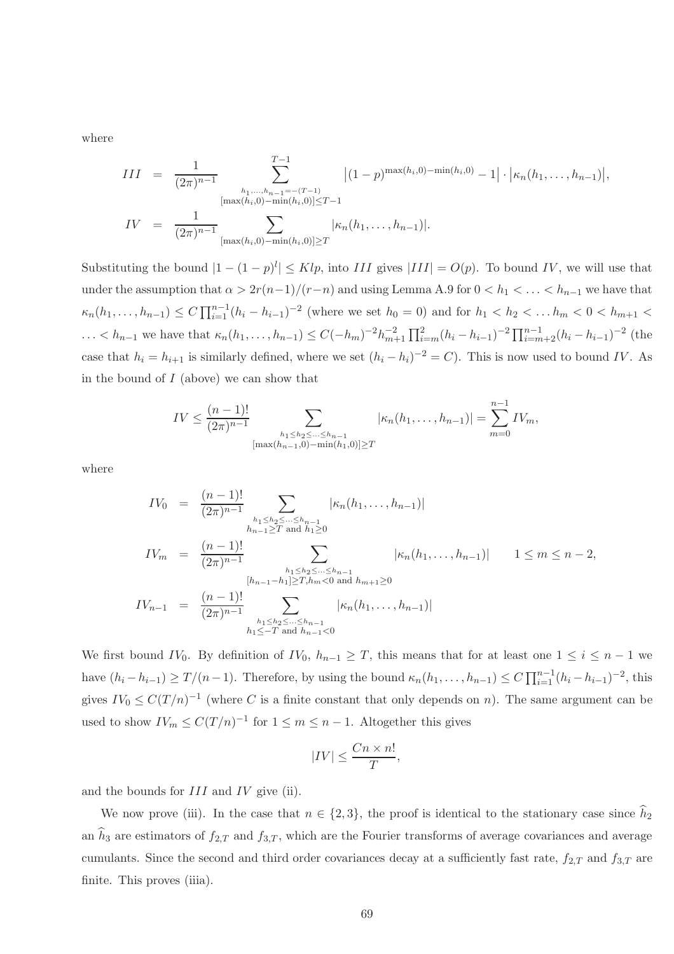where

$$
III = \frac{1}{(2\pi)^{n-1}} \sum_{\substack{h_1,\ldots,h_{n-1} = -(T-1) \\ [\max(h_i,0) - \min(h_i,0)] \leq T-1}}^{\prod_{i=1,\ldots,h_{n-1} = -(T-1)} [ (1-p)^{\max(h_i,0) - \min(h_i,0)} - 1] \cdot |\kappa_n(h_1,\ldots,h_{n-1})|,
$$
  

$$
IV = \frac{1}{(2\pi)^{n-1}} \sum_{\substack{[\max(h_i,0) - \min(h_i,0)] \geq T}} |\kappa_n(h_1,\ldots,h_{n-1})|.
$$

Substituting the bound  $|1 - (1 - p)^l| \leq Klp$ , into III gives  $|III| = O(p)$ . To bound IV, we will use that under the assumption that  $\alpha > 2r(n-1)/(r-n)$  and using Lemma A.9 for  $0 < h_1 < \ldots < h_{n-1}$  we have that  $\kappa_n(h_1,\ldots,h_{n-1}) \leq C \prod_{i=1}^{n-1} (h_i-h_{i-1})^{-2}$  (where we set  $h_0=0$ ) and for  $h_1 < h_2 < \ldots h_m < 0 < h_{m+1} <$ ... < h<sub>n−1</sub> we have that  $\kappa_n(h_1,\ldots,h_{n-1}) \leq C(-h_m)^{-2}h_{m+1}^{-2}\prod_{i=m}^{2}(h_i-h_{i-1})^{-2}\prod_{i=m+2}^{n-1}(h_i-h_{i-1})^{-2}$  (the case that  $h_i = h_{i+1}$  is similarly defined, where we set  $(h_i - h_i)^{-2} = C$ ). This is now used to bound IV. As in the bound of  $I$  (above) we can show that

$$
IV \leq \frac{(n-1)!}{(2\pi)^{n-1}} \sum_{\substack{h_1 \leq h_2 \leq \ldots \leq h_{n-1} \\ [\max(h_{n-1},0)-\min(h_1,0)] \geq T}} |\kappa_n(h_1,\ldots,h_{n-1})| = \sum_{m=0}^{n-1} IV_m,
$$

where

$$
IV_0 = \frac{(n-1)!}{(2\pi)^{n-1}} \sum_{\substack{h_1 \le h_2 \le \dots \le h_{n-1} \\ h_{n-1} \ge T \text{ and } h_1 \ge 0}} |\kappa_n(h_1, \dots, h_{n-1})|
$$
  
\n
$$
IV_m = \frac{(n-1)!}{(2\pi)^{n-1}} \sum_{\substack{h_1 \le h_2 \le \dots \le h_{n-1} \\ [h_{n-1}-h_1] \ge T, h_m < 0 \text{ and } h_{m+1} \ge 0}} |\kappa_n(h_1, \dots, h_{n-1})| \qquad 1 \le m \le n-2,
$$
  
\n
$$
IV_{n-1} = \frac{(n-1)!}{(2\pi)^{n-1}} \sum_{\substack{h_1 \le h_2 \le \dots \le h_{n-1} \\ h_1 \le -T \text{ and } h_{n-1} < 0}} |\kappa_n(h_1, \dots, h_{n-1})|
$$

We first bound IV<sub>0</sub>. By definition of IV<sub>0</sub>,  $h_{n-1} \geq T$ , this means that for at least one  $1 \leq i \leq n-1$  we have  $(h_i - h_{i-1}) \geq T/(n-1)$ . Therefore, by using the bound  $\kappa_n(h_1, \ldots, h_{n-1}) \leq C \prod_{i=1}^{n-1} (h_i - h_{i-1})^{-2}$ , this gives  $IV_0 \leq C(T/n)^{-1}$  (where C is a finite constant that only depends on n). The same argument can be used to show  $IV_m \leq C(T/n)^{-1}$  for  $1 \leq m \leq n-1$ . Altogether this gives

$$
|IV| \le \frac{Cn \times n!}{T},
$$

and the bounds for III and IV give (ii).

We now prove (iii). In the case that  $n \in \{2,3\}$ , the proof is identical to the stationary case since  $\widehat{h}_2$ an  $h_3$  are estimators of  $f_{2,T}$  and  $f_{3,T}$ , which are the Fourier transforms of average covariances and average cumulants. Since the second and third order covariances decay at a sufficiently fast rate,  $f_{2,T}$  and  $f_{3,T}$  are finite. This proves (iiia).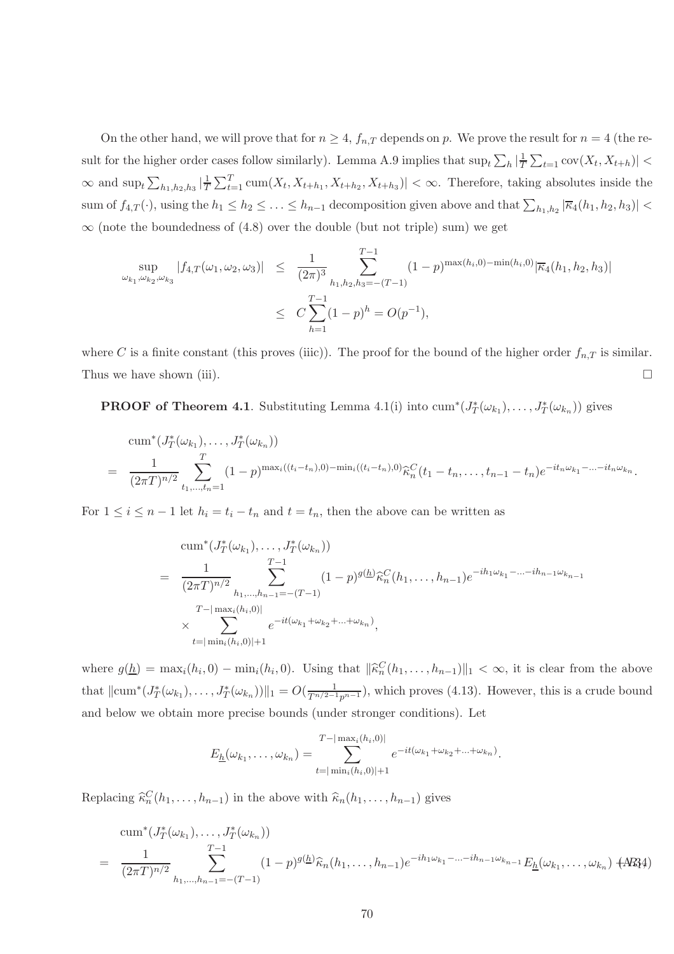On the other hand, we will prove that for  $n \geq 4$ ,  $f_{n,T}$  depends on p. We prove the result for  $n = 4$  (the result for the higher order cases follow similarly). Lemma A.9 implies that  $\sup_t \sum_h |\frac{1}{T}$  $\frac{1}{T}\sum_{t=1}^{\infty} \text{cov}(X_t, X_{t+h})$  <  $\infty$  and  $\sup_t \sum_{h_1,h_2,h_3} |\frac{1}{T}$  $\frac{1}{T} \sum_{t=1}^T \text{cum}(X_t, X_{t+h_1}, X_{t+h_2}, X_{t+h_3}) \vert < \infty$ . Therefore, taking absolutes inside the sum of  $f_{4,T}(\cdot)$ , using the  $h_1 \leq h_2 \leq \ldots \leq h_{n-1}$  decomposition given above and that  $\sum_{h_1,h_2} |\overline{\kappa}_4(h_1,h_2,h_3)|$  $\infty$  (note the boundedness of (4.8) over the double (but not triple) sum) we get

$$
\sup_{\omega_{k_1}, \omega_{k_2}, \omega_{k_3}} |f_{4,T}(\omega_1, \omega_2, \omega_3)| \leq \frac{1}{(2\pi)^3} \sum_{h_1, h_2, h_3 = -(T-1)}^{T-1} (1-p)^{\max(h_i, 0)} |\overline{\kappa}_4(h_1, h_2, h_3)|
$$
  

$$
\leq C \sum_{h=1}^{T-1} (1-p)^h = O(p^{-1}),
$$

where C is a finite constant (this proves (iiic)). The proof for the bound of the higher order  $f_{n,T}$  is similar. Thus we have shown (iii).  $\Box$ 

**PROOF of Theorem 4.1**. Substituting Lemma 4.1(i) into  $\text{cum}^*(J_T^*(\omega_{k_1}), \ldots, J_T^*(\omega_{k_n}))$  gives

$$
\begin{split}\n&\text{cum}^*(J_T^*(\omega_{k_1}),\ldots,J_T^*(\omega_{k_n})) \\
&=\frac{1}{(2\pi T)^{n/2}} \sum_{t_1,\ldots,t_n=1}^T (1-p)^{\max_i((t_i-t_n),0)-\min_i((t_i-t_n),0)} \widehat{\kappa}_n^C(t_1-t_n,\ldots,t_{n-1}-t_n) e^{-it_n\omega_{k_1}-\ldots-it_n\omega_{k_n}}.\n\end{split}
$$

For  $1 \leq i \leq n-1$  let  $h_i = t_i - t_n$  and  $t = t_n$ , then the above can be written as

$$
\begin{split}\n&\text{cum}^*(J_T^*(\omega_{k_1}),\ldots,J_T^*(\omega_{k_n})) \\
&= \frac{1}{(2\pi T)^{n/2}} \sum_{h_1,\ldots,h_{n-1}=- (T-1)}^{T-1} (1-p)^{g(\underline{h})} \widehat{\kappa}_n^C(h_1,\ldots,h_{n-1}) e^{-ih_1\omega_{k_1}-\ldots-ih_{n-1}\omega_{k_{n-1}}} \\
&\times \sum_{t=|\min_i(h_i,0)|+1}^{T-|\max_i(h_i,0)|+1} e^{-it(\omega_{k_1}+\omega_{k_2}+\ldots+\omega_{k_n})},\n\end{split}
$$

where  $g(\underline{h}) = \max_i(h_i, 0) - \min_i(h_i, 0)$ . Using that  $\|\widehat{\kappa}_n^C(h_1, \ldots, h_{n-1})\|_1 < \infty$ , it is clear from the above that  $\|\text{cum}^*(J_T^*(\omega_{k_1}), \ldots, J_T^*(\omega_{k_n}))\|_1 = O(\frac{1}{T^{n/2-1}})$  $\frac{1}{T^{n/2-1}p^{n-1}}$ , which proves (4.13). However, this is a crude bound and below we obtain more precise bounds (under stronger conditions). Let

$$
E_{\underline{h}}(\omega_{k_1},\ldots,\omega_{k_n})=\sum_{t=|\min_i(h_i,0)|+1}^{T-|\max_i(h_i,0)|}e^{-it(\omega_{k_1}+\omega_{k_2}+\ldots+\omega_{k_n})}.
$$

Replacing  $\widehat{\kappa}_n^C(h_1, \ldots, h_{n-1})$  in the above with  $\widehat{\kappa}_n(h_1, \ldots, h_{n-1})$  gives

$$
\text{cum}^*(J_T^*(\omega_{k_1}),\ldots,J_T^*(\omega_{k_n}))
$$
\n
$$
= \frac{1}{(2\pi T)^{n/2}} \sum_{h_1,\ldots,h_{n-1} = -(T-1)}^{T-1} (1-p)^{g(\underline{h})} \widehat{\kappa}_n(h_1,\ldots,h_{n-1}) e^{-ih_1\omega_{k_1} - \ldots -ih_{n-1}\omega_{k_{n-1}}} E_{\underline{h}}(\omega_{k_1},\ldots,\omega_{k_n}) + \text{AR34}
$$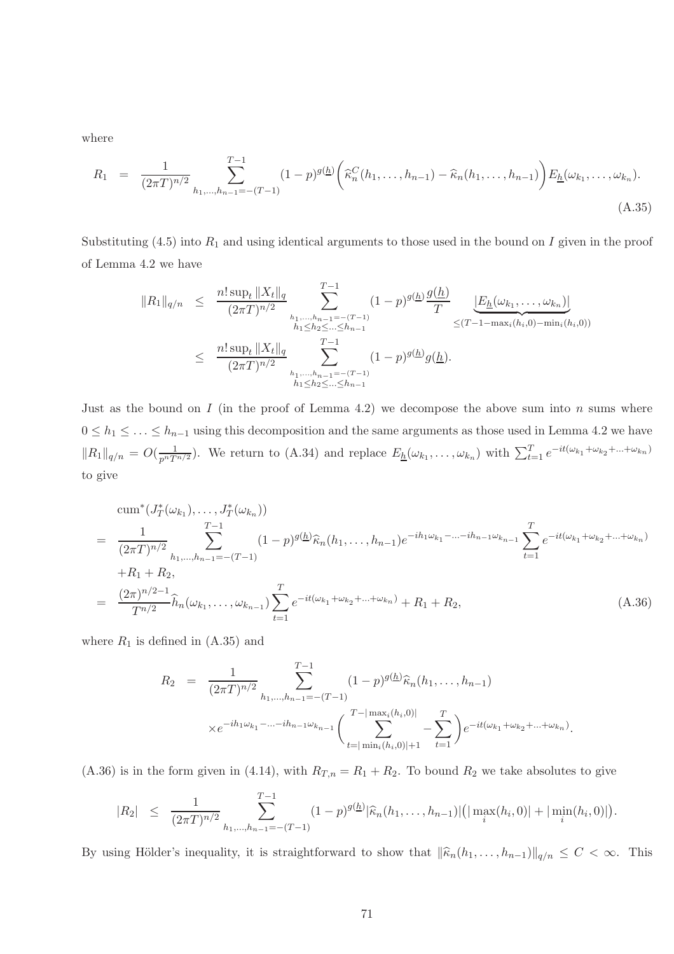where

$$
R_1 = \frac{1}{(2\pi T)^{n/2}} \sum_{h_1,\dots,h_{n-1} = -(T-1)}^{T-1} (1-p)^{g(\underline{h})} \left( \widehat{\kappa}_n^C(h_1,\dots,h_{n-1}) - \widehat{\kappa}_n(h_1,\dots,h_{n-1}) \right) E_{\underline{h}}(\omega_{k_1},\dots,\omega_{k_n}).
$$
\n(A.35)

Substituting  $(4.5)$  into  $R_1$  and using identical arguments to those used in the bound on I given in the proof of Lemma 4.2 we have

$$
||R_1||_{q/n} \leq \frac{n! \sup_t ||X_t||_q}{(2\pi T)^{n/2}} \sum_{\substack{h_1, \dots, h_{n-1} = -(T-1) \\ h_1 \leq h_2 \leq \dots \leq h_{n-1}}}^{T-1} (1-p)^{g(\underline{h})} \frac{g(\underline{h})}{T} \underbrace{\left[\underset{E_{\underline{h}}(\omega_{k_1}, \dots, \omega_{k_n})\right]}{\underbrace{E_{\underline{h}}(\omega_{k_1}, \dots, \omega_{k_n})}}}_{(\underline{2\pi}T)^{n/2}}_{\text{(2TT)}^{n/2}} \leq \frac{n! \sup_t ||X_t||_q}{\sum_{\substack{h_1, \dots, h_{n-1} = -(T-1) \\ h_1 \leq h_2 \leq \dots \leq h_{n-1}}}^{T-1} (1-p)^{g(\underline{h})} g(\underline{h}).
$$

Just as the bound on  $I$  (in the proof of Lemma 4.2) we decompose the above sum into  $n$  sums where  $0 \leq h_1 \leq \ldots \leq h_{n-1}$  using this decomposition and the same arguments as those used in Lemma 4.2 we have  $||R_1||_{q/n} = O(\frac{1}{p^nT})$  $\frac{1}{p^n T^{n/2}}$ ). We return to (A.34) and replace  $E_{\underline{h}}(\omega_{k_1},\ldots,\omega_{k_n})$  with  $\sum_{t=1}^T e^{-it(\omega_{k_1}+\omega_{k_2}+\ldots+\omega_{k_n})}$ to give

$$
\begin{split}\n&\text{cum}^*(J_T^*(\omega_{k_1}),\ldots,J_T^*(\omega_{k_n})) \\
&= \frac{1}{(2\pi T)^{n/2}} \sum_{h_1,\ldots,h_{n-1}=-(T-1)}^{T-1} (1-p)^{g(\underline{h})} \widehat{\kappa}_n(h_1,\ldots,h_{n-1}) e^{-ih_1\omega_{k_1}-\ldots-ih_{n-1}\omega_{k_{n-1}}} \sum_{t=1}^T e^{-it(\omega_{k_1}+\omega_{k_2}+\ldots+\omega_{k_n})} \\
&+R_1+R_2, \\
&= \frac{(2\pi)^{n/2-1}}{T^{n/2}} \widehat{h}_n(\omega_{k_1},\ldots,\omega_{k_{n-1}}) \sum_{t=1}^T e^{-it(\omega_{k_1}+\omega_{k_2}+\ldots+\omega_{k_n})} + R_1+R_2,\n\end{split} \tag{A.36}
$$

where  $R_1$  is defined in  $(A.35)$  and

$$
R_2 = \frac{1}{(2\pi T)^{n/2}} \sum_{h_1,\dots,h_{n-1} = -(T-1)}^{T-1} (1-p)^{g(\underline{h})} \widehat{\kappa}_n(h_1,\dots,h_{n-1})
$$
  
 
$$
\times e^{-ih_1\omega_{k_1} - \dots - ih_{n-1}\omega_{k_{n-1}}} \bigg(\sum_{t=|\min_i(h_i,0)|+1}^{T-|\max_i(h_i,0)|} - \sum_{t=1}^T \bigg) e^{-it(\omega_{k_1} + \omega_{k_2} + \dots + \omega_{k_n})}.
$$

(A.36) is in the form given in (4.14), with  $R_{T,n} = R_1 + R_2$ . To bound  $R_2$  we take absolutes to give

$$
|R_2| \leq \frac{1}{(2\pi T)^{n/2}} \sum_{h_1,\dots,h_{n-1} = -(T-1)}^{T-1} (1-p)^{g(\underline{h})} |\widehat{\kappa}_n(h_1,\dots,h_{n-1})| \left( |\max_i(h_i,0)| + |\min_i(h_i,0)| \right).
$$

By using Hölder's inequality, it is straightforward to show that  $\|\widehat{\kappa}_n(h_1,\ldots,h_{n-1})\|_{q/n} \leq C < \infty$ . This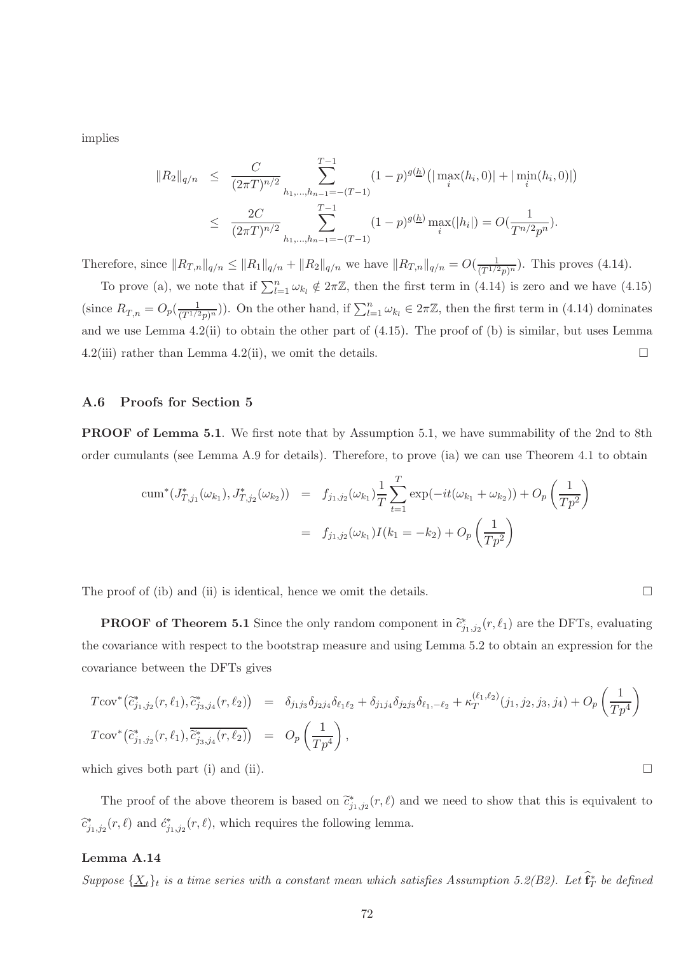implies

$$
||R_2||_{q/n} \leq \frac{C}{(2\pi T)^{n/2}} \sum_{h_1,\dots,h_{n-1}=- (T-1)}^{T-1} (1-p)^{g(\underline{h})} (|\max_i(h_i,0)| + |\min_i(h_i,0)|)
$$
  

$$
\leq \frac{2C}{(2\pi T)^{n/2}} \sum_{h_1,\dots,h_{n-1}=- (T-1)}^{T-1} (1-p)^{g(\underline{h})} \max_i(|h_i|) = O(\frac{1}{T^{n/2}p^n}).
$$

Therefore, since  $||R_{T,n}||_{q/n} \leq ||R_1||_{q/n} + ||R_2||_{q/n}$  we have  $||R_{T,n}||_{q/n} = O(\frac{1}{(T^{1/2})^n})$  $\frac{1}{(T^{1/2}p)^n}$ . This proves  $(4.14)$ .

To prove (a), we note that if  $\sum_{l=1}^{n} \omega_{k_l} \notin 2\pi \mathbb{Z}$ , then the first term in (4.14) is zero and we have (4.15) (since  $R_{T,n} = O_p(\frac{1}{(T^{1/2})^n})$  $\frac{1}{(T^{1/2}p)^n})$ . On the other hand, if  $\sum_{l=1}^n \omega_{k_l} \in 2\pi\mathbb{Z}$ , then the first term in (4.14) dominates and we use Lemma 4.2(ii) to obtain the other part of (4.15). The proof of (b) is similar, but uses Lemma 4.2(iii) rather than Lemma 4.2(ii), we omit the details.

## A.6 Proofs for Section 5

**PROOF of Lemma 5.1.** We first note that by Assumption 5.1, we have summability of the 2nd to 8th order cumulants (see Lemma A.9 for details). Therefore, to prove (ia) we can use Theorem 4.1 to obtain

$$
\begin{aligned}\n\text{cum}^*(J_{T,j_1}^*(\omega_{k_1}), J_{T,j_2}^*(\omega_{k_2})) &= f_{j_1,j_2}(\omega_{k_1}) \frac{1}{T} \sum_{t=1}^T \exp(-it(\omega_{k_1} + \omega_{k_2})) + O_p\left(\frac{1}{Tp^2}\right) \\
&= f_{j_1,j_2}(\omega_{k_1}) I(k_1 = -k_2) + O_p\left(\frac{1}{Tp^2}\right)\n\end{aligned}
$$

The proof of (ib) and (ii) is identical, hence we omit the details.  $\Box$ 

**PROOF of Theorem 5.1** Since the only random component in  $\tilde{c}^*_{j_1,j_2}(r,\ell_1)$  are the DFTs, evaluating the covariance with respect to the bootstrap measure and using Lemma 5.2 to obtain an expression for the covariance between the DFTs gives

$$
T\text{cov}^*\big(\tilde{c}_{j_1,j_2}^*(r,\ell_1),\tilde{c}_{j_3,j_4}^*(r,\ell_2)\big) = \delta_{j_1j_3}\delta_{j_2j_4}\delta_{\ell_1\ell_2} + \delta_{j_1j_4}\delta_{j_2j_3}\delta_{\ell_1,-\ell_2} + \kappa_T^{(\ell_1,\ell_2)}(j_1,j_2,j_3,j_4) + O_p\left(\frac{1}{Tp^4}\right)
$$
  
\n
$$
T\text{cov}^*\big(\tilde{c}_{j_1,j_2}^*(r,\ell_1),\tilde{c}_{j_3,j_4}^*(r,\ell_2)\big) = O_p\left(\frac{1}{Tp^4}\right),
$$

which gives both part (i) and (ii).  $\Box$ 

The proof of the above theorem is based on  $\tilde{c}_{j_1,j_2}^*(r,\ell)$  and we need to show that this is equivalent to  $\hat{c}_{j_1,j_2}^*(r,\ell)$  and  $\hat{c}_{j_1,j_2}^*(r,\ell)$ , which requires the following lemma.

## Lemma A.14

Suppose  $\{\underline{X}_t\}_t$  is a time series with a constant mean which satisfies Assumption 5.2(B2). Let  $\mathbf{f}_T^*$  be defined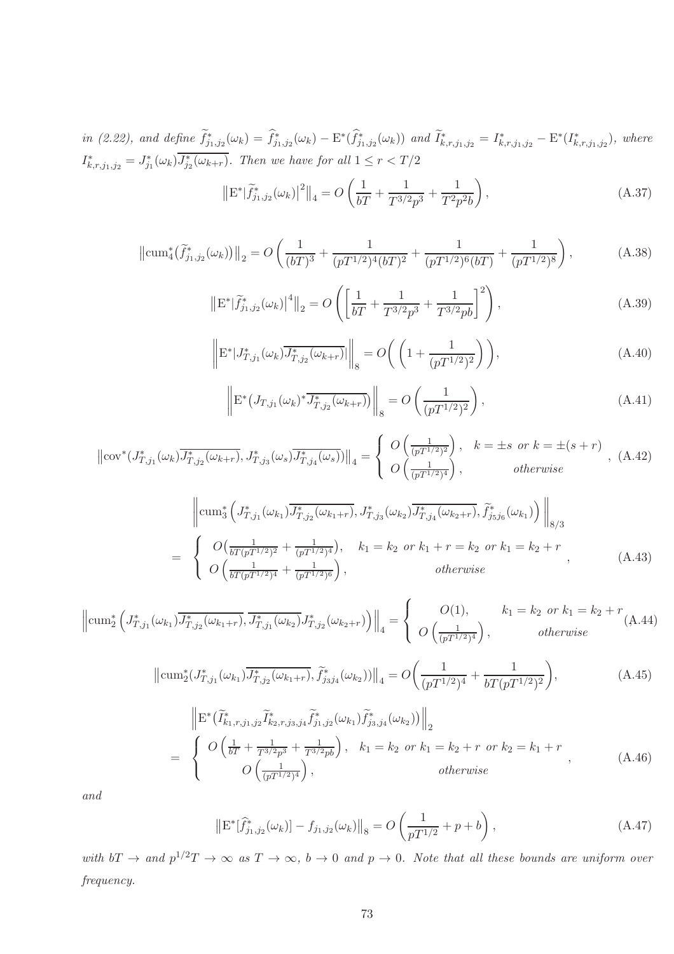$\inf_{(a,b)\in\mathbb{R}} f^*_{(a,b)}(a,b) = f^*_{(a,b)}(a,b) - \mathbb{E}^*(f^*_{(a,b)}(a,b))$  and  $I^*_{(a,b)}(a,b) = I^*_{(a,b)}(I^*_{(a,b)}(a,b))$ , where  $I_{k,r,j_1,j_2}^* = J_{j_1}^*(\omega_k)J_{j_2}^*(\omega_{k+r})$ . Then we have for all  $1 \leq r < T/2$ 

$$
\left\| \mathbf{E}^* | \tilde{f}_{j_1, j_2}^*(\omega_k) \right\|^2 \Big\|_4 = O\left( \frac{1}{bT} + \frac{1}{T^{3/2} p^3} + \frac{1}{T^2 p^2 b} \right),\tag{A.37}
$$

$$
\left\| \operatorname{cum}_4^*\left(\widetilde{f}_{j_1,j_2}^*(\omega_k)\right) \right\|_2 = O\left(\frac{1}{(bT)^3} + \frac{1}{(pT^{1/2})^4(bT)^2} + \frac{1}{(pT^{1/2})^6(bT)} + \frac{1}{(pT^{1/2})^8}\right),\tag{A.38}
$$

$$
\left\| \mathbf{E}^* | \widetilde{f}_{j_1, j_2}^*(\omega_k) \right\|^4 \Big\|_2 = O\left( \left[ \frac{1}{bT} + \frac{1}{T^{3/2} p^3} + \frac{1}{T^{3/2} pb} \right]^2 \right), \tag{A.39}
$$

$$
\left\| \mathcal{E}^* | J^*_{T,j_1}(\omega_k) \overline{J^*_{T,j_2}(\omega_{k+r})} | \right\|_8 = O\left( \left( 1 + \frac{1}{(pT^{1/2})^2} \right) \right), \tag{A.40}
$$

$$
\left\| \mathcal{E}^* \left( J_{T,j_1}(\omega_k)^* \overline{J_{T,j_2}^*(\omega_{k+r})} \right) \right\|_8 = O\left( \frac{1}{(pT^{1/2})^2} \right), \tag{A.41}
$$

$$
\left\| \text{cov}^*(J_{T,j_1}^*(\omega_k) \overline{J_{T,j_2}^*(\omega_{k+r})}, J_{T,j_3}^*(\omega_s) \overline{J_{T,j_4}^*(\omega_s)}) \right\|_4 = \begin{cases} O\left(\frac{1}{(p^{T^{1/2}})^2}\right), & k = \pm s \text{ or } k = \pm (s+r) \\ O\left(\frac{1}{(p^{T^{1/2}})^4}\right), & \text{otherwise} \end{cases}, (A.42)
$$

$$
\begin{aligned}\n&\left\|\text{cum}_{3}^{*}\left(J_{T,j_{1}}^{*}(\omega_{k_{1}})\overline{J_{T,j_{2}}^{*}(\omega_{k_{1}+r})}, J_{T,j_{3}}^{*}(\omega_{k_{2}})\overline{J_{T,j_{4}}^{*}(\omega_{k_{2}+r})}, \widetilde{f}_{j_{5}j_{6}}^{*}(\omega_{k_{1}})\right)\right\|_{8/3} \\
&= \left\{\n\begin{array}{c}\nO\left(\frac{1}{bT(pT^{1/2})^{2}} + \frac{1}{(pT^{1/2})^{4}}\right), & k_{1} = k_{2} \text{ or } k_{1} + r = k_{2} \text{ or } k_{1} = k_{2} + r \\
O\left(\frac{1}{bT(pT^{1/2})^{4}} + \frac{1}{(pT^{1/2})^{6}}\right), & \text{otherwise}\n\end{array}\n\right.\n\tag{A.43}\n\end{aligned}
$$

$$
\left\| \text{cum}_2^* \left( J_{T,j_1}^*(\omega_{k_1}) \overline{J_{T,j_2}^*(\omega_{k_1+r})}, \overline{J_{T,j_1}^*(\omega_{k_2})} J_{T,j_2}^*(\omega_{k_2+r}) \right) \right\|_4 = \begin{cases} O(1), & k_1 = k_2 \text{ or } k_1 = k_2 + r \ O\left(\frac{1}{(pT^{1/2})^4}\right), & \text{otherwise} \end{cases} \tag{A.44}
$$

$$
\left\| \operatorname{cum}_2^*(J_{T,j_1}^*(\omega_{k_1}) \overline{J_{T,j_2}^*(\omega_{k_1+r})}, \widetilde{f}_{j_3j_4}^*(\omega_{k_2})) \right\|_4 = O\left(\frac{1}{(pT^{1/2})^4} + \frac{1}{bT(pT^{1/2})^2}\right),\tag{A.45}
$$

$$
\begin{split}\n&\left\|\mathbf{E}^*\left(\widetilde{I}_{k_1,r,j_1,j_2}^*\widetilde{I}_{k_2,r,j_3,j_4}^*\widetilde{f}_{j_1,j_2}^*(\omega_{k_1})\widetilde{f}_{j_3,j_4}^*(\omega_{k_2})\right)\right\|_2 \\
&= \left\{\n\begin{array}{c}\nO\left(\frac{1}{bT} + \frac{1}{T^{3/2}p^3} + \frac{1}{T^{3/2}p^b}\right), & k_1 = k_2 \text{ or } k_1 = k_2 + r \text{ or } k_2 = k_1 + r \\
O\left(\frac{1}{(pT^{1/2})^4}\right), & otherwise\n\end{array}\n\right.,\n\end{split} \tag{A.46}
$$

and

$$
\left\| \mathbf{E}^* [\hat{f}_{j_1, j_2}^*(\omega_k)] - f_{j_1, j_2}(\omega_k) \right\|_8 = O\left(\frac{1}{pT^{1/2}} + p + b\right),\tag{A.47}
$$

with  $bT \to$  and  $p^{1/2}T \to \infty$  as  $T \to \infty$ ,  $b \to 0$  and  $p \to 0$ . Note that all these bounds are uniform over frequency.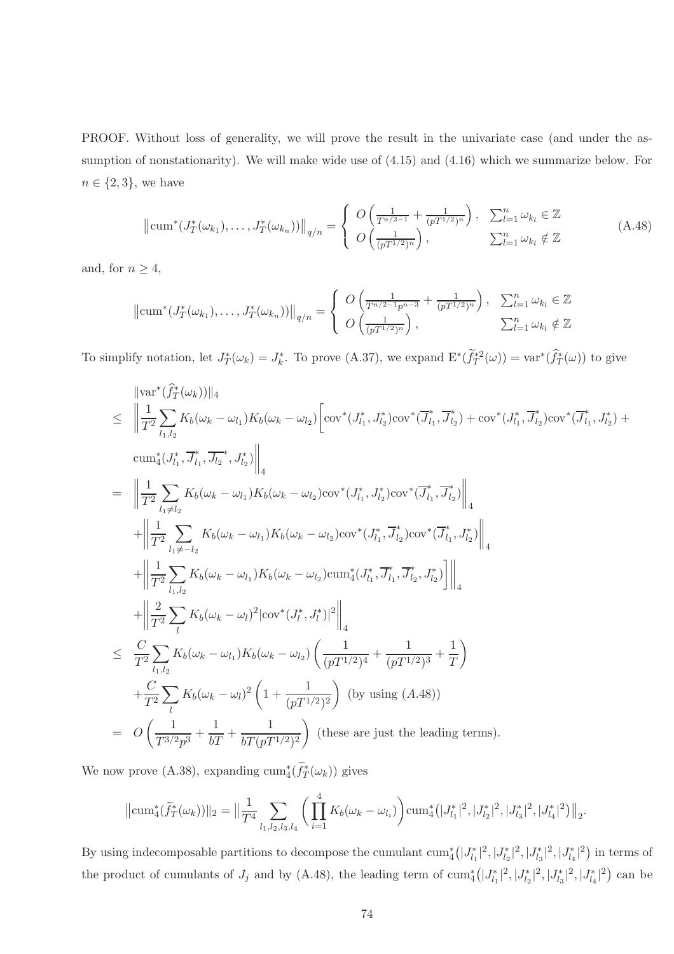PROOF. Without loss of generality, we will prove the result in the univariate case (and under the assumption of nonstationarity). We will make wide use of (4.15) and (4.16) which we summarize below. For  $n \in \{2,3\}$ , we have

$$
\left\| \text{cum}^*(J_T^*(\omega_{k_1}), \dots, J_T^*(\omega_{k_n})) \right\|_{q/n} = \begin{cases} O\left(\frac{1}{T^{n/2-1}} + \frac{1}{(pT^{1/2})^n}\right), & \sum_{l=1}^n \omega_{k_l} \in \mathbb{Z} \\ O\left(\frac{1}{(pT^{1/2})^n}\right), & \sum_{l=1}^n \omega_{k_l} \notin \mathbb{Z} \end{cases} \tag{A.48}
$$

and, for  $n \geq 4$ ,

$$
\|\text{cum}^*(J_T^*(\omega_{k_1}),\ldots,J_T^*(\omega_{k_n}))\|_{q/n} = \begin{cases} O\left(\frac{1}{T^{n/2-1}p^{n-3}} + \frac{1}{(pT^{1/2})^n}\right), & \sum_{l=1}^n \omega_{k_l} \in \mathbb{Z} \\ O\left(\frac{1}{(pT^{1/2})^n}\right), & \sum_{l=1}^n \omega_{k_l} \notin \mathbb{Z} \end{cases}
$$

To simplify notation, let  $J_T^*(\omega_k) = J_k^*$ . To prove  $(A.37)$ , we expand  $E^*(\tilde{f}_T^{*2}(\omega)) = \text{var}^*(\tilde{f}_T^*(\omega))$  to give

$$
\|\nabla\Phi\|_{\mathcal{I}^{2}} \leq \|\frac{1}{T^{2}} \sum_{l_{1},l_{2}} K_{b}(\omega_{k} - \omega_{l_{1}}) K_{b}(\omega_{k} - \omega_{l_{2}}) \Big[ \text{cov}^{*}(J_{l_{1}}^{*}, J_{l_{2}}^{*}) \text{cov}^{*}(\overline{J}_{l_{1}}^{*}, \overline{J}_{l_{2}}^{*}) + \text{cov}^{*}(J_{l_{1}}^{*}, \overline{J}_{l_{2}}^{*}) \text{cov}^{*}(\overline{J}_{l_{1}}^{*}, \overline{J}_{l_{2}}^{*}) + \text{cov}^{*}(J_{l_{1}}^{*}, \overline{J}_{l_{2}}^{*}, J_{l_{2}}^{*}) + \text{cov}^{*}(J_{l_{1}}^{*}, \overline{J}_{l_{1}}^{*}, \overline{J}_{l_{2}}^{*}) \|\|_{4}
$$
  
\n
$$
= \|\frac{1}{T^{2}} \sum_{l_{1} \neq l_{2}} K_{b}(\omega_{k} - \omega_{l_{1}}) K_{b}(\omega_{k} - \omega_{l_{2}}) \text{cov}^{*}(J_{l_{1}}^{*}, J_{l_{2}}^{*}) \text{cov}^{*}(\overline{J}_{l_{1}}^{*}, \overline{J}_{l_{2}}^{*})\|_{4}
$$
  
\n
$$
+ \|\frac{1}{T^{2}} \sum_{l_{1} \neq l_{2}} K_{b}(\omega_{k} - \omega_{l_{1}}) K_{b}(\omega_{k} - \omega_{l_{2}}) \text{cov}^{*}(J_{l_{1}}^{*}, \overline{J}_{l_{2}}^{*}) \text{cov}^{*}(\overline{J}_{l_{1}}^{*}, J_{l_{2}}^{*})\|_{4}
$$
  
\n
$$
+ \|\frac{1}{T^{2}} \sum_{l_{1},l_{2}} K_{b}(\omega_{k} - \omega_{l_{1}}) K_{b}(\omega_{k} - \omega_{l_{2}}) \text{cum}^{*}(J_{l_{1}}^{*}, \overline{J}_{l_{1}}^{*}, \overline{J}_{l_{2}}^{*}) + \text{cov}^{*}(J_{l_{1}}^{*}, J_{l_{2}}^{*})\|_{4}
$$
  
\n
$$
\leq \frac{C}{T^{2}} \sum_{l_{1},l_{2}} K_{b}(\omega_{k} - \omega
$$

We now prove (A.38), expanding  $\text{cum}_4^*(f_T^*(\omega_k))$  gives

$$
\|\operatorname{cum}_4^*(\widetilde{f}_T^*(\omega_k))\|_2 = \|\frac{1}{T^4} \sum_{l_1,l_2,l_3,l_4} \bigg(\prod_{i=1}^4 K_b(\omega_k - \omega_{l_i})\bigg) \operatorname{cum}_4^*(|J_{l_1}^*|^2,|J_{l_2}^*|^2,|J_{l_3}^*|^2,|J_{l_4}^*|^2)\|_2.
$$

By using indecomposable partitions to decompose the cumulant  $\text{cum}_{4}^*([J_{l_1}^*]^2, |J_{l_2}^*|^2, |J_{l_3}^*|^2, |J_{l_4}^*|^2)$  in terms of the product of cumulants of  $J_j$  and by (A.48), the leading term of cum<sub>4</sub><sup>'</sup>( $|J_{l_1}^*|^2, |J_{l_2}^*|^2, |J_{l_3}^*|^2, |J_{l_4}^*|^2$ ) can be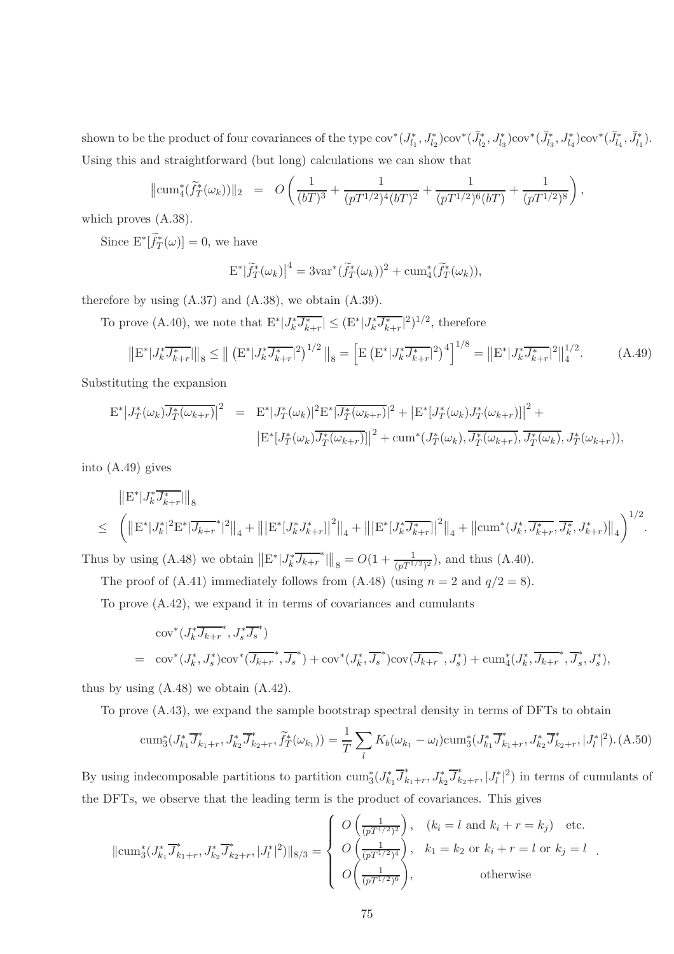shown to be the product of four covariances of the type  $\text{cov}^*(J_{l_1}^*, J_{l_2}^*) \text{cov}^*(\bar{J}_{l_2}^*, J_{l_3}^*) \text{cov}^*(\bar{J}_{l_3}^*, J_{l_4}^*) \text{cov}^*(\bar{J}_{l_4}^*, \bar{J}_{l_1}^*)$ . Using this and straightforward (but long) calculations we can show that

$$
\|\operatorname{cum}_4^*(\widetilde{f}_T^*(\omega_k))\|_2 = O\left(\frac{1}{(bT)^3} + \frac{1}{(pT^{1/2})^4(bT)^2} + \frac{1}{(pT^{1/2})^6(bT)} + \frac{1}{(pT^{1/2})^8}\right),
$$

which proves (A.38).

Since  $E^*[f_T^*(\omega)] = 0$ , we have

$$
\mathbf{E}^*|\widetilde{f}_T^*(\omega_k)|^4 = 3\text{var}^*(\widetilde{f}_T^*(\omega_k))^2 + \text{cum}_4^*(\widetilde{f}_T^*(\omega_k)),
$$

therefore by using  $(A.37)$  and  $(A.38)$ , we obtain  $(A.39)$ .

To prove (A.40), we note that  $E^*|J_k^* \overline{J_{k+r}^*}| \leq (E^*|J_k^* \overline{J_{k+r}^*}|^2)^{1/2}$ , therefore

$$
\left\| \mathcal{E}^* | J_k^* \overline{J_{k+r}^*} | \right\|_8 \le \left\| \left( \mathcal{E}^* | J_k^* \overline{J_{k+r}^*} |^2 \right)^{1/2} \right\|_8 = \left[ \mathcal{E} \left( \mathcal{E}^* | J_k^* \overline{J_{k+r}^*} |^2 \right)^4 \right]^{1/8} = \left\| \mathcal{E}^* | J_k^* \overline{J_{k+r}^*} |^2 \right\|_4^{1/2}.
$$
 (A.49)

Substituting the expansion

$$
E^* | J_T^*(\omega_k) J_T^*(\omega_{k+r})|^2 = E^* | J_T^*(\omega_k)|^2 E^* | \overline{J_T^*(\omega_{k+r})}|^2 + | E^* [ J_T^*(\omega_k) J_T^*(\omega_{k+r})] |^2 + | E^* [ J_T^*(\omega_k) J_T^*(\omega_{k+r})] |^2 + \text{cum}^* ( J_T^*(\omega_k), \overline{J_T^*(\omega_{k+r})}, \overline{J_T^*(\omega_k)}, J_T^*(\omega_{k+r})),
$$

into (A.49) gives

$$
\|E^*|J_k^* \overline{J_{k+r}^*}\|_8
$$
  
\n
$$
\leq \left( \left\|E^*|J_k^*|^2 E^* |\overline{J_{k+r}}^*|^2\right\|_4 + \left\| |E^*[J_k^* J_{k+r}^*]|^2\right\|_4 + \left\| |E^*[J_k^* \overline{J_{k+r}^*}]|^2\right\|_4 + \left\| \operatorname{cum}^*(J_k^*, \overline{J_{k+r}^*}, \overline{J_k^*}, J_{k+r}^*)\right\|_4 \right)^{1/2}.
$$

Thus by using (A.48) we obtain  $\|\mathbf{E}^*| J_k^* \overline{J_{k+r}}^* \|_{8} = O(1 + \frac{1}{(pT^{1/2})^2})$ , and thus (A.40).

The proof of (A.41) immediately follows from (A.48) (using  $n = 2$  and  $q/2 = 8$ ).

To prove (A.42), we expand it in terms of covariances and cumulants

$$
\text{cov}^*(J_k^* \overline{J_{k+r}}^*, J_s^* \overline{J_s}^*)
$$
  
=  $\text{cov}^*(J_k^*, J_s^*) \text{cov}^*(\overline{J_{k+r}}^*, \overline{J_s}^*) + \text{cov}^*(J_k^*, \overline{J_s}^*) \text{cov}(\overline{J_{k+r}}^*, J_s^*) + \text{cum}_4^*(J_k^*, \overline{J_{k+r}}^*, \overline{J_s}^*, J_s^*),$ 

thus by using (A.48) we obtain (A.42).

To prove (A.43), we expand the sample bootstrap spectral density in terms of DFTs to obtain

$$
\operatorname{cum}_3^*(J_{k_1}^* \overline{J}_{k_1+r}^*, J_{k_2}^* \overline{J}_{k_2+r}^*, \widetilde{f}_T^*(\omega_{k_1})) = \frac{1}{T} \sum_l K_b(\omega_{k_1} - \omega_l) \operatorname{cum}_3^*(J_{k_1}^* \overline{J}_{k_1+r}^*, J_{k_2}^* \overline{J}_{k_2+r}^*, |J_l^*|^2). \tag{A.50}
$$

By using indecomposable partitions to partition  $\text{cum}_3^*(J_{k_1}^*\overline{J}_{k_1+r}^*, J_{k_2}^*\overline{J}_{k_2+r}^*, |J_l^*|^2)$  in terms of cumulants of the DFTs, we observe that the leading term is the product of covariances. This gives

$$
\|\text{cum}_3^*(J_{k_1}^*\overline{J}_{k_1+r}^*, J_{k_2}^*\overline{J}_{k_2+r}^*, |J_l^*|^2)\|_{8/3} = \begin{cases} O\left(\frac{1}{(pT^{1/2})^2}\right), & (k_i = l \text{ and } k_i + r = k_j) \text{ etc.} \\ O\left(\frac{1}{(pT^{1/2})^4}\right), & k_1 = k_2 \text{ or } k_i + r = l \text{ or } k_j = l \\ O\left(\frac{1}{(pT^{1/2})^6}\right), & \text{otherwise} \end{cases}
$$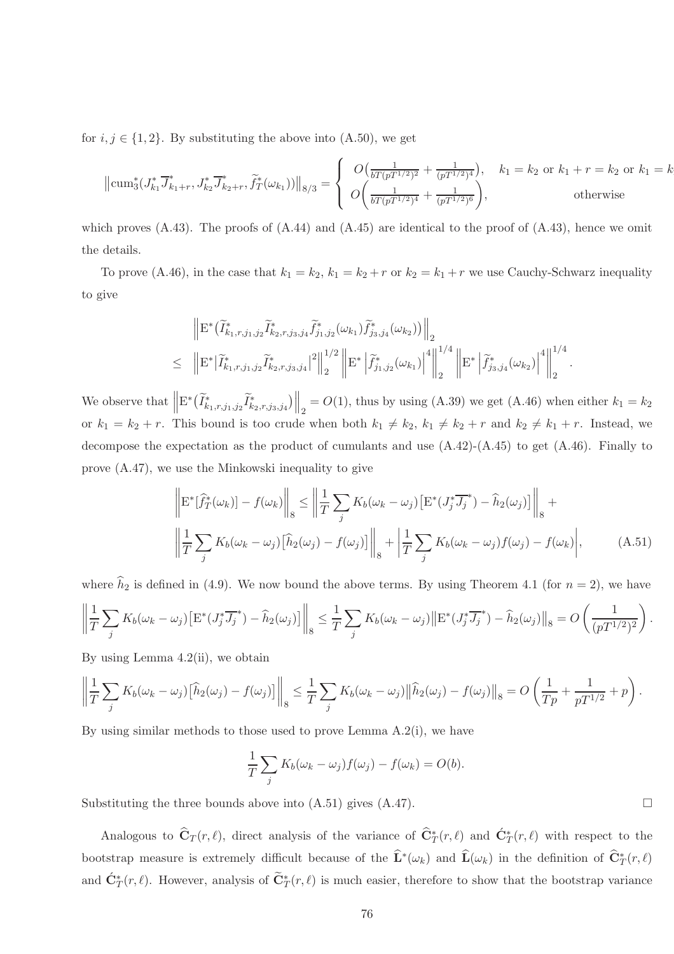for  $i, j \in \{1, 2\}$ . By substituting the above into  $(A.50)$ , we get

$$
\left\|\text{cum}_{3}^{*}(J_{k_{1}}^{*}\overline{J}_{k_{1}+r}^{*},J_{k_{2}}^{*}\overline{J}_{k_{2}+r}^{*},\widetilde{f}_{T}^{*}(\omega_{k_{1}}))\right\|_{8/3} = \left\{\begin{array}{l} O\left(\frac{1}{b_{T}(p_{T}^{1/2})^{2}} + \frac{1}{(p_{T}^{1/2})^{4}}\right), \quad k_{1} = k_{2} \text{ or } k_{1} + r = k_{2} \text{ or } k_{1} = k_{2} \text{ or } k_{1} = k_{2} \text{ or } k_{2} = k_{2} \text{ or } k_{2} = k_{2} \text{ or } k_{2} = k_{2} \text{ or } k_{2} = k_{2} \text{ or } k_{2} = k_{2} \text{ or } k_{2} = k_{2} \text{ or } k_{2} = k_{2} \text{ or } k_{2} = k_{2} \text{ or } k_{2} = k_{2} \text{ or } k_{2} = k_{2} \text{ or } k_{2} = k_{2} \text{ or } k_{2} = k_{2} \text{ or } k_{2} = k_{2} \text{ or } k_{2} = k_{2} \text{ or } k_{2} = k_{2} \text{ or } k_{2} = k_{2} \text{ or } k_{2} = k_{2} \text{ or } k_{2} = k_{2} \text{ or } k_{2} = k_{2} \text{ or } k_{2} = k_{2} \text{ or } k_{2} = k_{2} \text{ or } k_{2} = k_{2} \text{ or } k_{2} = k_{2} \text{ or } k_{2} = k_{2} \text{ or } k_{2} = k_{2} \text{ or } k_{2} = k_{2} \text{ or } k_{2} = k_{2} \text{ or } k_{2} = k_{2} \text{ or } k_{2} = k_{2} \text{ or } k_{2} = k_{2} \text{ or } k_{2} = k_{2} \text{ or } k_{2} = k_{2} \text{ or } k_{2} = k_{2} \text{ or } k_{2} = k_{2} \text{ or } k_{2} = k_{2} \text{ or } k_{2} = k_{2} \text{ or } k_{2} = k_{2} \text{ or } k_{2} = k_{2} \text{ or } k_{2} = k_{2} \text{ or } k_{2} = k_{
$$

which proves  $(A.43)$ . The proofs of  $(A.44)$  and  $(A.45)$  are identical to the proof of  $(A.43)$ , hence we omit the details.

To prove (A.46), in the case that  $k_1 = k_2$ ,  $k_1 = k_2 + r$  or  $k_2 = k_1 + r$  we use Cauchy-Schwarz inequality to give

$$
\| \mathbf{E}^* (\tilde{I}_{k_1,r,j_1,j_2}^* \tilde{I}_{k_2,r,j_3,j_4}^* \tilde{f}_{j_1,j_2}^* (\omega_{k_1}) \tilde{f}_{j_3,j_4}^* (\omega_{k_2}) ) \Big\|_2
$$
  
\n
$$
\leq \left\| \mathbf{E}^* |\tilde{I}_{k_1,r,j_1,j_2}^* \tilde{I}_{k_2,r,j_3,j_4}^* |^2 \right\|_2^{1/2} \left\| \mathbf{E}^* |\tilde{f}_{j_1,j_2}^* (\omega_{k_1}) |^4 \right\|_2^{1/4} \left\| \mathbf{E}^* |\tilde{f}_{j_3,j_4}^* (\omega_{k_2}) |^4 \right\|_2^{1/4}
$$

We observe that  $\left\|\mathbf{E}^*\left(\widetilde{I}^*_{k_1,r,j_1,j_2}\widetilde{I}^*_{k_2,r,j_3,j_4}\right)\right\|_2 = O(1)$ , thus by using  $(A.39)$  we get  $(A.46)$  when either  $k_1 = k_2$ or  $k_1 = k_2 + r$ . This bound is too crude when both  $k_1 \neq k_2$ ,  $k_1 \neq k_2 + r$  and  $k_2 \neq k_1 + r$ . Instead, we decompose the expectation as the product of cumulants and use  $(A.42)-(A.45)$  to get  $(A.46)$ . Finally to prove (A.47), we use the Minkowski inequality to give

$$
\left\| \mathbf{E}^*[\hat{f}_T^*(\omega_k)] - f(\omega_k) \right\|_8 \le \left\| \frac{1}{T} \sum_j K_b(\omega_k - \omega_j) \left[ \mathbf{E}^*(J_j^* \overline{J_j}^*) - \widehat{h}_2(\omega_j) \right] \right\|_8 + \left\| \frac{1}{T} \sum_j K_b(\omega_k - \omega_j) \left[ \widehat{h}_2(\omega_j) - f(\omega_j) \right] \right\|_8 + \left| \frac{1}{T} \sum_j K_b(\omega_k - \omega_j) f(\omega_j) - f(\omega_k) \right|, \tag{A.51}
$$

where  $\hat{h}_2$  is defined in (4.9). We now bound the above terms. By using Theorem 4.1 (for  $n = 2$ ), we have  $\begin{tabular}{|c|c|c|c|} \hline \quad \quad & \quad \quad & \quad \quad \\ \hline \quad \quad & \quad \quad & \quad \quad \\ \hline \quad \quad & \quad \quad & \quad \quad \\ \hline \end{tabular}$ 1 T  $\overline{\phantom{0}}$ j  $K_b(\omega_k - \omega_j) \left[ \mathbf{E}^*(J_j^* \overline{J_j}^*) - \widehat{h}_2(\omega_j) \right]_8 \leq$ 1 T  $\overline{\phantom{0}}$ j  $K_b(\omega_k - \omega_j) ||\mathbf{E}^*(J_j^* \overline{J_j}^*) - \widehat{h}_2(\omega_j)||_8 = O$  $\begin{pmatrix} 1 \end{pmatrix}$  $(pT^{1/2})^2$  $\overline{ }$ .

By using Lemma 4.2(ii), we obtain

$$
\left\|\frac{1}{T}\sum_j K_b(\omega_k-\omega_j)[\widehat{h}_2(\omega_j)-f(\omega_j)]\right\|_8\leq \frac{1}{T}\sum_j K_b(\omega_k-\omega_j)\|\widehat{h}_2(\omega_j)-f(\omega_j)\|_8=O\left(\frac{1}{Tp}+\frac{1}{pT^{1/2}}+p\right).
$$

By using similar methods to those used to prove Lemma A.2(i), we have

$$
\frac{1}{T}\sum_j K_b(\omega_k - \omega_j) f(\omega_j) - f(\omega_k) = O(b).
$$

Substituting the three bounds above into  $(A.51)$  gives  $(A.47)$ .

Analogous to  $\hat{\mathbf{C}}_T(r,\ell)$ , direct analysis of the variance of  $\hat{\mathbf{C}}_T^*(r,\ell)$  and  $\hat{\mathbf{C}}_T^*(r,\ell)$  with respect to the bootstrap measure is extremely difficult because of the  $\mathbf{L}^*(\omega_k)$  and  $\mathbf{L}(\omega_k)$  in the definition of  $\mathbf{C}_T^*(r,\ell)$ and  $\acute{C}_{T}^{*}(r,\ell)$ . However, analysis of  $\widetilde{C}_{T}^{*}(r,\ell)$  is much easier, therefore to show that the bootstrap variance

.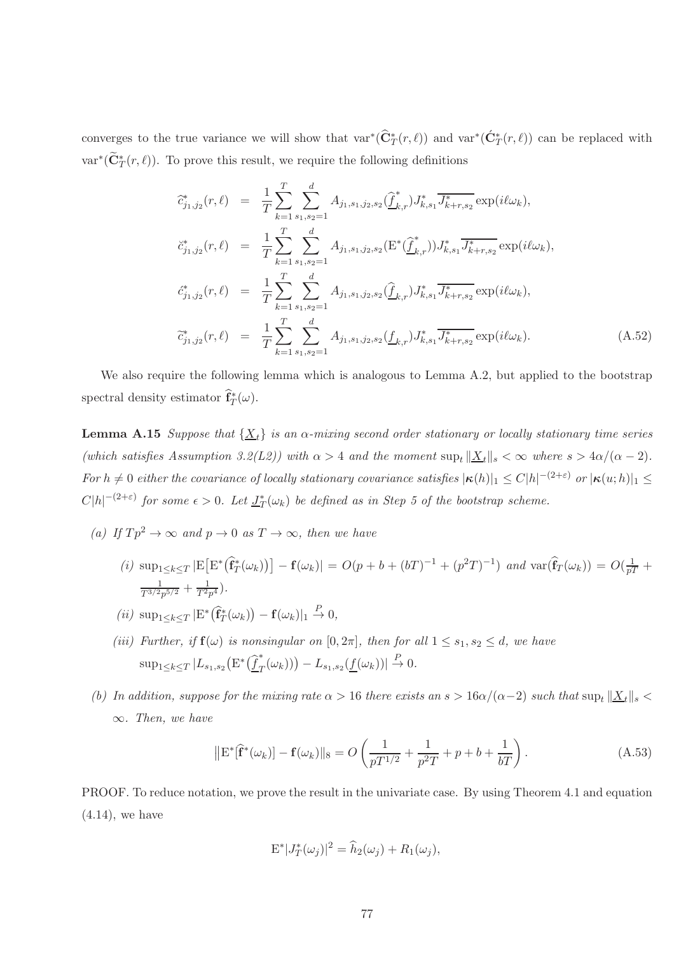converges to the true variance we will show that  $var^*(\hat{C}^*_{T}(r,\ell))$  and  $var^*(\hat{C}^*_{T}(r,\ell))$  can be replaced with  $var^*(\mathbf{C}^*_T(r,\ell))$ . To prove this result, we require the following definitions

$$
\begin{split}\n\widehat{c}_{j_{1},j_{2}}^{*}(r,\ell) &= \frac{1}{T} \sum_{k=1}^{T} \sum_{s_{1},s_{2}=1}^{d} A_{j_{1},s_{1},j_{2},s_{2}}(\hat{\underline{f}}_{k,r}^{*}) J_{k,s_{1}}^{*} \overline{J_{k+r,s_{2}}^{*}} \exp(i\ell\omega_{k}), \\
\widehat{c}_{j_{1},j_{2}}^{*}(r,\ell) &= \frac{1}{T} \sum_{k=1}^{T} \sum_{s_{1},s_{2}=1}^{d} A_{j_{1},s_{1},j_{2},s_{2}}(\mathbf{E}^{*}(\hat{\underline{f}}_{k,r}^{*})) J_{k,s_{1}}^{*} \overline{J_{k+r,s_{2}}^{*}} \exp(i\ell\omega_{k}), \\
\widehat{c}_{j_{1},j_{2}}^{*}(r,\ell) &= \frac{1}{T} \sum_{k=1}^{T} \sum_{s_{1},s_{2}=1}^{d} A_{j_{1},s_{1},j_{2},s_{2}}(\hat{\underline{f}}_{k,r}) J_{k,s_{1}}^{*} \overline{J_{k+r,s_{2}}^{*}} \exp(i\ell\omega_{k}), \\
\widehat{c}_{j_{1},j_{2}}^{*}(r,\ell) &= \frac{1}{T} \sum_{k=1}^{T} \sum_{s_{1},s_{2}=1}^{d} A_{j_{1},s_{1},j_{2},s_{2}}(\underline{f}_{k,r}) J_{k,s_{1}}^{*} \overline{J_{k+r,s_{2}}^{*}} \exp(i\ell\omega_{k}).\n\end{split} \tag{A.52}
$$

We also require the following lemma which is analogous to Lemma A.2, but applied to the bootstrap spectral density estimator  $\mathbf{f}_T^*(\omega)$ .

**Lemma A.15** Suppose that  $\{\underline{X}_t\}$  is an  $\alpha$ -mixing second order stationary or locally stationary time series (which satisfies Assumption 3.2(L2)) with  $\alpha > 4$  and the moment  $\sup_t ||\underline{X}_t||_s < \infty$  where  $s > 4\alpha/(\alpha - 2)$ . For  $h \neq 0$  either the covariance of locally stationary covariance satisfies  $|\kappa(h)|_1 \leq C|h|^{-(2+\varepsilon)}$  or  $|\kappa(u;h)|_1 \leq$  $C|h|^{-(2+\varepsilon)}$  for some  $\epsilon > 0$ . Let  $\underline{J}_T^*(\omega_k)$  be defined as in Step 5 of the bootstrap scheme.

- (a) If  $Tp^2 \to \infty$  and  $p \to 0$  as  $T \to \infty$ , then we have
	- (i)  $\sup_{1\leq k\leq T} |E[E^*(\hat{f}_T^*(\omega_k))] f(\omega_k)| = O(p + b + (bT)^{-1} + (p^2T)^{-1})$  and  $\text{var}(\hat{f}_T(\omega_k)) = O(\frac{1}{pT} + b)$ 1  $\frac{1}{T^{3/2}p^{5/2}}+\frac{1}{T^{2}p^{4}}).$
	- (*ii*)  $\sup_{1 \leq k \leq T} |E^*(\hat{f}_T^*(\omega_k)) \mathbf{f}(\omega_k)|_1 \stackrel{P}{\to} 0,$
	- (iii) Further, if  $f(\omega)$  is nonsingular on  $[0, 2\pi]$ , then for all  $1 \leq s_1, s_2 \leq d$ , we have  $\sup_{1\leq k\leq T}|L_{s_1,s_2}(\mathrm{E}^*(\hat{\underline{f}}_T^*)$  $T(\omega_k)) - L_{s_1,s_2}(\underline{f}(\omega_k)) \longrightarrow 0.$
- (b) In addition, suppose for the mixing rate  $\alpha > 16$  there exists an  $s > 16\alpha/(\alpha-2)$  such that  $\sup_t ||X_t||_s <$  $\infty$ . Then, we have

$$
\|\mathbf{E}^*[\hat{\mathbf{f}}^*(\omega_k)] - \mathbf{f}(\omega_k)\|_8 = O\left(\frac{1}{pT^{1/2}} + \frac{1}{p^2T} + p + b + \frac{1}{bT}\right).
$$
 (A.53)

PROOF. To reduce notation, we prove the result in the univariate case. By using Theorem 4.1 and equation (4.14), we have

$$
\mathcal{E}^* |J_T^*(\omega_j)|^2 = \widehat{h}_2(\omega_j) + R_1(\omega_j),
$$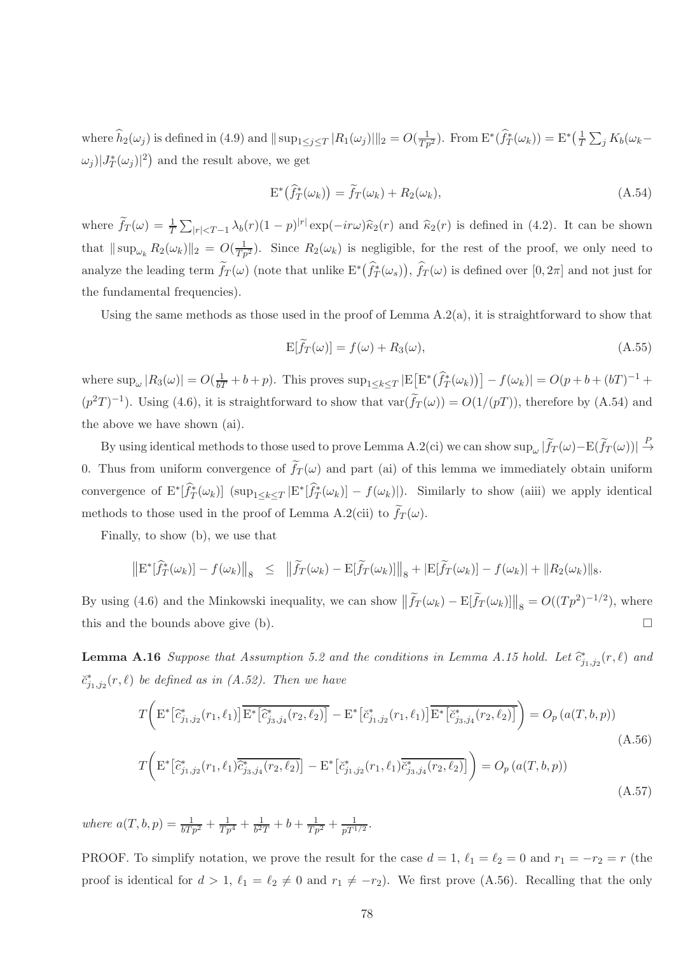where  $\widehat{h}_2(\omega_j)$  is defined in (4.9) and  $\|\sup_{1 \leq j \leq T} |R_1(\omega_j)|\|_2 = O(\frac{1}{Tp^2})$ . From  $E^*(\widehat{f}_T^*(\omega_k)) = E^*(\frac{1}{T}$  $\frac{1}{T} \sum_j K_b(\omega_k \omega_j$  $|J_T^*(\omega_j)|^2$  and the result above, we get

$$
E^*(\widehat{f}_T^*(\omega_k)) = \widetilde{f}_T(\omega_k) + R_2(\omega_k), \tag{A.54}
$$

where  $\tilde{f}_T(\omega) = \frac{1}{T} \sum_{|r| < T-1} \lambda_b(r) (1-p)^{|r|} \exp(-ir\omega) \hat{\kappa}_2(r)$  and  $\hat{\kappa}_2(r)$  is defined in (4.2). It can be shown that  $\|\sup_{\omega_k} R_2(\omega_k)\|_2 = O(\frac{1}{Tp^2})$ . Since  $R_2(\omega_k)$  is negligible, for the rest of the proof, we only need to analyze the leading term  $\tilde{f}_{T}(\omega)$  (note that unlike  $E^*(\hat{f}_{T}^*(\omega_s)), \hat{f}_{T}(\omega)$  is defined over  $[0, 2\pi]$  and not just for the fundamental frequencies).

Using the same methods as those used in the proof of Lemma  $A.2(a)$ , it is straightforward to show that

$$
E[\widetilde{f}_T(\omega)] = f(\omega) + R_3(\omega),\tag{A.55}
$$

where  $\sup_{\omega} |R_3(\omega)| = O(\frac{1}{bT} + b + p)$ . This proves  $\sup_{1 \le k \le T} |E[E^*(\widehat{f}_T^*(\omega_k))] - f(\omega_k)| = O(p + b + (bT)^{-1} +$  $(p^2T)^{-1}$ ). Using (4.6), it is straightforward to show that  $var(\tilde{f}_T(\omega)) = O(1/(pT))$ , therefore by (A.54) and the above we have shown (ai).

By using identical methods to those used to prove Lemma A.2(ci) we can show  $\sup_{\omega} |\widetilde{f}_T(\omega)-E(\widetilde{f}_T(\omega))| \overset{P}{\to}$ 0. Thus from uniform convergence of  $f_T(\omega)$  and part (ai) of this lemma we immediately obtain uniform convergence of  $E^*[f_T^*(\omega_k)]$  (sup<sub>1≤k≤T</sub> | $E^*[f_T^*(\omega_k)] - f(\omega_k)$ ). Similarly to show (aiii) we apply identical methods to those used in the proof of Lemma A.2(cii) to  $\tilde{f}_T(\omega)$ .

Finally, to show (b), we use that

$$
\left\|\mathbf{E}^*[\widehat{f}_T^*(\omega_k)] - f(\omega_k)\right\|_8 \leq \left\|\widetilde{f}_T(\omega_k) - \mathbf{E}[\widetilde{f}_T(\omega_k)]\right\|_8 + \left|\mathbf{E}[\widetilde{f}_T(\omega_k)] - f(\omega_k)\right| + \left\|R_2(\omega_k)\right\|_8.
$$

By using (4.6) and the Minkowski inequality, we can show  $\|\widetilde{f}_T(\omega_k) - \mathbb{E}[\widetilde{f}_T(\omega_k)]\|_8 = O((Tp^2)^{-1/2})$ , where this and the bounds above give (b).  $\Box$ 

**Lemma A.16** Suppose that Assumption 5.2 and the conditions in Lemma A.15 hold. Let  $\hat{c}_{j_1,j_2}^*(r,\ell)$  and  $\check{c}^*_{j_1,j_2}(r,\ell)$  be defined as in (A.52). Then we have

$$
T\left(\mathbf{E}^*\left[\hat{c}_{j_1,j_2}^*(r_1,\ell_1)\right]\overline{\mathbf{E}^*\left[\hat{c}_{j_3,j_4}^*(r_2,\ell_2)\right]} - \mathbf{E}^*\left[\check{c}_{j_1,j_2}^*(r_1,\ell_1)\right]\overline{\mathbf{E}^*\left[\check{c}_{j_3,j_4}^*(r_2,\ell_2)\right]}\right) = O_p\left(a(T,b,p)\right)
$$
\n(A.56)\n
$$
T\left(\mathbf{E}^*\left[\hat{c}_{j_1,j_2}^*(r_1,\ell_1)\overline{\hat{c}_{j_3,j_4}^*(r_2,\ell_2)}\right] - \mathbf{E}^*\left[\check{c}_{j_1,j_2}^*(r_1,\ell_1)\overline{\check{c}_{j_3,j_4}^*(r_2,\ell_2)}\right]\right) = O_p\left(a(T,b,p)\right)
$$

(A.57)

where  $a(T, b, p) = \frac{1}{bTp^2} + \frac{1}{Tp^4} + \frac{1}{b^2T} + b + \frac{1}{Tp^2} + \frac{1}{pT^{1/2}}$ .

PROOF. To simplify notation, we prove the result for the case  $d = 1$ ,  $\ell_1 = \ell_2 = 0$  and  $r_1 = -r_2 = r$  (the proof is identical for  $d > 1$ ,  $\ell_1 = \ell_2 \neq 0$  and  $r_1 \neq -r_2$ ). We first prove (A.56). Recalling that the only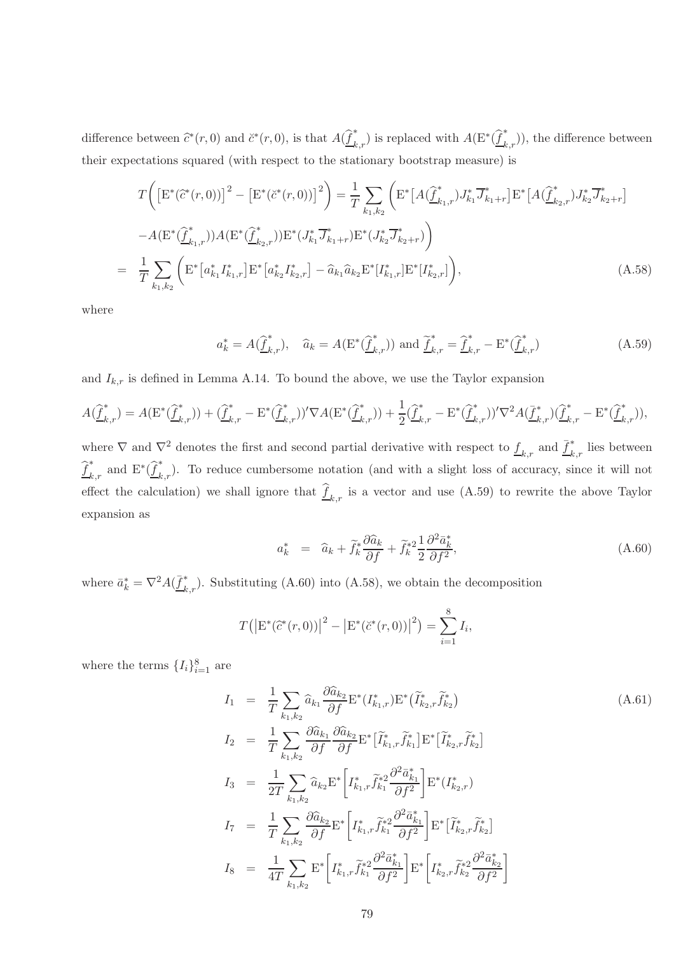difference between  $\tilde{c}^*(r,0)$  and  $\tilde{c}^*(r,0)$ , is that  $A(\hat{\underline{f}}^*_{k,r})$  is replaced with  $A(\mathrm{E}^*(\hat{\underline{f}}^*_{k,r}))$ , the difference between their expectations squared (with respect to the stationary bootstrap measure) is

$$
T\left(\left[\mathbf{E}^*(\hat{c}^*(r,0))\right]^2 - \left[\mathbf{E}^*(\check{c}^*(r,0))\right]^2\right) = \frac{1}{T} \sum_{k_1,k_2} \left(\mathbf{E}^*\left[A(\hat{\underline{f}}^*_{k_1,r})J^*_{k_1}\overline{J}^*_{k_1+r}\right]\mathbf{E}^*\left[A(\hat{\underline{f}}^*_{k_2,r})J^*_{k_2}\overline{J}^*_{k_2+r}\right] - A(\mathbf{E}^*(\hat{\underline{f}}^*_{k_1,r}))A(\mathbf{E}^*(\hat{\underline{f}}^*_{k_2,r}))\mathbf{E}^*(J^*_{k_1}\overline{J}^*_{k_1+r})\mathbf{E}^*(J^*_{k_2}\overline{J}^*_{k_2+r})\right)
$$
  
\n
$$
= \frac{1}{T} \sum_{k_1,k_2} \left(\mathbf{E}^*\left[a^*_{k_1}I^*_{k_1,r}\right]\mathbf{E}^*\left[a^*_{k_2}I^*_{k_2,r}\right] - \hat{a}_{k_1}\hat{a}_{k_2}\mathbf{E}^*\left[I^*_{k_1,r}\right]\mathbf{E}^*\left[I^*_{k_2,r}\right]\right),\tag{A.58}
$$

where

=

$$
a_k^* = A(\hat{\underline{f}}_{k,r}^*), \quad \hat{a}_k = A(\mathbf{E}^*(\hat{\underline{f}}_{k,r}^*)) \text{ and } \tilde{\underline{f}}_{k,r}^* = \hat{\underline{f}}_{k,r}^* - \mathbf{E}^*(\hat{\underline{f}}_{k,r}^*)
$$
(A.59)

and  $I_{k,r}$  is defined in Lemma A.14. To bound the above, we use the Taylor expansion

$$
A(\hat{\underline{f}}_{k,r}^*) = A(\mathbf{E}^*(\hat{\underline{f}}_{k,r}^*)) + (\hat{\underline{f}}_{k,r}^* - \mathbf{E}^*(\hat{\underline{f}}_{k,r}^*))' \nabla A(\mathbf{E}^*(\hat{\underline{f}}_{k,r}^*)) + \frac{1}{2} (\hat{\underline{f}}_{k,r}^* - \mathbf{E}^*(\hat{\underline{f}}_{k,r}^*))' \nabla^2 A(\hat{\underline{f}}_{k,r}^*) (\hat{\underline{f}}_{k,r}^* - \mathbf{E}^*(\hat{\underline{f}}_{k,r}^*)),
$$

where  $\nabla$  and  $\nabla^2$  denotes the first and second partial derivative with respect to  $\underline{f}_{k,r}$  and  $\overline{f}_{k,r}^*$  lies between  $\hat{f}_{k,r}^*$  and  $E^*(\hat{f}_{k,r}^*)$ . To reduce cumbersome notation (and with a slight loss of accuracy, since it will not effect the calculation) we shall ignore that  $\underline{f}_{k,r}$  is a vector and use (A.59) to rewrite the above Taylor expansion as

$$
a_k^* = \hat{a}_k + \tilde{f}_k^* \frac{\partial \hat{a}_k}{\partial f} + \tilde{f}_k^* \frac{1}{2} \frac{\partial^2 \bar{a}_k^*}{\partial f^2}, \tag{A.60}
$$

where  $\bar{a}_k^* = \nabla^2 A(\bar{f}_{k,r}^*)$ . Substituting (A.60) into (A.58), we obtain the decomposition

$$
T(|\mathcal{E}^*(\hat{c}^*(r,0))|^2 - |\mathcal{E}^*(\check{c}^*(r,0))|^2) = \sum_{i=1}^8 I_i,
$$

where the terms  $\{I_i\}_{i=1}^8$  are

$$
I_{1} = \frac{1}{T} \sum_{k_{1},k_{2}} \hat{a}_{k_{1}} \frac{\partial \hat{a}_{k_{2}}}{\partial f} E^{*}(I_{k_{1},r}^{*}) E^{*}(\tilde{I}_{k_{2},r}^{*} \tilde{f}_{k_{2}}^{*})
$$
\n
$$
I_{2} = \frac{1}{T} \sum_{k_{1},k_{2}} \frac{\partial \hat{a}_{k_{1}}}{\partial f} \frac{\partial \hat{a}_{k_{2}}}{\partial f} E^{*}[\tilde{I}_{k_{1},r}^{*} \tilde{f}_{k_{1}}^{*}] E^{*}[\tilde{I}_{k_{2},r}^{*} \tilde{f}_{k_{2}}^{*}]
$$
\n
$$
I_{3} = \frac{1}{2T} \sum_{k_{1},k_{2}} \hat{a}_{k_{2}} E^{*} \Big[ I_{k_{1},r}^{*} \tilde{f}_{k_{1}}^{*2} \frac{\partial^{2} \bar{a}_{k_{1}}^{*}}{\partial f^{2}} \Big] E^{*}(I_{k_{2},r}^{*})
$$
\n
$$
I_{7} = \frac{1}{T} \sum_{k_{1},k_{2}} \frac{\partial \hat{a}_{k_{2}}}{\partial f} E^{*} \Big[ I_{k_{1},r}^{*} \tilde{f}_{k_{1}}^{*2} \frac{\partial^{2} \bar{a}_{k_{1}}^{*}}{\partial f^{2}} \Big] E^{*}[\tilde{I}_{k_{2},r}^{*} \tilde{f}_{k_{2}}^{*}]
$$
\n
$$
I_{8} = \frac{1}{4T} \sum_{k_{1},k_{2}} E^{*} \Big[ I_{k_{1},r}^{*} \tilde{f}_{k_{1}}^{*2} \frac{\partial^{2} \bar{a}_{k_{1}}^{*}}{\partial f^{2}} \Big] E^{*} \Big[ I_{k_{2},r}^{*} \tilde{f}_{k_{2}}^{*2} \frac{\partial^{2} \bar{a}_{k_{2}}^{*}}{\partial f^{2}} \Big]
$$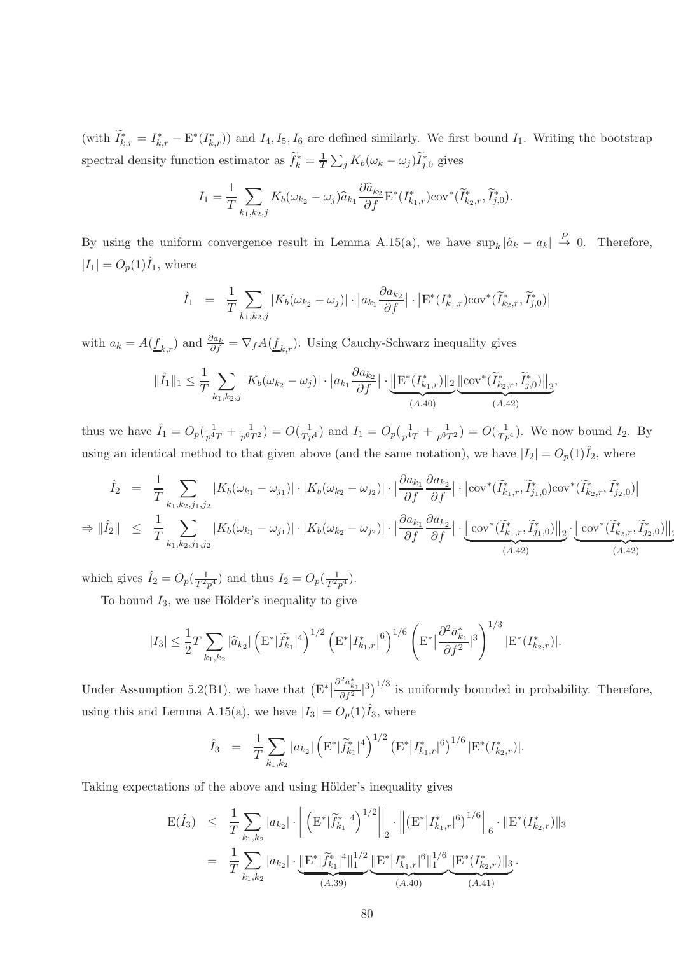(with  $I_{k,r}^* = I_{k,r}^* - \mathbb{E}^*(I_{k,r}^*)$ ) and  $I_4, I_5, I_6$  are defined similarly. We first bound  $I_1$ . Writing the bootstrap spectral density function estimator as  $\tilde{f}_k^* = \frac{1}{T}$  $\frac{1}{T} \sum_j K_b(\omega_k - \omega_j) \widetilde{I}^*_{j,0}$  gives

$$
I_1 = \frac{1}{T} \sum_{k_1, k_2, j} K_b(\omega_{k_2} - \omega_j) \widehat{a}_{k_1} \frac{\partial \widehat{a}_{k_2}}{\partial f} E^*(I^*_{k_1, r}) \text{cov}^*(\widetilde{I}^*_{k_2, r}, \widetilde{I}^*_{j, 0}).
$$

By using the uniform convergence result in Lemma A.15(a), we have  $\sup_k |\hat{a}_k - a_k| \overset{P}{\to} 0$ . Therefore,  $|I_1| = O_p(1)\hat{I}_1$ , where

$$
\hat{I}_1 = \frac{1}{T} \sum_{k_1, k_2, j} |K_b(\omega_{k_2} - \omega_j)| \cdot |a_{k_1} \frac{\partial a_{k_2}}{\partial f}| \cdot |E^*(I^*_{k_1, r}) \text{cov}^*(\widetilde{I}^*_{k_2, r}, \widetilde{I}^*_{j, 0})|
$$

with  $a_k = A(\underline{f}_{k,r})$  and  $\frac{\partial a_k}{\partial f} = \nabla_f A(\underline{f}_{k,r})$ . Using Cauchy-Schwarz inequality gives

$$
\|\hat{I}_1\|_1 \leq \frac{1}{T} \sum_{k_1, k_2, j} |K_b(\omega_{k_2} - \omega_j)| \cdot |a_{k_1} \frac{\partial a_{k_2}}{\partial f}| \cdot \underbrace{\left\| \mathbf{E}^*(I^*_{k_1, r}) \right\|_2}_{(A.40)} \underbrace{\left\| \text{cov}^*(\widetilde{I}^*_{k_2, r}, \widetilde{I}^*_{j, 0}) \right\|_2}_{(A.42)},
$$

thus we have  $\hat{I}_1 = O_p(\frac{1}{n^{4n}})$  $\frac{1}{p^4T}+\frac{1}{p^6T}$  $\frac{1}{p^6T^2}$ ) =  $O(\frac{1}{Tp^4})$  and  $I_1 = O_p(\frac{1}{p^4})$  $\frac{1}{p^4T}+\frac{1}{p^6T}$  $\frac{1}{p^6T^2}$ ) =  $O(\frac{1}{Tp^4})$ . We now bound  $I_2$ . By using an identical method to that given above (and the same notation), we have  $|I_2| = O_p(1)\hat{I}_2$ , where

$$
\hat{I}_{2} = \frac{1}{T} \sum_{k_{1},k_{2},j_{1},j_{2}} |K_{b}(\omega_{k_{1}} - \omega_{j_{1}})| \cdot |K_{b}(\omega_{k_{2}} - \omega_{j_{2}})| \cdot \left| \frac{\partial a_{k_{1}}}{\partial f} \frac{\partial a_{k_{2}}}{\partial f} \right| \cdot \left| \text{cov}^{*}(\widetilde{I}_{k_{1},r}^{*}, \widetilde{I}_{j_{1},0}^{*}) \text{cov}^{*}(\widetilde{I}_{k_{2},r}^{*}, \widetilde{I}_{j_{2},0}^{*}) \right|
$$
\n
$$
\Rightarrow \|\hat{I}_{2}\| \leq \frac{1}{T} \sum_{k_{1},k_{2},j_{1},j_{2}} |K_{b}(\omega_{k_{1}} - \omega_{j_{1}})| \cdot |K_{b}(\omega_{k_{2}} - \omega_{j_{2}})| \cdot \left| \frac{\partial a_{k_{1}}}{\partial f} \frac{\partial a_{k_{2}}}{\partial f} \right| \cdot \underbrace{\left\| \text{cov}^{*}(\widetilde{I}_{k_{1},r}^{*}, \widetilde{I}_{j_{1},0}^{*}) \right\|_{2}}_{(A.42)} \cdot \underbrace{\left\| \text{cov}^{*}(\widetilde{I}_{k_{2},r}^{*}, \widetilde{I}_{j_{2},0}^{*}) \right\|_{2}}_{(A.42)}
$$

2

which gives  $\hat{I}_2 = O_p(\frac{1}{T^2p^4})$  and thus  $I_2 = O_p(\frac{1}{T^2p^4})$ .

To bound  $I_3$ , we use Hölder's inequality to give

$$
|I_3| \leq \frac{1}{2} T \sum_{k_1, k_2} |\widehat{a}_{k_2}| \left( E^* |\widetilde{f}_{k_1}^*|^4 \right)^{1/2} \left( E^* |I_{k_1, r}^*|^6 \right)^{1/6} \left( E^* |\frac{\partial^2 \bar{a}_{k_1}^*}{\partial f^2}|^3 \right)^{1/3} |E^*(I_{k_2, r}^*)|.
$$

Under Assumption 5.2(B1), we have that  $(E^*|$  $\frac{\partial^2 \bar{a}_{k_1}^*}{\partial f^2}$  as uniformly bounded in probability. Therefore, using this and Lemma A.15(a), we have  $|I_3| = O_p(1)\hat{I}_3$ , where

$$
\hat{I}_3 = \frac{1}{T} \sum_{k_1, k_2} |a_{k_2}| \left( \mathbf{E}^* |\tilde{f}_{k_1}^*|^4 \right)^{1/2} \left( \mathbf{E}^* |I_{k_1, r}^*|^6 \right)^{1/6} |\mathbf{E}^* (I_{k_2, r}^*)|.
$$

Taking expectations of the above and using Hölder's inequality gives

$$
E(\hat{I}_{3}) \leq \frac{1}{T} \sum_{k_{1},k_{2}} |a_{k_{2}}| \cdot \left\| \left( E^{*} | \tilde{f}_{k_{1}}^{*} |^{4} \right)^{1/2} \right\|_{2} \cdot \left\| \left( E^{*} | I_{k_{1},r}^{*} |^{6} \right)^{1/6} \right\|_{6} \cdot \| E^{*}(I_{k_{2},r}^{*}) \|_{3}
$$
  

$$
= \frac{1}{T} \sum_{k_{1},k_{2}} |a_{k_{2}}| \cdot \underbrace{\left( E^{*} | \tilde{f}_{k_{1}}^{*} |^{4} \right) \left\|_{1}^{1/2}}_{(A.39)} \underbrace{\left( E^{*} | I_{k_{1},r}^{*} |^{6} \right) \left\|_{1}^{1/6} \left( E^{*}(I_{k_{2},r}^{*}) \right\|_{3}}_{(A.40)} \cdot \underbrace{\left( E^{*}(I_{k_{2},r}^{*}) \right) \left\|_{3}^{1}}_{(A.41)} \cdot \underbrace{\left( E^{*} | I_{k_{2},r}^{*} |^{6} \right) \left( E^{*} (I_{k_{2},r}^{*}) \right) \left\|_{3}^{1}}_{(A.41)} \cdot \underbrace{\left( E^{*} | I_{k_{2},r}^{*} |^{6} \right) \left( E^{*} (I_{k_{2},r}^{*}) \right) \left\|_{3}^{1}}_{(A.41)} \cdot \underbrace{\left( E^{*} | I_{k_{2},r}^{*} |^{6} \right) \left( E^{*} (I_{k_{2},r}^{*} | I_{k_{2},r}^{*} \right) \left( E^{*} (I_{k_{2},r}^{*} | I_{k_{2},r}^{*} \right) \left( E^{*} (I_{k_{2},r}^{*} | I_{k_{2},r}^{*} \right) \left( E^{*} (I_{k_{2},r}^{*} | I_{k_{2},r}^{*} \right) \left( E^{*} (I_{k_{2},r}^{*} | I_{k_{2},r}^{*} \right) \left( E^{*} (I_{k_{2},r}^{*} | I_{k_{2},r}^{*} \right) \left( E^{*} (I_{k_{2},r}^{*} | I_{k_{2},r}^{*}
$$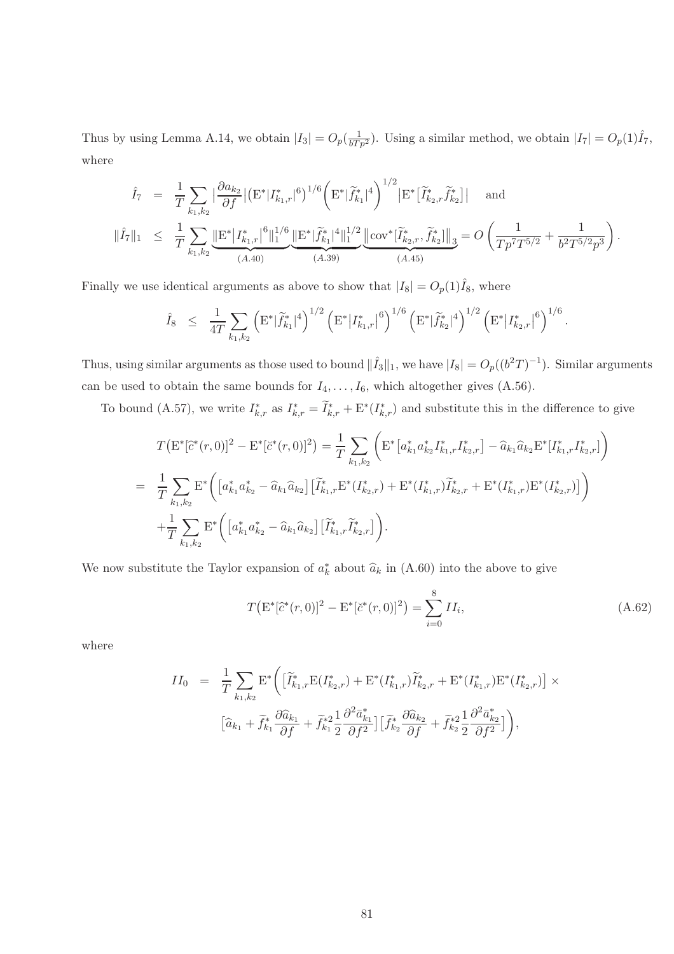Thus by using Lemma A.14, we obtain  $|I_3| = O_p(\frac{1}{bTp^2})$ . Using a similar method, we obtain  $|I_7| = O_p(1)\hat{I}_7$ , where

$$
\hat{I}_{7} = \frac{1}{T} \sum_{k_{1},k_{2}} \left| \frac{\partial a_{k_{2}}}{\partial f} \right| \left( \mathbf{E}^{*} | I_{k_{1},r}^{*} |^{6} \right)^{1/6} \left( \mathbf{E}^{*} | \tilde{f}_{k_{1}}^{*} |^{4} \right)^{1/2} \left| \mathbf{E}^{*} \left[ \tilde{I}_{k_{2},r}^{*} \tilde{f}_{k_{2}}^{*} \right] \right| \text{ and}
$$
\n
$$
\|\hat{I}_{7}\|_{1} \leq \frac{1}{T} \sum_{k_{1},k_{2}} \underbrace{\left\| \mathbf{E}^{*} | I_{k_{1},r}^{*} \right\|_{1}^{6} \left\| \mathbf{E}^{*} | \tilde{f}_{k_{1}}^{*} |^{4} \right\|_{1}^{1/2}}_{(A.40)} \underbrace{\left\| \mathbf{C}^{*} \left[ \tilde{I}_{k_{2},r}^{*} \tilde{f}_{k_{2}}^{*} \right] \right\|_{3}}_{(A.45)} = O\left(\frac{1}{Tp^{7}T^{5/2}} + \frac{1}{b^{2}T^{5/2}p^{3}}\right).
$$

Finally we use identical arguments as above to show that  $|I_8| = O_p(1)\hat{I}_8$ , where

$$
\hat{I}_8 \leq \frac{1}{4T} \sum_{k_1,k_2} \left( \mathbf{E}^* |\tilde{f}_{k_1}^*|^4 \right)^{1/2} \left( \mathbf{E}^* |I_{k_1,r}^*|^6 \right)^{1/6} \left( \mathbf{E}^* |\tilde{f}_{k_2}^*|^4 \right)^{1/2} \left( \mathbf{E}^* |I_{k_2,r}^*|^6 \right)^{1/6}.
$$

Thus, using similar arguments as those used to bound  $\|\hat{I}_3\|_1$ , we have  $|I_8| = O_p((b^2T)^{-1})$ . Similar arguments can be used to obtain the same bounds for  $I_4, \ldots, I_6$ , which altogether gives (A.56).

To bound (A.57), we write  $I_{k,r}^*$  as  $I_{k,r}^* = I_{k,r}^* + \mathbb{E}^*(I_{k,r}^*)$  and substitute this in the difference to give

$$
T\left(\mathbf{E}^*[\hat{c}^*(r,0)]^2 - \mathbf{E}^*[\check{c}^*(r,0)]^2\right) = \frac{1}{T} \sum_{k_1,k_2} \left(\mathbf{E}^*\left[a_{k_1}^* a_{k_2}^* I_{k_1,r}^* I_{k_2,r}^*\right] - \hat{a}_{k_1} \hat{a}_{k_2} \mathbf{E}^* [I_{k_1,r}^* I_{k_2,r}^*]\right)
$$
  
\n
$$
= \frac{1}{T} \sum_{k_1,k_2} \mathbf{E}^*\left(\left[a_{k_1}^* a_{k_2}^* - \hat{a}_{k_1} \hat{a}_{k_2}\right] \left[\tilde{I}_{k_1,r}^* \mathbf{E}^*(I_{k_2,r}^*) + \mathbf{E}^*(I_{k_1,r}^*) \tilde{I}_{k_2,r}^* + \mathbf{E}^*(I_{k_1,r}^*) \mathbf{E}^*(I_{k_2,r}^*)\right]\right)
$$
  
\n
$$
+ \frac{1}{T} \sum_{k_1,k_2} \mathbf{E}^*\left(\left[a_{k_1}^* a_{k_2}^* - \hat{a}_{k_1} \hat{a}_{k_2}\right] \left[\tilde{I}_{k_1,r}^* \tilde{I}_{k_2,r}^*\right]\right).
$$

We now substitute the Taylor expansion of  $a_k^*$  about  $\widehat{a}_k$  in (A.60) into the above to give

$$
T(\mathbf{E}^*[\hat{c}^*(r,0)]^2 - \mathbf{E}^*[\check{c}^*(r,0)]^2) = \sum_{i=0}^8 II_i,
$$
\n(A.62)

where

$$
II_0 = \frac{1}{T} \sum_{k_1, k_2} \mathbf{E}^* \bigg( \big[ \widetilde{I}_{k_1, r}^* \mathbf{E} (I_{k_2, r}^*) + \mathbf{E}^* (I_{k_1, r}^*) \widetilde{I}_{k_2, r}^* + \mathbf{E}^* (I_{k_1, r}^*) \mathbf{E}^* (I_{k_2, r}^*) \big] \times \n\big[ \widehat{a}_{k_1} + \widetilde{f}_{k_1}^* \frac{\partial \widehat{a}_{k_1}}{\partial f} + \widetilde{f}_{k_1}^{*2} \frac{1}{2} \frac{\partial^2 \bar{a}_{k_1}^*}{\partial f^2} \big] \big[ \widetilde{f}_{k_2}^* \frac{\partial \widehat{a}_{k_2}}{\partial f} + \widetilde{f}_{k_2}^{*2} \frac{1}{2} \frac{\partial^2 \bar{a}_{k_2}^*}{\partial f^2} \big] \bigg),
$$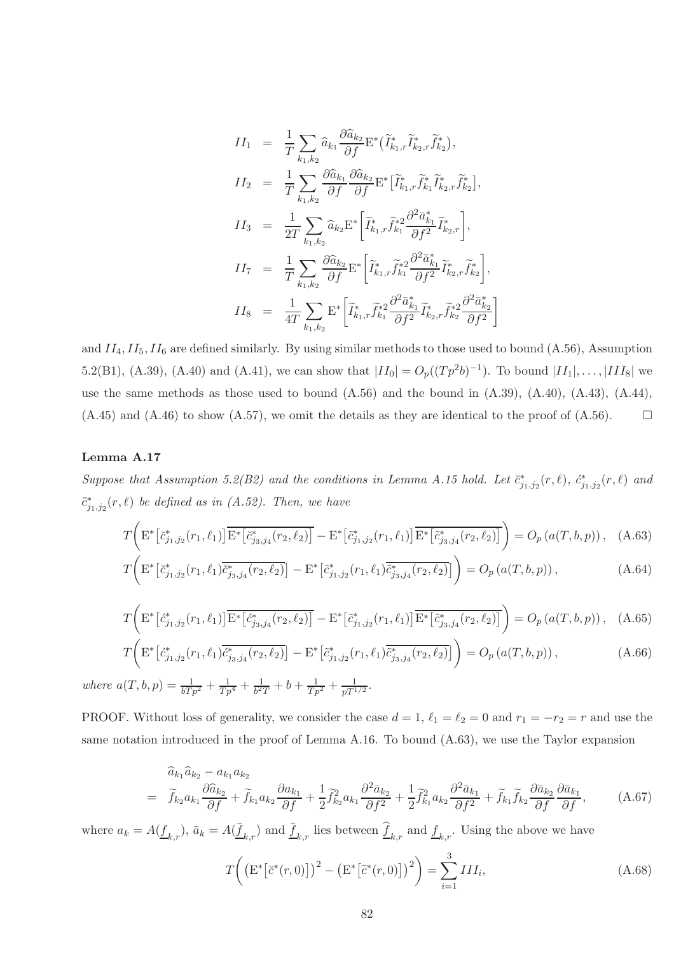$$
II_{1} = \frac{1}{T} \sum_{k_{1},k_{2}} \hat{a}_{k_{1}} \frac{\partial \hat{a}_{k_{2}}}{\partial f} E^{*}(\tilde{I}_{k_{1},r}^{*} \tilde{I}_{k_{2},r}^{*} \tilde{f}_{k_{2}}^{*}),
$$
  
\n
$$
II_{2} = \frac{1}{T} \sum_{k_{1},k_{2}} \frac{\partial \hat{a}_{k_{1}}}{\partial f} \frac{\partial \hat{a}_{k_{2}}}{\partial f} E^{*}[\tilde{I}_{k_{1},r}^{*} \tilde{f}_{k_{1}}^{*} \tilde{I}_{k_{2},r}^{*} \tilde{f}_{k_{2}}^{*}],
$$
  
\n
$$
II_{3} = \frac{1}{2T} \sum_{k_{1},k_{2}} \hat{a}_{k_{2}} E^{*} [\tilde{I}_{k_{1},r}^{*} \tilde{f}_{k_{1}}^{*2} \frac{\partial^{2} \bar{a}_{k_{1}}^{*}}{\partial f^{2}} \tilde{I}_{k_{2},r}^{*}]
$$
  
\n
$$
II_{7} = \frac{1}{T} \sum_{k_{1},k_{2}} \frac{\partial \hat{a}_{k_{2}}}{\partial f} E^{*} [\tilde{I}_{k_{1},r}^{*} \tilde{f}_{k_{1}}^{*2} \frac{\partial^{2} \bar{a}_{k_{1}}^{*}}{\partial f^{2}} \tilde{I}_{k_{2},r}^{*} \tilde{f}_{k_{2}}^{*}]
$$
  
\n
$$
II_{8} = \frac{1}{4T} \sum_{k_{1},k_{2}} E^{*} [\tilde{I}_{k_{1},r}^{*} \tilde{f}_{k_{1}}^{*2} \frac{\partial^{2} \bar{a}_{k_{1}}^{*}}{\partial f^{2}} \tilde{I}_{k_{2},r}^{*} \tilde{f}_{k_{2}}^{*2} \frac{\partial^{2} \bar{a}_{k_{2}}^{*}}{\partial f^{2}}]
$$

and  $II_4$ ,  $II_5$ ,  $II_6$  are defined similarly. By using similar methods to those used to bound (A.56), Assumption 5.2(B1), (A.39), (A.40) and (A.41), we can show that  $|II_0| = O_p((Tp^2b)^{-1})$ . To bound  $|II_1|, \ldots, |III_8|$  we use the same methods as those used to bound (A.56) and the bound in (A.39), (A.40), (A.43), (A.44),  $(A.45)$  and  $(A.46)$  to show  $(A.57)$ , we omit the details as they are identical to the proof of  $(A.56)$ .

## Lemma A.17

Suppose that Assumption 5.2(B2) and the conditions in Lemma A.15 hold. Let  $\check{c}_{j_1,j_2}^*(r,\ell),\ \hat{c}_{j_1,j_2}^*(r,\ell)$  and  $\tilde{c}_{j_1,j_2}^*(r,\ell)$  be defined as in  $(A.52)$ . Then, we have

$$
T\left(\mathbf{E}^*\left[\tilde{c}_{j_1,j_2}^*(r_1,\ell_1)\right]\overline{\mathbf{E}^*\left[\tilde{c}_{j_3,j_4}^*(r_2,\ell_2)\right]} - \mathbf{E}^*\left[\tilde{c}_{j_1,j_2}^*(r_1,\ell_1)\right]\overline{\mathbf{E}^*\left[\tilde{c}_{j_3,j_4}^*(r_2,\ell_2)\right]}\right) = O_p\left(a(T,b,p)\right),\tag{A.63}
$$

$$
T\bigg(\mathcal{E}^* \left[\tilde{c}_{j_1,j_2}^*(r_1,\ell_1)\overline{\tilde{c}_{j_3,j_4}^*(r_2,\ell_2)}\right] - \mathcal{E}^* \left[\tilde{c}_{j_1,j_2}^*(r_1,\ell_1)\overline{\tilde{c}_{j_3,j_4}^*(r_2,\ell_2)}\right]\bigg) = O_p\left(a(T,b,p)\right),\tag{A.64}
$$

$$
T\left(\mathbf{E}^*\left[\hat{c}_{j_1,j_2}^*(r_1,\ell_1)\right]\overline{\mathbf{E}^*\left[\hat{c}_{j_3,j_4}^*(r_2,\ell_2)\right]} - \mathbf{E}^*\left[\tilde{c}_{j_1,j_2}^*(r_1,\ell_1)\right]\overline{\mathbf{E}^*\left[\tilde{c}_{j_3,j_4}^*(r_2,\ell_2)\right]}\right) = O_p\left(a(T,b,p)\right),\tag{A.65}
$$

$$
T\bigg(\mathcal{E}^*\big[\mathcal{E}_{j_1,j_2}^*(r_1,\ell_1)\overline{\mathcal{E}_{j_3,j_4}^*(r_2,\ell_2)}\big] - \mathcal{E}^*\big[\overline{\mathcal{E}}_{j_1,j_2}^*(r_1,\ell_1)\overline{\mathcal{E}_{j_3,j_4}^*(r_2,\ell_2)}\big]\bigg) = O_p\left(a(T,b,p)\right),\tag{A.66}
$$

where  $a(T, b, p) = \frac{1}{bTp^2} + \frac{1}{Tp^4} + \frac{1}{b^2p^2}$  $\frac{1}{b^2T} + b + \frac{1}{Tp^2} + \frac{1}{pT^1}$  $\frac{1}{pT^{1/2}}$  .

PROOF. Without loss of generality, we consider the case  $d = 1$ ,  $\ell_1 = \ell_2 = 0$  and  $r_1 = -r_2 = r$  and use the same notation introduced in the proof of Lemma A.16. To bound (A.63), we use the Taylor expansion

$$
\begin{split}\n\widehat{a}_{k_1}\widehat{a}_{k_2} - a_{k_1}a_{k_2} \\
= \widetilde{f}_{k_2}a_{k_1}\frac{\partial \widehat{a}_{k_2}}{\partial f} + \widetilde{f}_{k_1}a_{k_2}\frac{\partial a_{k_1}}{\partial f} + \frac{1}{2}\widetilde{f}_{k_2}^2a_{k_1}\frac{\partial^2 \overline{a}_{k_2}}{\partial f^2} + \frac{1}{2}\widetilde{f}_{k_1}^2a_{k_2}\frac{\partial^2 \overline{a}_{k_1}}{\partial f^2} + \widetilde{f}_{k_1}\widetilde{f}_{k_2}\frac{\partial \overline{a}_{k_2}}{\partial f} + \widetilde{f}_{k_1}\widetilde{f}_{k_2}\frac{\partial \overline{a}_{k_2}}{\partial f},\n\end{split} \tag{A.67}
$$

where  $a_k = A(\underline{f}_{k,r})$ ,  $\bar{a}_k = A(\overline{f}_{k,r})$  and  $\overline{f}_{k,r}$  lies between  $\hat{f}_{k,r}$  and  $f_{k,r}$ . Using the above we have

$$
T\bigg(\big(\mathbf{E}^*\big[\tilde{c}^*(r,0)\big]\big)^2 - \big(\mathbf{E}^*\big[\tilde{c}^*(r,0)\big]\big)^2\bigg) = \sum_{i=1}^3 III_i,\tag{A.68}
$$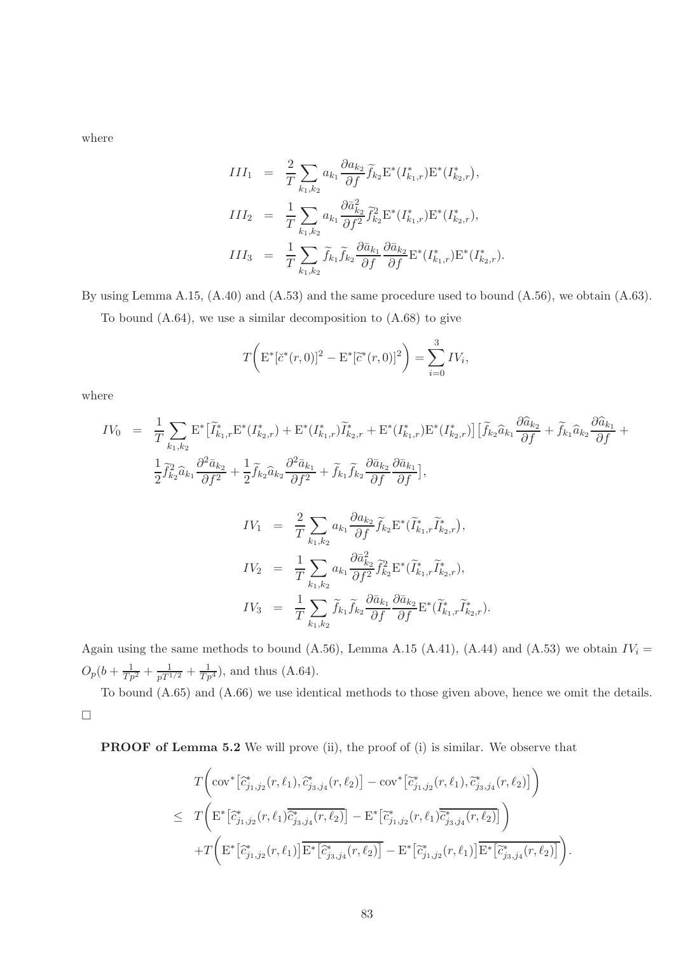where

$$
III_1 = \frac{2}{T} \sum_{k_1, k_2} a_{k_1} \frac{\partial a_{k_2}}{\partial f} \tilde{f}_{k_2} E^*(I_{k_1, r}^*) E^*(I_{k_2, r}^*),
$$
  
\n
$$
III_2 = \frac{1}{T} \sum_{k_1, k_2} a_{k_1} \frac{\partial \bar{a}_{k_2}^2}{\partial f^2} \tilde{f}_{k_2}^2 E^*(I_{k_1, r}^*) E^*(I_{k_2, r}^*),
$$
  
\n
$$
III_3 = \frac{1}{T} \sum_{k_1, k_2} \tilde{f}_{k_1} \tilde{f}_{k_2} \frac{\partial \bar{a}_{k_1}}{\partial f} \frac{\partial \bar{a}_{k_2}}{\partial f} E^*(I_{k_1, r}^*) E^*(I_{k_2, r}^*).
$$

By using Lemma A.15, (A.40) and (A.53) and the same procedure used to bound (A.56), we obtain (A.63).

To bound (A.64), we use a similar decomposition to (A.68) to give

$$
T\bigg(\mathrm{E}^*[\check{c}^*(r,0)]^2 - \mathrm{E}^*[\tilde{c}^*(r,0)]^2\bigg) = \sum_{i=0}^3 IV_i,
$$

where

$$
IV_{0} = \frac{1}{T} \sum_{k_{1},k_{2}} \mathbf{E}^{*} \left[ \tilde{I}_{k_{1},r}^{*} \mathbf{E}^{*} (I_{k_{2},r}^{*}) + \mathbf{E}^{*} (I_{k_{1},r}^{*}) \tilde{I}_{k_{2},r}^{*} + \mathbf{E}^{*} (I_{k_{1},r}^{*}) \mathbf{E}^{*} (I_{k_{2},r}^{*}) \right] \left[ \tilde{f}_{k_{2}} \hat{a}_{k_{1}} \frac{\partial \hat{a}_{k_{2}}}{\partial f} + \tilde{f}_{k_{1}} \hat{a}_{k_{2}} \frac{\partial \hat{a}_{k_{1}}}{\partial f} \right] + \frac{1}{2} \tilde{f}_{k_{2}} \hat{a}_{k_{1}} \frac{\partial^{2} \bar{a}_{k_{2}}}{\partial f^{2}} + \frac{1}{2} \tilde{f}_{k_{2}} \hat{a}_{k_{2}} \frac{\partial^{2} \bar{a}_{k_{1}}}{\partial f^{2}} + \tilde{f}_{k_{1}} \tilde{f}_{k_{2}} \frac{\partial \bar{a}_{k_{2}}}{\partial f} \frac{\partial \bar{a}_{k_{1}}}{\partial f} \right],
$$
  
\n
$$
IV_{1} = \frac{2}{T} \sum_{k_{1},k_{2}} a_{k_{1}} \frac{\partial a_{k_{2}}}{\partial f} \tilde{f}_{k_{2}} \mathbf{E}^{*} (\tilde{I}_{k_{1},r}^{*} \tilde{I}_{k_{2},r}^{*}),
$$
  
\n
$$
IV_{2} = \frac{1}{T} \sum_{k_{1},k_{2}} a_{k_{1}} \frac{\partial \bar{a}_{k_{2}}^{2}}{\partial f^{2}} \tilde{f}_{k_{2}}^{2} \mathbf{E}^{*} (\tilde{I}_{k_{1},r}^{*} \tilde{I}_{k_{2},r}^{*}),
$$
  
\n
$$
IV_{3} = \frac{1}{T} \sum_{k_{1},k_{2}} \tilde{f}_{k_{1}} \tilde{f}_{k_{2}} \frac{\partial \bar{a}_{k_{1}}}{\partial f} \frac{\partial \bar{a}_{k_{2}}}{\partial f} \mathbf{E}^{*} (\tilde{I}_{k_{1},r}^{*} \tilde{I}_{k_{2},r}^{*}).
$$

Again using the same methods to bound (A.56), Lemma A.15 (A.41), (A.44) and (A.53) we obtain  $IV_i =$  $O_p(b+\frac{1}{Tp^2}+\frac{1}{pT^{1/2}}+\frac{1}{Tp^4}),$  and thus (A.64).

To bound (A.65) and (A.66) we use identical methods to those given above, hence we omit the details.  $\Box$ 

PROOF of Lemma 5.2 We will prove (ii), the proof of (i) is similar. We observe that

$$
T\left(\text{cov}^*\left[\hat{c}_{j_1,j_2}^*(r,\ell_1),\hat{c}_{j_3,j_4}^*(r,\ell_2)\right] - \text{cov}^*\left[\hat{c}_{j_1,j_2}^*(r,\ell_1),\hat{c}_{j_3,j_4}^*(r,\ell_2)\right]\right) \n\leq T\left(\mathbf{E}^*\left[\hat{c}_{j_1,j_2}^*(r,\ell_1)\overline{\hat{c}_{j_3,j_4}^*(r,\ell_2)}\right] - \mathbf{E}^*\left[\hat{c}_{j_1,j_2}^*(r,\ell_1)\overline{\hat{c}_{j_3,j_4}^*(r,\ell_2)}\right]\right) \n+T\left(\mathbf{E}^*\left[\hat{c}_{j_1,j_2}^*(r,\ell_1)\right]\overline{\mathbf{E}^*\left[\hat{c}_{j_3,j_4}^*(r,\ell_2)\right]} - \mathbf{E}^*\left[\hat{c}_{j_1,j_2}^*(r,\ell_1)\right]\overline{\mathbf{E}^*\left[\hat{c}_{j_3,j_4}^*(r,\ell_2)\right]}\right).
$$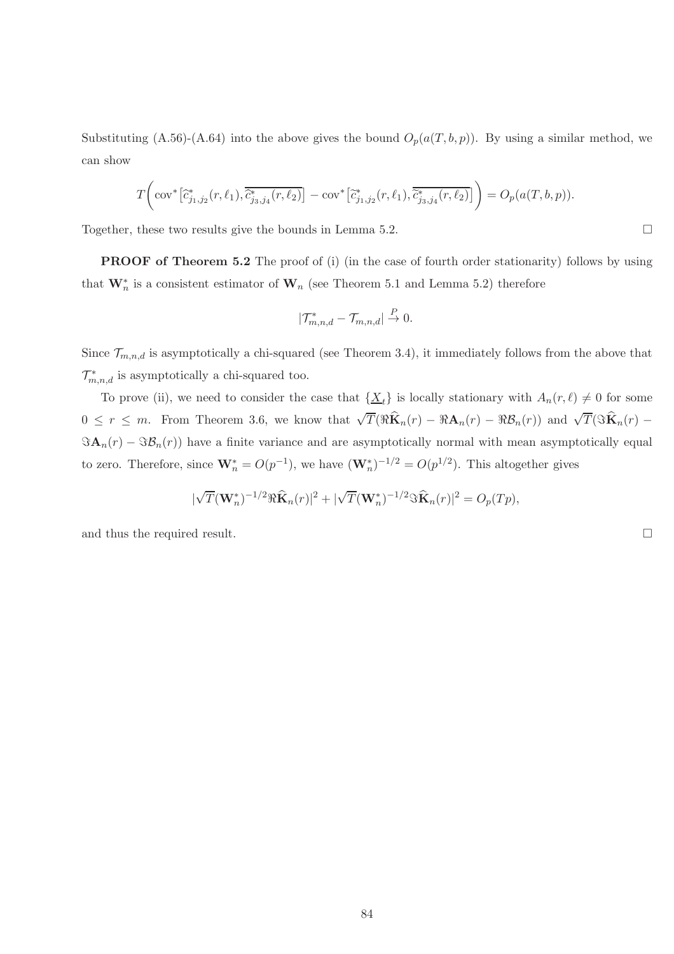Substituting (A.56)-(A.64) into the above gives the bound  $O_p(a(T, b, p))$ . By using a similar method, we can show

$$
T\bigg(\text{cov}^*\big[\widehat{c}_{j_1,j_2}^*(r,\ell_1),\overline{\widehat{c}_{j_3,j_4}^*(r,\ell_2)}\big] - \text{cov}^*\big[\widetilde{c}_{j_1,j_2}^*(r,\ell_1),\overline{\widetilde{c}_{j_3,j_4}^*(r,\ell_2)}\big]\bigg) = O_p(a(T,b,p)).
$$

Together, these two results give the bounds in Lemma 5.2.

**PROOF of Theorem 5.2** The proof of (i) (in the case of fourth order stationarity) follows by using that  $\mathbf{W}_{n}^{*}$  is a consistent estimator of  $\mathbf{W}_{n}$  (see Theorem 5.1 and Lemma 5.2) therefore

$$
|\mathcal{T}_{m,n,d}^* - \mathcal{T}_{m,n,d}| \stackrel{P}{\to} 0.
$$

Since  $\mathcal{T}_{m,n,d}$  is asymptotically a chi-squared (see Theorem 3.4), it immediately follows from the above that  $\mathcal{T}_{m,n,d}^*$  is asymptotically a chi-squared too.

To prove (ii), we need to consider the case that  $\{\underline{X}_t\}$  is locally stationary with  $A_n(r,\ell) \neq 0$  for some  $0 \leq r \leq m$ . From Theorem 3.6, we know that  $\sqrt{T}(\Re \widehat{\mathbf{K}}_n(r) - \Re \mathbf{A}_n(r) - \Re \mathbf{B}_n(r))$  and  $\sqrt{T}(\Im \widehat{\mathbf{K}}_n(r) \Im A_n(r) - \Im B_n(r)$  have a finite variance and are asymptotically normal with mean asymptotically equal to zero. Therefore, since  $\mathbf{W}_n^* = O(p^{-1})$ , we have  $(\mathbf{W}_n^*)^{-1/2} = O(p^{1/2})$ . This altogether gives

$$
|\sqrt{T}(\mathbf{W}_n^*)^{-1/2}\Re\widehat{\mathbf{K}}_n(r)|^2+|\sqrt{T}(\mathbf{W}_n^*)^{-1/2}\Im\widehat{\mathbf{K}}_n(r)|^2=O_p(Tp),
$$

and thus the required result.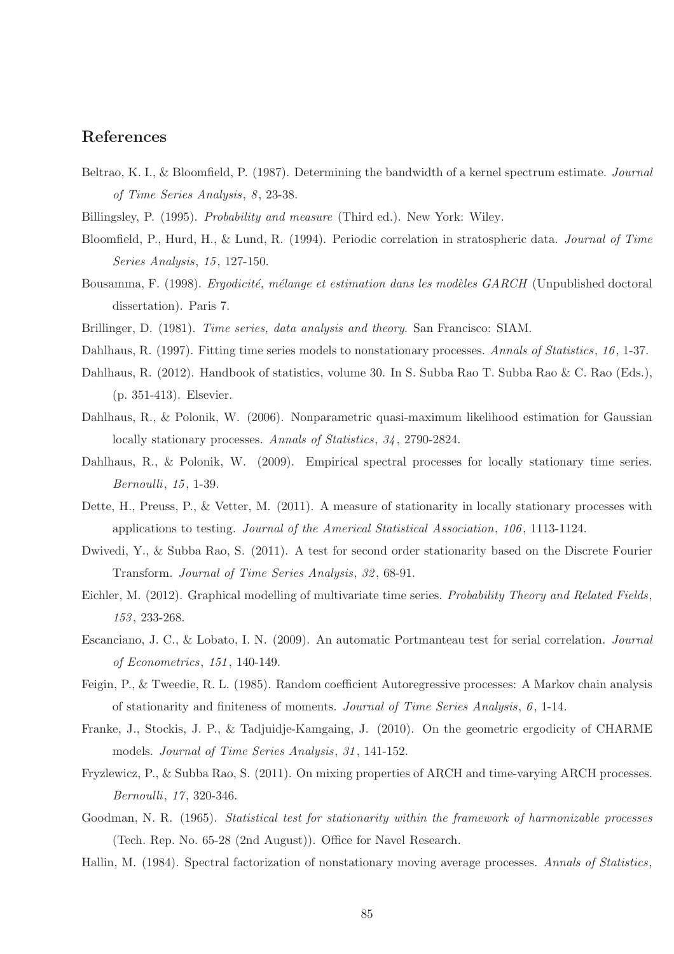## References

- Beltrao, K. I., & Bloomfield, P. (1987). Determining the bandwidth of a kernel spectrum estimate. Journal of Time Series Analysis, 8, 23-38.
- Billingsley, P. (1995). Probability and measure (Third ed.). New York: Wiley.
- Bloomfield, P., Hurd, H., & Lund, R. (1994). Periodic correlation in stratospheric data. Journal of Time Series Analysis, 15, 127-150.
- Bousamma, F. (1998). Ergodicité, mélange et estimation dans les modèles GARCH (Unpublished doctoral dissertation). Paris 7.
- Brillinger, D. (1981). Time series, data analysis and theory. San Francisco: SIAM.
- Dahlhaus, R. (1997). Fitting time series models to nonstationary processes. Annals of Statistics, 16, 1-37.
- Dahlhaus, R. (2012). Handbook of statistics, volume 30. In S. Subba Rao T. Subba Rao & C. Rao (Eds.), (p. 351-413). Elsevier.
- Dahlhaus, R., & Polonik, W. (2006). Nonparametric quasi-maximum likelihood estimation for Gaussian locally stationary processes. Annals of Statistics, 34, 2790-2824.
- Dahlhaus, R., & Polonik, W. (2009). Empirical spectral processes for locally stationary time series. Bernoulli, 15, 1-39.
- Dette, H., Preuss, P., & Vetter, M. (2011). A measure of stationarity in locally stationary processes with applications to testing. Journal of the Americal Statistical Association, 106, 1113-1124.
- Dwivedi, Y., & Subba Rao, S. (2011). A test for second order stationarity based on the Discrete Fourier Transform. Journal of Time Series Analysis, 32, 68-91.
- Eichler, M. (2012). Graphical modelling of multivariate time series. Probability Theory and Related Fields, 153, 233-268.
- Escanciano, J. C., & Lobato, I. N. (2009). An automatic Portmanteau test for serial correlation. Journal of Econometrics, 151, 140-149.
- Feigin, P., & Tweedie, R. L. (1985). Random coefficient Autoregressive processes: A Markov chain analysis of stationarity and finiteness of moments. Journal of Time Series Analysis, 6, 1-14.
- Franke, J., Stockis, J. P., & Tadjuidje-Kamgaing, J. (2010). On the geometric ergodicity of CHARME models. Journal of Time Series Analysis, 31, 141-152.
- Fryzlewicz, P., & Subba Rao, S. (2011). On mixing properties of ARCH and time-varying ARCH processes. Bernoulli, 17, 320-346.
- Goodman, N. R. (1965). Statistical test for stationarity within the framework of harmonizable processes (Tech. Rep. No. 65-28 (2nd August)). Office for Navel Research.
- Hallin, M. (1984). Spectral factorization of nonstationary moving average processes. Annals of Statistics,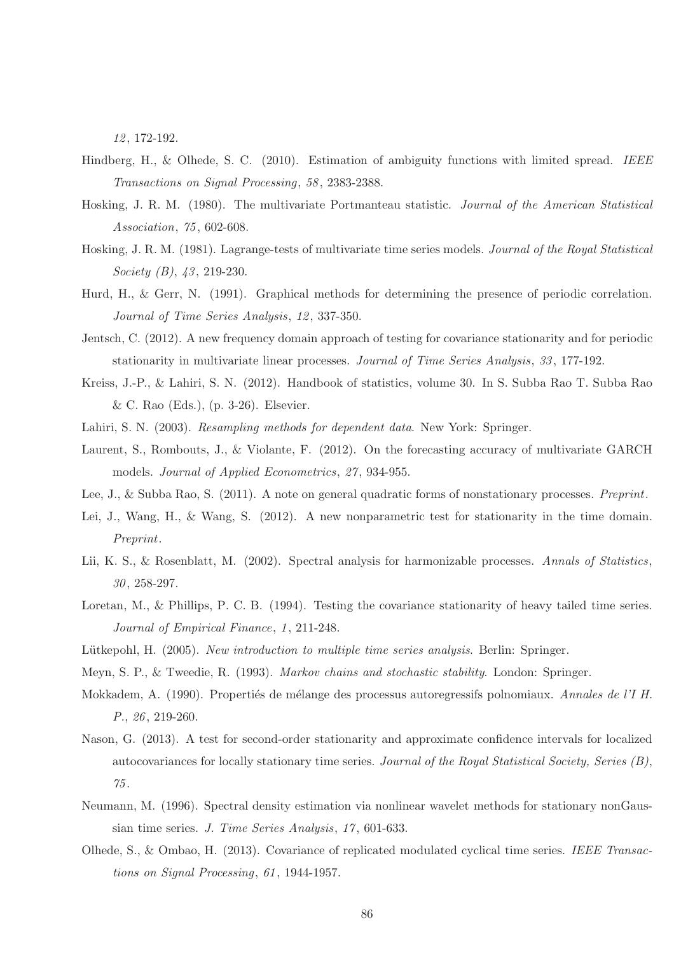12, 172-192.

- Hindberg, H., & Olhede, S. C. (2010). Estimation of ambiguity functions with limited spread. IEEE Transactions on Signal Processing, 58, 2383-2388.
- Hosking, J. R. M. (1980). The multivariate Portmanteau statistic. Journal of the American Statistical Association, 75, 602-608.
- Hosking, J. R. M. (1981). Lagrange-tests of multivariate time series models. Journal of the Royal Statistical Society (B), 43, 219-230.
- Hurd, H., & Gerr, N. (1991). Graphical methods for determining the presence of periodic correlation. Journal of Time Series Analysis, 12, 337-350.
- Jentsch, C. (2012). A new frequency domain approach of testing for covariance stationarity and for periodic stationarity in multivariate linear processes. Journal of Time Series Analysis, 33, 177-192.
- Kreiss, J.-P., & Lahiri, S. N. (2012). Handbook of statistics, volume 30. In S. Subba Rao T. Subba Rao & C. Rao (Eds.), (p. 3-26). Elsevier.
- Lahiri, S. N. (2003). Resampling methods for dependent data. New York: Springer.
- Laurent, S., Rombouts, J., & Violante, F. (2012). On the forecasting accuracy of multivariate GARCH models. Journal of Applied Econometrics, 27, 934-955.
- Lee, J., & Subba Rao, S. (2011). A note on general quadratic forms of nonstationary processes. Preprint.
- Lei, J., Wang, H., & Wang, S. (2012). A new nonparametric test for stationarity in the time domain. Preprint.
- Lii, K. S., & Rosenblatt, M. (2002). Spectral analysis for harmonizable processes. Annals of Statistics, 30, 258-297.
- Loretan, M., & Phillips, P. C. B. (1994). Testing the covariance stationarity of heavy tailed time series. Journal of Empirical Finance, 1, 211-248.
- Lütkepohl, H. (2005). New introduction to multiple time series analysis. Berlin: Springer.
- Meyn, S. P., & Tweedie, R. (1993). Markov chains and stochastic stability. London: Springer.
- Mokkadem, A. (1990). Propertiés de mélange des processus autoregressifs polnomiaux. Annales de l'I H. P., 26, 219-260.
- Nason, G. (2013). A test for second-order stationarity and approximate confidence intervals for localized autocovariances for locally stationary time series. Journal of the Royal Statistical Society, Series (B), 75.
- Neumann, M. (1996). Spectral density estimation via nonlinear wavelet methods for stationary nonGaussian time series. J. Time Series Analysis, 17, 601-633.
- Olhede, S., & Ombao, H. (2013). Covariance of replicated modulated cyclical time series. IEEE Transactions on Signal Processing, 61, 1944-1957.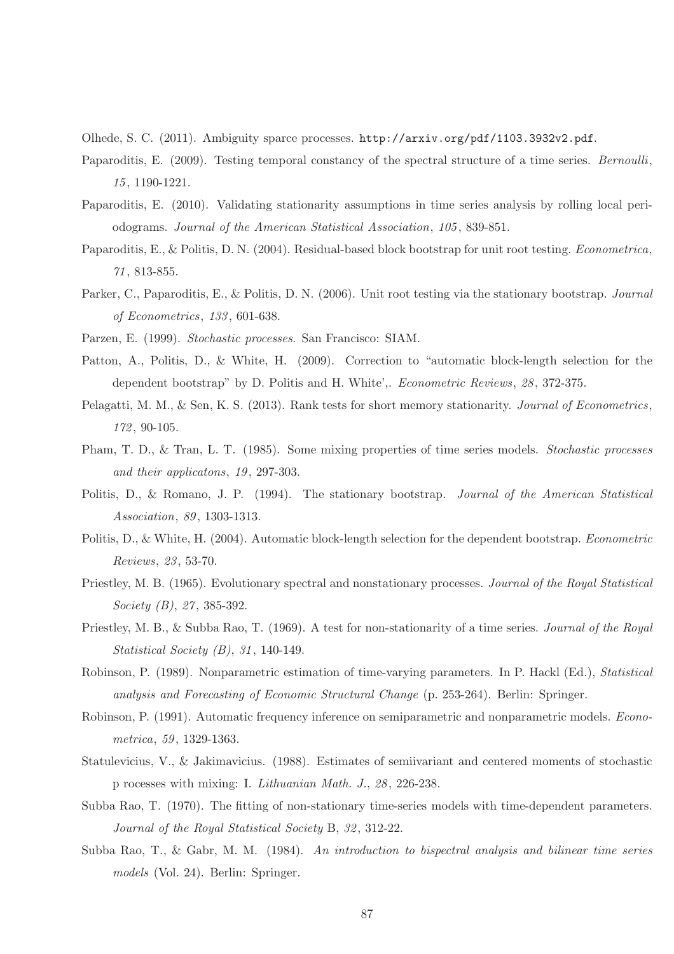Olhede, S. C. (2011). Ambiguity sparce processes. http://arxiv.org/pdf/1103.3932v2.pdf.

- Paparoditis, E. (2009). Testing temporal constancy of the spectral structure of a time series. *Bernoulli*, 15, 1190-1221.
- Paparoditis, E. (2010). Validating stationarity assumptions in time series analysis by rolling local periodograms. Journal of the American Statistical Association, 105, 839-851.
- Paparoditis, E., & Politis, D. N. (2004). Residual-based block bootstrap for unit root testing. Econometrica, 71, 813-855.
- Parker, C., Paparoditis, E., & Politis, D. N. (2006). Unit root testing via the stationary bootstrap. Journal of Econometrics, 133, 601-638.
- Parzen, E. (1999). Stochastic processes. San Francisco: SIAM.
- Patton, A., Politis, D., & White, H. (2009). Correction to "automatic block-length selection for the dependent bootstrap" by D. Politis and H. White',. Econometric Reviews, 28, 372-375.
- Pelagatti, M. M., & Sen, K. S. (2013). Rank tests for short memory stationarity. Journal of Econometrics, 172, 90-105.
- Pham, T. D., & Tran, L. T. (1985). Some mixing properties of time series models. Stochastic processes and their applicatons, 19, 297-303.
- Politis, D., & Romano, J. P. (1994). The stationary bootstrap. Journal of the American Statistical Association, 89, 1303-1313.
- Politis, D., & White, H. (2004). Automatic block-length selection for the dependent bootstrap. Econometric Reviews, 23, 53-70.
- Priestley, M. B. (1965). Evolutionary spectral and nonstationary processes. Journal of the Royal Statistical Society (B), 27, 385-392.
- Priestley, M. B., & Subba Rao, T. (1969). A test for non-stationarity of a time series. Journal of the Royal Statistical Society (B), 31, 140-149.
- Robinson, P. (1989). Nonparametric estimation of time-varying parameters. In P. Hackl (Ed.), Statistical analysis and Forecasting of Economic Structural Change (p. 253-264). Berlin: Springer.
- Robinson, P. (1991). Automatic frequency inference on semiparametric and nonparametric models. Econometrica, 59, 1329-1363.
- Statulevicius, V., & Jakimavicius. (1988). Estimates of semiivariant and centered moments of stochastic p rocesses with mixing: I. Lithuanian Math. J., 28, 226-238.
- Subba Rao, T. (1970). The fitting of non-stationary time-series models with time-dependent parameters. Journal of the Royal Statistical Society B, 32, 312-22.
- Subba Rao, T., & Gabr, M. M. (1984). An introduction to bispectral analysis and bilinear time series models (Vol. 24). Berlin: Springer.